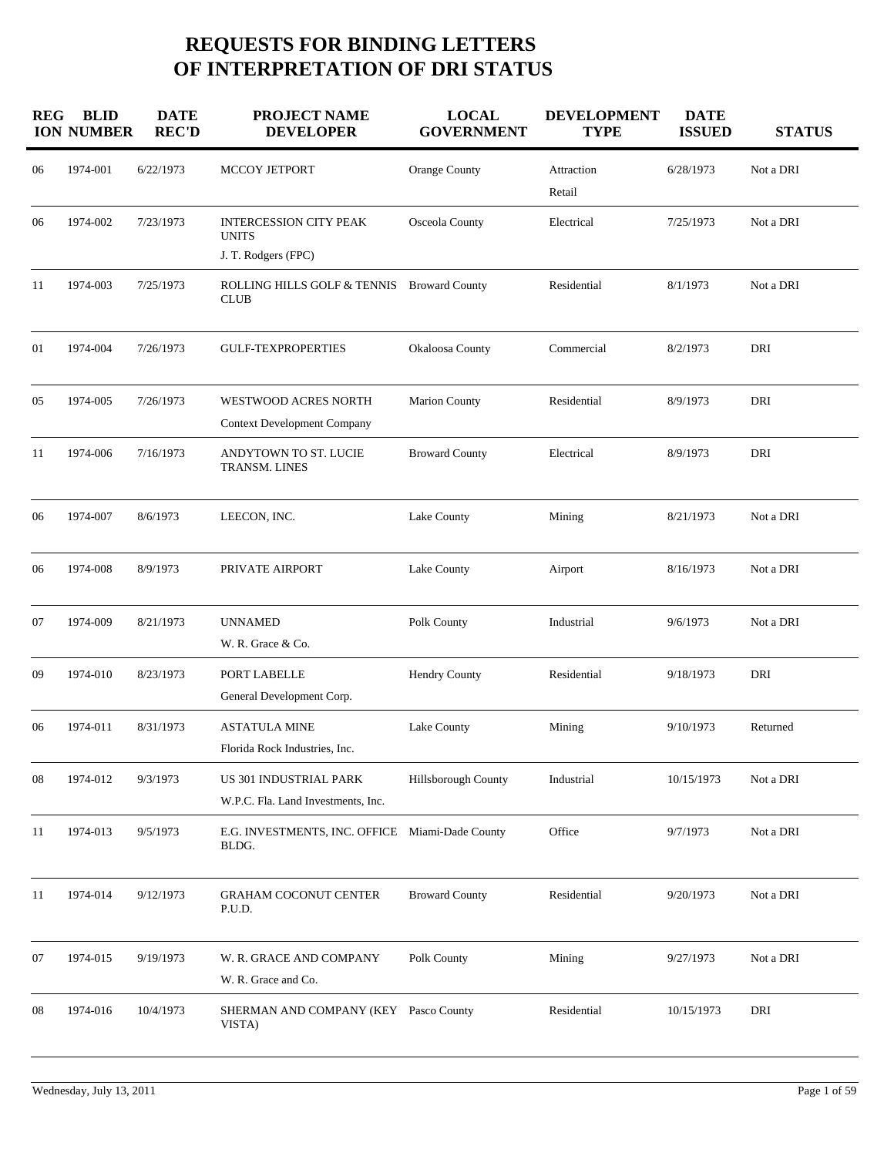## **REQUESTS FOR BINDING LETTERS OF INTERPRETATION OF DRI STATUS**

| <b>REG</b> | <b>BLID</b><br><b>ION NUMBER</b> | <b>DATE</b><br><b>REC'D</b> | <b>PROJECT NAME</b><br><b>DEVELOPER</b>                      | <b>LOCAL</b><br><b>GOVERNMENT</b> | <b>DEVELOPMENT</b><br><b>TYPE</b> | <b>DATE</b><br><b>ISSUED</b> | <b>STATUS</b> |
|------------|----------------------------------|-----------------------------|--------------------------------------------------------------|-----------------------------------|-----------------------------------|------------------------------|---------------|
| 06         | 1974-001                         | 6/22/1973                   | MCCOY JETPORT                                                | Orange County                     | Attraction<br>Retail              | 6/28/1973                    | Not a DRI     |
| 06         | 1974-002                         | 7/23/1973                   | <b>INTERCESSION CITY PEAK</b><br><b>UNITS</b>                | Osceola County                    | Electrical                        | 7/25/1973                    | Not a DRI     |
|            |                                  |                             | J. T. Rodgers (FPC)                                          |                                   |                                   |                              |               |
| 11         | 1974-003                         | 7/25/1973                   | ROLLING HILLS GOLF & TENNIS Broward County<br><b>CLUB</b>    |                                   | Residential                       | 8/1/1973                     | Not a DRI     |
| 01         | 1974-004                         | 7/26/1973                   | <b>GULF-TEXPROPERTIES</b>                                    | Okaloosa County                   | Commercial                        | 8/2/1973                     | DRI           |
| 05         | 1974-005                         | 7/26/1973                   | WESTWOOD ACRES NORTH<br><b>Context Development Company</b>   | <b>Marion County</b>              | Residential                       | 8/9/1973                     | DRI           |
| 11         | 1974-006                         | 7/16/1973                   | ANDYTOWN TO ST. LUCIE<br>TRANSM. LINES                       | <b>Broward County</b>             | Electrical                        | 8/9/1973                     | DRI           |
| 06         | 1974-007                         | 8/6/1973                    | LEECON, INC.                                                 | Lake County                       | Mining                            | 8/21/1973                    | Not a DRI     |
| 06         | 1974-008                         | 8/9/1973                    | PRIVATE AIRPORT                                              | Lake County                       | Airport                           | 8/16/1973                    | Not a DRI     |
| 07         | 1974-009                         | 8/21/1973                   | <b>UNNAMED</b><br>W. R. Grace & Co.                          | Polk County                       | Industrial                        | 9/6/1973                     | Not a DRI     |
| 09         | 1974-010                         | 8/23/1973                   | PORT LABELLE<br>General Development Corp.                    | Hendry County                     | Residential                       | 9/18/1973                    | DRI           |
| 06         | 1974-011                         | 8/31/1973                   | <b>ASTATULA MINE</b><br>Florida Rock Industries, Inc.        | Lake County                       | Mining                            | 9/10/1973                    | Returned      |
| 08         | 1974-012                         | 9/3/1973                    | US 301 INDUSTRIAL PARK<br>W.P.C. Fla. Land Investments, Inc. | Hillsborough County               | Industrial                        | 10/15/1973                   | Not a DRI     |
| 11         | 1974-013                         | 9/5/1973                    | E.G. INVESTMENTS, INC. OFFICE Miami-Dade County<br>BLDG.     |                                   | Office                            | 9/7/1973                     | Not a DRI     |
| 11         | 1974-014                         | 9/12/1973                   | <b>GRAHAM COCONUT CENTER</b><br>P.U.D.                       | <b>Broward County</b>             | Residential                       | 9/20/1973                    | Not a DRI     |
| 07         | 1974-015                         | 9/19/1973                   | W. R. GRACE AND COMPANY<br>W. R. Grace and Co.               | Polk County                       | Mining                            | 9/27/1973                    | Not a DRI     |
| 08         | 1974-016                         | 10/4/1973                   | SHERMAN AND COMPANY (KEY Pasco County<br>VISTA)              |                                   | Residential                       | 10/15/1973                   | DRI           |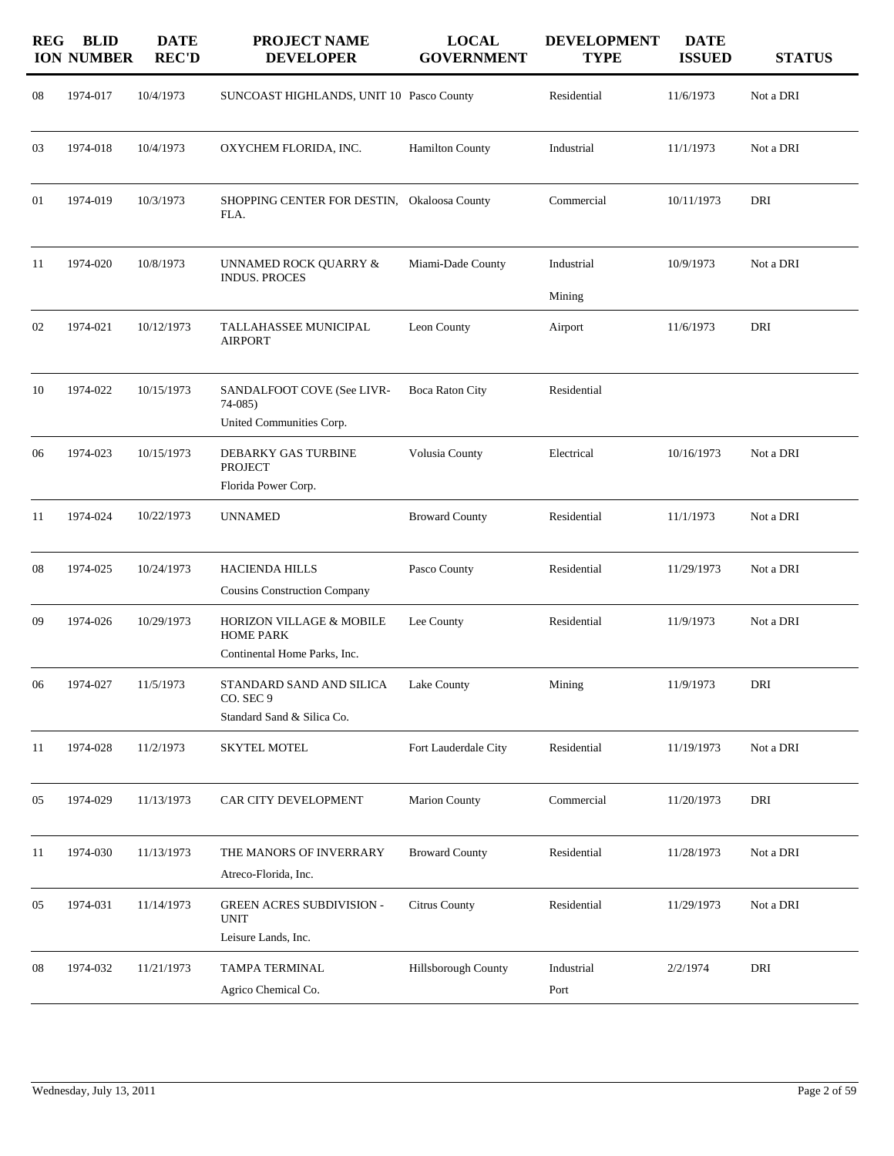| <b>REG</b> | <b>BLID</b><br><b>ION NUMBER</b> | <b>DATE</b><br><b>REC'D</b> | PROJECT NAME<br><b>DEVELOPER</b>                                             | <b>LOCAL</b><br><b>GOVERNMENT</b> | <b>DEVELOPMENT</b><br><b>TYPE</b> | <b>DATE</b><br><b>ISSUED</b> | <b>STATUS</b> |
|------------|----------------------------------|-----------------------------|------------------------------------------------------------------------------|-----------------------------------|-----------------------------------|------------------------------|---------------|
| 08         | 1974-017                         | 10/4/1973                   | SUNCOAST HIGHLANDS, UNIT 10 Pasco County                                     |                                   | Residential                       | 11/6/1973                    | Not a DRI     |
| 03         | 1974-018                         | 10/4/1973                   | OXYCHEM FLORIDA, INC.                                                        | <b>Hamilton County</b>            | Industrial                        | 11/1/1973                    | Not a DRI     |
| 01         | 1974-019                         | 10/3/1973                   | SHOPPING CENTER FOR DESTIN, Okaloosa County<br>FLA.                          |                                   | Commercial                        | 10/11/1973                   | DRI           |
| 11         | 1974-020                         | 10/8/1973                   | UNNAMED ROCK QUARRY &<br><b>INDUS. PROCES</b>                                | Miami-Dade County                 | Industrial<br>Mining              | 10/9/1973                    | Not a DRI     |
| 02         | 1974-021                         | 10/12/1973                  | TALLAHASSEE MUNICIPAL<br><b>AIRPORT</b>                                      | Leon County                       | Airport                           | 11/6/1973                    | DRI           |
| 10         | 1974-022                         | 10/15/1973                  | SANDALFOOT COVE (See LIVR-<br>$74-085$<br>United Communities Corp.           | Boca Raton City                   | Residential                       |                              |               |
| 06         | 1974-023                         | 10/15/1973                  | DEBARKY GAS TURBINE<br><b>PROJECT</b><br>Florida Power Corp.                 | Volusia County                    | Electrical                        | 10/16/1973                   | Not a DRI     |
| 11         | 1974-024                         | 10/22/1973                  | <b>UNNAMED</b>                                                               | <b>Broward County</b>             | Residential                       | 11/1/1973                    | Not a DRI     |
| 08         | 1974-025                         | 10/24/1973                  | <b>HACIENDA HILLS</b><br><b>Cousins Construction Company</b>                 | Pasco County                      | Residential                       | 11/29/1973                   | Not a DRI     |
| 09         | 1974-026                         | 10/29/1973                  | HORIZON VILLAGE & MOBILE<br><b>HOME PARK</b><br>Continental Home Parks, Inc. | Lee County                        | Residential                       | 11/9/1973                    | Not a DRI     |
| 06         | 1974-027                         | 11/5/1973                   | STANDARD SAND AND SILICA<br>CO. SEC 9<br>Standard Sand & Silica Co.          | Lake County                       | Mining                            | 11/9/1973                    | DRI           |
| 11         | 1974-028                         | 11/2/1973                   | <b>SKYTEL MOTEL</b>                                                          | Fort Lauderdale City              | Residential                       | 11/19/1973                   | Not a DRI     |
| 05         | 1974-029                         | 11/13/1973                  | CAR CITY DEVELOPMENT                                                         | <b>Marion County</b>              | Commercial                        | 11/20/1973                   | DRI           |
| 11         | 1974-030                         | 11/13/1973                  | THE MANORS OF INVERRARY<br>Atreco-Florida, Inc.                              | <b>Broward County</b>             | Residential                       | 11/28/1973                   | Not a DRI     |
| 05         | 1974-031                         | 11/14/1973                  | <b>GREEN ACRES SUBDIVISION -</b><br><b>UNIT</b><br>Leisure Lands, Inc.       | Citrus County                     | Residential                       | 11/29/1973                   | Not a DRI     |
| 08         | 1974-032                         | 11/21/1973                  | TAMPA TERMINAL<br>Agrico Chemical Co.                                        | Hillsborough County               | Industrial<br>Port                | 2/2/1974                     | DRI           |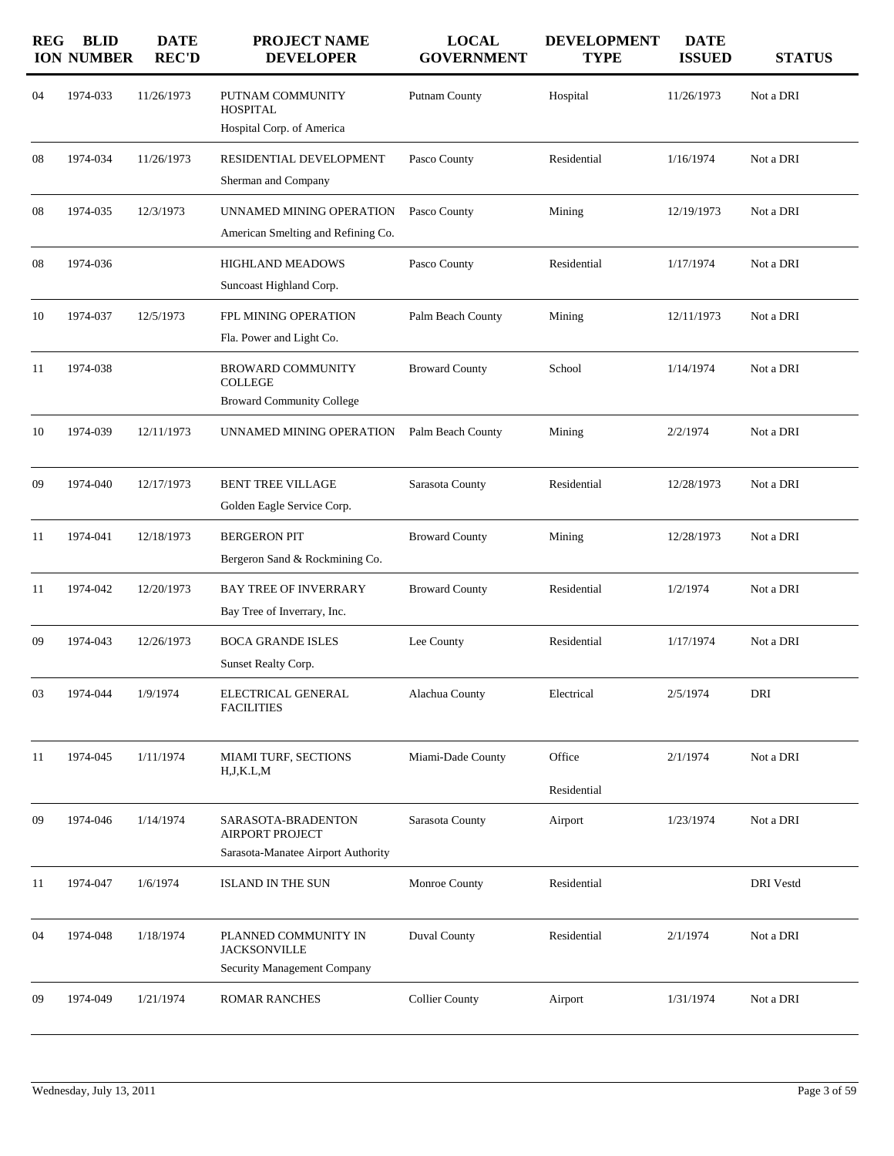| <b>REG</b> | <b>BLID</b><br><b>ION NUMBER</b> | <b>DATE</b><br><b>REC'D</b> | <b>PROJECT NAME</b><br><b>DEVELOPER</b>                                            | <b>LOCAL</b><br><b>GOVERNMENT</b> | <b>DEVELOPMENT</b><br><b>TYPE</b> | <b>DATE</b><br><b>ISSUED</b> | <b>STATUS</b>    |
|------------|----------------------------------|-----------------------------|------------------------------------------------------------------------------------|-----------------------------------|-----------------------------------|------------------------------|------------------|
| 04         | 1974-033                         | 11/26/1973                  | PUTNAM COMMUNITY<br><b>HOSPITAL</b><br>Hospital Corp. of America                   | Putnam County                     | Hospital                          | 11/26/1973                   | Not a DRI        |
| 08         | 1974-034                         | 11/26/1973                  | RESIDENTIAL DEVELOPMENT<br>Sherman and Company                                     | Pasco County                      | Residential                       | 1/16/1974                    | Not a DRI        |
| 08         | 1974-035                         | 12/3/1973                   | UNNAMED MINING OPERATION<br>American Smelting and Refining Co.                     | Pasco County                      | Mining                            | 12/19/1973                   | Not a DRI        |
| 08         | 1974-036                         |                             | HIGHLAND MEADOWS<br>Suncoast Highland Corp.                                        | Pasco County                      | Residential                       | 1/17/1974                    | Not a DRI        |
| 10         | 1974-037                         | 12/5/1973                   | FPL MINING OPERATION<br>Fla. Power and Light Co.                                   | Palm Beach County                 | Mining                            | 12/11/1973                   | Not a DRI        |
| 11         | 1974-038                         |                             | <b>BROWARD COMMUNITY</b><br><b>COLLEGE</b><br><b>Broward Community College</b>     | <b>Broward County</b>             | School                            | 1/14/1974                    | Not a DRI        |
| 10         | 1974-039                         | 12/11/1973                  | UNNAMED MINING OPERATION                                                           | Palm Beach County                 | Mining                            | 2/2/1974                     | Not a DRI        |
| 09         | 1974-040                         | 12/17/1973                  | <b>BENT TREE VILLAGE</b><br>Golden Eagle Service Corp.                             | Sarasota County                   | Residential                       | 12/28/1973                   | Not a DRI        |
| 11         | 1974-041                         | 12/18/1973                  | <b>BERGERON PIT</b><br>Bergeron Sand & Rockmining Co.                              | <b>Broward County</b>             | Mining                            | 12/28/1973                   | Not a DRI        |
| 11         | 1974-042                         | 12/20/1973                  | <b>BAY TREE OF INVERRARY</b><br>Bay Tree of Inverrary, Inc.                        | <b>Broward County</b>             | Residential                       | 1/2/1974                     | Not a DRI        |
| 09         | 1974-043                         | 12/26/1973                  | <b>BOCA GRANDE ISLES</b><br>Sunset Realty Corp.                                    | Lee County                        | Residential                       | 1/17/1974                    | Not a DRI        |
| 03         | 1974-044                         | 1/9/1974                    | ELECTRICAL GENERAL<br><b>FACILITIES</b>                                            | Alachua County                    | Electrical                        | 2/5/1974                     | DRI              |
| 11         | 1974-045                         | 1/11/1974                   | MIAMI TURF, SECTIONS<br>H, J, K. L, M                                              | Miami-Dade County                 | Office<br>Residential             | 2/1/1974                     | Not a DRI        |
| 09         | 1974-046                         | 1/14/1974                   | SARASOTA-BRADENTON<br><b>AIRPORT PROJECT</b><br>Sarasota-Manatee Airport Authority | Sarasota County                   | Airport                           | 1/23/1974                    | Not a DRI        |
| 11         | 1974-047                         | 1/6/1974                    | <b>ISLAND IN THE SUN</b>                                                           | Monroe County                     | Residential                       |                              | <b>DRI</b> Vestd |
| 04         | 1974-048                         | 1/18/1974                   | PLANNED COMMUNITY IN<br><b>JACKSONVILLE</b><br>Security Management Company         | Duval County                      | Residential                       | 2/1/1974                     | Not a DRI        |
| 09         | 1974-049                         | 1/21/1974                   | <b>ROMAR RANCHES</b>                                                               | <b>Collier County</b>             | Airport                           | 1/31/1974                    | Not a DRI        |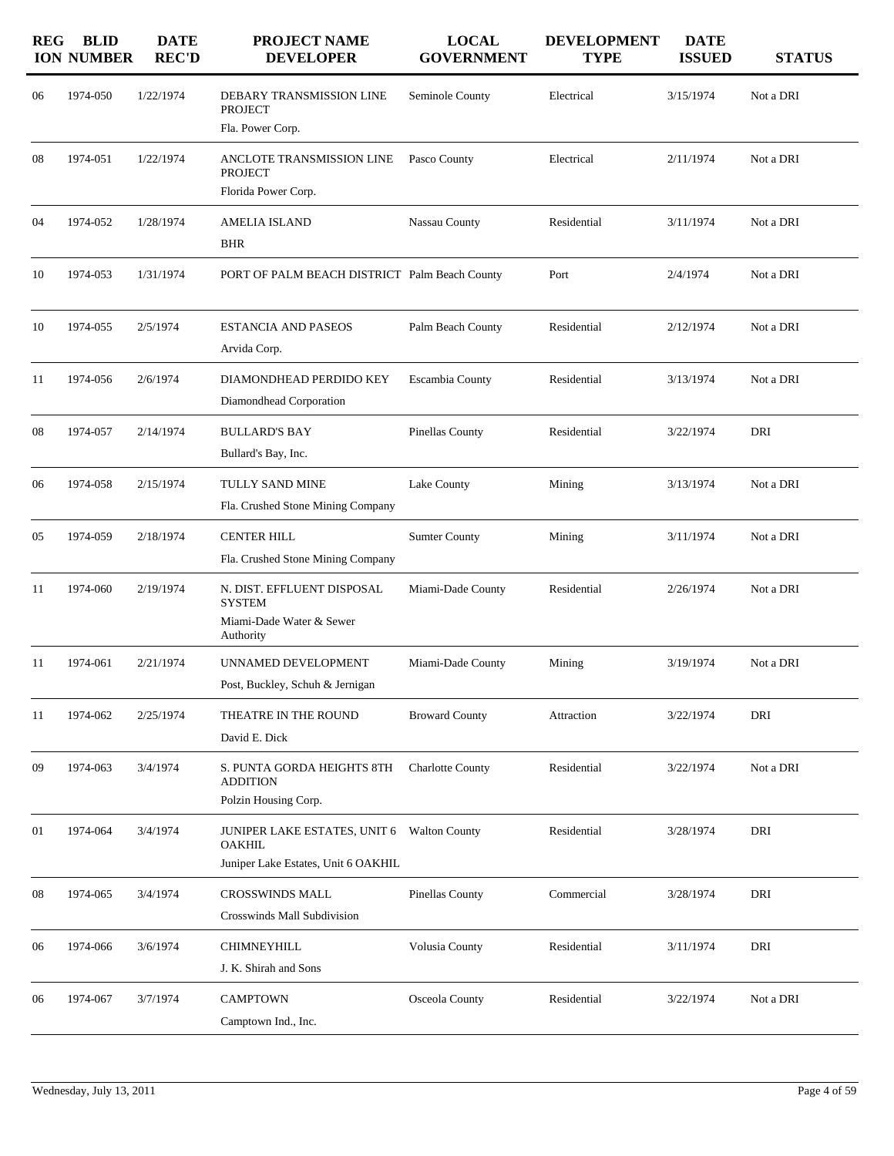| <b>REG</b> | <b>BLID</b><br><b>ION NUMBER</b> | <b>DATE</b><br><b>REC'D</b> | <b>PROJECT NAME</b><br><b>DEVELOPER</b>                                                     | <b>LOCAL</b><br><b>GOVERNMENT</b> | <b>DEVELOPMENT</b><br><b>TYPE</b> | <b>DATE</b><br><b>ISSUED</b> | <b>STATUS</b> |
|------------|----------------------------------|-----------------------------|---------------------------------------------------------------------------------------------|-----------------------------------|-----------------------------------|------------------------------|---------------|
| 06         | 1974-050                         | 1/22/1974                   | DEBARY TRANSMISSION LINE<br><b>PROJECT</b><br>Fla. Power Corp.                              | Seminole County                   | Electrical                        | 3/15/1974                    | Not a DRI     |
| 08         | 1974-051                         | 1/22/1974                   | ANCLOTE TRANSMISSION LINE<br><b>PROJECT</b><br>Florida Power Corp.                          | Pasco County                      | Electrical                        | 2/11/1974                    | Not a DRI     |
| 04         | 1974-052                         | 1/28/1974                   | <b>AMELIA ISLAND</b><br>BHR                                                                 | Nassau County                     | Residential                       | 3/11/1974                    | Not a DRI     |
| 10         | 1974-053                         | 1/31/1974                   | PORT OF PALM BEACH DISTRICT Palm Beach County                                               |                                   | Port                              | 2/4/1974                     | Not a DRI     |
| 10         | 1974-055                         | 2/5/1974                    | <b>ESTANCIA AND PASEOS</b><br>Arvida Corp.                                                  | Palm Beach County                 | Residential                       | 2/12/1974                    | Not a DRI     |
| 11         | 1974-056                         | 2/6/1974                    | DIAMONDHEAD PERDIDO KEY<br>Diamondhead Corporation                                          | Escambia County                   | Residential                       | 3/13/1974                    | Not a DRI     |
| 08         | 1974-057                         | 2/14/1974                   | <b>BULLARD'S BAY</b><br>Bullard's Bay, Inc.                                                 | Pinellas County                   | Residential                       | 3/22/1974                    | DRI           |
| 06         | 1974-058                         | 2/15/1974                   | TULLY SAND MINE<br>Fla. Crushed Stone Mining Company                                        | Lake County                       | Mining                            | 3/13/1974                    | Not a DRI     |
| 05         | 1974-059                         | 2/18/1974                   | <b>CENTER HILL</b><br>Fla. Crushed Stone Mining Company                                     | <b>Sumter County</b>              | Mining                            | 3/11/1974                    | Not a DRI     |
| 11         | 1974-060                         | 2/19/1974                   | N. DIST. EFFLUENT DISPOSAL<br><b>SYSTEM</b><br>Miami-Dade Water & Sewer<br>Authority        | Miami-Dade County                 | Residential                       | 2/26/1974                    | Not a DRI     |
| 11         | 1974-061                         | 2/21/1974                   | UNNAMED DEVELOPMENT<br>Post, Buckley, Schuh & Jernigan                                      | Miami-Dade County                 | Mining                            | 3/19/1974                    | Not a DRI     |
| 11         | 1974-062                         | 2/25/1974                   | THEATRE IN THE ROUND<br>David E. Dick                                                       | <b>Broward County</b>             | Attraction                        | 3/22/1974                    | DRI           |
| 09         | 1974-063                         | 3/4/1974                    | S. PUNTA GORDA HEIGHTS 8TH<br><b>ADDITION</b><br>Polzin Housing Corp.                       | <b>Charlotte County</b>           | Residential                       | 3/22/1974                    | Not a DRI     |
| 01         | 1974-064                         | 3/4/1974                    | JUNIPER LAKE ESTATES, UNIT 6 Walton County<br>OAKHIL<br>Juniper Lake Estates, Unit 6 OAKHIL |                                   | Residential                       | 3/28/1974                    | DRI           |
| 08         | 1974-065                         | 3/4/1974                    | CROSSWINDS MALL<br>Crosswinds Mall Subdivision                                              | <b>Pinellas County</b>            | Commercial                        | 3/28/1974                    | DRI           |
| 06         | 1974-066                         | 3/6/1974                    | <b>CHIMNEYHILL</b><br>J. K. Shirah and Sons                                                 | Volusia County                    | Residential                       | 3/11/1974                    | DRI           |
| 06         | 1974-067                         | 3/7/1974                    | <b>CAMPTOWN</b><br>Camptown Ind., Inc.                                                      | Osceola County                    | Residential                       | 3/22/1974                    | Not a DRI     |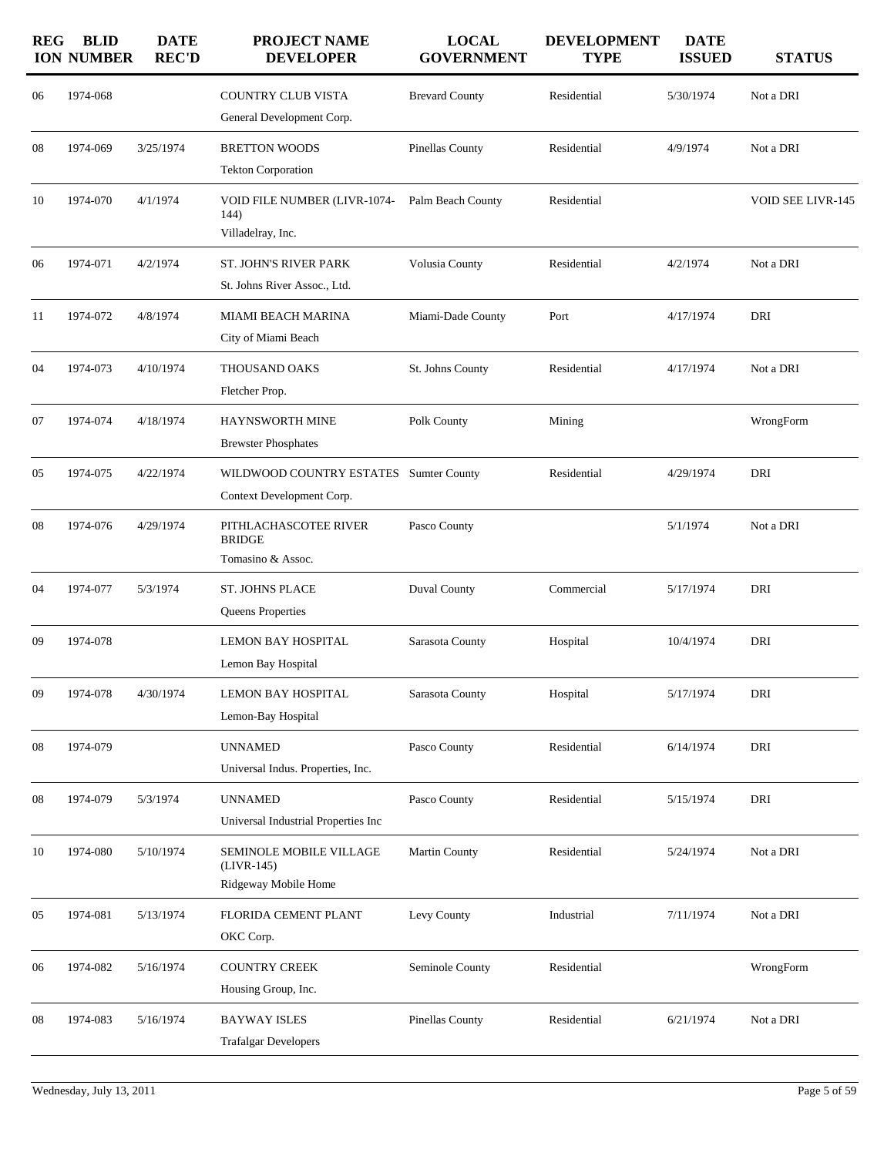| <b>REG</b> | <b>BLID</b><br><b>ION NUMBER</b> | <b>DATE</b><br><b>REC'D</b> | <b>PROJECT NAME</b><br><b>DEVELOPER</b>                             | <b>LOCAL</b><br><b>GOVERNMENT</b> | <b>DEVELOPMENT</b><br><b>TYPE</b> | <b>DATE</b><br><b>ISSUED</b> | <b>STATUS</b>     |
|------------|----------------------------------|-----------------------------|---------------------------------------------------------------------|-----------------------------------|-----------------------------------|------------------------------|-------------------|
| 06         | 1974-068                         |                             | <b>COUNTRY CLUB VISTA</b><br>General Development Corp.              | <b>Brevard County</b>             | Residential                       | 5/30/1974                    | Not a DRI         |
| 08         | 1974-069                         | 3/25/1974                   | <b>BRETTON WOODS</b><br><b>Tekton Corporation</b>                   | Pinellas County                   | Residential                       | 4/9/1974                     | Not a DRI         |
| 10         | 1974-070                         | 4/1/1974                    | VOID FILE NUMBER (LIVR-1074-<br>144)<br>Villadelray, Inc.           | Palm Beach County                 | Residential                       |                              | VOID SEE LIVR-145 |
| 06         | 1974-071                         | 4/2/1974                    | <b>ST. JOHN'S RIVER PARK</b><br>St. Johns River Assoc., Ltd.        | Volusia County                    | Residential                       | 4/2/1974                     | Not a DRI         |
| 11         | 1974-072                         | 4/8/1974                    | <b>MIAMI BEACH MARINA</b><br>City of Miami Beach                    | Miami-Dade County                 | Port                              | 4/17/1974                    | DRI               |
| 04         | 1974-073                         | 4/10/1974                   | <b>THOUSAND OAKS</b><br>Fletcher Prop.                              | St. Johns County                  | Residential                       | 4/17/1974                    | Not a DRI         |
| 07         | 1974-074                         | 4/18/1974                   | HAYNSWORTH MINE<br><b>Brewster Phosphates</b>                       | Polk County                       | Mining                            |                              | WrongForm         |
| 05         | 1974-075                         | 4/22/1974                   | WILDWOOD COUNTRY ESTATES Sumter County<br>Context Development Corp. |                                   | Residential                       | 4/29/1974                    | DRI               |
| 08         | 1974-076                         | 4/29/1974                   | PITHLACHASCOTEE RIVER<br><b>BRIDGE</b><br>Tomasino & Assoc.         | Pasco County                      |                                   | 5/1/1974                     | Not a DRI         |
| 04         | 1974-077                         | 5/3/1974                    | <b>ST. JOHNS PLACE</b><br>Queens Properties                         | Duval County                      | Commercial                        | 5/17/1974                    | DRI               |
| 09         | 1974-078                         |                             | <b>LEMON BAY HOSPITAL</b><br>Lemon Bay Hospital                     | Sarasota County                   | Hospital                          | 10/4/1974                    | DRI               |
| 09         | 1974-078                         | 4/30/1974                   | <b>LEMON BAY HOSPITAL</b><br>Lemon-Bay Hospital                     | Sarasota County                   | Hospital                          | 5/17/1974                    | DRI               |
| 08         | 1974-079                         |                             | <b>UNNAMED</b><br>Universal Indus. Properties, Inc.                 | Pasco County                      | Residential                       | 6/14/1974                    | DRI               |
| 08         | 1974-079                         | 5/3/1974                    | <b>UNNAMED</b><br>Universal Industrial Properties Inc               | Pasco County                      | Residential                       | 5/15/1974                    | DRI               |
| 10         | 1974-080                         | 5/10/1974                   | SEMINOLE MOBILE VILLAGE<br>$(LIVR-145)$<br>Ridgeway Mobile Home     | Martin County                     | Residential                       | 5/24/1974                    | Not a DRI         |
| 05         | 1974-081                         | 5/13/1974                   | FLORIDA CEMENT PLANT<br>OKC Corp.                                   | Levy County                       | Industrial                        | 7/11/1974                    | Not a DRI         |
| 06         | 1974-082                         | 5/16/1974                   | <b>COUNTRY CREEK</b><br>Housing Group, Inc.                         | Seminole County                   | Residential                       |                              | WrongForm         |
| 08         | 1974-083                         | 5/16/1974                   | <b>BAYWAY ISLES</b><br><b>Trafalgar Developers</b>                  | Pinellas County                   | Residential                       | 6/21/1974                    | Not a DRI         |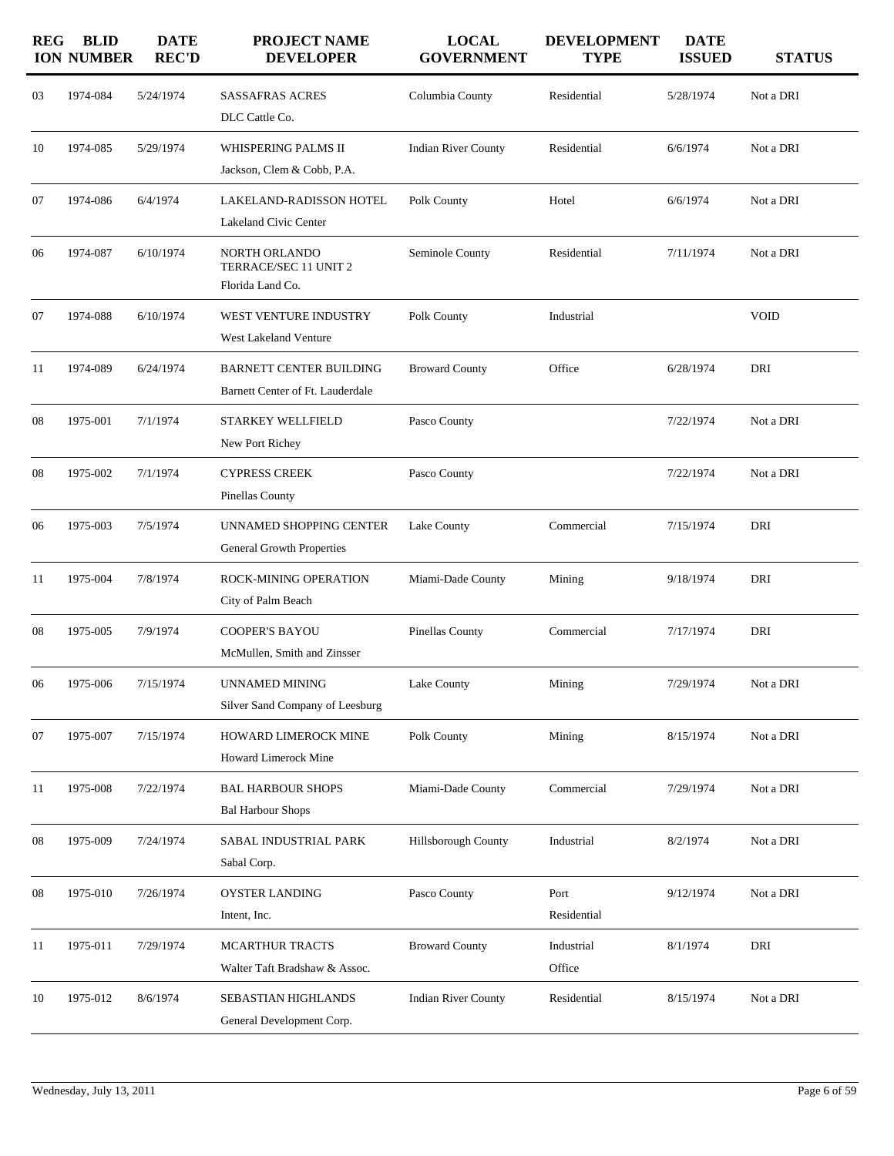| <b>REG</b> | <b>BLID</b><br><b>ION NUMBER</b> | <b>DATE</b><br><b>REC'D</b> | <b>PROJECT NAME</b><br><b>DEVELOPER</b>                            | <b>LOCAL</b><br><b>GOVERNMENT</b> | <b>DEVELOPMENT</b><br><b>TYPE</b> | <b>DATE</b><br><b>ISSUED</b> | <b>STATUS</b> |
|------------|----------------------------------|-----------------------------|--------------------------------------------------------------------|-----------------------------------|-----------------------------------|------------------------------|---------------|
| 03         | 1974-084                         | 5/24/1974                   | <b>SASSAFRAS ACRES</b><br>DLC Cattle Co.                           | Columbia County                   | Residential                       | 5/28/1974                    | Not a DRI     |
| 10         | 1974-085                         | 5/29/1974                   | WHISPERING PALMS II<br>Jackson, Clem & Cobb, P.A.                  | <b>Indian River County</b>        | Residential                       | 6/6/1974                     | Not a DRI     |
| 07         | 1974-086                         | 6/4/1974                    | LAKELAND-RADISSON HOTEL<br>Lakeland Civic Center                   | Polk County                       | Hotel                             | 6/6/1974                     | Not a DRI     |
| 06         | 1974-087                         | 6/10/1974                   | NORTH ORLANDO<br>TERRACE/SEC 11 UNIT 2<br>Florida Land Co.         | Seminole County                   | Residential                       | 7/11/1974                    | Not a DRI     |
| 07         | 1974-088                         | 6/10/1974                   | WEST VENTURE INDUSTRY<br>West Lakeland Venture                     | Polk County                       | Industrial                        |                              | <b>VOID</b>   |
| 11         | 1974-089                         | 6/24/1974                   | <b>BARNETT CENTER BUILDING</b><br>Barnett Center of Ft. Lauderdale | <b>Broward County</b>             | Office                            | 6/28/1974                    | DRI           |
| 08         | 1975-001                         | 7/1/1974                    | <b>STARKEY WELLFIELD</b><br>New Port Richey                        | Pasco County                      |                                   | 7/22/1974                    | Not a DRI     |
| 08         | 1975-002                         | 7/1/1974                    | <b>CYPRESS CREEK</b><br>Pinellas County                            | Pasco County                      |                                   | 7/22/1974                    | Not a DRI     |
| 06         | 1975-003                         | 7/5/1974                    | UNNAMED SHOPPING CENTER<br>General Growth Properties               | Lake County                       | Commercial                        | 7/15/1974                    | DRI           |
| 11         | 1975-004                         | 7/8/1974                    | <b>ROCK-MINING OPERATION</b><br>City of Palm Beach                 | Miami-Dade County                 | Mining                            | 9/18/1974                    | DRI           |
| 08         | 1975-005                         | 7/9/1974                    | <b>COOPER'S BAYOU</b><br>McMullen, Smith and Zinsser               | Pinellas County                   | Commercial                        | 7/17/1974                    | DRI           |
| 06         | 1975-006                         | 7/15/1974                   | UNNAMED MINING<br>Silver Sand Company of Leesburg                  | Lake County                       | Mining                            | 7/29/1974                    | Not a DRI     |
| 07         | 1975-007                         | 7/15/1974                   | HOWARD LIMEROCK MINE<br>Howard Limerock Mine                       | Polk County                       | Mining                            | 8/15/1974                    | Not a DRI     |
| 11         | 1975-008                         | 7/22/1974                   | <b>BAL HARBOUR SHOPS</b><br><b>Bal Harbour Shops</b>               | Miami-Dade County                 | Commercial                        | 7/29/1974                    | Not a DRI     |
| 08         | 1975-009                         | 7/24/1974                   | SABAL INDUSTRIAL PARK<br>Sabal Corp.                               | <b>Hillsborough County</b>        | Industrial                        | 8/2/1974                     | Not a DRI     |
| 08         | 1975-010                         | 7/26/1974                   | OYSTER LANDING<br>Intent, Inc.                                     | Pasco County                      | Port<br>Residential               | 9/12/1974                    | Not a DRI     |
| 11         | 1975-011                         | 7/29/1974                   | <b>MCARTHUR TRACTS</b><br>Walter Taft Bradshaw & Assoc.            | <b>Broward County</b>             | Industrial<br>Office              | 8/1/1974                     | DRI           |
| 10         | 1975-012                         | 8/6/1974                    | SEBASTIAN HIGHLANDS<br>General Development Corp.                   | <b>Indian River County</b>        | Residential                       | 8/15/1974                    | Not a DRI     |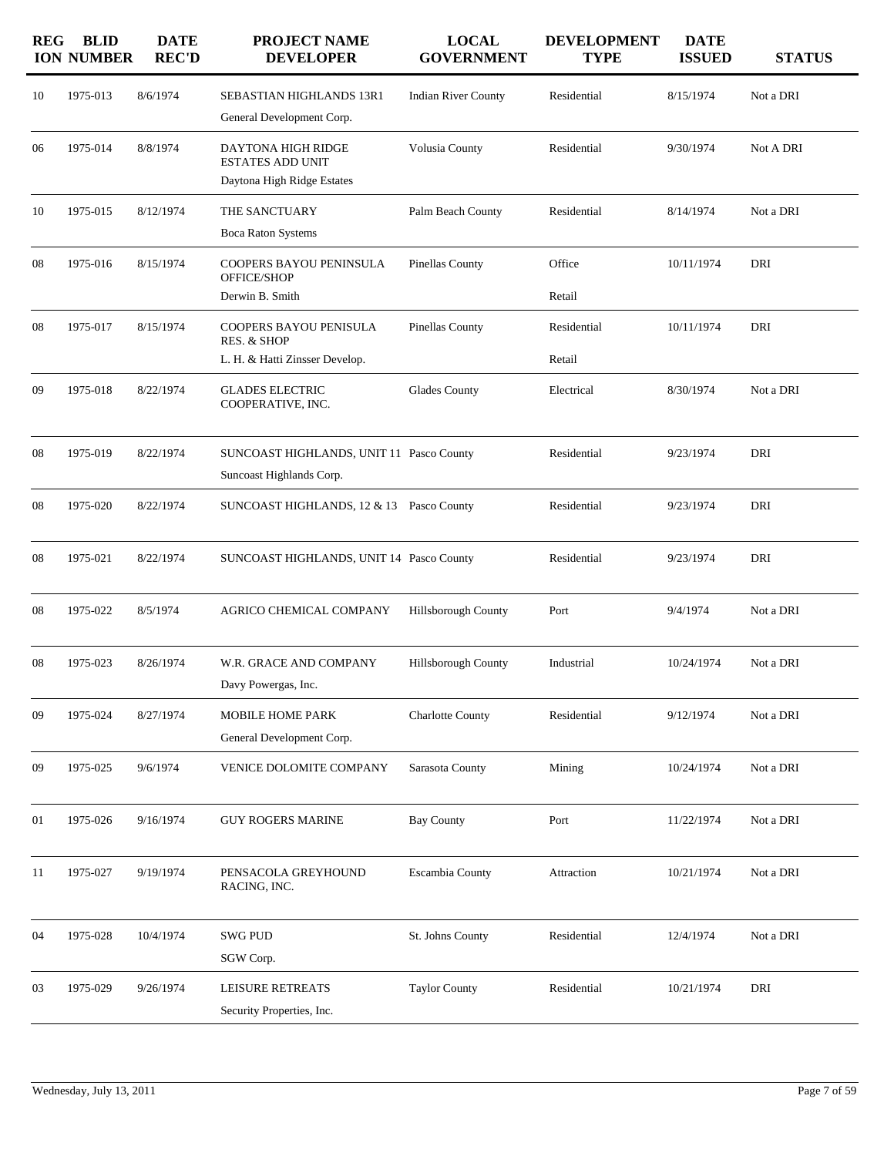| <b>REG</b> | <b>BLID</b><br><b>ION NUMBER</b> | <b>DATE</b><br><b>REC'D</b> | <b>PROJECT NAME</b><br><b>DEVELOPER</b>                                     | <b>LOCAL</b><br><b>GOVERNMENT</b> | <b>DEVELOPMENT</b><br><b>TYPE</b> | <b>DATE</b><br><b>ISSUED</b> | <b>STATUS</b> |
|------------|----------------------------------|-----------------------------|-----------------------------------------------------------------------------|-----------------------------------|-----------------------------------|------------------------------|---------------|
| 10         | 1975-013                         | 8/6/1974                    | SEBASTIAN HIGHLANDS 13R1<br>General Development Corp.                       | <b>Indian River County</b>        | Residential                       | 8/15/1974                    | Not a DRI     |
| 06         | 1975-014                         | 8/8/1974                    | DAYTONA HIGH RIDGE<br><b>ESTATES ADD UNIT</b><br>Daytona High Ridge Estates | Volusia County                    | Residential                       | 9/30/1974                    | Not A DRI     |
| 10         | 1975-015                         | 8/12/1974                   | THE SANCTUARY<br><b>Boca Raton Systems</b>                                  | Palm Beach County                 | Residential                       | 8/14/1974                    | Not a DRI     |
| 08         | 1975-016                         | 8/15/1974                   | COOPERS BAYOU PENINSULA<br>OFFICE/SHOP                                      | Pinellas County                   | Office                            | 10/11/1974                   | DRI           |
|            |                                  |                             | Derwin B. Smith                                                             |                                   | Retail                            |                              |               |
| 08         | 1975-017                         | 8/15/1974                   | COOPERS BAYOU PENISULA<br>RES. & SHOP                                       | Pinellas County                   | Residential                       | 10/11/1974                   | DRI           |
|            |                                  |                             | L. H. & Hatti Zinsser Develop.                                              |                                   | Retail                            |                              |               |
| 09         | 1975-018                         | 8/22/1974                   | <b>GLADES ELECTRIC</b><br>COOPERATIVE, INC.                                 | Glades County                     | Electrical                        | 8/30/1974                    | Not a DRI     |
| 08         | 1975-019                         | 8/22/1974                   | SUNCOAST HIGHLANDS, UNIT 11 Pasco County<br>Suncoast Highlands Corp.        |                                   | Residential                       | 9/23/1974                    | DRI           |
| 08         | 1975-020                         | 8/22/1974                   | SUNCOAST HIGHLANDS, 12 & 13 Pasco County                                    |                                   | Residential                       | 9/23/1974                    | DRI           |
| 08         | 1975-021                         | 8/22/1974                   | SUNCOAST HIGHLANDS, UNIT 14 Pasco County                                    |                                   | Residential                       | 9/23/1974                    | DRI           |
| 08         | 1975-022                         | 8/5/1974                    | AGRICO CHEMICAL COMPANY                                                     | Hillsborough County               | Port                              | 9/4/1974                     | Not a DRI     |
| 08         | 1975-023                         | 8/26/1974                   | W.R. GRACE AND COMPANY<br>Davy Powergas, Inc.                               | Hillsborough County               | Industrial                        | 10/24/1974                   | Not a DRI     |
| 09         | 1975-024                         | 8/27/1974                   | <b>MOBILE HOME PARK</b><br>General Development Corp.                        | <b>Charlotte County</b>           | Residential                       | 9/12/1974                    | Not a DRI     |
| 09         | 1975-025                         | 9/6/1974                    | VENICE DOLOMITE COMPANY                                                     | Sarasota County                   | Mining                            | 10/24/1974                   | Not a DRI     |
| 01         | 1975-026                         | 9/16/1974                   | <b>GUY ROGERS MARINE</b>                                                    | <b>Bay County</b>                 | Port                              | 11/22/1974                   | Not a DRI     |
| 11         | 1975-027                         | 9/19/1974                   | PENSACOLA GREYHOUND<br>RACING, INC.                                         | Escambia County                   | Attraction                        | 10/21/1974                   | Not a DRI     |
| 04         | 1975-028                         | 10/4/1974                   | <b>SWG PUD</b><br>SGW Corp.                                                 | St. Johns County                  | Residential                       | 12/4/1974                    | Not a DRI     |
| 03         | 1975-029                         | 9/26/1974                   | LEISURE RETREATS<br>Security Properties, Inc.                               | <b>Taylor County</b>              | Residential                       | 10/21/1974                   | DRI           |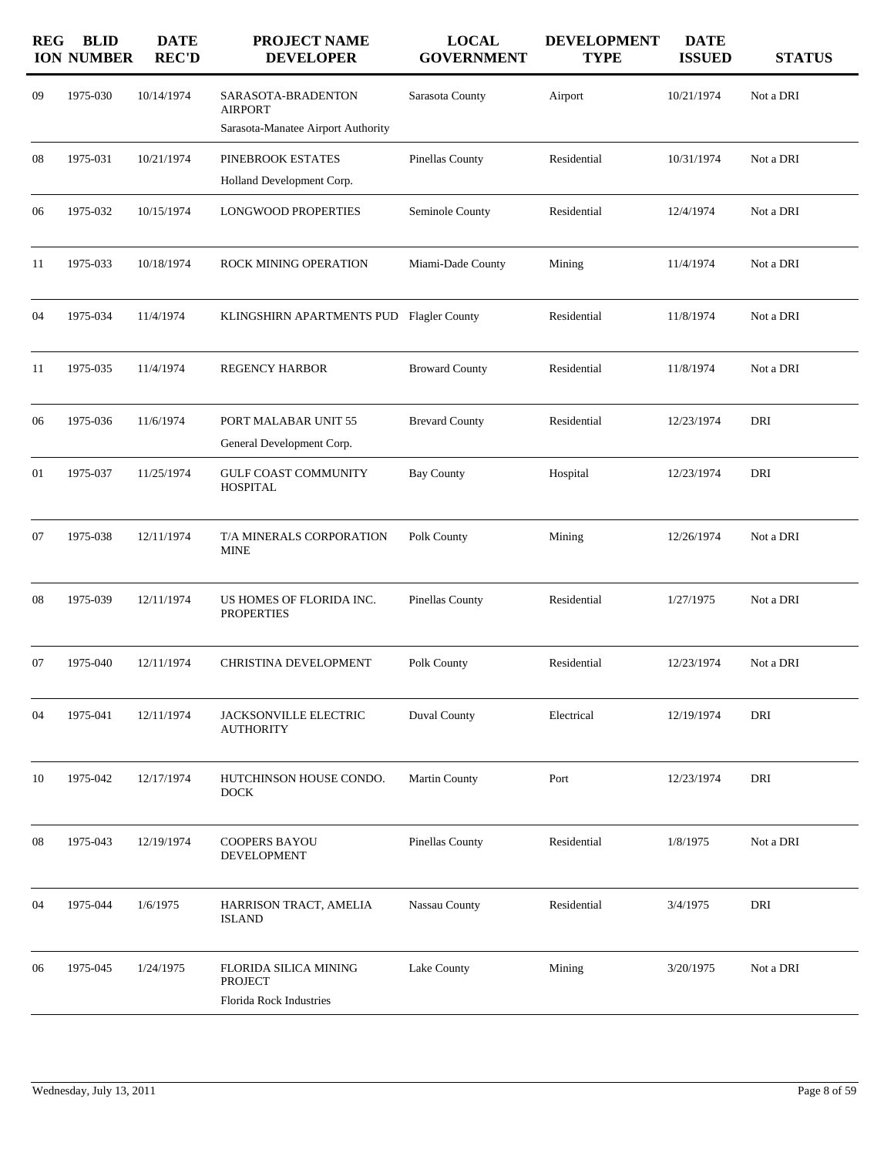| <b>REG</b> | <b>BLID</b><br><b>ION NUMBER</b> | <b>DATE</b><br><b>REC'D</b> | PROJECT NAME<br><b>DEVELOPER</b>                                           | <b>LOCAL</b><br><b>GOVERNMENT</b> | <b>DEVELOPMENT</b><br><b>TYPE</b> | <b>DATE</b><br><b>ISSUED</b> | <b>STATUS</b> |
|------------|----------------------------------|-----------------------------|----------------------------------------------------------------------------|-----------------------------------|-----------------------------------|------------------------------|---------------|
| 09         | 1975-030                         | 10/14/1974                  | SARASOTA-BRADENTON<br><b>AIRPORT</b><br>Sarasota-Manatee Airport Authority | Sarasota County                   | Airport                           | 10/21/1974                   | Not a DRI     |
| 08         | 1975-031                         | 10/21/1974                  | PINEBROOK ESTATES<br>Holland Development Corp.                             | Pinellas County                   | Residential                       | 10/31/1974                   | Not a DRI     |
| 06         | 1975-032                         | 10/15/1974                  | <b>LONGWOOD PROPERTIES</b>                                                 | Seminole County                   | Residential                       | 12/4/1974                    | Not a DRI     |
| 11         | 1975-033                         | 10/18/1974                  | ROCK MINING OPERATION                                                      | Miami-Dade County                 | Mining                            | 11/4/1974                    | Not a DRI     |
| 04         | 1975-034                         | 11/4/1974                   | KLINGSHIRN APARTMENTS PUD Flagler County                                   |                                   | Residential                       | 11/8/1974                    | Not a DRI     |
| 11         | 1975-035                         | 11/4/1974                   | <b>REGENCY HARBOR</b>                                                      | <b>Broward County</b>             | Residential                       | 11/8/1974                    | Not a DRI     |
| 06         | 1975-036                         | 11/6/1974                   | PORT MALABAR UNIT 55<br>General Development Corp.                          | <b>Brevard County</b>             | Residential                       | 12/23/1974                   | DRI           |
| 01         | 1975-037                         | 11/25/1974                  | <b>GULF COAST COMMUNITY</b><br><b>HOSPITAL</b>                             | <b>Bay County</b>                 | Hospital                          | 12/23/1974                   | DRI           |
| 07         | 1975-038                         | 12/11/1974                  | T/A MINERALS CORPORATION<br><b>MINE</b>                                    | Polk County                       | Mining                            | 12/26/1974                   | Not a DRI     |
| 08         | 1975-039                         | 12/11/1974                  | US HOMES OF FLORIDA INC.<br><b>PROPERTIES</b>                              | Pinellas County                   | Residential                       | 1/27/1975                    | Not a DRI     |
| 07         | 1975-040                         | 12/11/1974                  | CHRISTINA DEVELOPMENT                                                      | Polk County                       | Residential                       | 12/23/1974                   | Not a DRI     |
| 04         | 1975-041                         | 12/11/1974                  | <b>JACKSONVILLE ELECTRIC</b><br><b>AUTHORITY</b>                           | <b>Duval County</b>               | Electrical                        | 12/19/1974                   | DRI           |
| 10         | 1975-042                         | 12/17/1974                  | HUTCHINSON HOUSE CONDO.<br><b>DOCK</b>                                     | Martin County                     | Port                              | 12/23/1974                   | DRI           |
| 08         | 1975-043                         | 12/19/1974                  | COOPERS BAYOU<br><b>DEVELOPMENT</b>                                        | Pinellas County                   | Residential                       | 1/8/1975                     | Not a DRI     |
| 04         | 1975-044                         | 1/6/1975                    | HARRISON TRACT, AMELIA<br><b>ISLAND</b>                                    | Nassau County                     | Residential                       | 3/4/1975                     | DRI           |
| 06         | 1975-045                         | 1/24/1975                   | FLORIDA SILICA MINING<br>PROJECT<br>Florida Rock Industries                | Lake County                       | Mining                            | 3/20/1975                    | Not a DRI     |
|            |                                  |                             |                                                                            |                                   |                                   |                              |               |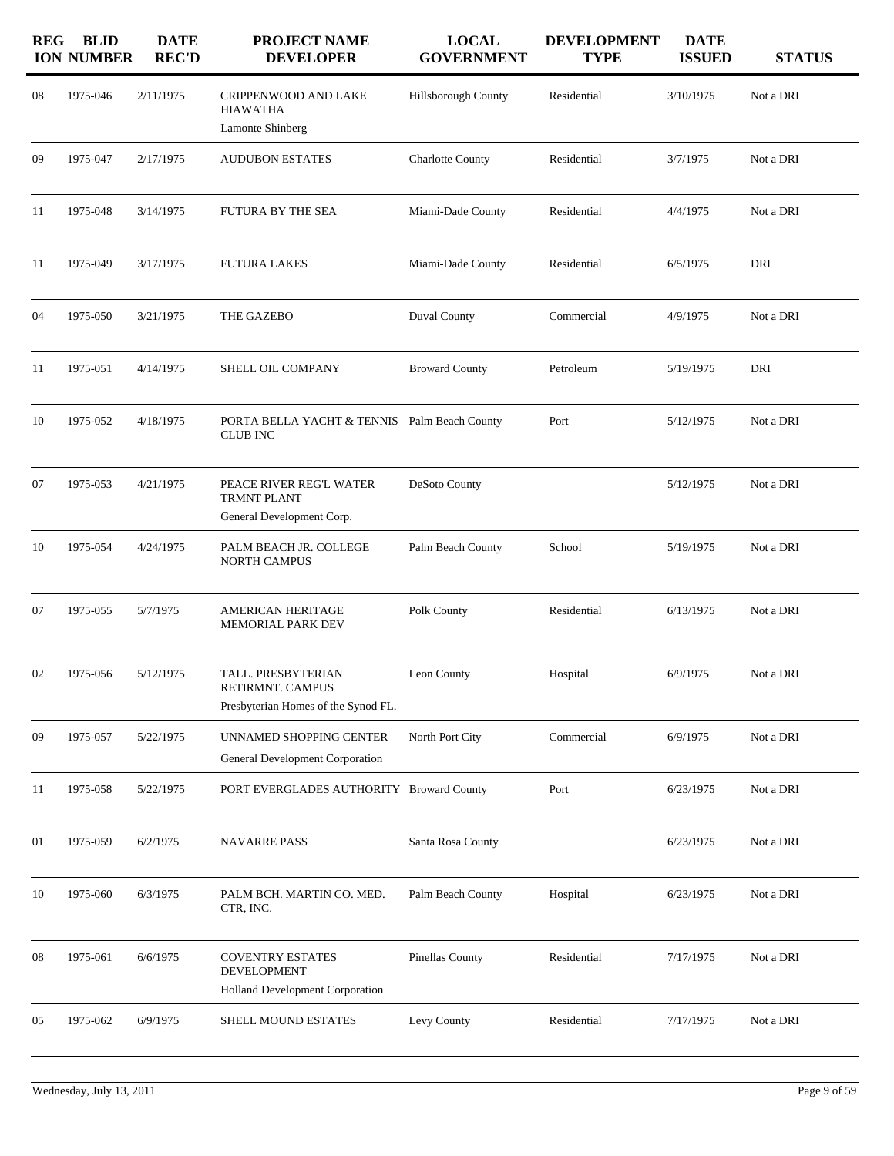| <b>REG</b> | <b>BLID</b><br><b>ION NUMBER</b> | <b>DATE</b><br><b>REC'D</b> | <b>PROJECT NAME</b><br><b>DEVELOPER</b>                                          | <b>LOCAL</b><br><b>GOVERNMENT</b> | <b>DEVELOPMENT</b><br><b>TYPE</b> | <b>DATE</b><br><b>ISSUED</b> | <b>STATUS</b> |
|------------|----------------------------------|-----------------------------|----------------------------------------------------------------------------------|-----------------------------------|-----------------------------------|------------------------------|---------------|
| 08         | 1975-046                         | 2/11/1975                   | CRIPPENWOOD AND LAKE<br><b>HIAWATHA</b><br>Lamonte Shinberg                      | Hillsborough County               | Residential                       | 3/10/1975                    | Not a DRI     |
| 09         | 1975-047                         | 2/17/1975                   | <b>AUDUBON ESTATES</b>                                                           | <b>Charlotte County</b>           | Residential                       | 3/7/1975                     | Not a DRI     |
| 11         | 1975-048                         | 3/14/1975                   | FUTURA BY THE SEA                                                                | Miami-Dade County                 | Residential                       | 4/4/1975                     | Not a DRI     |
| 11         | 1975-049                         | 3/17/1975                   | <b>FUTURA LAKES</b>                                                              | Miami-Dade County                 | Residential                       | 6/5/1975                     | DRI           |
| 04         | 1975-050                         | 3/21/1975                   | THE GAZEBO                                                                       | Duval County                      | Commercial                        | 4/9/1975                     | Not a DRI     |
| 11         | 1975-051                         | 4/14/1975                   | SHELL OIL COMPANY                                                                | <b>Broward County</b>             | Petroleum                         | 5/19/1975                    | DRI           |
| 10         | 1975-052                         | 4/18/1975                   | PORTA BELLA YACHT & TENNIS Palm Beach County<br><b>CLUB INC</b>                  |                                   | Port                              | 5/12/1975                    | Not a DRI     |
| 07         | 1975-053                         | 4/21/1975                   | PEACE RIVER REG'L WATER<br><b>TRMNT PLANT</b>                                    | DeSoto County                     |                                   | 5/12/1975                    | Not a DRI     |
|            |                                  |                             | General Development Corp.                                                        |                                   |                                   |                              |               |
| 10         | 1975-054                         | 4/24/1975                   | PALM BEACH JR. COLLEGE<br><b>NORTH CAMPUS</b>                                    | Palm Beach County                 | School                            | 5/19/1975                    | Not a DRI     |
| 07         | 1975-055                         | 5/7/1975                    | AMERICAN HERITAGE<br><b>MEMORIAL PARK DEV</b>                                    | Polk County                       | Residential                       | 6/13/1975                    | Not a DRI     |
| 02         | 1975-056                         | 5/12/1975                   | TALL. PRESBYTERIAN<br>RETIRMNT. CAMPUS                                           | Leon County                       | Hospital                          | 6/9/1975                     | Not a DRI     |
|            |                                  |                             | Presbyterian Homes of the Synod FL.                                              |                                   |                                   |                              |               |
| 09         | 1975-057                         | 5/22/1975                   | UNNAMED SHOPPING CENTER<br>General Development Corporation                       | North Port City                   | Commercial                        | 6/9/1975                     | Not a DRI     |
| 11         | 1975-058                         | 5/22/1975                   | PORT EVERGLADES AUTHORITY Broward County                                         |                                   | Port                              | 6/23/1975                    | Not a DRI     |
| 01         | 1975-059                         | 6/2/1975                    | <b>NAVARRE PASS</b>                                                              | Santa Rosa County                 |                                   | 6/23/1975                    | Not a DRI     |
| 10         | 1975-060                         | 6/3/1975                    | PALM BCH. MARTIN CO. MED.<br>CTR, INC.                                           | Palm Beach County                 | Hospital                          | 6/23/1975                    | Not a DRI     |
| 08         | 1975-061                         | 6/6/1975                    | <b>COVENTRY ESTATES</b><br><b>DEVELOPMENT</b><br>Holland Development Corporation | Pinellas County                   | Residential                       | 7/17/1975                    | Not a DRI     |
| 05         | 1975-062                         | 6/9/1975                    | SHELL MOUND ESTATES                                                              | Levy County                       | Residential                       | 7/17/1975                    | Not a DRI     |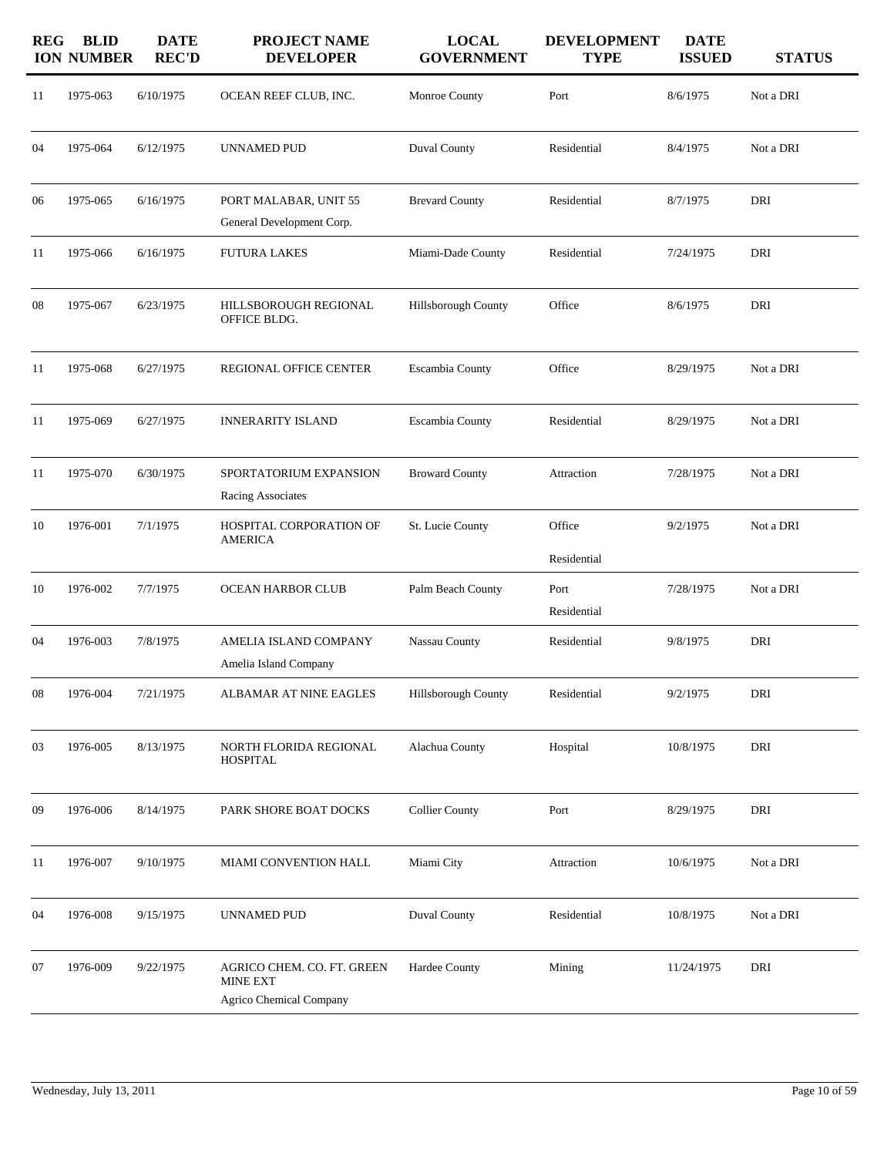| <b>REG</b> | <b>BLID</b><br><b>ION NUMBER</b> | <b>DATE</b><br><b>REC'D</b> | <b>PROJECT NAME</b><br><b>DEVELOPER</b>                           | <b>LOCAL</b><br><b>GOVERNMENT</b> | <b>DEVELOPMENT</b><br><b>TYPE</b> | <b>DATE</b><br><b>ISSUED</b> | <b>STATUS</b> |
|------------|----------------------------------|-----------------------------|-------------------------------------------------------------------|-----------------------------------|-----------------------------------|------------------------------|---------------|
| 11         | 1975-063                         | 6/10/1975                   | OCEAN REEF CLUB, INC.                                             | Monroe County                     | Port                              | 8/6/1975                     | Not a DRI     |
| 04         | 1975-064                         | 6/12/1975                   | UNNAMED PUD                                                       | Duval County                      | Residential                       | 8/4/1975                     | Not a DRI     |
| 06         | 1975-065                         | 6/16/1975                   | PORT MALABAR, UNIT 55<br>General Development Corp.                | <b>Brevard County</b>             | Residential                       | 8/7/1975                     | DRI           |
| 11         | 1975-066                         | 6/16/1975                   | <b>FUTURA LAKES</b>                                               | Miami-Dade County                 | Residential                       | 7/24/1975                    | DRI           |
| 08         | 1975-067                         | 6/23/1975                   | HILLSBOROUGH REGIONAL<br>OFFICE BLDG.                             | Hillsborough County               | Office                            | 8/6/1975                     | DRI           |
| 11         | 1975-068                         | 6/27/1975                   | <b>REGIONAL OFFICE CENTER</b>                                     | Escambia County                   | Office                            | 8/29/1975                    | Not a DRI     |
| 11         | 1975-069                         | 6/27/1975                   | <b>INNERARITY ISLAND</b>                                          | Escambia County                   | Residential                       | 8/29/1975                    | Not a DRI     |
| 11         | 1975-070                         | 6/30/1975                   | SPORTATORIUM EXPANSION<br>Racing Associates                       | <b>Broward County</b>             | Attraction                        | 7/28/1975                    | Not a DRI     |
| 10         | 1976-001                         | 7/1/1975                    | HOSPITAL CORPORATION OF<br><b>AMERICA</b>                         | St. Lucie County                  | Office<br>Residential             | 9/2/1975                     | Not a DRI     |
| 10         | 1976-002                         | 7/7/1975                    | <b>OCEAN HARBOR CLUB</b>                                          | Palm Beach County                 | Port<br>Residential               | 7/28/1975                    | Not a DRI     |
| 04         | 1976-003                         | 7/8/1975                    | AMELIA ISLAND COMPANY<br>Amelia Island Company                    | Nassau County                     | Residential                       | 9/8/1975                     | DRI           |
| 08         | 1976-004                         | 7/21/1975                   | ALBAMAR AT NINE EAGLES                                            | Hillsborough County               | Residential                       | 9/2/1975                     | DRI           |
| 03         | 1976-005                         | 8/13/1975                   | NORTH FLORIDA REGIONAL<br><b>HOSPITAL</b>                         | Alachua County                    | Hospital                          | 10/8/1975                    | DRI           |
| 09         | 1976-006                         | 8/14/1975                   | PARK SHORE BOAT DOCKS                                             | <b>Collier County</b>             | Port                              | 8/29/1975                    | DRI           |
| 11         | 1976-007                         | 9/10/1975                   | MIAMI CONVENTION HALL                                             | Miami City                        | Attraction                        | 10/6/1975                    | Not a DRI     |
| 04         | 1976-008                         | 9/15/1975                   | <b>UNNAMED PUD</b>                                                | Duval County                      | Residential                       | 10/8/1975                    | Not a DRI     |
| 07         | 1976-009                         | 9/22/1975                   | AGRICO CHEM. CO. FT. GREEN<br>MINE EXT<br>Agrico Chemical Company | Hardee County                     | Mining                            | 11/24/1975                   | DRI           |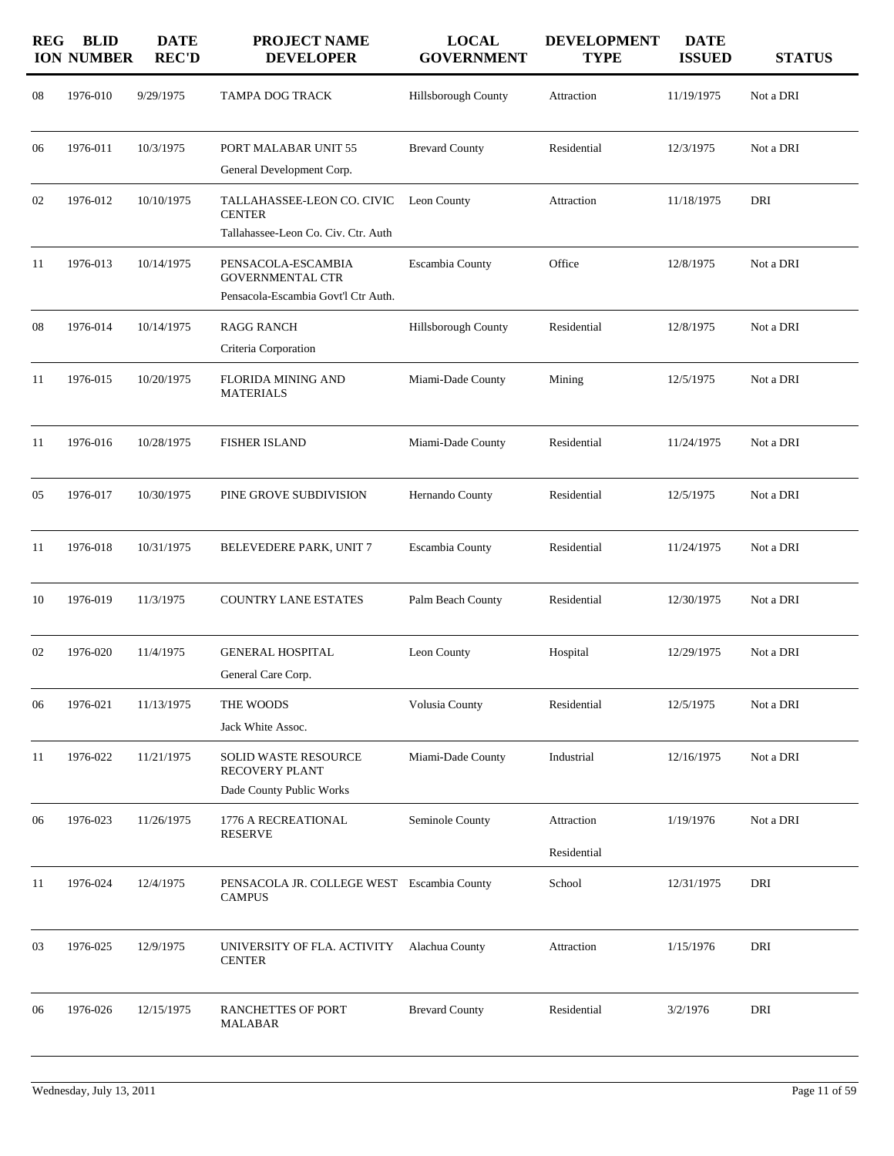| <b>REG</b> | <b>BLID</b><br><b>ION NUMBER</b> | <b>DATE</b><br><b>REC'D</b> | <b>PROJECT NAME</b><br><b>DEVELOPER</b>                                              | <b>LOCAL</b><br><b>GOVERNMENT</b> | <b>DEVELOPMENT</b><br><b>TYPE</b> | <b>DATE</b><br><b>ISSUED</b> | <b>STATUS</b> |
|------------|----------------------------------|-----------------------------|--------------------------------------------------------------------------------------|-----------------------------------|-----------------------------------|------------------------------|---------------|
| 08         | 1976-010                         | 9/29/1975                   | <b>TAMPA DOG TRACK</b>                                                               | Hillsborough County               | Attraction                        | 11/19/1975                   | Not a DRI     |
| 06         | 1976-011                         | 10/3/1975                   | PORT MALABAR UNIT 55                                                                 | <b>Brevard County</b>             | Residential                       | 12/3/1975                    | Not a DRI     |
|            |                                  |                             | General Development Corp.                                                            |                                   |                                   |                              |               |
| 02         | 1976-012                         | 10/10/1975                  | TALLAHASSEE-LEON CO. CIVIC<br><b>CENTER</b><br>Tallahassee-Leon Co. Civ. Ctr. Auth   | Leon County                       | Attraction                        | 11/18/1975                   | DRI           |
| 11         | 1976-013                         | 10/14/1975                  | PENSACOLA-ESCAMBIA<br><b>GOVERNMENTAL CTR</b><br>Pensacola-Escambia Govt'l Ctr Auth. | Escambia County                   | Office                            | 12/8/1975                    | Not a DRI     |
| 08         | 1976-014                         | 10/14/1975                  | <b>RAGG RANCH</b>                                                                    | Hillsborough County               | Residential                       | 12/8/1975                    | Not a DRI     |
|            |                                  |                             | Criteria Corporation                                                                 |                                   |                                   |                              |               |
| 11         | 1976-015                         | 10/20/1975                  | <b>FLORIDA MINING AND</b><br><b>MATERIALS</b>                                        | Miami-Dade County                 | Mining                            | 12/5/1975                    | Not a DRI     |
| 11         | 1976-016                         | 10/28/1975                  | <b>FISHER ISLAND</b>                                                                 | Miami-Dade County                 | Residential                       | 11/24/1975                   | Not a DRI     |
| 05         | 1976-017                         | 10/30/1975                  | PINE GROVE SUBDIVISION                                                               | Hernando County                   | Residential                       | 12/5/1975                    | Not a DRI     |
| 11         | 1976-018                         | 10/31/1975                  | BELEVEDERE PARK, UNIT 7                                                              | Escambia County                   | Residential                       | 11/24/1975                   | Not a DRI     |
| 10         | 1976-019                         | 11/3/1975                   | <b>COUNTRY LANE ESTATES</b>                                                          | Palm Beach County                 | Residential                       | 12/30/1975                   | Not a DRI     |
| 02         | 1976-020                         | 11/4/1975                   | <b>GENERAL HOSPITAL</b><br>General Care Corp.                                        | Leon County                       | Hospital                          | 12/29/1975                   | Not a DRI     |
| 06         | 1976-021                         | 11/13/1975                  | THE WOODS                                                                            | Volusia County                    | Residential                       | 12/5/1975                    | Not a DRI     |
|            |                                  |                             | Jack White Assoc.                                                                    |                                   |                                   |                              |               |
| 11         | 1976-022                         | 11/21/1975                  | SOLID WASTE RESOURCE<br>RECOVERY PLANT                                               | Miami-Dade County                 | Industrial                        | 12/16/1975                   | Not a DRI     |
|            |                                  |                             | Dade County Public Works                                                             |                                   |                                   |                              |               |
| 06         | 1976-023                         | 11/26/1975                  | 1776 A RECREATIONAL<br><b>RESERVE</b>                                                | Seminole County                   | Attraction                        | 1/19/1976                    | Not a DRI     |
|            |                                  |                             |                                                                                      |                                   | Residential                       |                              |               |
| 11         | 1976-024                         | 12/4/1975                   | PENSACOLA JR. COLLEGE WEST Escambia County<br><b>CAMPUS</b>                          |                                   | School                            | 12/31/1975                   | DRI           |
| 03         | 1976-025                         | 12/9/1975                   | UNIVERSITY OF FLA. ACTIVITY<br><b>CENTER</b>                                         | Alachua County                    | Attraction                        | 1/15/1976                    | DRI           |
| 06         | 1976-026                         | 12/15/1975                  | <b>RANCHETTES OF PORT</b><br><b>MALABAR</b>                                          | <b>Brevard County</b>             | Residential                       | 3/2/1976                     | DRI           |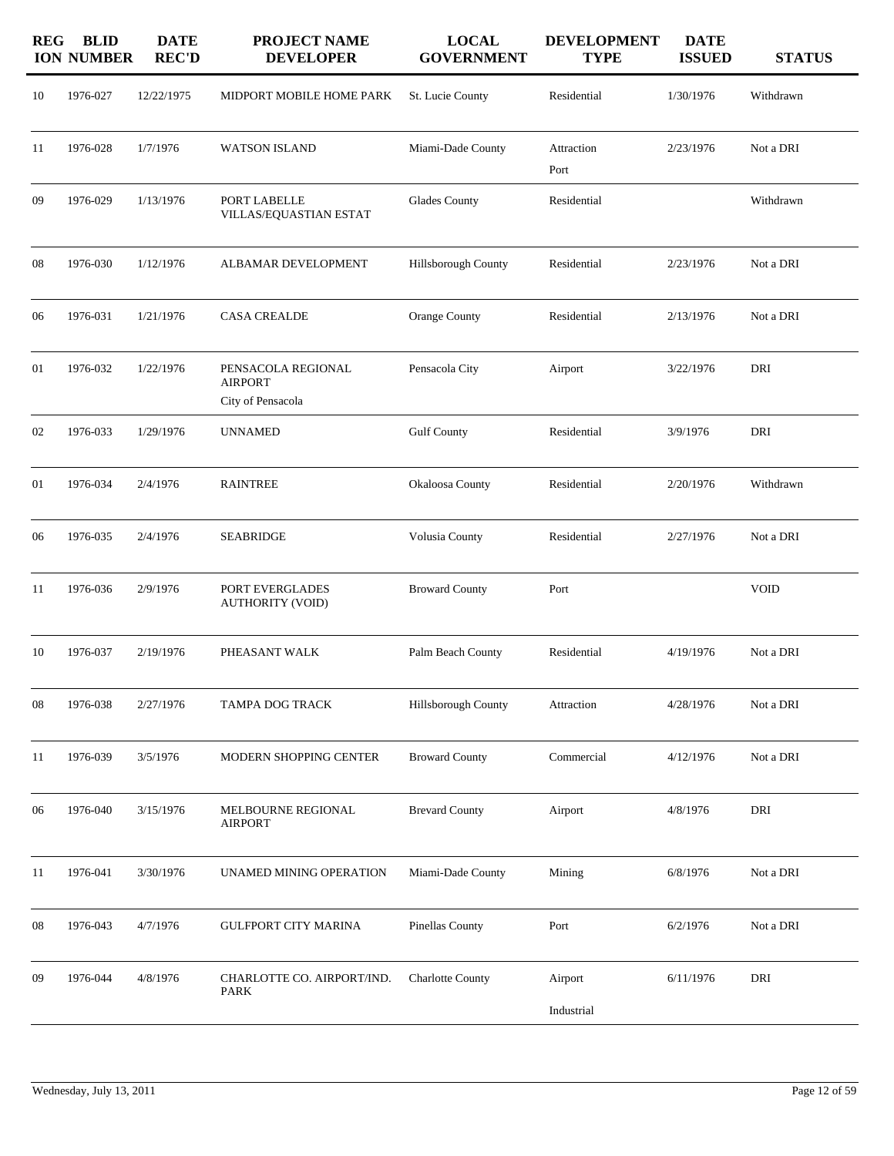| <b>REG</b> | <b>BLID</b><br><b>ION NUMBER</b> | <b>DATE</b><br><b>REC'D</b> | <b>PROJECT NAME</b><br><b>DEVELOPER</b>                   | <b>LOCAL</b><br><b>GOVERNMENT</b> | <b>DEVELOPMENT</b><br><b>TYPE</b> | <b>DATE</b><br><b>ISSUED</b> | <b>STATUS</b> |
|------------|----------------------------------|-----------------------------|-----------------------------------------------------------|-----------------------------------|-----------------------------------|------------------------------|---------------|
| 10         | 1976-027                         | 12/22/1975                  | MIDPORT MOBILE HOME PARK                                  | St. Lucie County                  | Residential                       | 1/30/1976                    | Withdrawn     |
| 11         | 1976-028                         | 1/7/1976                    | <b>WATSON ISLAND</b>                                      | Miami-Dade County                 | Attraction<br>Port                | 2/23/1976                    | Not a DRI     |
| 09         | 1976-029                         | 1/13/1976                   | PORT LABELLE<br>VILLAS/EQUASTIAN ESTAT                    | <b>Glades County</b>              | Residential                       |                              | Withdrawn     |
| 08         | 1976-030                         | 1/12/1976                   | ALBAMAR DEVELOPMENT                                       | Hillsborough County               | Residential                       | 2/23/1976                    | Not a DRI     |
| 06         | 1976-031                         | 1/21/1976                   | <b>CASA CREALDE</b>                                       | Orange County                     | Residential                       | 2/13/1976                    | Not a DRI     |
| 01         | 1976-032                         | 1/22/1976                   | PENSACOLA REGIONAL<br><b>AIRPORT</b><br>City of Pensacola | Pensacola City                    | Airport                           | 3/22/1976                    | DRI           |
| 02         | 1976-033                         | 1/29/1976                   | <b>UNNAMED</b>                                            | <b>Gulf County</b>                | Residential                       | 3/9/1976                     | DRI           |
| 01         | 1976-034                         | 2/4/1976                    | <b>RAINTREE</b>                                           | Okaloosa County                   | Residential                       | 2/20/1976                    | Withdrawn     |
| 06         | 1976-035                         | 2/4/1976                    | <b>SEABRIDGE</b>                                          | Volusia County                    | Residential                       | 2/27/1976                    | Not a DRI     |
| 11         | 1976-036                         | 2/9/1976                    | PORT EVERGLADES<br><b>AUTHORITY (VOID)</b>                | <b>Broward County</b>             | Port                              |                              | <b>VOID</b>   |
| 10         | 1976-037                         | 2/19/1976                   | PHEASANT WALK                                             | Palm Beach County                 | Residential                       | 4/19/1976                    | Not a DRI     |
| 08         | 1976-038                         | 2/27/1976                   | TAMPA DOG TRACK                                           | Hillsborough County               | Attraction                        | 4/28/1976                    | Not a DRI     |
| 11         | 1976-039                         | 3/5/1976                    | MODERN SHOPPING CENTER                                    | <b>Broward County</b>             | Commercial                        | 4/12/1976                    | Not a DRI     |
| 06         | 1976-040                         | 3/15/1976                   | MELBOURNE REGIONAL<br><b>AIRPORT</b>                      | <b>Brevard County</b>             | Airport                           | 4/8/1976                     | DRI           |
| 11         | 1976-041                         | 3/30/1976                   | UNAMED MINING OPERATION                                   | Miami-Dade County                 | Mining                            | 6/8/1976                     | Not a DRI     |
| 08         | 1976-043                         | 4/7/1976                    | GULFPORT CITY MARINA                                      | Pinellas County                   | Port                              | 6/2/1976                     | Not a DRI     |
| 09         | 1976-044                         | 4/8/1976                    | CHARLOTTE CO. AIRPORT/IND.<br>PARK                        | <b>Charlotte County</b>           | Airport<br>Industrial             | 6/11/1976                    | DRI           |
|            |                                  |                             |                                                           |                                   |                                   |                              |               |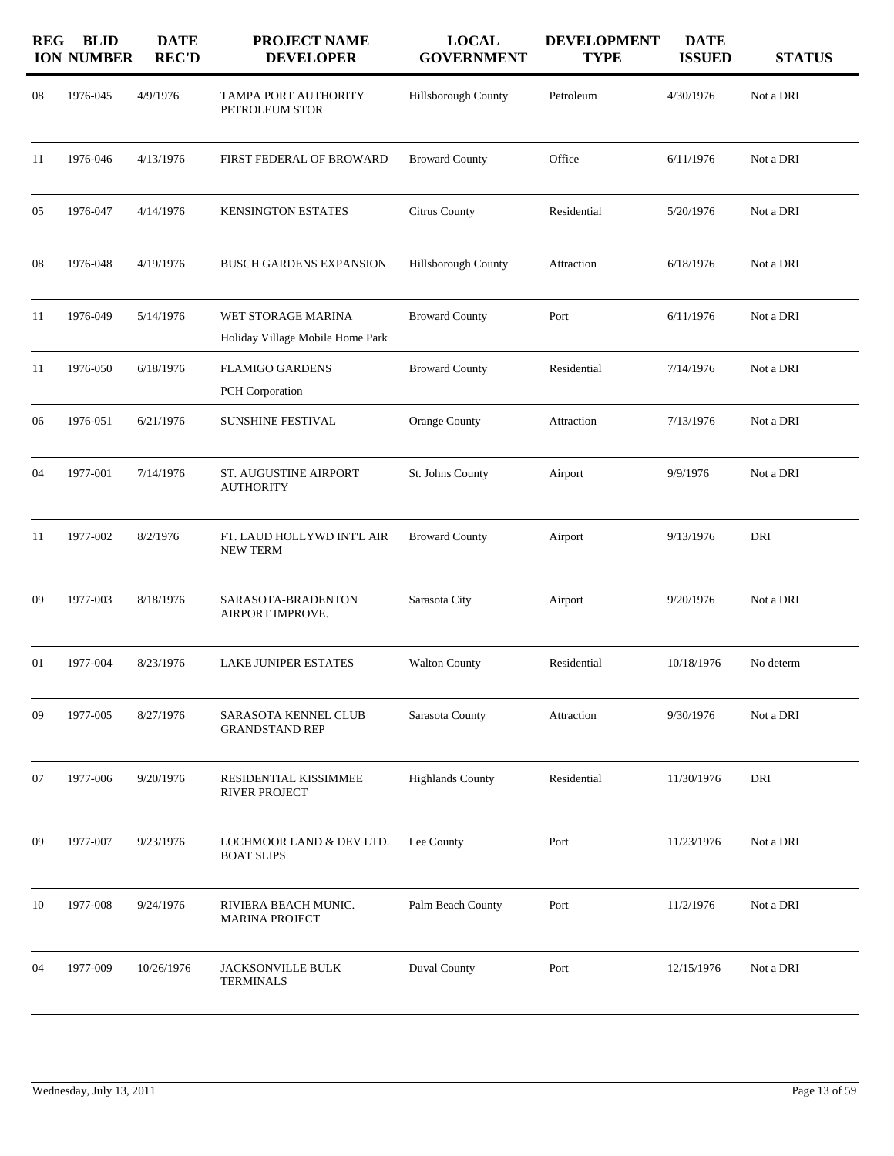| <b>REG</b> | <b>BLID</b><br><b>ION NUMBER</b> | <b>DATE</b><br><b>REC'D</b> | PROJECT NAME<br><b>DEVELOPER</b>                       | <b>LOCAL</b><br><b>GOVERNMENT</b> | <b>DEVELOPMENT</b><br><b>TYPE</b> | <b>DATE</b><br><b>ISSUED</b> | <b>STATUS</b> |
|------------|----------------------------------|-----------------------------|--------------------------------------------------------|-----------------------------------|-----------------------------------|------------------------------|---------------|
| 08         | 1976-045                         | 4/9/1976                    | TAMPA PORT AUTHORITY<br>PETROLEUM STOR                 | Hillsborough County               | Petroleum                         | 4/30/1976                    | Not a DRI     |
| 11         | 1976-046                         | 4/13/1976                   | FIRST FEDERAL OF BROWARD                               | <b>Broward County</b>             | Office                            | 6/11/1976                    | Not a DRI     |
| 05         | 1976-047                         | 4/14/1976                   | <b>KENSINGTON ESTATES</b>                              | Citrus County                     | Residential                       | 5/20/1976                    | Not a DRI     |
| 08         | 1976-048                         | 4/19/1976                   | <b>BUSCH GARDENS EXPANSION</b>                         | Hillsborough County               | Attraction                        | 6/18/1976                    | Not a DRI     |
| 11         | 1976-049                         | 5/14/1976                   | WET STORAGE MARINA<br>Holiday Village Mobile Home Park | <b>Broward County</b>             | Port                              | 6/11/1976                    | Not a DRI     |
| 11         | 1976-050                         | 6/18/1976                   | <b>FLAMIGO GARDENS</b><br>PCH Corporation              | <b>Broward County</b>             | Residential                       | 7/14/1976                    | Not a DRI     |
| 06         | 1976-051                         | 6/21/1976                   | SUNSHINE FESTIVAL                                      | Orange County                     | Attraction                        | 7/13/1976                    | Not a DRI     |
| 04         | 1977-001                         | 7/14/1976                   | ST. AUGUSTINE AIRPORT<br><b>AUTHORITY</b>              | St. Johns County                  | Airport                           | 9/9/1976                     | Not a DRI     |
| 11         | 1977-002                         | 8/2/1976                    | FT. LAUD HOLLYWD INT'L AIR<br><b>NEW TERM</b>          | <b>Broward County</b>             | Airport                           | 9/13/1976                    | DRI           |
| 09         | 1977-003                         | 8/18/1976                   | SARASOTA-BRADENTON<br>AIRPORT IMPROVE.                 | Sarasota City                     | Airport                           | 9/20/1976                    | Not a DRI     |
| 01         | 1977-004                         | 8/23/1976                   | <b>LAKE JUNIPER ESTATES</b>                            | <b>Walton County</b>              | Residential                       | 10/18/1976                   | No determ     |
| 09         | 1977-005                         | 8/27/1976                   | SARASOTA KENNEL CLUB<br><b>GRANDSTAND REP</b>          | Sarasota County                   | Attraction                        | 9/30/1976                    | Not a DRI     |
| 07         | 1977-006                         | 9/20/1976                   | RESIDENTIAL KISSIMMEE<br><b>RIVER PROJECT</b>          | <b>Highlands County</b>           | Residential                       | 11/30/1976                   | DRI           |
| 09         | 1977-007                         | 9/23/1976                   | LOCHMOOR LAND & DEV LTD.<br><b>BOAT SLIPS</b>          | Lee County                        | Port                              | 11/23/1976                   | Not a DRI     |
| 10         | 1977-008                         | 9/24/1976                   | RIVIERA BEACH MUNIC.<br><b>MARINA PROJECT</b>          | Palm Beach County                 | Port                              | 11/2/1976                    | Not a DRI     |
| 04         | 1977-009                         | 10/26/1976                  | <b>JACKSONVILLE BULK</b><br><b>TERMINALS</b>           | <b>Duval County</b>               | Port                              | 12/15/1976                   | Not a DRI     |
|            |                                  |                             |                                                        |                                   |                                   |                              |               |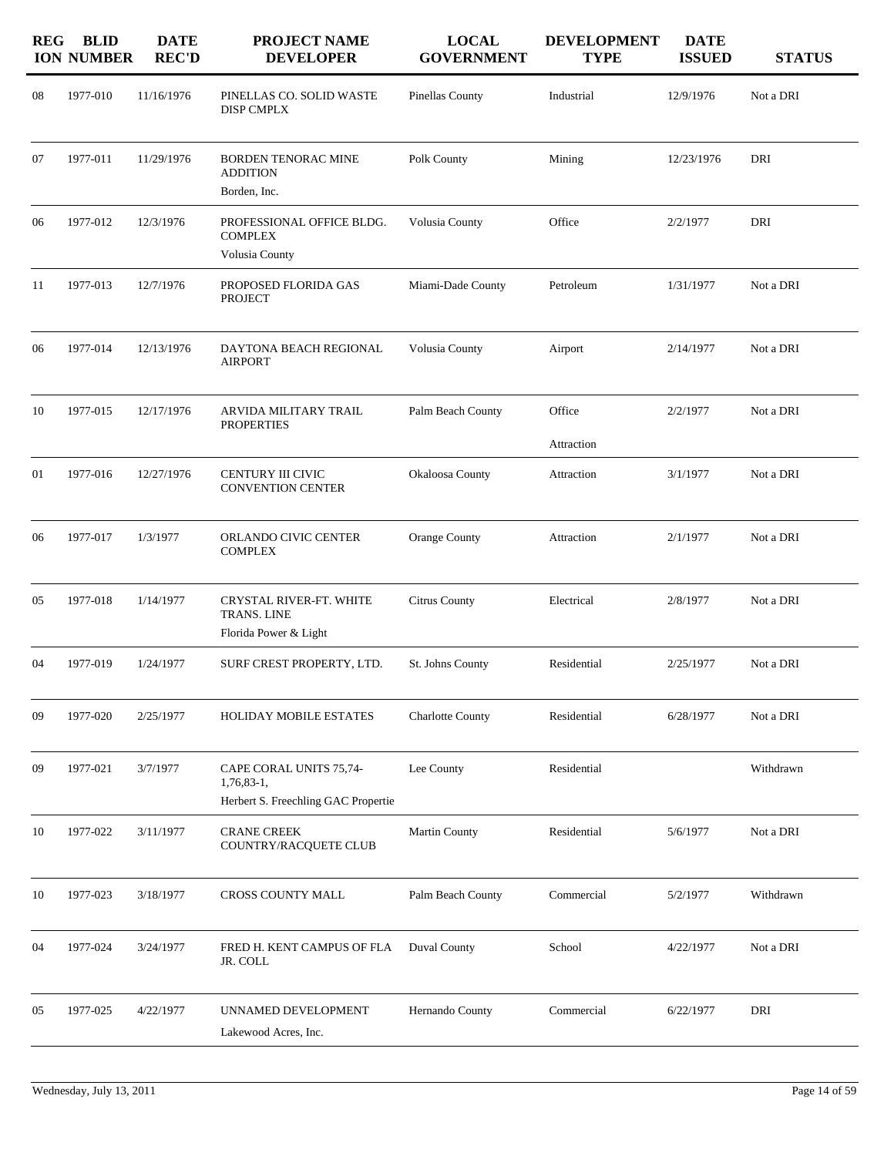| <b>REG</b> | <b>BLID</b><br><b>ION NUMBER</b> | <b>DATE</b><br><b>REC'D</b> | PROJECT NAME<br><b>DEVELOPER</b>                                             | <b>LOCAL</b><br><b>GOVERNMENT</b> | <b>DEVELOPMENT</b><br><b>TYPE</b> | <b>DATE</b><br><b>ISSUED</b> | <b>STATUS</b> |
|------------|----------------------------------|-----------------------------|------------------------------------------------------------------------------|-----------------------------------|-----------------------------------|------------------------------|---------------|
| 08         | 1977-010                         | 11/16/1976                  | PINELLAS CO. SOLID WASTE<br><b>DISP CMPLX</b>                                | Pinellas County                   | Industrial                        | 12/9/1976                    | Not a DRI     |
| 07         | 1977-011                         | 11/29/1976                  | <b>BORDEN TENORAC MINE</b><br><b>ADDITION</b><br>Borden, Inc.                | Polk County                       | Mining                            | 12/23/1976                   | DRI           |
| 06         | 1977-012                         | 12/3/1976                   | PROFESSIONAL OFFICE BLDG.<br><b>COMPLEX</b><br>Volusia County                | Volusia County                    | Office                            | 2/2/1977                     | DRI           |
| 11         | 1977-013                         | 12/7/1976                   | PROPOSED FLORIDA GAS<br><b>PROJECT</b>                                       | Miami-Dade County                 | Petroleum                         | 1/31/1977                    | Not a DRI     |
| 06         | 1977-014                         | 12/13/1976                  | DAYTONA BEACH REGIONAL<br><b>AIRPORT</b>                                     | Volusia County                    | Airport                           | 2/14/1977                    | Not a DRI     |
| 10         | 1977-015                         | 12/17/1976                  | ARVIDA MILITARY TRAIL<br><b>PROPERTIES</b>                                   | Palm Beach County                 | Office<br>Attraction              | 2/2/1977                     | Not a DRI     |
| 01         | 1977-016                         | 12/27/1976                  | CENTURY III CIVIC<br><b>CONVENTION CENTER</b>                                | Okaloosa County                   | Attraction                        | 3/1/1977                     | Not a DRI     |
| 06         | 1977-017                         | 1/3/1977                    | ORLANDO CIVIC CENTER<br><b>COMPLEX</b>                                       | Orange County                     | Attraction                        | 2/1/1977                     | Not a DRI     |
| 05         | 1977-018                         | 1/14/1977                   | CRYSTAL RIVER-FT. WHITE<br>TRANS. LINE<br>Florida Power & Light              | Citrus County                     | Electrical                        | 2/8/1977                     | Not a DRI     |
| 04         | 1977-019                         | 1/24/1977                   | SURF CREST PROPERTY, LTD.                                                    | St. Johns County                  | Residential                       | 2/25/1977                    | Not a DRI     |
| 09         | 1977-020                         | 2/25/1977                   | <b>HOLIDAY MOBILE ESTATES</b>                                                | <b>Charlotte County</b>           | Residential                       | 6/28/1977                    | Not a DRI     |
| 09         | 1977-021                         | 3/7/1977                    | CAPE CORAL UNITS 75,74-<br>1,76,83-1,<br>Herbert S. Freechling GAC Propertie | Lee County                        | Residential                       |                              | Withdrawn     |
| 10         | 1977-022                         | 3/11/1977                   | <b>CRANE CREEK</b><br>COUNTRY/RACQUETE CLUB                                  | <b>Martin County</b>              | Residential                       | 5/6/1977                     | Not a DRI     |
| 10         | 1977-023                         | 3/18/1977                   | CROSS COUNTY MALL                                                            | Palm Beach County                 | Commercial                        | 5/2/1977                     | Withdrawn     |
| 04         | 1977-024                         | 3/24/1977                   | FRED H. KENT CAMPUS OF FLA<br>JR. COLL                                       | Duval County                      | School                            | 4/22/1977                    | Not a DRI     |
| 05         | 1977-025                         | 4/22/1977                   | UNNAMED DEVELOPMENT<br>Lakewood Acres, Inc.                                  | Hernando County                   | Commercial                        | 6/22/1977                    | DRI           |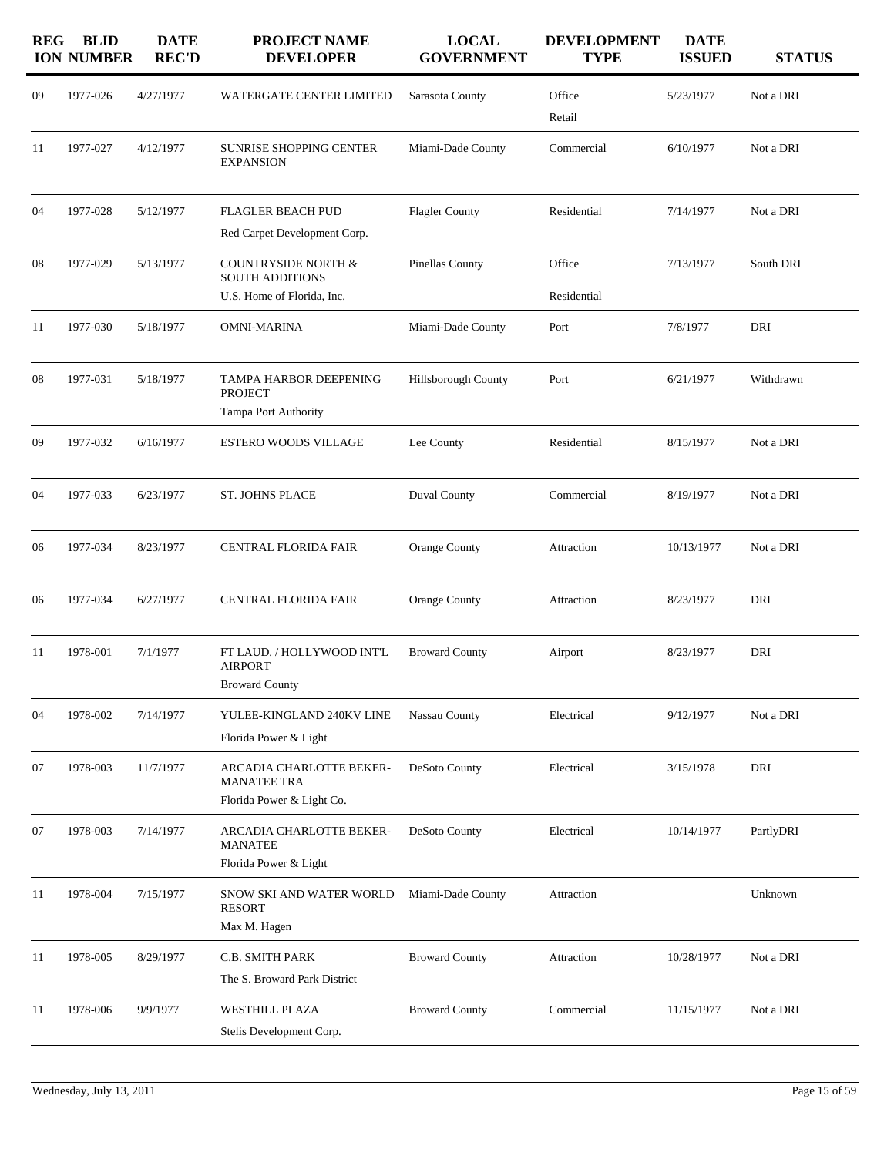| 1977-026<br>4/27/1977<br>Office<br>5/23/1977<br>Not a DRI<br>09<br>WATERGATE CENTER LIMITED<br>Sarasota County<br>Retail<br>1977-027<br>4/12/1977<br>SUNRISE SHOPPING CENTER<br>6/10/1977<br>Not a DRI<br>Miami-Dade County<br>Commercial<br>11<br><b>EXPANSION</b><br>1977-028<br>5/12/1977<br><b>FLAGLER BEACH PUD</b><br><b>Flagler County</b><br>Residential<br>7/14/1977<br>Not a DRI<br>04<br>Red Carpet Development Corp.<br>1977-029<br>5/13/1977<br>COUNTRYSIDE NORTH &<br>Pinellas County<br>Office<br>7/13/1977<br>South DRI<br>08<br><b>SOUTH ADDITIONS</b><br>U.S. Home of Florida, Inc.<br>Residential<br>1977-030<br>5/18/1977<br>7/8/1977<br>DRI<br><b>OMNI-MARINA</b><br>Miami-Dade County<br>Port<br>11<br>1977-031<br>5/18/1977<br>6/21/1977<br>08<br>TAMPA HARBOR DEEPENING<br>Hillsborough County<br>Port<br>Withdrawn<br><b>PROJECT</b><br>Tampa Port Authority<br>1977-032<br>6/16/1977<br>Residential<br>Not a DRI<br>09<br><b>ESTERO WOODS VILLAGE</b><br>Lee County<br>8/15/1977<br>1977-033<br>6/23/1977<br><b>ST. JOHNS PLACE</b><br><b>Duval County</b><br>Commercial<br>Not a DRI<br>04<br>8/19/1977<br>1977-034<br>Orange County<br>Not a DRI<br>06<br>8/23/1977<br>CENTRAL FLORIDA FAIR<br>Attraction<br>10/13/1977<br>1977-034<br>6/27/1977<br>Orange County<br>DRI<br>06<br><b>CENTRAL FLORIDA FAIR</b><br>Attraction<br>8/23/1977<br>1978-001<br>7/1/1977<br>FT LAUD. / HOLLYWOOD INT'L<br>DRI<br><b>Broward County</b><br>Airport<br>8/23/1977<br>11<br><b>AIRPORT</b><br><b>Broward County</b><br>7/14/1977<br>04<br>1978-002<br>YULEE-KINGLAND 240KV LINE<br>Nassau County<br>Electrical<br>9/12/1977<br>Not a DRI<br>Florida Power & Light<br>1978-003<br>11/7/1977<br>ARCADIA CHARLOTTE BEKER-<br>DRI<br>07<br>DeSoto County<br>Electrical<br>3/15/1978<br><b>MANATEE TRA</b><br>Florida Power & Light Co.<br>1978-003<br>7/14/1977<br>ARCADIA CHARLOTTE BEKER-<br>DeSoto County<br>Electrical<br>10/14/1977<br>PartlyDRI<br>07<br><b>MANATEE</b><br>Florida Power & Light<br>1978-004<br>7/15/1977<br>Unknown<br>11<br>SNOW SKI AND WATER WORLD<br>Miami-Dade County<br>Attraction<br><b>RESORT</b><br>Max M. Hagen<br>1978-005<br>8/29/1977<br>C.B. SMITH PARK<br><b>Broward County</b><br>Not a DRI<br>Attraction<br>10/28/1977<br>11<br>The S. Broward Park District<br>1978-006<br>9/9/1977<br><b>WESTHILL PLAZA</b><br><b>Broward County</b><br>Commercial<br>11/15/1977<br>Not a DRI<br>11<br>Stelis Development Corp. | <b>REG</b> | <b>BLID</b><br><b>ION NUMBER</b> | <b>DATE</b><br><b>REC'D</b> | <b>PROJECT NAME</b><br><b>DEVELOPER</b> | <b>LOCAL</b><br><b>GOVERNMENT</b> | <b>DEVELOPMENT</b><br><b>TYPE</b> | <b>DATE</b><br><b>ISSUED</b> | <b>STATUS</b> |
|-----------------------------------------------------------------------------------------------------------------------------------------------------------------------------------------------------------------------------------------------------------------------------------------------------------------------------------------------------------------------------------------------------------------------------------------------------------------------------------------------------------------------------------------------------------------------------------------------------------------------------------------------------------------------------------------------------------------------------------------------------------------------------------------------------------------------------------------------------------------------------------------------------------------------------------------------------------------------------------------------------------------------------------------------------------------------------------------------------------------------------------------------------------------------------------------------------------------------------------------------------------------------------------------------------------------------------------------------------------------------------------------------------------------------------------------------------------------------------------------------------------------------------------------------------------------------------------------------------------------------------------------------------------------------------------------------------------------------------------------------------------------------------------------------------------------------------------------------------------------------------------------------------------------------------------------------------------------------------------------------------------------------------------------------------------------------------------------------------------------------------------------------------------------------------------------------------------------------------------------------------------------------------------------------------------------------------------------------------------------------------------------------------------------------------------------------------------------------|------------|----------------------------------|-----------------------------|-----------------------------------------|-----------------------------------|-----------------------------------|------------------------------|---------------|
|                                                                                                                                                                                                                                                                                                                                                                                                                                                                                                                                                                                                                                                                                                                                                                                                                                                                                                                                                                                                                                                                                                                                                                                                                                                                                                                                                                                                                                                                                                                                                                                                                                                                                                                                                                                                                                                                                                                                                                                                                                                                                                                                                                                                                                                                                                                                                                                                                                                                       |            |                                  |                             |                                         |                                   |                                   |                              |               |
|                                                                                                                                                                                                                                                                                                                                                                                                                                                                                                                                                                                                                                                                                                                                                                                                                                                                                                                                                                                                                                                                                                                                                                                                                                                                                                                                                                                                                                                                                                                                                                                                                                                                                                                                                                                                                                                                                                                                                                                                                                                                                                                                                                                                                                                                                                                                                                                                                                                                       |            |                                  |                             |                                         |                                   |                                   |                              |               |
|                                                                                                                                                                                                                                                                                                                                                                                                                                                                                                                                                                                                                                                                                                                                                                                                                                                                                                                                                                                                                                                                                                                                                                                                                                                                                                                                                                                                                                                                                                                                                                                                                                                                                                                                                                                                                                                                                                                                                                                                                                                                                                                                                                                                                                                                                                                                                                                                                                                                       |            |                                  |                             |                                         |                                   |                                   |                              |               |
|                                                                                                                                                                                                                                                                                                                                                                                                                                                                                                                                                                                                                                                                                                                                                                                                                                                                                                                                                                                                                                                                                                                                                                                                                                                                                                                                                                                                                                                                                                                                                                                                                                                                                                                                                                                                                                                                                                                                                                                                                                                                                                                                                                                                                                                                                                                                                                                                                                                                       |            |                                  |                             |                                         |                                   |                                   |                              |               |
|                                                                                                                                                                                                                                                                                                                                                                                                                                                                                                                                                                                                                                                                                                                                                                                                                                                                                                                                                                                                                                                                                                                                                                                                                                                                                                                                                                                                                                                                                                                                                                                                                                                                                                                                                                                                                                                                                                                                                                                                                                                                                                                                                                                                                                                                                                                                                                                                                                                                       |            |                                  |                             |                                         |                                   |                                   |                              |               |
|                                                                                                                                                                                                                                                                                                                                                                                                                                                                                                                                                                                                                                                                                                                                                                                                                                                                                                                                                                                                                                                                                                                                                                                                                                                                                                                                                                                                                                                                                                                                                                                                                                                                                                                                                                                                                                                                                                                                                                                                                                                                                                                                                                                                                                                                                                                                                                                                                                                                       |            |                                  |                             |                                         |                                   |                                   |                              |               |
|                                                                                                                                                                                                                                                                                                                                                                                                                                                                                                                                                                                                                                                                                                                                                                                                                                                                                                                                                                                                                                                                                                                                                                                                                                                                                                                                                                                                                                                                                                                                                                                                                                                                                                                                                                                                                                                                                                                                                                                                                                                                                                                                                                                                                                                                                                                                                                                                                                                                       |            |                                  |                             |                                         |                                   |                                   |                              |               |
|                                                                                                                                                                                                                                                                                                                                                                                                                                                                                                                                                                                                                                                                                                                                                                                                                                                                                                                                                                                                                                                                                                                                                                                                                                                                                                                                                                                                                                                                                                                                                                                                                                                                                                                                                                                                                                                                                                                                                                                                                                                                                                                                                                                                                                                                                                                                                                                                                                                                       |            |                                  |                             |                                         |                                   |                                   |                              |               |
|                                                                                                                                                                                                                                                                                                                                                                                                                                                                                                                                                                                                                                                                                                                                                                                                                                                                                                                                                                                                                                                                                                                                                                                                                                                                                                                                                                                                                                                                                                                                                                                                                                                                                                                                                                                                                                                                                                                                                                                                                                                                                                                                                                                                                                                                                                                                                                                                                                                                       |            |                                  |                             |                                         |                                   |                                   |                              |               |
|                                                                                                                                                                                                                                                                                                                                                                                                                                                                                                                                                                                                                                                                                                                                                                                                                                                                                                                                                                                                                                                                                                                                                                                                                                                                                                                                                                                                                                                                                                                                                                                                                                                                                                                                                                                                                                                                                                                                                                                                                                                                                                                                                                                                                                                                                                                                                                                                                                                                       |            |                                  |                             |                                         |                                   |                                   |                              |               |
|                                                                                                                                                                                                                                                                                                                                                                                                                                                                                                                                                                                                                                                                                                                                                                                                                                                                                                                                                                                                                                                                                                                                                                                                                                                                                                                                                                                                                                                                                                                                                                                                                                                                                                                                                                                                                                                                                                                                                                                                                                                                                                                                                                                                                                                                                                                                                                                                                                                                       |            |                                  |                             |                                         |                                   |                                   |                              |               |
|                                                                                                                                                                                                                                                                                                                                                                                                                                                                                                                                                                                                                                                                                                                                                                                                                                                                                                                                                                                                                                                                                                                                                                                                                                                                                                                                                                                                                                                                                                                                                                                                                                                                                                                                                                                                                                                                                                                                                                                                                                                                                                                                                                                                                                                                                                                                                                                                                                                                       |            |                                  |                             |                                         |                                   |                                   |                              |               |
|                                                                                                                                                                                                                                                                                                                                                                                                                                                                                                                                                                                                                                                                                                                                                                                                                                                                                                                                                                                                                                                                                                                                                                                                                                                                                                                                                                                                                                                                                                                                                                                                                                                                                                                                                                                                                                                                                                                                                                                                                                                                                                                                                                                                                                                                                                                                                                                                                                                                       |            |                                  |                             |                                         |                                   |                                   |                              |               |
|                                                                                                                                                                                                                                                                                                                                                                                                                                                                                                                                                                                                                                                                                                                                                                                                                                                                                                                                                                                                                                                                                                                                                                                                                                                                                                                                                                                                                                                                                                                                                                                                                                                                                                                                                                                                                                                                                                                                                                                                                                                                                                                                                                                                                                                                                                                                                                                                                                                                       |            |                                  |                             |                                         |                                   |                                   |                              |               |
|                                                                                                                                                                                                                                                                                                                                                                                                                                                                                                                                                                                                                                                                                                                                                                                                                                                                                                                                                                                                                                                                                                                                                                                                                                                                                                                                                                                                                                                                                                                                                                                                                                                                                                                                                                                                                                                                                                                                                                                                                                                                                                                                                                                                                                                                                                                                                                                                                                                                       |            |                                  |                             |                                         |                                   |                                   |                              |               |
|                                                                                                                                                                                                                                                                                                                                                                                                                                                                                                                                                                                                                                                                                                                                                                                                                                                                                                                                                                                                                                                                                                                                                                                                                                                                                                                                                                                                                                                                                                                                                                                                                                                                                                                                                                                                                                                                                                                                                                                                                                                                                                                                                                                                                                                                                                                                                                                                                                                                       |            |                                  |                             |                                         |                                   |                                   |                              |               |
|                                                                                                                                                                                                                                                                                                                                                                                                                                                                                                                                                                                                                                                                                                                                                                                                                                                                                                                                                                                                                                                                                                                                                                                                                                                                                                                                                                                                                                                                                                                                                                                                                                                                                                                                                                                                                                                                                                                                                                                                                                                                                                                                                                                                                                                                                                                                                                                                                                                                       |            |                                  |                             |                                         |                                   |                                   |                              |               |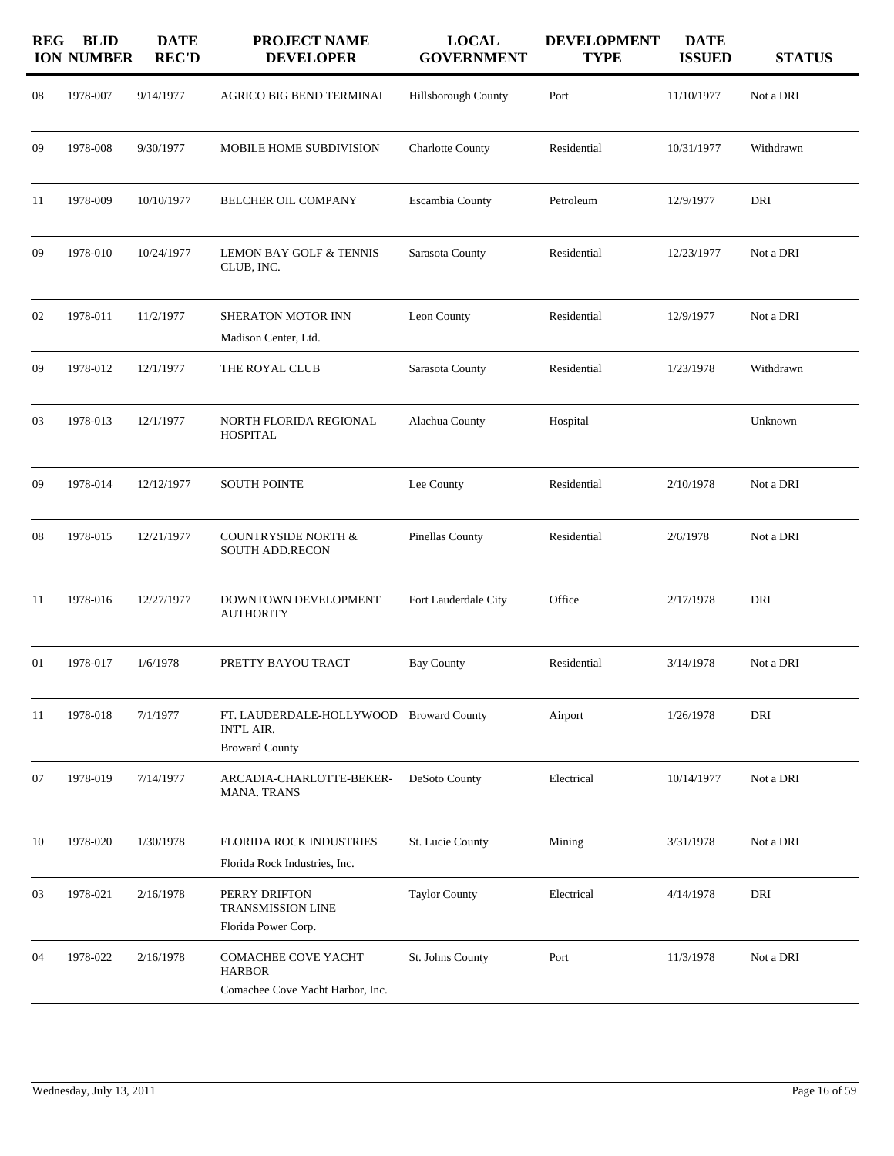| <b>REG</b> | <b>BLID</b><br><b>ION NUMBER</b> | <b>DATE</b><br><b>REC'D</b> | <b>PROJECT NAME</b><br><b>DEVELOPER</b>                                               | <b>LOCAL</b><br><b>GOVERNMENT</b> | <b>DEVELOPMENT</b><br><b>TYPE</b> | <b>DATE</b><br><b>ISSUED</b> | <b>STATUS</b> |
|------------|----------------------------------|-----------------------------|---------------------------------------------------------------------------------------|-----------------------------------|-----------------------------------|------------------------------|---------------|
| 08         | 1978-007                         | 9/14/1977                   | AGRICO BIG BEND TERMINAL                                                              | Hillsborough County               | Port                              | 11/10/1977                   | Not a DRI     |
| 09         | 1978-008                         | 9/30/1977                   | MOBILE HOME SUBDIVISION                                                               | <b>Charlotte County</b>           | Residential                       | 10/31/1977                   | Withdrawn     |
| 11         | 1978-009                         | 10/10/1977                  | BELCHER OIL COMPANY                                                                   | Escambia County                   | Petroleum                         | 12/9/1977                    | DRI           |
| 09         | 1978-010                         | 10/24/1977                  | LEMON BAY GOLF & TENNIS<br>CLUB, INC.                                                 | Sarasota County                   | Residential                       | 12/23/1977                   | Not a DRI     |
| 02         | 1978-011                         | 11/2/1977                   | <b>SHERATON MOTOR INN</b><br>Madison Center, Ltd.                                     | Leon County                       | Residential                       | 12/9/1977                    | Not a DRI     |
| 09         | 1978-012                         | 12/1/1977                   | THE ROYAL CLUB                                                                        | Sarasota County                   | Residential                       | 1/23/1978                    | Withdrawn     |
| 03         | 1978-013                         | 12/1/1977                   | NORTH FLORIDA REGIONAL<br><b>HOSPITAL</b>                                             | Alachua County                    | Hospital                          |                              | Unknown       |
| 09         | 1978-014                         | 12/12/1977                  | <b>SOUTH POINTE</b>                                                                   | Lee County                        | Residential                       | 2/10/1978                    | Not a DRI     |
| 08         | 1978-015                         | 12/21/1977                  | <b>COUNTRYSIDE NORTH &amp;</b><br><b>SOUTH ADD.RECON</b>                              | Pinellas County                   | Residential                       | 2/6/1978                     | Not a DRI     |
| 11         | 1978-016                         | 12/27/1977                  | DOWNTOWN DEVELOPMENT<br><b>AUTHORITY</b>                                              | Fort Lauderdale City              | Office                            | 2/17/1978                    | DRI           |
| 01         | 1978-017                         | 1/6/1978                    | PRETTY BAYOU TRACT                                                                    | <b>Bay County</b>                 | Residential                       | 3/14/1978                    | Not a DRI     |
| 11         | 1978-018                         | 7/1/1977                    | FT. LAUDERDALE-HOLLYWOOD Broward County<br><b>INT'L AIR.</b><br><b>Broward County</b> |                                   | Airport                           | 1/26/1978                    | DRI           |
| 07         | 1978-019                         | 7/14/1977                   | ARCADIA-CHARLOTTE-BEKER-<br><b>MANA. TRANS</b>                                        | DeSoto County                     | Electrical                        | 10/14/1977                   | Not a DRI     |
| 10         | 1978-020                         | 1/30/1978                   | <b>FLORIDA ROCK INDUSTRIES</b><br>Florida Rock Industries, Inc.                       | St. Lucie County                  | Mining                            | 3/31/1978                    | Not a DRI     |
| 03         | 1978-021                         | 2/16/1978                   | PERRY DRIFTON<br><b>TRANSMISSION LINE</b><br>Florida Power Corp.                      | <b>Taylor County</b>              | Electrical                        | 4/14/1978                    | DRI           |
| 04         | 1978-022                         | 2/16/1978                   | COMACHEE COVE YACHT<br><b>HARBOR</b><br>Comachee Cove Yacht Harbor, Inc.              | St. Johns County                  | Port                              | 11/3/1978                    | Not a DRI     |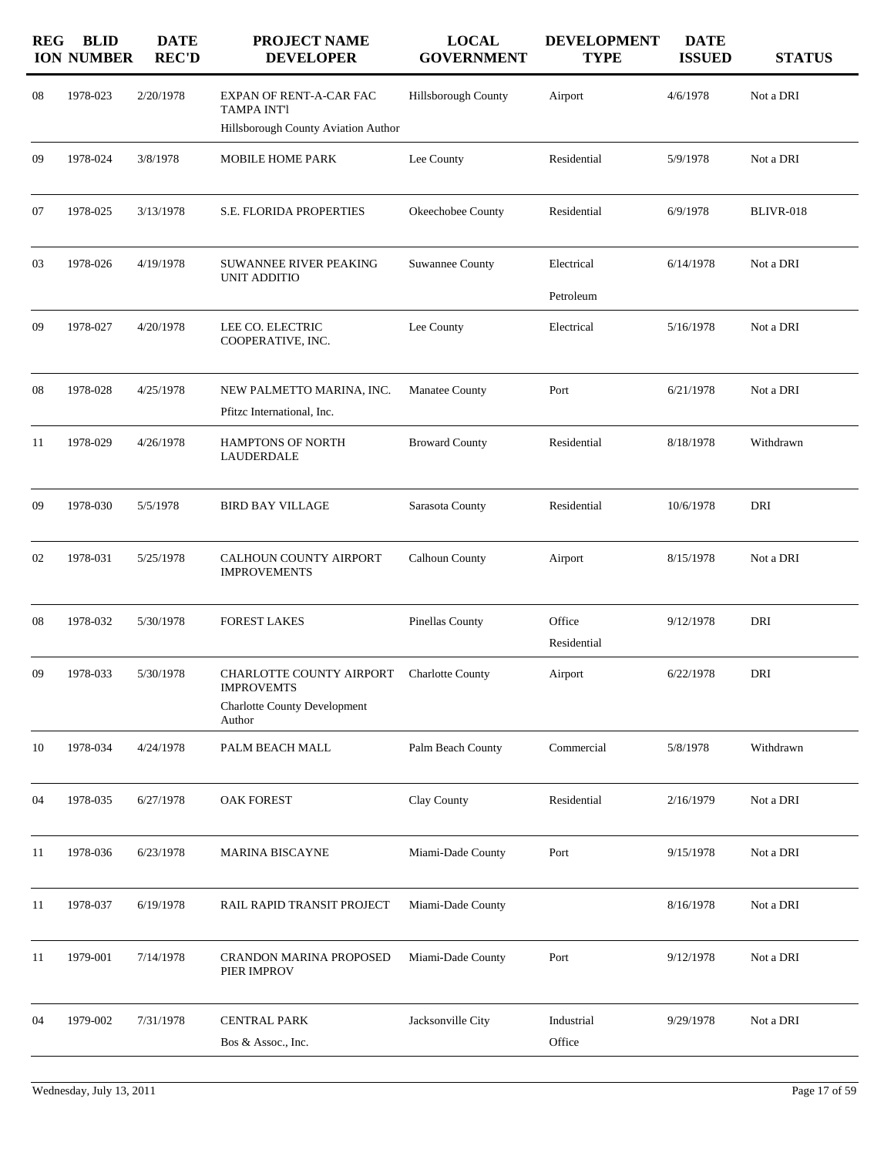| <b>REG</b> | <b>BLID</b><br><b>ION NUMBER</b> | <b>DATE</b><br><b>REC'D</b> | <b>PROJECT NAME</b><br><b>DEVELOPER</b>                                                        | <b>LOCAL</b><br><b>GOVERNMENT</b> | <b>DEVELOPMENT</b><br><b>TYPE</b> | <b>DATE</b><br><b>ISSUED</b> | <b>STATUS</b> |
|------------|----------------------------------|-----------------------------|------------------------------------------------------------------------------------------------|-----------------------------------|-----------------------------------|------------------------------|---------------|
| 08         | 1978-023                         | 2/20/1978                   | EXPAN OF RENT-A-CAR FAC<br><b>TAMPA INT'l</b><br>Hillsborough County Aviation Author           | Hillsborough County               | Airport                           | 4/6/1978                     | Not a DRI     |
| 09         | 1978-024                         | 3/8/1978                    | MOBILE HOME PARK                                                                               | Lee County                        | Residential                       | 5/9/1978                     | Not a DRI     |
| 07         | 1978-025                         | 3/13/1978                   | <b>S.E. FLORIDA PROPERTIES</b>                                                                 | Okeechobee County                 | Residential                       | 6/9/1978                     | BLIVR-018     |
| 03         | 1978-026                         | 4/19/1978                   | SUWANNEE RIVER PEAKING<br>UNIT ADDITIO                                                         | Suwannee County                   | Electrical<br>Petroleum           | 6/14/1978                    | Not a DRI     |
| 09         | 1978-027                         | 4/20/1978                   | LEE CO. ELECTRIC<br>COOPERATIVE, INC.                                                          | Lee County                        | Electrical                        | 5/16/1978                    | Not a DRI     |
| 08         | 1978-028                         | 4/25/1978                   | NEW PALMETTO MARINA, INC.<br>Pfitzc International, Inc.                                        | <b>Manatee County</b>             | Port                              | 6/21/1978                    | Not a DRI     |
| 11         | 1978-029                         | 4/26/1978                   | HAMPTONS OF NORTH<br><b>LAUDERDALE</b>                                                         | <b>Broward County</b>             | Residential                       | 8/18/1978                    | Withdrawn     |
| 09         | 1978-030                         | 5/5/1978                    | <b>BIRD BAY VILLAGE</b>                                                                        | Sarasota County                   | Residential                       | 10/6/1978                    | DRI           |
| 02         | 1978-031                         | 5/25/1978                   | CALHOUN COUNTY AIRPORT<br><b>IMPROVEMENTS</b>                                                  | Calhoun County                    | Airport                           | 8/15/1978                    | Not a DRI     |
| 08         | 1978-032                         | 5/30/1978                   | <b>FOREST LAKES</b>                                                                            | Pinellas County                   | Office<br>Residential             | 9/12/1978                    | DRI           |
| 09         | 1978-033                         | 5/30/1978                   | CHARLOTTE COUNTY AIRPORT<br><b>IMPROVEMTS</b><br><b>Charlotte County Development</b><br>Author | <b>Charlotte County</b>           | Airport                           | 6/22/1978                    | DRI           |
| 10         | 1978-034                         | 4/24/1978                   | PALM BEACH MALL                                                                                | Palm Beach County                 | Commercial                        | 5/8/1978                     | Withdrawn     |
| 04         | 1978-035                         | 6/27/1978                   | <b>OAK FOREST</b>                                                                              | Clay County                       | Residential                       | 2/16/1979                    | Not a DRI     |
| 11         | 1978-036                         | 6/23/1978                   | <b>MARINA BISCAYNE</b>                                                                         | Miami-Dade County                 | Port                              | 9/15/1978                    | Not a DRI     |
| 11         | 1978-037                         | 6/19/1978                   | RAIL RAPID TRANSIT PROJECT                                                                     | Miami-Dade County                 |                                   | 8/16/1978                    | Not a DRI     |
| 11         | 1979-001                         | 7/14/1978                   | <b>CRANDON MARINA PROPOSED</b><br>PIER IMPROV                                                  | Miami-Dade County                 | Port                              | 9/12/1978                    | Not a DRI     |
| 04         | 1979-002                         | 7/31/1978                   | <b>CENTRAL PARK</b><br>Bos & Assoc., Inc.                                                      | Jacksonville City                 | Industrial<br>Office              | 9/29/1978                    | Not a DRI     |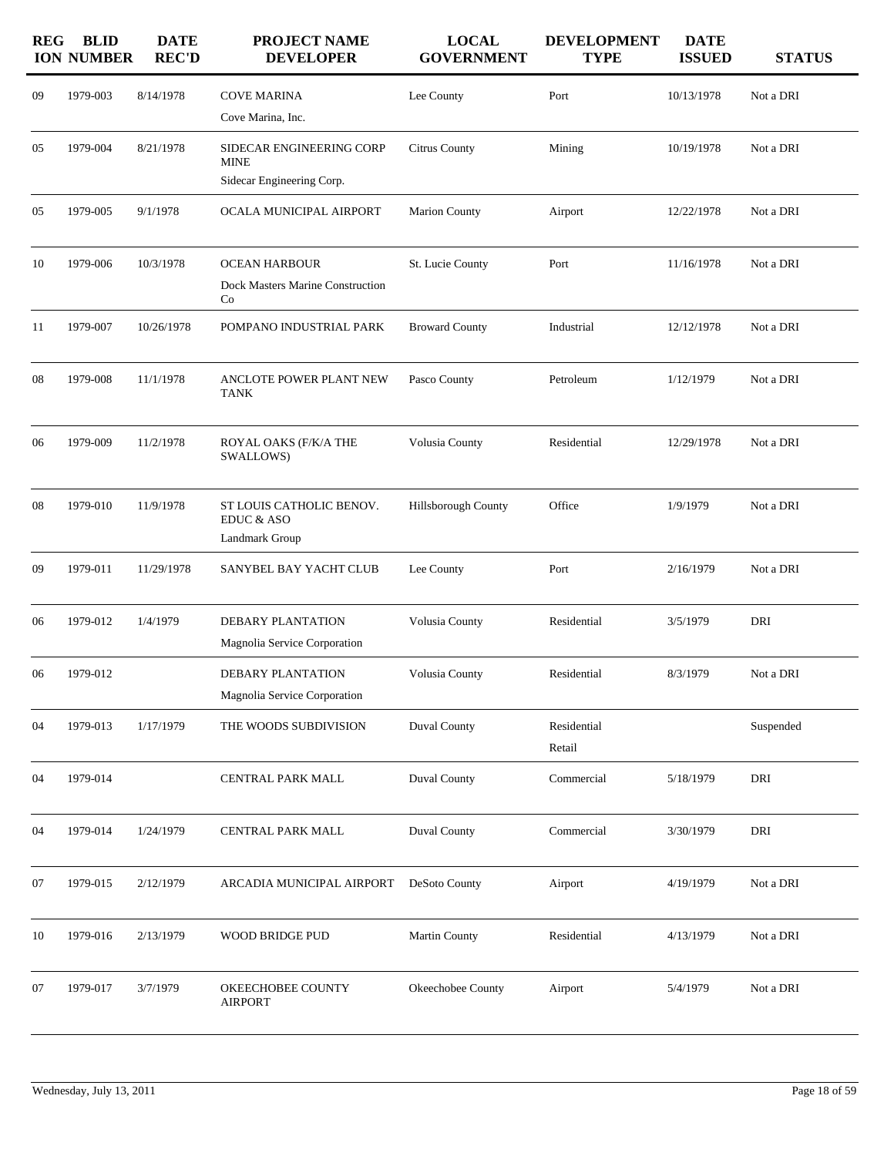| <b>REG</b> | <b>BLID</b><br><b>ION NUMBER</b> | <b>DATE</b><br><b>REC'D</b> | PROJECT NAME<br><b>DEVELOPER</b>                                     | <b>LOCAL</b><br><b>GOVERNMENT</b> | <b>DEVELOPMENT</b><br><b>TYPE</b> | <b>DATE</b><br><b>ISSUED</b> | <b>STATUS</b> |
|------------|----------------------------------|-----------------------------|----------------------------------------------------------------------|-----------------------------------|-----------------------------------|------------------------------|---------------|
| 09         | 1979-003                         | 8/14/1978                   | <b>COVE MARINA</b><br>Cove Marina, Inc.                              | Lee County                        | Port                              | 10/13/1978                   | Not a DRI     |
| 05         | 1979-004                         | 8/21/1978                   | SIDECAR ENGINEERING CORP<br><b>MINE</b><br>Sidecar Engineering Corp. | Citrus County                     | Mining                            | 10/19/1978                   | Not a DRI     |
| 05         | 1979-005                         | 9/1/1978                    | OCALA MUNICIPAL AIRPORT                                              | <b>Marion County</b>              | Airport                           | 12/22/1978                   | Not a DRI     |
| 10         | 1979-006                         | 10/3/1978                   | <b>OCEAN HARBOUR</b><br>Dock Masters Marine Construction<br>Co       | St. Lucie County                  | Port                              | 11/16/1978                   | Not a DRI     |
| 11         | 1979-007                         | 10/26/1978                  | POMPANO INDUSTRIAL PARK                                              | <b>Broward County</b>             | Industrial                        | 12/12/1978                   | Not a DRI     |
| 08         | 1979-008                         | 11/1/1978                   | ANCLOTE POWER PLANT NEW<br><b>TANK</b>                               | Pasco County                      | Petroleum                         | 1/12/1979                    | Not a DRI     |
| 06         | 1979-009                         | 11/2/1978                   | ROYAL OAKS (F/K/A THE<br>SWALLOWS)                                   | Volusia County                    | Residential                       | 12/29/1978                   | Not a DRI     |
| 08         | 1979-010                         | 11/9/1978                   | ST LOUIS CATHOLIC BENOV.<br>EDUC & ASO<br>Landmark Group             | Hillsborough County               | Office                            | 1/9/1979                     | Not a DRI     |
| 09         | 1979-011                         | 11/29/1978                  | SANYBEL BAY YACHT CLUB                                               | Lee County                        | Port                              | 2/16/1979                    | Not a DRI     |
| 06         | 1979-012                         | 1/4/1979                    | DEBARY PLANTATION<br>Magnolia Service Corporation                    | Volusia County                    | Residential                       | 3/5/1979                     | DRI           |
| 06         | 1979-012                         |                             | <b>DEBARY PLANTATION</b><br>Magnolia Service Corporation             | Volusia County                    | Residential                       | 8/3/1979                     | Not a DRI     |
| 04         | 1979-013                         | 1/17/1979                   | THE WOODS SUBDIVISION                                                | Duval County                      | Residential<br>Retail             |                              | Suspended     |
| 04         | 1979-014                         |                             | CENTRAL PARK MALL                                                    | <b>Duval County</b>               | Commercial                        | 5/18/1979                    | DRI           |
| 04         | 1979-014                         | 1/24/1979                   | CENTRAL PARK MALL                                                    | Duval County                      | Commercial                        | 3/30/1979                    | DRI           |
| 07         | 1979-015                         | 2/12/1979                   | ARCADIA MUNICIPAL AIRPORT                                            | DeSoto County                     | Airport                           | 4/19/1979                    | Not a DRI     |
| 10         | 1979-016                         | 2/13/1979                   | WOOD BRIDGE PUD                                                      | Martin County                     | Residential                       | 4/13/1979                    | Not a DRI     |
| 07         | 1979-017                         | 3/7/1979                    | OKEECHOBEE COUNTY<br><b>AIRPORT</b>                                  | Okeechobee County                 | Airport                           | 5/4/1979                     | Not a DRI     |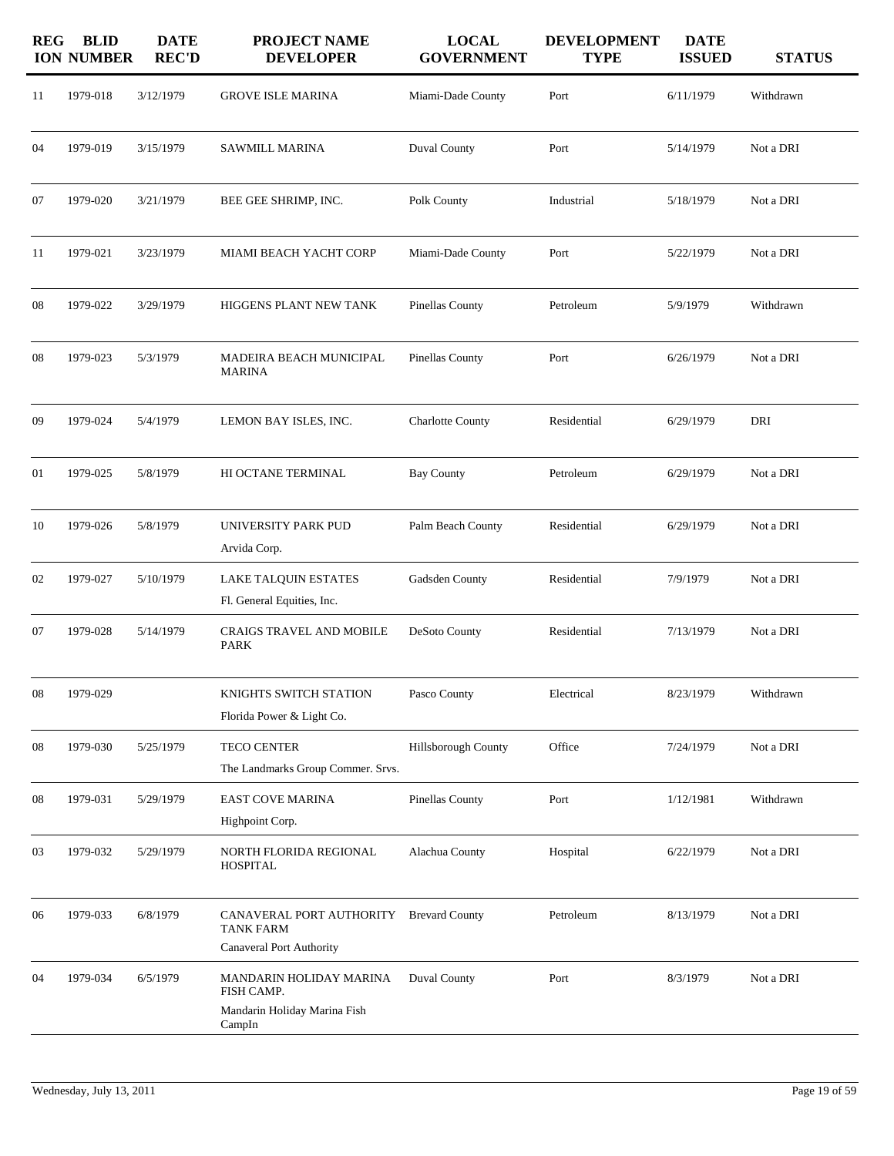| <b>REG</b> | <b>BLID</b><br><b>ION NUMBER</b> | <b>DATE</b><br><b>REC'D</b> | <b>PROJECT NAME</b><br><b>DEVELOPER</b>                                         | <b>LOCAL</b><br><b>GOVERNMENT</b> | <b>DEVELOPMENT</b><br><b>TYPE</b> | <b>DATE</b><br><b>ISSUED</b> | <b>STATUS</b> |
|------------|----------------------------------|-----------------------------|---------------------------------------------------------------------------------|-----------------------------------|-----------------------------------|------------------------------|---------------|
| 11         | 1979-018                         | 3/12/1979                   | <b>GROVE ISLE MARINA</b>                                                        | Miami-Dade County                 | Port                              | 6/11/1979                    | Withdrawn     |
| 04         | 1979-019                         | 3/15/1979                   | <b>SAWMILL MARINA</b>                                                           | <b>Duval County</b>               | Port                              | 5/14/1979                    | Not a DRI     |
| 07         | 1979-020                         | 3/21/1979                   | BEE GEE SHRIMP, INC.                                                            | Polk County                       | Industrial                        | 5/18/1979                    | Not a DRI     |
| 11         | 1979-021                         | 3/23/1979                   | MIAMI BEACH YACHT CORP                                                          | Miami-Dade County                 | Port                              | 5/22/1979                    | Not a DRI     |
| 08         | 1979-022                         | 3/29/1979                   | HIGGENS PLANT NEW TANK                                                          | Pinellas County                   | Petroleum                         | 5/9/1979                     | Withdrawn     |
| 08         | 1979-023                         | 5/3/1979                    | MADEIRA BEACH MUNICIPAL<br><b>MARINA</b>                                        | Pinellas County                   | Port                              | 6/26/1979                    | Not a DRI     |
| 09         | 1979-024                         | 5/4/1979                    | LEMON BAY ISLES, INC.                                                           | <b>Charlotte County</b>           | Residential                       | 6/29/1979                    | DRI           |
| 01         | 1979-025                         | 5/8/1979                    | HI OCTANE TERMINAL                                                              | <b>Bay County</b>                 | Petroleum                         | 6/29/1979                    | Not a DRI     |
| 10         | 1979-026                         | 5/8/1979                    | UNIVERSITY PARK PUD<br>Arvida Corp.                                             | Palm Beach County                 | Residential                       | 6/29/1979                    | Not a DRI     |
| 02         | 1979-027                         | 5/10/1979                   | LAKE TALQUIN ESTATES<br>Fl. General Equities, Inc.                              | Gadsden County                    | Residential                       | 7/9/1979                     | Not a DRI     |
| 07         | 1979-028                         | 5/14/1979                   | CRAIGS TRAVEL AND MOBILE<br><b>PARK</b>                                         | DeSoto County                     | Residential                       | 7/13/1979                    | Not a DRI     |
| $08\,$     | 1979-029                         |                             | KNIGHTS SWITCH STATION<br>Florida Power & Light Co.                             | Pasco County                      | Electrical                        | 8/23/1979                    | Withdrawn     |
| 08         | 1979-030                         | 5/25/1979                   | TECO CENTER<br>The Landmarks Group Commer. Srvs.                                | Hillsborough County               | Office                            | 7/24/1979                    | Not a DRI     |
| 08         | 1979-031                         | 5/29/1979                   | EAST COVE MARINA<br>Highpoint Corp.                                             | Pinellas County                   | Port                              | 1/12/1981                    | Withdrawn     |
| 03         | 1979-032                         | 5/29/1979                   | NORTH FLORIDA REGIONAL<br><b>HOSPITAL</b>                                       | Alachua County                    | Hospital                          | 6/22/1979                    | Not a DRI     |
| 06         | 1979-033                         | 6/8/1979                    | CANAVERAL PORT AUTHORITY<br><b>TANK FARM</b><br><b>Canaveral Port Authority</b> | <b>Brevard County</b>             | Petroleum                         | 8/13/1979                    | Not a DRI     |
| 04         | 1979-034                         | 6/5/1979                    | MANDARIN HOLIDAY MARINA<br>FISH CAMP.<br>Mandarin Holiday Marina Fish<br>CampIn | Duval County                      | Port                              | 8/3/1979                     | Not a DRI     |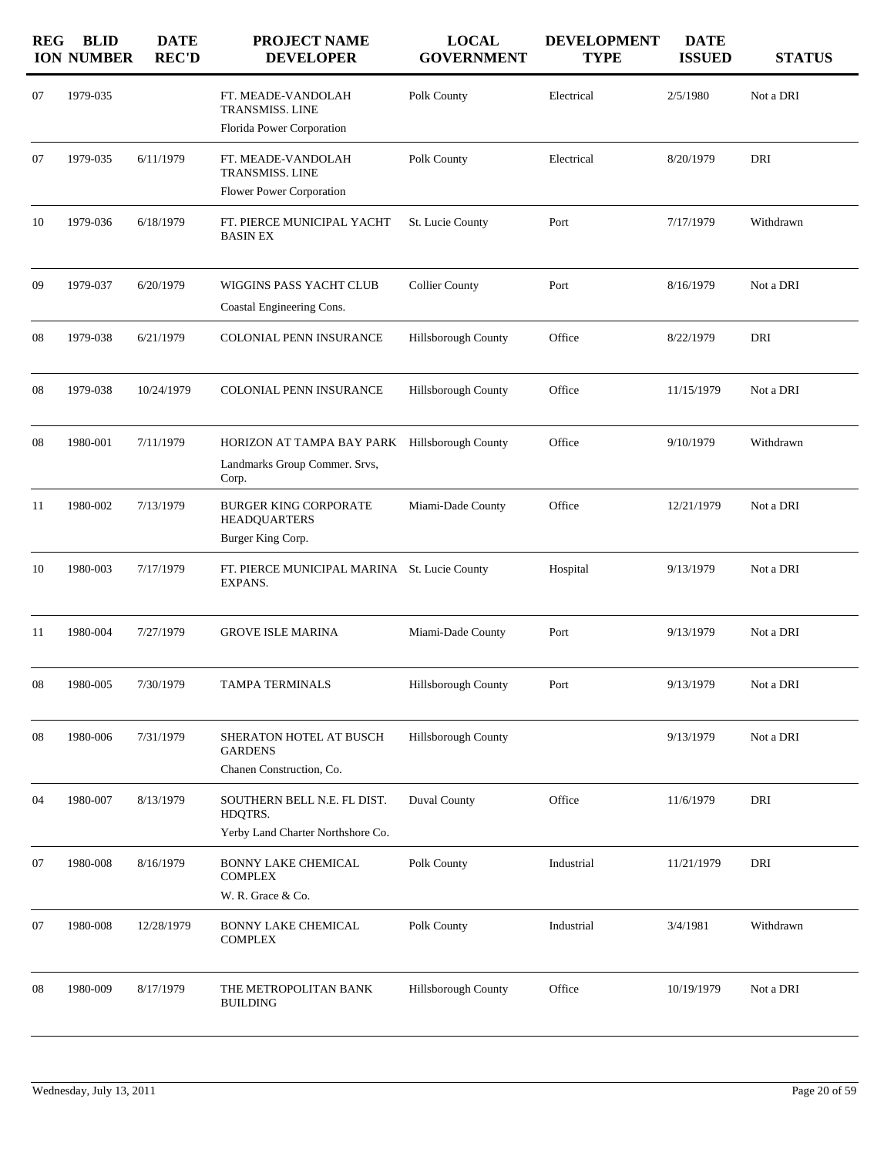| <b>REG</b> | <b>BLID</b><br><b>ION NUMBER</b> | <b>DATE</b><br><b>REC'D</b> | PROJECT NAME<br><b>DEVELOPER</b>                                                        | <b>LOCAL</b><br><b>GOVERNMENT</b> | <b>DEVELOPMENT</b><br><b>TYPE</b> | <b>DATE</b><br><b>ISSUED</b> | <b>STATUS</b> |
|------------|----------------------------------|-----------------------------|-----------------------------------------------------------------------------------------|-----------------------------------|-----------------------------------|------------------------------|---------------|
| 07         | 1979-035                         |                             | FT. MEADE-VANDOLAH<br><b>TRANSMISS. LINE</b><br>Florida Power Corporation               | Polk County                       | Electrical                        | 2/5/1980                     | Not a DRI     |
| 07         | 1979-035                         | 6/11/1979                   | FT. MEADE-VANDOLAH<br><b>TRANSMISS. LINE</b><br>Flower Power Corporation                | Polk County                       | Electrical                        | 8/20/1979                    | DRI           |
| 10         | 1979-036                         | 6/18/1979                   | FT. PIERCE MUNICIPAL YACHT<br>BASIN EX                                                  | St. Lucie County                  | Port                              | 7/17/1979                    | Withdrawn     |
| 09         | 1979-037                         | 6/20/1979                   | WIGGINS PASS YACHT CLUB<br>Coastal Engineering Cons.                                    | <b>Collier County</b>             | Port                              | 8/16/1979                    | Not a DRI     |
| 08         | 1979-038                         | 6/21/1979                   | COLONIAL PENN INSURANCE                                                                 | <b>Hillsborough County</b>        | Office                            | 8/22/1979                    | DRI           |
| 08         | 1979-038                         | 10/24/1979                  | COLONIAL PENN INSURANCE                                                                 | Hillsborough County               | Office                            | 11/15/1979                   | Not a DRI     |
| 08         | 1980-001                         | 7/11/1979                   | HORIZON AT TAMPA BAY PARK Hillsborough County<br>Landmarks Group Commer. Srvs,<br>Corp. |                                   | Office                            | 9/10/1979                    | Withdrawn     |
| 11         | 1980-002                         | 7/13/1979                   | <b>BURGER KING CORPORATE</b><br><b>HEADQUARTERS</b><br>Burger King Corp.                | Miami-Dade County                 | Office                            | 12/21/1979                   | Not a DRI     |
| 10         | 1980-003                         | 7/17/1979                   | FT. PIERCE MUNICIPAL MARINA St. Lucie County<br>EXPANS.                                 |                                   | Hospital                          | 9/13/1979                    | Not a DRI     |
| 11         | 1980-004                         | 7/27/1979                   | <b>GROVE ISLE MARINA</b>                                                                | Miami-Dade County                 | Port                              | 9/13/1979                    | Not a DRI     |
| 08         | 1980-005                         | 7/30/1979                   | TAMPA TERMINALS                                                                         | Hillsborough County               | Port                              | 9/13/1979                    | Not a DRI     |
| 08         | 1980-006                         | 7/31/1979                   | SHERATON HOTEL AT BUSCH<br><b>GARDENS</b><br>Chanen Construction, Co.                   | Hillsborough County               |                                   | 9/13/1979                    | Not a DRI     |
| 04         | 1980-007                         | 8/13/1979                   | SOUTHERN BELL N.E. FL DIST.<br>HDQTRS.<br>Yerby Land Charter Northshore Co.             | <b>Duval County</b>               | Office                            | 11/6/1979                    | DRI           |
| 07         | 1980-008                         | 8/16/1979                   | BONNY LAKE CHEMICAL<br><b>COMPLEX</b><br>W. R. Grace & Co.                              | Polk County                       | Industrial                        | 11/21/1979                   | DRI           |
| 07         | 1980-008                         | 12/28/1979                  | <b>BONNY LAKE CHEMICAL</b><br><b>COMPLEX</b>                                            | Polk County                       | Industrial                        | 3/4/1981                     | Withdrawn     |
| 08         | 1980-009                         | 8/17/1979                   | THE METROPOLITAN BANK<br><b>BUILDING</b>                                                | Hillsborough County               | Office                            | 10/19/1979                   | Not a DRI     |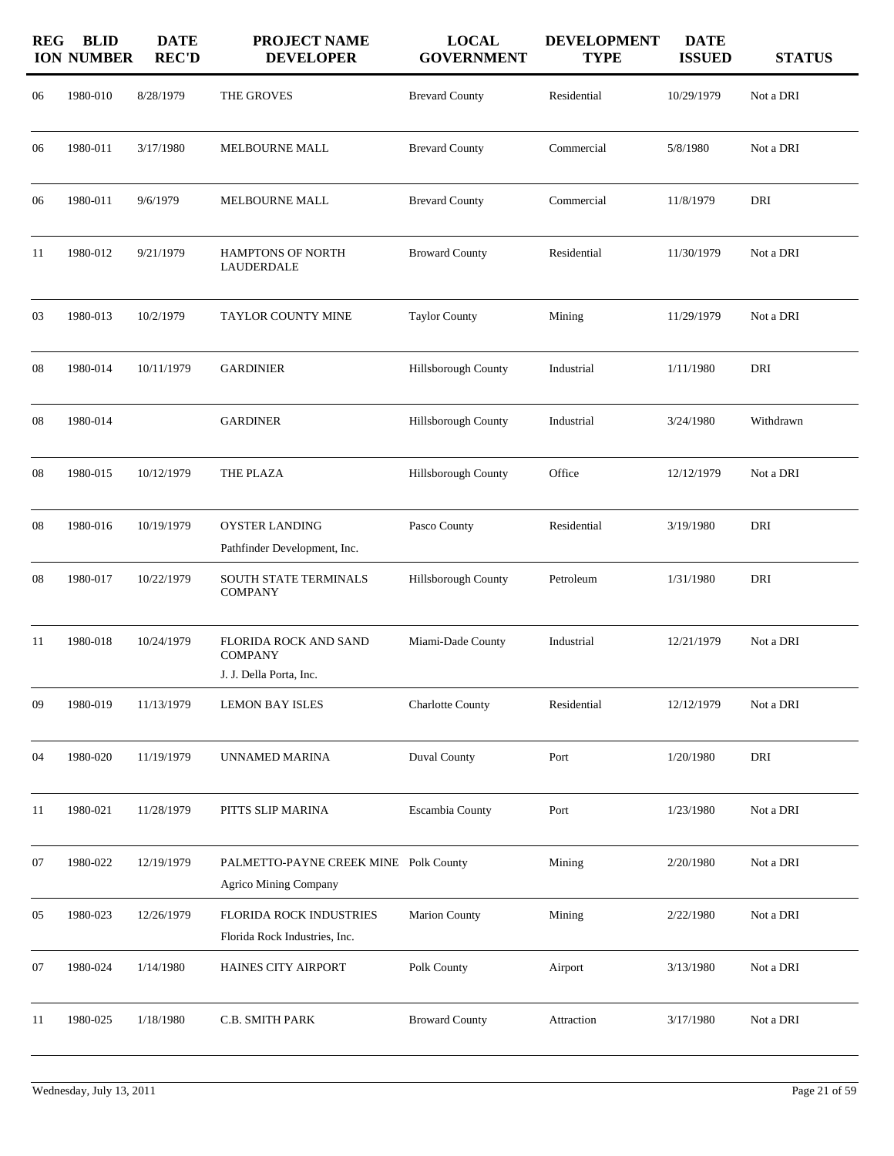| <b>REG</b> | <b>BLID</b><br><b>ION NUMBER</b> | <b>DATE</b><br><b>REC'D</b> | PROJECT NAME<br><b>DEVELOPER</b>                                      | <b>LOCAL</b><br><b>GOVERNMENT</b> | <b>DEVELOPMENT</b><br><b>TYPE</b> | <b>DATE</b><br><b>ISSUED</b> | <b>STATUS</b> |
|------------|----------------------------------|-----------------------------|-----------------------------------------------------------------------|-----------------------------------|-----------------------------------|------------------------------|---------------|
| 06         | 1980-010                         | 8/28/1979                   | THE GROVES                                                            | <b>Brevard County</b>             | Residential                       | 10/29/1979                   | Not a DRI     |
| 06         | 1980-011                         | 3/17/1980                   | MELBOURNE MALL                                                        | <b>Brevard County</b>             | Commercial                        | 5/8/1980                     | Not a DRI     |
| 06         | 1980-011                         | 9/6/1979                    | MELBOURNE MALL                                                        | <b>Brevard County</b>             | Commercial                        | 11/8/1979                    | DRI           |
| 11         | 1980-012                         | 9/21/1979                   | <b>HAMPTONS OF NORTH</b><br><b>LAUDERDALE</b>                         | <b>Broward County</b>             | Residential                       | 11/30/1979                   | Not a DRI     |
| 03         | 1980-013                         | 10/2/1979                   | <b>TAYLOR COUNTY MINE</b>                                             | <b>Taylor County</b>              | Mining                            | 11/29/1979                   | Not a DRI     |
| 08         | 1980-014                         | 10/11/1979                  | <b>GARDINIER</b>                                                      | <b>Hillsborough County</b>        | Industrial                        | 1/11/1980                    | DRI           |
| 08         | 1980-014                         |                             | <b>GARDINER</b>                                                       | Hillsborough County               | Industrial                        | 3/24/1980                    | Withdrawn     |
| 08         | 1980-015                         | 10/12/1979                  | THE PLAZA                                                             | <b>Hillsborough County</b>        | Office                            | 12/12/1979                   | Not a DRI     |
| 08         | 1980-016                         | 10/19/1979                  | <b>OYSTER LANDING</b><br>Pathfinder Development, Inc.                 | Pasco County                      | Residential                       | 3/19/1980                    | DRI           |
| 08         | 1980-017                         | 10/22/1979                  | SOUTH STATE TERMINALS<br><b>COMPANY</b>                               | Hillsborough County               | Petroleum                         | 1/31/1980                    | DRI           |
| 11         | 1980-018                         | 10/24/1979                  | FLORIDA ROCK AND SAND<br><b>COMPANY</b><br>J. J. Della Porta, Inc.    | Miami-Dade County                 | Industrial                        | 12/21/1979                   | Not a DRI     |
| 09         | 1980-019                         | 11/13/1979                  | <b>LEMON BAY ISLES</b>                                                | Charlotte County                  | Residential                       | 12/12/1979                   | Not a DRI     |
| 04         | 1980-020                         | 11/19/1979                  | UNNAMED MARINA                                                        | Duval County                      | Port                              | 1/20/1980                    | DRI           |
| 11         | 1980-021                         | 11/28/1979                  | PITTS SLIP MARINA                                                     | Escambia County                   | Port                              | 1/23/1980                    | Not a DRI     |
| 07         | 1980-022                         | 12/19/1979                  | PALMETTO-PAYNE CREEK MINE Polk County<br><b>Agrico Mining Company</b> |                                   | Mining                            | 2/20/1980                    | Not a DRI     |
| 05         | 1980-023                         | 12/26/1979                  | FLORIDA ROCK INDUSTRIES<br>Florida Rock Industries, Inc.              | <b>Marion County</b>              | Mining                            | 2/22/1980                    | Not a DRI     |
| 07         | 1980-024                         | 1/14/1980                   | HAINES CITY AIRPORT                                                   | Polk County                       | Airport                           | 3/13/1980                    | Not a DRI     |
| 11         | 1980-025                         | 1/18/1980                   | C.B. SMITH PARK                                                       | <b>Broward County</b>             | Attraction                        | 3/17/1980                    | Not a DRI     |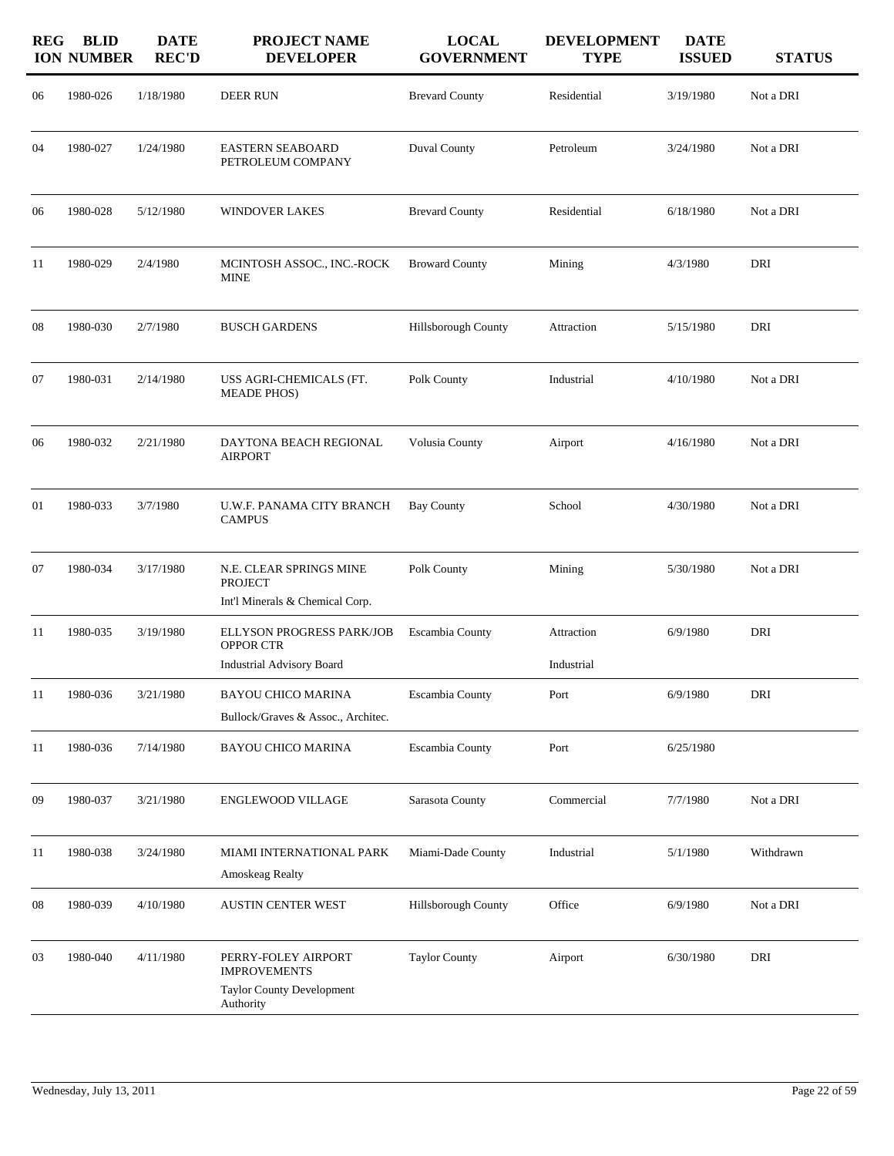| <b>REG</b> | <b>BLID</b><br><b>ION NUMBER</b> | <b>DATE</b><br><b>REC'D</b> | <b>PROJECT NAME</b><br><b>DEVELOPER</b>                                                     | <b>LOCAL</b><br><b>GOVERNMENT</b> | <b>DEVELOPMENT</b><br><b>TYPE</b> | <b>DATE</b><br><b>ISSUED</b> | <b>STATUS</b> |
|------------|----------------------------------|-----------------------------|---------------------------------------------------------------------------------------------|-----------------------------------|-----------------------------------|------------------------------|---------------|
| 06         | 1980-026                         | 1/18/1980                   | DEER RUN                                                                                    | <b>Brevard County</b>             | Residential                       | 3/19/1980                    | Not a DRI     |
| 04         | 1980-027                         | 1/24/1980                   | <b>EASTERN SEABOARD</b><br>PETROLEUM COMPANY                                                | <b>Duval County</b>               | Petroleum                         | 3/24/1980                    | Not a DRI     |
| 06         | 1980-028                         | 5/12/1980                   | <b>WINDOVER LAKES</b>                                                                       | <b>Brevard County</b>             | Residential                       | 6/18/1980                    | Not a DRI     |
| 11         | 1980-029                         | 2/4/1980                    | MCINTOSH ASSOC., INC.-ROCK<br><b>MINE</b>                                                   | <b>Broward County</b>             | Mining                            | 4/3/1980                     | DRI           |
| 08         | 1980-030                         | 2/7/1980                    | <b>BUSCH GARDENS</b>                                                                        | Hillsborough County               | Attraction                        | 5/15/1980                    | DRI           |
| 07         | 1980-031                         | 2/14/1980                   | USS AGRI-CHEMICALS (FT.<br><b>MEADE PHOS)</b>                                               | Polk County                       | Industrial                        | 4/10/1980                    | Not a DRI     |
| 06         | 1980-032                         | 2/21/1980                   | DAYTONA BEACH REGIONAL<br><b>AIRPORT</b>                                                    | Volusia County                    | Airport                           | 4/16/1980                    | Not a DRI     |
| 01         | 1980-033                         | 3/7/1980                    | U.W.F. PANAMA CITY BRANCH<br><b>CAMPUS</b>                                                  | <b>Bay County</b>                 | School                            | 4/30/1980                    | Not a DRI     |
| 07         | 1980-034                         | 3/17/1980                   | N.E. CLEAR SPRINGS MINE<br><b>PROJECT</b><br>Int'l Minerals & Chemical Corp.                | Polk County                       | Mining                            | 5/30/1980                    | Not a DRI     |
| 11         | 1980-035                         | 3/19/1980                   | <b>ELLYSON PROGRESS PARK/JOB</b><br>OPPOR CTR                                               | Escambia County                   | Attraction                        | 6/9/1980                     | DRI           |
|            |                                  |                             | <b>Industrial Advisory Board</b>                                                            |                                   | Industrial                        |                              |               |
| 11         | 1980-036                         | 3/21/1980                   | <b>BAYOU CHICO MARINA</b><br>Bullock/Graves & Assoc., Architec.                             | Escambia County                   | Port                              | 6/9/1980                     | DRI           |
| 11         | 1980-036                         | 7/14/1980                   | <b>BAYOU CHICO MARINA</b>                                                                   | Escambia County                   | Port                              | 6/25/1980                    |               |
| 09         | 1980-037                         | 3/21/1980                   | <b>ENGLEWOOD VILLAGE</b>                                                                    | Sarasota County                   | Commercial                        | 7/7/1980                     | Not a DRI     |
| 11         | 1980-038                         | 3/24/1980                   | MIAMI INTERNATIONAL PARK<br>Amoskeag Realty                                                 | Miami-Dade County                 | Industrial                        | 5/1/1980                     | Withdrawn     |
| 08         | 1980-039                         | 4/10/1980                   | <b>AUSTIN CENTER WEST</b>                                                                   | Hillsborough County               | Office                            | 6/9/1980                     | Not a DRI     |
| 03         | 1980-040                         | 4/11/1980                   | PERRY-FOLEY AIRPORT<br><b>IMPROVEMENTS</b><br><b>Taylor County Development</b><br>Authority | <b>Taylor County</b>              | Airport                           | 6/30/1980                    | DRI           |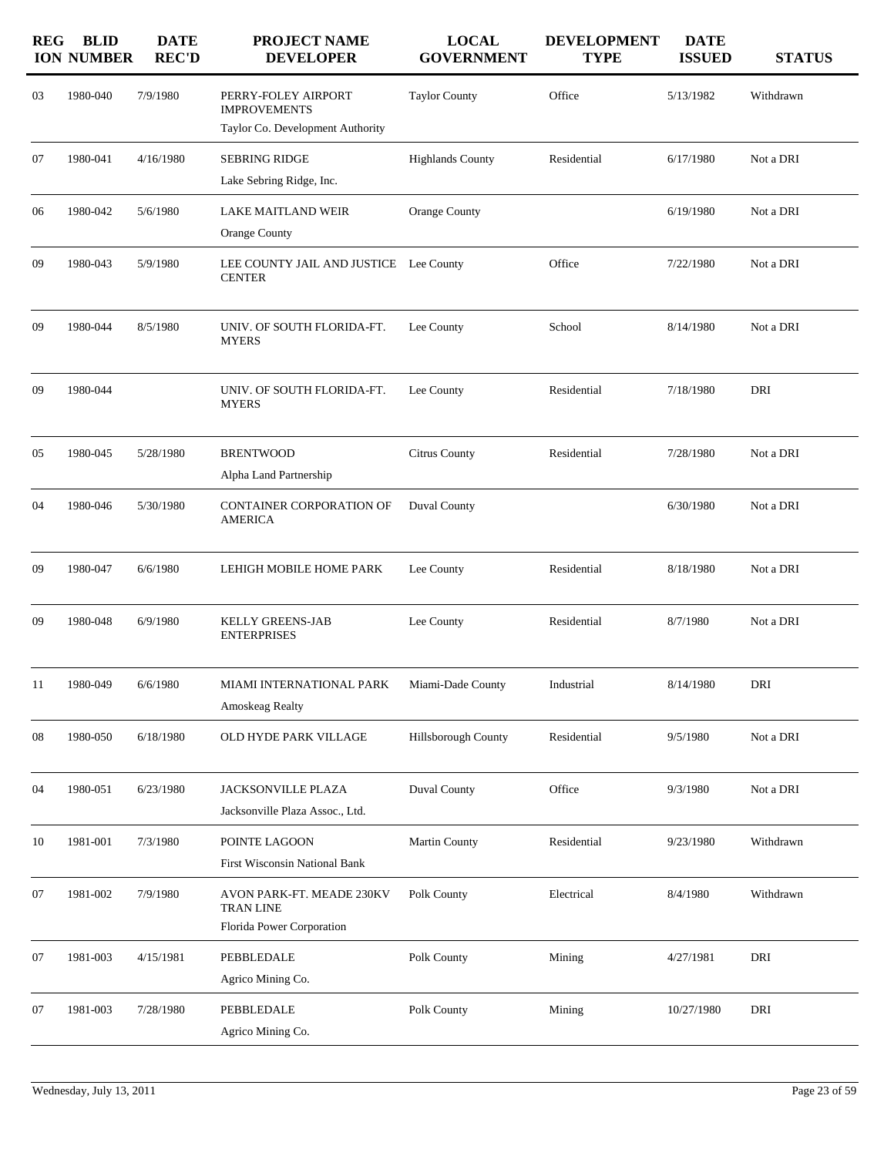| <b>REG</b> | <b>BLID</b><br><b>ION NUMBER</b> | <b>DATE</b><br><b>REC'D</b> | <b>PROJECT NAME</b><br><b>DEVELOPER</b>                                        | <b>LOCAL</b><br><b>GOVERNMENT</b> | <b>DEVELOPMENT</b><br><b>TYPE</b> | <b>DATE</b><br><b>ISSUED</b> | <b>STATUS</b> |
|------------|----------------------------------|-----------------------------|--------------------------------------------------------------------------------|-----------------------------------|-----------------------------------|------------------------------|---------------|
| 03         | 1980-040                         | 7/9/1980                    | PERRY-FOLEY AIRPORT<br><b>IMPROVEMENTS</b><br>Taylor Co. Development Authority | <b>Taylor County</b>              | Office                            | 5/13/1982                    | Withdrawn     |
| 07         | 1980-041                         | 4/16/1980                   | <b>SEBRING RIDGE</b>                                                           | <b>Highlands County</b>           | Residential                       | 6/17/1980                    | Not a DRI     |
|            |                                  |                             | Lake Sebring Ridge, Inc.                                                       |                                   |                                   |                              |               |
| 06         | 1980-042                         | 5/6/1980                    | LAKE MAITLAND WEIR<br><b>Orange County</b>                                     | Orange County                     |                                   | 6/19/1980                    | Not a DRI     |
| 09         | 1980-043                         | 5/9/1980                    | LEE COUNTY JAIL AND JUSTICE Lee County<br><b>CENTER</b>                        |                                   | Office                            | 7/22/1980                    | Not a DRI     |
| 09         | 1980-044                         | 8/5/1980                    | UNIV. OF SOUTH FLORIDA-FT.<br><b>MYERS</b>                                     | Lee County                        | School                            | 8/14/1980                    | Not a DRI     |
| 09         | 1980-044                         |                             | UNIV. OF SOUTH FLORIDA-FT.<br><b>MYERS</b>                                     | Lee County                        | Residential                       | 7/18/1980                    | DRI           |
| 05         | 1980-045                         | 5/28/1980                   | <b>BRENTWOOD</b>                                                               | Citrus County                     | Residential                       | 7/28/1980                    | Not a DRI     |
|            |                                  |                             | Alpha Land Partnership                                                         |                                   |                                   |                              |               |
| 04         | 1980-046                         | 5/30/1980                   | CONTAINER CORPORATION OF<br><b>AMERICA</b>                                     | <b>Duval County</b>               |                                   | 6/30/1980                    | Not a DRI     |
| 09         | 1980-047                         | 6/6/1980                    | LEHIGH MOBILE HOME PARK                                                        | Lee County                        | Residential                       | 8/18/1980                    | Not a DRI     |
| 09         | 1980-048                         | 6/9/1980                    | <b>KELLY GREENS-JAB</b><br><b>ENTERPRISES</b>                                  | Lee County                        | Residential                       | 8/7/1980                     | Not a DRI     |
| 11         | 1980-049                         | 6/6/1980                    | MIAMI INTERNATIONAL PARK<br>Amoskeag Realty                                    | Miami-Dade County                 | Industrial                        | 8/14/1980                    | DRI           |
| 08         | 1980-050                         | 6/18/1980                   | OLD HYDE PARK VILLAGE                                                          | Hillsborough County               | Residential                       | 9/5/1980                     | Not a DRI     |
| 04         | 1980-051                         | 6/23/1980                   | JACKSONVILLE PLAZA<br>Jacksonville Plaza Assoc., Ltd.                          | Duval County                      | Office                            | 9/3/1980                     | Not a DRI     |
| 10         | 1981-001                         | 7/3/1980                    | POINTE LAGOON<br><b>First Wisconsin National Bank</b>                          | Martin County                     | Residential                       | 9/23/1980                    | Withdrawn     |
| 07         | 1981-002                         | 7/9/1980                    | AVON PARK-FT. MEADE 230KV<br><b>TRAN LINE</b><br>Florida Power Corporation     | Polk County                       | Electrical                        | 8/4/1980                     | Withdrawn     |
| 07         | 1981-003                         | 4/15/1981                   | PEBBLEDALE<br>Agrico Mining Co.                                                | Polk County                       | Mining                            | 4/27/1981                    | DRI           |
| 07         | 1981-003                         | 7/28/1980                   | PEBBLEDALE<br>Agrico Mining Co.                                                | Polk County                       | Mining                            | 10/27/1980                   | DRI           |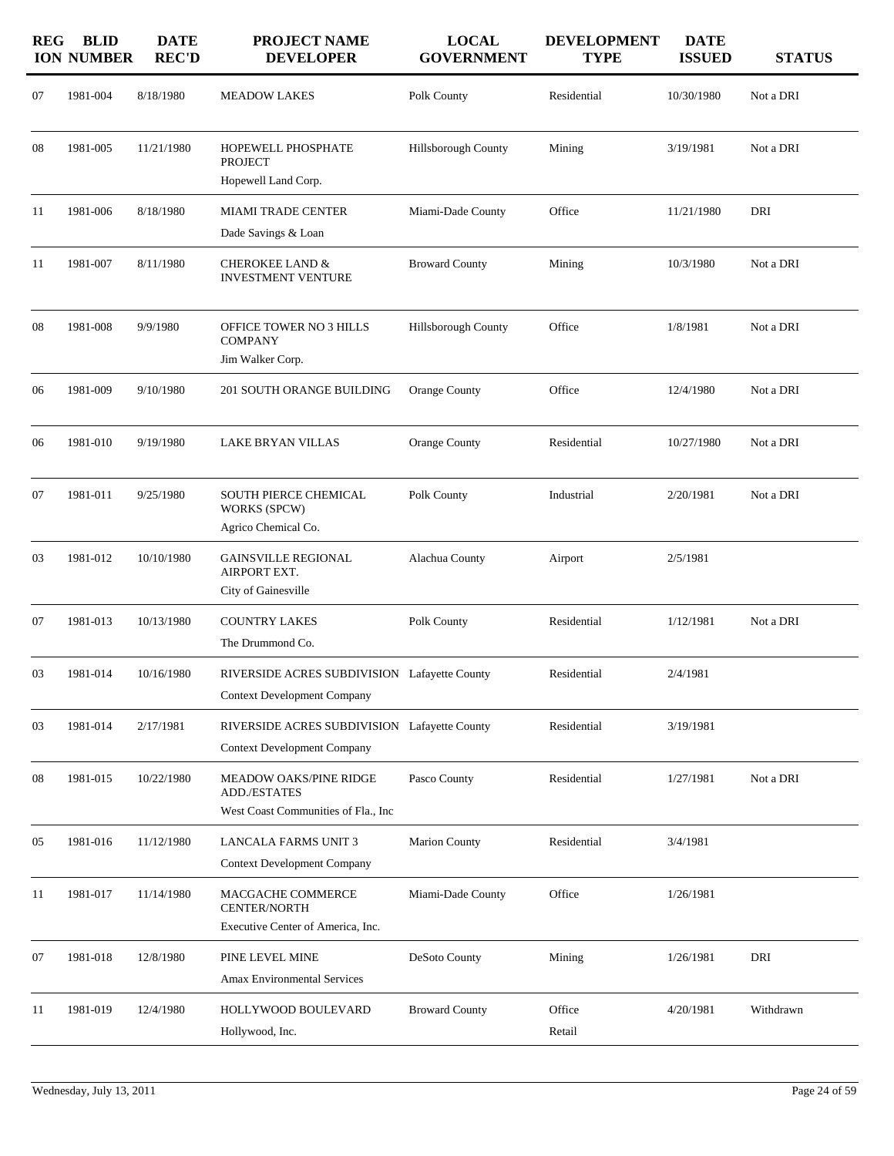| <b>REG</b> | <b>BLID</b><br><b>ION NUMBER</b> | <b>DATE</b><br><b>REC'D</b> | <b>PROJECT NAME</b><br><b>DEVELOPER</b>                                            | <b>LOCAL</b><br><b>GOVERNMENT</b> | <b>DEVELOPMENT</b><br><b>TYPE</b> | <b>DATE</b><br><b>ISSUED</b> | <b>STATUS</b> |
|------------|----------------------------------|-----------------------------|------------------------------------------------------------------------------------|-----------------------------------|-----------------------------------|------------------------------|---------------|
| 07         | 1981-004                         | 8/18/1980                   | <b>MEADOW LAKES</b>                                                                | Polk County                       | Residential                       | 10/30/1980                   | Not a DRI     |
| 08         | 1981-005                         | 11/21/1980                  | HOPEWELL PHOSPHATE<br><b>PROJECT</b>                                               | Hillsborough County               | Mining                            | 3/19/1981                    | Not a DRI     |
|            |                                  |                             | Hopewell Land Corp.                                                                |                                   |                                   |                              |               |
| 11         | 1981-006                         | 8/18/1980                   | <b>MIAMI TRADE CENTER</b>                                                          | Miami-Dade County                 | Office                            | 11/21/1980                   | DRI           |
|            |                                  |                             | Dade Savings & Loan                                                                |                                   |                                   |                              |               |
| 11         | 1981-007                         | 8/11/1980                   | <b>CHEROKEE LAND &amp;</b><br><b>INVESTMENT VENTURE</b>                            | <b>Broward County</b>             | Mining                            | 10/3/1980                    | Not a DRI     |
| 08         | 1981-008                         | 9/9/1980                    | OFFICE TOWER NO 3 HILLS<br><b>COMPANY</b><br>Jim Walker Corp.                      | <b>Hillsborough County</b>        | Office                            | 1/8/1981                     | Not a DRI     |
| 06         | 1981-009                         | 9/10/1980                   | 201 SOUTH ORANGE BUILDING                                                          | <b>Orange County</b>              | Office                            | 12/4/1980                    | Not a DRI     |
| 06         | 1981-010                         | 9/19/1980                   | <b>LAKE BRYAN VILLAS</b>                                                           | Orange County                     | Residential                       | 10/27/1980                   | Not a DRI     |
| 07         | 1981-011                         | 9/25/1980                   | SOUTH PIERCE CHEMICAL<br>WORKS (SPCW)<br>Agrico Chemical Co.                       | Polk County                       | Industrial                        | 2/20/1981                    | Not a DRI     |
| 03         | 1981-012                         | 10/10/1980                  | <b>GAINSVILLE REGIONAL</b><br>AIRPORT EXT.<br>City of Gainesville                  | Alachua County                    | Airport                           | 2/5/1981                     |               |
| 07         | 1981-013                         | 10/13/1980                  | <b>COUNTRY LAKES</b><br>The Drummond Co.                                           | Polk County                       | Residential                       | 1/12/1981                    | Not a DRI     |
| 03         | 1981-014                         | 10/16/1980                  | RIVERSIDE ACRES SUBDIVISION Lafayette County<br><b>Context Development Company</b> |                                   | Residential                       | 2/4/1981                     |               |
| 03         | 1981-014                         | 2/17/1981                   | RIVERSIDE ACRES SUBDIVISION Lafayette County<br><b>Context Development Company</b> |                                   | Residential                       | 3/19/1981                    |               |
| 08         | 1981-015                         | 10/22/1980                  | <b>MEADOW OAKS/PINE RIDGE</b><br><b>ADD./ESTATES</b>                               | Pasco County                      | Residential                       | 1/27/1981                    | Not a DRI     |
|            |                                  |                             | West Coast Communities of Fla., Inc                                                |                                   |                                   |                              |               |
| 05         | 1981-016                         | 11/12/1980                  | <b>LANCALA FARMS UNIT 3</b><br><b>Context Development Company</b>                  | <b>Marion County</b>              | Residential                       | 3/4/1981                     |               |
| 11         | 1981-017                         | 11/14/1980                  | MACGACHE COMMERCE<br><b>CENTER/NORTH</b><br>Executive Center of America, Inc.      | Miami-Dade County                 | Office                            | 1/26/1981                    |               |
| 07         | 1981-018                         | 12/8/1980                   | PINE LEVEL MINE<br><b>Amax Environmental Services</b>                              | DeSoto County                     | Mining                            | 1/26/1981                    | DRI           |
| 11         | 1981-019                         | 12/4/1980                   | HOLLYWOOD BOULEVARD<br>Hollywood, Inc.                                             | <b>Broward County</b>             | Office<br>Retail                  | 4/20/1981                    | Withdrawn     |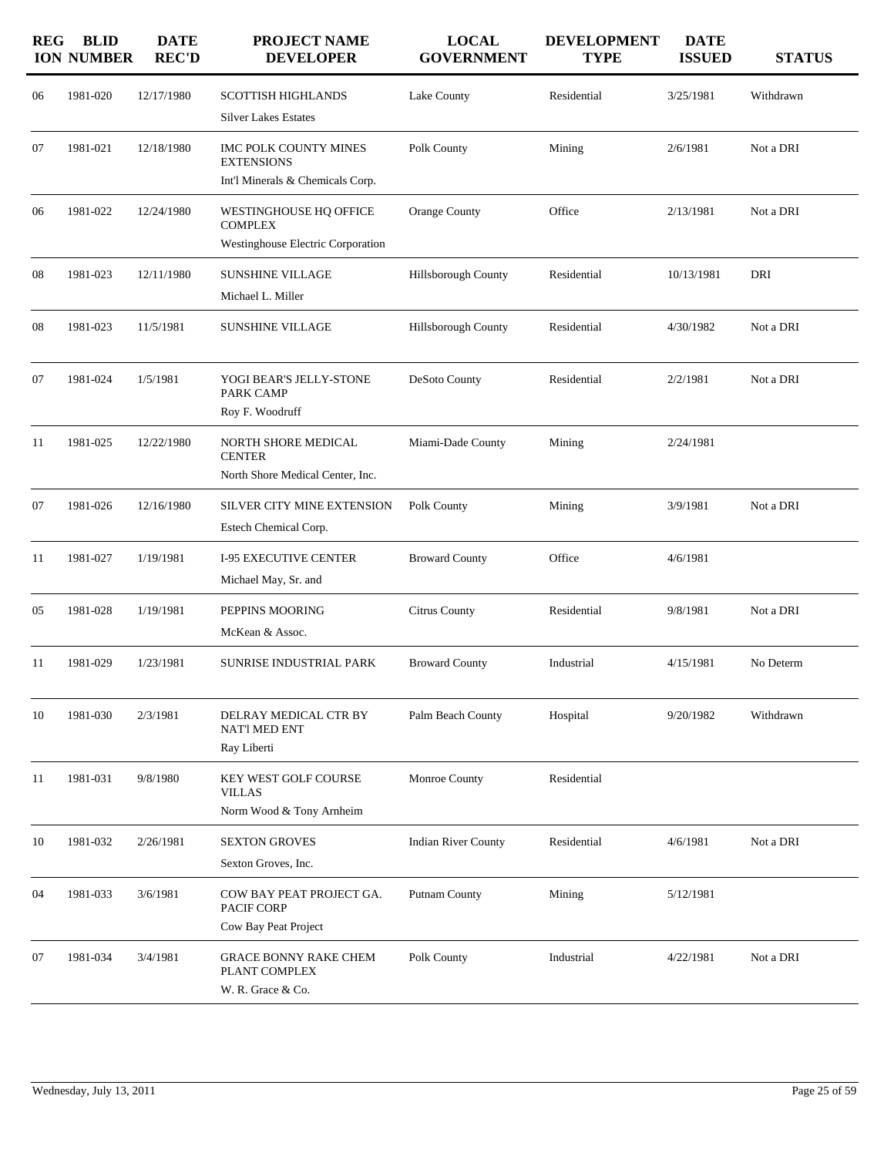| <b>REG</b> | <b>BLID</b><br><b>ION NUMBER</b> | <b>DATE</b><br><b>REC'D</b> | PROJECT NAME<br><b>DEVELOPER</b>                                                            | <b>LOCAL</b><br><b>GOVERNMENT</b> | <b>DEVELOPMENT</b><br><b>TYPE</b> | <b>DATE</b><br><b>ISSUED</b> | <b>STATUS</b> |
|------------|----------------------------------|-----------------------------|---------------------------------------------------------------------------------------------|-----------------------------------|-----------------------------------|------------------------------|---------------|
| 06         | 1981-020                         | 12/17/1980                  | <b>SCOTTISH HIGHLANDS</b><br><b>Silver Lakes Estates</b>                                    | Lake County                       | Residential                       | 3/25/1981                    | Withdrawn     |
| 07         | 1981-021                         | 12/18/1980                  | IMC POLK COUNTY MINES<br><b>EXTENSIONS</b><br>Int'l Minerals & Chemicals Corp.              | Polk County                       | Mining                            | 2/6/1981                     | Not a DRI     |
| 06         | 1981-022                         | 12/24/1980                  | WESTINGHOUSE HQ OFFICE<br><b>COMPLEX</b><br>Westinghouse Electric Corporation               | Orange County                     | Office                            | 2/13/1981                    | Not a DRI     |
| 08         | 1981-023                         | 12/11/1980                  | <b>SUNSHINE VILLAGE</b><br>Michael L. Miller                                                | Hillsborough County               | Residential                       | 10/13/1981                   | DRI           |
| 08         | 1981-023                         | 11/5/1981                   | <b>SUNSHINE VILLAGE</b>                                                                     | Hillsborough County               | Residential                       | 4/30/1982                    | Not a DRI     |
| 07         | 1981-024                         | 1/5/1981                    | YOGI BEAR'S JELLY-STONE<br>PARK CAMP                                                        | DeSoto County                     | Residential                       | 2/2/1981                     | Not a DRI     |
| 11         | 1981-025                         | 12/22/1980                  | Roy F. Woodruff<br>NORTH SHORE MEDICAL<br><b>CENTER</b><br>North Shore Medical Center, Inc. | Miami-Dade County                 | Mining                            | 2/24/1981                    |               |
| 07         | 1981-026                         | 12/16/1980                  | SILVER CITY MINE EXTENSION<br>Estech Chemical Corp.                                         | Polk County                       | Mining                            | 3/9/1981                     | Not a DRI     |
| 11         | 1981-027                         | 1/19/1981                   | <b>I-95 EXECUTIVE CENTER</b><br>Michael May, Sr. and                                        | <b>Broward County</b>             | Office                            | 4/6/1981                     |               |
| 05         | 1981-028                         | 1/19/1981                   | PEPPINS MOORING<br>McKean & Assoc.                                                          | Citrus County                     | Residential                       | 9/8/1981                     | Not a DRI     |
| 11         | 1981-029                         | 1/23/1981                   | SUNRISE INDUSTRIAL PARK                                                                     | <b>Broward County</b>             | Industrial                        | 4/15/1981                    | No Determ     |
| 10         | 1981-030                         | 2/3/1981                    | DELRAY MEDICAL CTR BY<br><b>NAT'l MED ENT</b><br>Ray Liberti                                | Palm Beach County                 | Hospital                          | 9/20/1982                    | Withdrawn     |
| 11         | 1981-031                         | 9/8/1980                    | <b>KEY WEST GOLF COURSE</b><br>VILLAS<br>Norm Wood & Tony Arnheim                           | Monroe County                     | Residential                       |                              |               |
| 10         | 1981-032                         | 2/26/1981                   | <b>SEXTON GROVES</b><br>Sexton Groves, Inc.                                                 | <b>Indian River County</b>        | Residential                       | 4/6/1981                     | Not a DRI     |
| 04         | 1981-033                         | 3/6/1981                    | COW BAY PEAT PROJECT GA.<br>PACIF CORP<br>Cow Bay Peat Project                              | Putnam County                     | Mining                            | 5/12/1981                    |               |
| 07         | 1981-034                         | 3/4/1981                    | <b>GRACE BONNY RAKE CHEM</b><br>PLANT COMPLEX<br>W. R. Grace & Co.                          | Polk County                       | Industrial                        | 4/22/1981                    | Not a DRI     |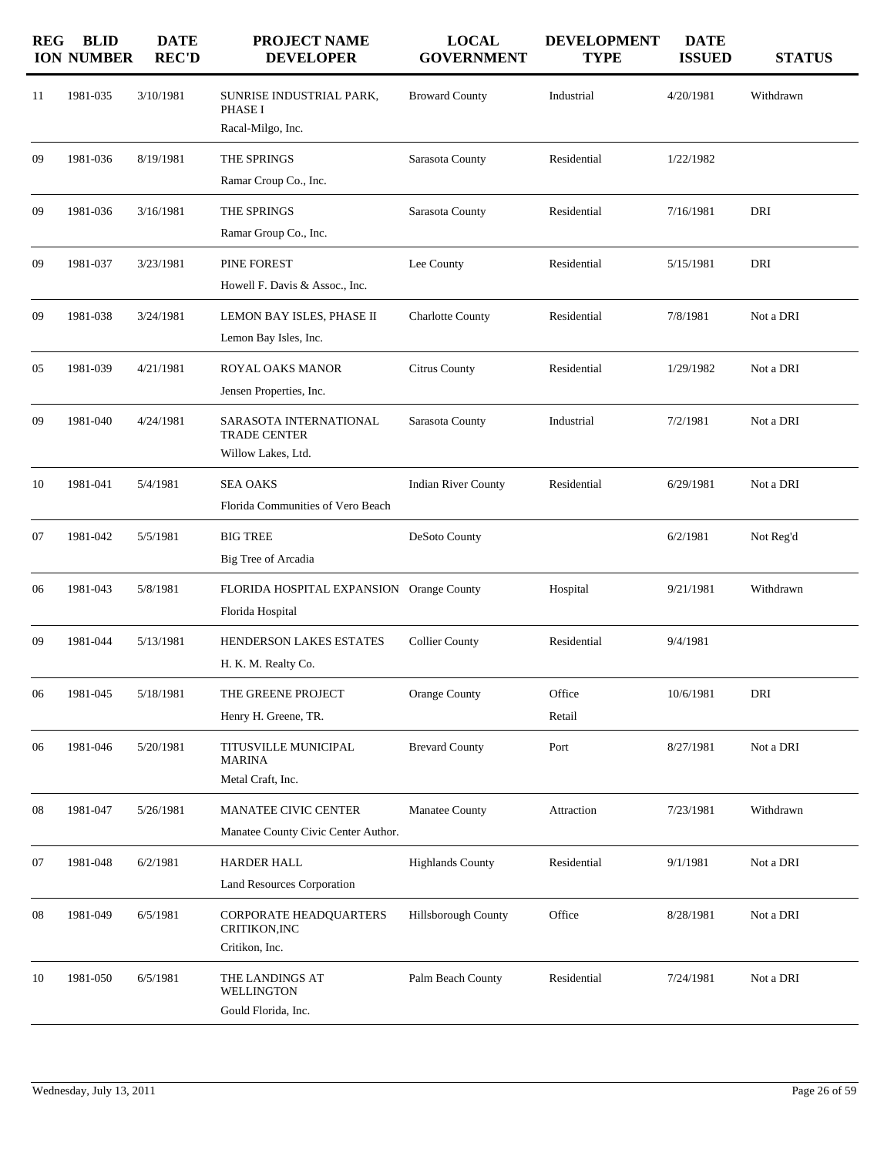| <b>REG</b> | <b>BLID</b><br><b>ION NUMBER</b> | <b>DATE</b><br><b>REC'D</b> | <b>PROJECT NAME</b><br><b>DEVELOPER</b>                             | <b>LOCAL</b><br><b>GOVERNMENT</b> | <b>DEVELOPMENT</b><br><b>TYPE</b> | <b>DATE</b><br><b>ISSUED</b> | <b>STATUS</b> |
|------------|----------------------------------|-----------------------------|---------------------------------------------------------------------|-----------------------------------|-----------------------------------|------------------------------|---------------|
| 11         | 1981-035                         | 3/10/1981                   | SUNRISE INDUSTRIAL PARK,<br>PHASE I<br>Racal-Milgo, Inc.            | <b>Broward County</b>             | Industrial                        | 4/20/1981                    | Withdrawn     |
| 09         | 1981-036                         | 8/19/1981                   | THE SPRINGS<br>Ramar Croup Co., Inc.                                | Sarasota County                   | Residential                       | 1/22/1982                    |               |
| 09         | 1981-036                         | 3/16/1981                   | THE SPRINGS<br>Ramar Group Co., Inc.                                | Sarasota County                   | Residential                       | 7/16/1981                    | DRI           |
| 09         | 1981-037                         | 3/23/1981                   | PINE FOREST<br>Howell F. Davis & Assoc., Inc.                       | Lee County                        | Residential                       | 5/15/1981                    | DRI           |
| 09         | 1981-038                         | 3/24/1981                   | LEMON BAY ISLES, PHASE II<br>Lemon Bay Isles, Inc.                  | <b>Charlotte County</b>           | Residential                       | 7/8/1981                     | Not a DRI     |
| 05         | 1981-039                         | 4/21/1981                   | <b>ROYAL OAKS MANOR</b><br>Jensen Properties, Inc.                  | <b>Citrus County</b>              | Residential                       | 1/29/1982                    | Not a DRI     |
| 09         | 1981-040                         | 4/24/1981                   | SARASOTA INTERNATIONAL<br><b>TRADE CENTER</b><br>Willow Lakes, Ltd. | Sarasota County                   | Industrial                        | 7/2/1981                     | Not a DRI     |
| 10         | 1981-041                         | 5/4/1981                    | <b>SEA OAKS</b><br>Florida Communities of Vero Beach                | <b>Indian River County</b>        | Residential                       | 6/29/1981                    | Not a DRI     |
| 07         | 1981-042                         | 5/5/1981                    | <b>BIG TREE</b><br>Big Tree of Arcadia                              | DeSoto County                     |                                   | 6/2/1981                     | Not Reg'd     |
| 06         | 1981-043                         | 5/8/1981                    | FLORIDA HOSPITAL EXPANSION Orange County<br>Florida Hospital        |                                   | Hospital                          | 9/21/1981                    | Withdrawn     |
| 09         | 1981-044                         | 5/13/1981                   | HENDERSON LAKES ESTATES<br>H. K. M. Realty Co.                      | <b>Collier County</b>             | Residential                       | 9/4/1981                     |               |
| 06         | 1981-045                         | 5/18/1981                   | THE GREENE PROJECT<br>Henry H. Greene, TR.                          | Orange County                     | Office<br>Retail                  | 10/6/1981                    | DRI           |
| 06         | 1981-046                         | 5/20/1981                   | TITUSVILLE MUNICIPAL<br><b>MARINA</b><br>Metal Craft, Inc.          | <b>Brevard County</b>             | Port                              | 8/27/1981                    | Not a DRI     |
| 08         | 1981-047                         | 5/26/1981                   | <b>MANATEE CIVIC CENTER</b><br>Manatee County Civic Center Author.  | Manatee County                    | Attraction                        | 7/23/1981                    | Withdrawn     |
| 07         | 1981-048                         | 6/2/1981                    | <b>HARDER HALL</b><br>Land Resources Corporation                    | <b>Highlands County</b>           | Residential                       | 9/1/1981                     | Not a DRI     |
| 08         | 1981-049                         | 6/5/1981                    | CORPORATE HEADQUARTERS<br>CRITIKON, INC<br>Critikon, Inc.           | Hillsborough County               | Office                            | 8/28/1981                    | Not a DRI     |
| 10         | 1981-050                         | 6/5/1981                    | THE LANDINGS AT<br><b>WELLINGTON</b><br>Gould Florida, Inc.         | Palm Beach County                 | Residential                       | 7/24/1981                    | Not a DRI     |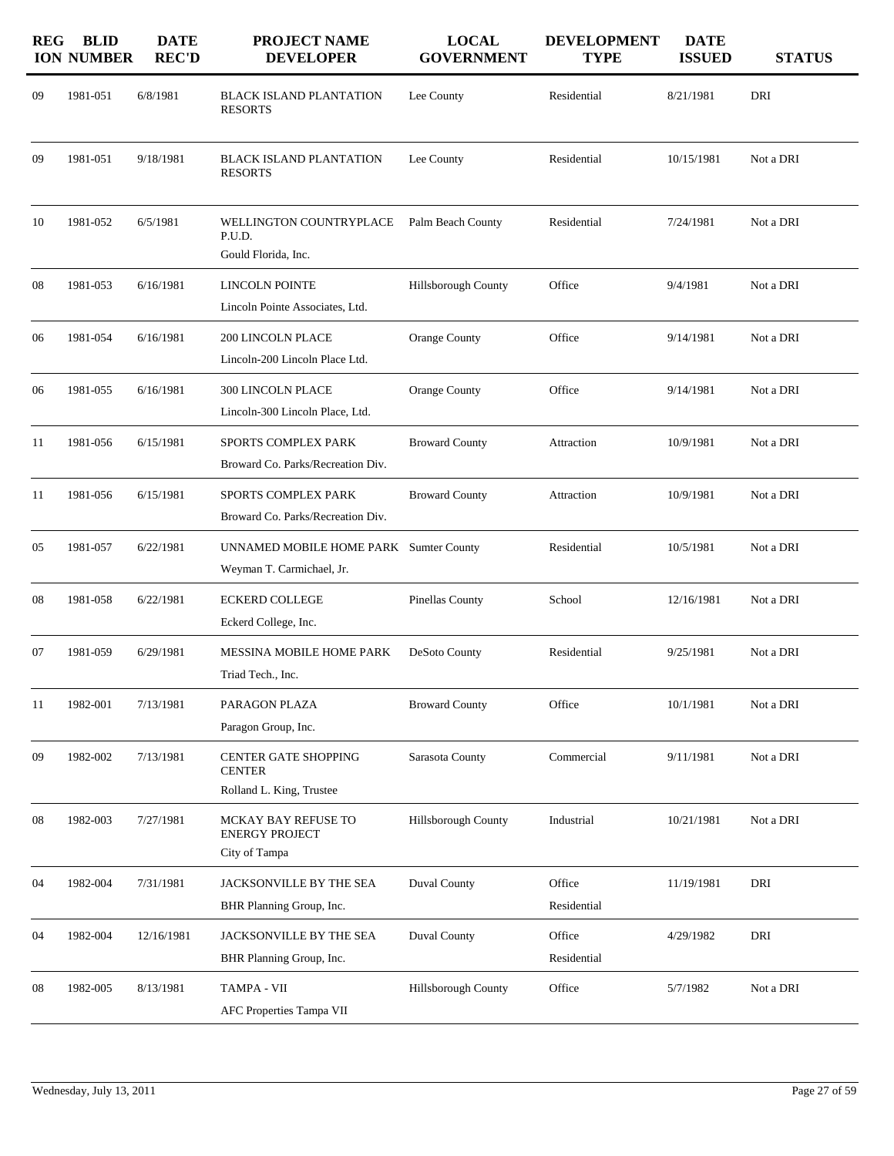| <b>REG</b> | <b>BLID</b><br><b>ION NUMBER</b> | <b>DATE</b><br><b>REC'D</b> | PROJECT NAME<br><b>DEVELOPER</b>                                         | <b>LOCAL</b><br><b>GOVERNMENT</b> | <b>DEVELOPMENT</b><br><b>TYPE</b> | <b>DATE</b><br><b>ISSUED</b> | <b>STATUS</b> |
|------------|----------------------------------|-----------------------------|--------------------------------------------------------------------------|-----------------------------------|-----------------------------------|------------------------------|---------------|
| 09         | 1981-051                         | 6/8/1981                    | <b>BLACK ISLAND PLANTATION</b><br><b>RESORTS</b>                         | Lee County                        | Residential                       | 8/21/1981                    | DRI           |
| 09         | 1981-051                         | 9/18/1981                   | <b>BLACK ISLAND PLANTATION</b><br><b>RESORTS</b>                         | Lee County                        | Residential                       | 10/15/1981                   | Not a DRI     |
| 10         | 1981-052                         | 6/5/1981                    | WELLINGTON COUNTRYPLACE<br>P.U.D.<br>Gould Florida, Inc.                 | Palm Beach County                 | Residential                       | 7/24/1981                    | Not a DRI     |
| 08         | 1981-053                         | 6/16/1981                   | <b>LINCOLN POINTE</b><br>Lincoln Pointe Associates, Ltd.                 | Hillsborough County               | Office                            | 9/4/1981                     | Not a DRI     |
| 06         | 1981-054                         | 6/16/1981                   | <b>200 LINCOLN PLACE</b><br>Lincoln-200 Lincoln Place Ltd.               | <b>Orange County</b>              | Office                            | 9/14/1981                    | Not a DRI     |
| 06         | 1981-055                         | 6/16/1981                   | 300 LINCOLN PLACE<br>Lincoln-300 Lincoln Place, Ltd.                     | <b>Orange County</b>              | Office                            | 9/14/1981                    | Not a DRI     |
| 11         | 1981-056                         | 6/15/1981                   | <b>SPORTS COMPLEX PARK</b><br>Broward Co. Parks/Recreation Div.          | <b>Broward County</b>             | Attraction                        | 10/9/1981                    | Not a DRI     |
| 11         | 1981-056                         | 6/15/1981                   | <b>SPORTS COMPLEX PARK</b><br>Broward Co. Parks/Recreation Div.          | <b>Broward County</b>             | Attraction                        | 10/9/1981                    | Not a DRI     |
| 05         | 1981-057                         | 6/22/1981                   | UNNAMED MOBILE HOME PARK Sumter County<br>Weyman T. Carmichael, Jr.      |                                   | Residential                       | 10/5/1981                    | Not a DRI     |
| 08         | 1981-058                         | 6/22/1981                   | <b>ECKERD COLLEGE</b><br>Eckerd College, Inc.                            | Pinellas County                   | School                            | 12/16/1981                   | Not a DRI     |
| 07         | 1981-059                         | 6/29/1981                   | <b>MESSINA MOBILE HOME PARK</b><br>Triad Tech., Inc.                     | DeSoto County                     | Residential                       | 9/25/1981                    | Not a DRI     |
| 11         | 1982-001                         | 7/13/1981                   | PARAGON PLAZA<br>Paragon Group, Inc.                                     | <b>Broward County</b>             | Office                            | 10/1/1981                    | Not a DRI     |
| 09         | 1982-002                         | 7/13/1981                   | <b>CENTER GATE SHOPPING</b><br><b>CENTER</b><br>Rolland L. King, Trustee | Sarasota County                   | Commercial                        | 9/11/1981                    | Not a DRI     |
| 08         | 1982-003                         | 7/27/1981                   | MCKAY BAY REFUSE TO<br><b>ENERGY PROJECT</b><br>City of Tampa            | Hillsborough County               | Industrial                        | 10/21/1981                   | Not a DRI     |
| 04         | 1982-004                         | 7/31/1981                   | JACKSONVILLE BY THE SEA<br>BHR Planning Group, Inc.                      | Duval County                      | Office<br>Residential             | 11/19/1981                   | DRI           |
| 04         | 1982-004                         | 12/16/1981                  | JACKSONVILLE BY THE SEA<br>BHR Planning Group, Inc.                      | Duval County                      | Office<br>Residential             | 4/29/1982                    | DRI           |
| 08         | 1982-005                         | 8/13/1981                   | TAMPA - VII<br>AFC Properties Tampa VII                                  | Hillsborough County               | Office                            | 5/7/1982                     | Not a DRI     |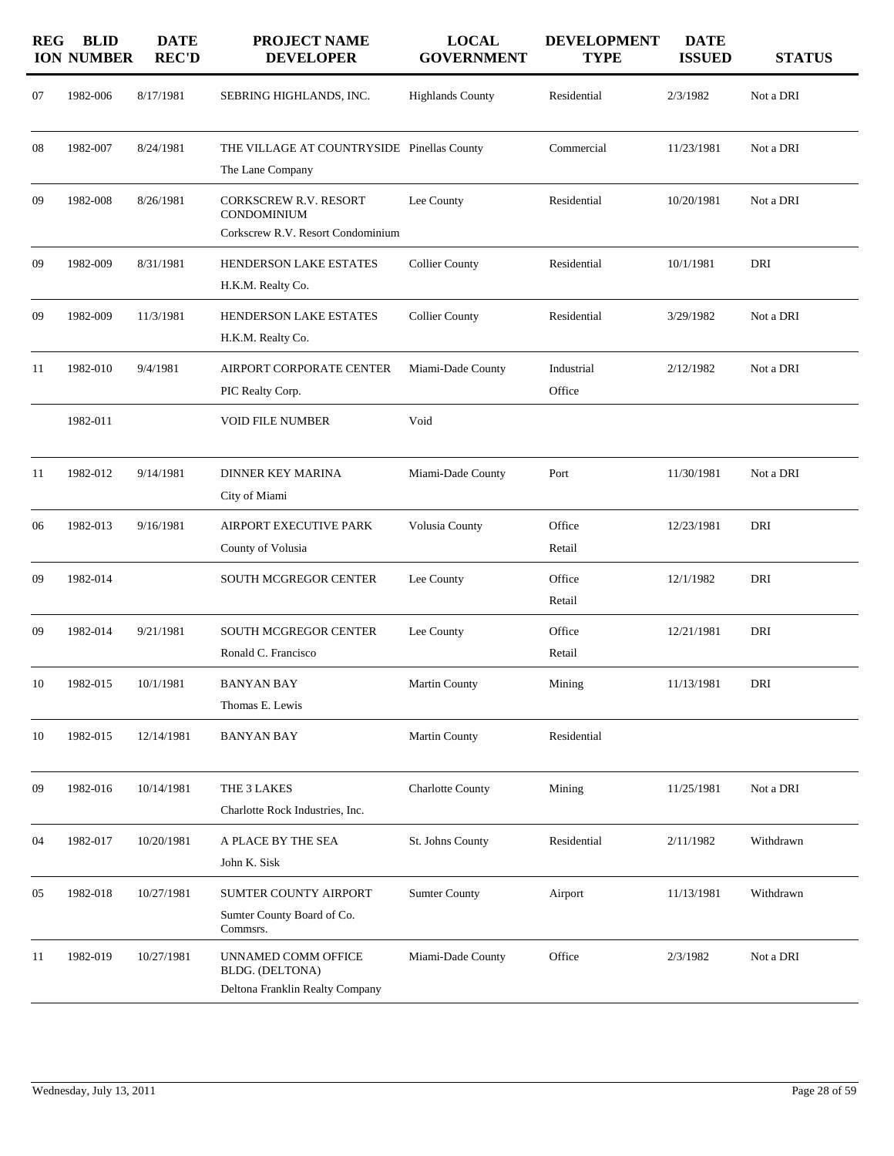| <b>REG</b> | <b>BLID</b><br><b>ION NUMBER</b> | <b>DATE</b><br><b>REC'D</b> | <b>PROJECT NAME</b><br><b>DEVELOPER</b>                                          | <b>LOCAL</b><br><b>GOVERNMENT</b> | <b>DEVELOPMENT</b><br><b>TYPE</b> | <b>DATE</b><br><b>ISSUED</b> | <b>STATUS</b> |
|------------|----------------------------------|-----------------------------|----------------------------------------------------------------------------------|-----------------------------------|-----------------------------------|------------------------------|---------------|
| 07         | 1982-006                         | 8/17/1981                   | SEBRING HIGHLANDS, INC.                                                          | <b>Highlands County</b>           | Residential                       | 2/3/1982                     | Not a DRI     |
| 08         | 1982-007                         | 8/24/1981                   | THE VILLAGE AT COUNTRYSIDE Pinellas County<br>The Lane Company                   |                                   | Commercial                        | 11/23/1981                   | Not a DRI     |
| 09         | 1982-008                         | 8/26/1981                   | <b>CORKSCREW R.V. RESORT</b><br>CONDOMINIUM<br>Corkscrew R.V. Resort Condominium | Lee County                        | Residential                       | 10/20/1981                   | Not a DRI     |
| 09         | 1982-009                         | 8/31/1981                   | <b>HENDERSON LAKE ESTATES</b><br>H.K.M. Realty Co.                               | <b>Collier County</b>             | Residential                       | 10/1/1981                    | DRI           |
| 09         | 1982-009                         | 11/3/1981                   | HENDERSON LAKE ESTATES<br>H.K.M. Realty Co.                                      | <b>Collier County</b>             | Residential                       | 3/29/1982                    | Not a DRI     |
| 11         | 1982-010                         | 9/4/1981                    | AIRPORT CORPORATE CENTER<br>PIC Realty Corp.                                     | Miami-Dade County                 | Industrial<br>Office              | 2/12/1982                    | Not a DRI     |
|            | 1982-011                         |                             | <b>VOID FILE NUMBER</b>                                                          | Void                              |                                   |                              |               |
| 11         | 1982-012                         | 9/14/1981                   | <b>DINNER KEY MARINA</b><br>City of Miami                                        | Miami-Dade County                 | Port                              | 11/30/1981                   | Not a DRI     |
| 06         | 1982-013                         | 9/16/1981                   | AIRPORT EXECUTIVE PARK<br>County of Volusia                                      | Volusia County                    | Office<br>Retail                  | 12/23/1981                   | DRI           |
| 09         | 1982-014                         |                             | <b>SOUTH MCGREGOR CENTER</b>                                                     | Lee County                        | Office<br>Retail                  | 12/1/1982                    | DRI           |
| 09         | 1982-014                         | 9/21/1981                   | <b>SOUTH MCGREGOR CENTER</b><br>Ronald C. Francisco                              | Lee County                        | Office<br>Retail                  | 12/21/1981                   | DRI           |
| 10         | 1982-015                         | 10/1/1981                   | <b>BANYAN BAY</b><br>Thomas E. Lewis                                             | Martin County                     | Mining                            | 11/13/1981                   | DRI           |
| 10         | 1982-015                         | 12/14/1981                  | <b>BANYAN BAY</b>                                                                | <b>Martin County</b>              | Residential                       |                              |               |
| 09         | 1982-016                         | 10/14/1981                  | THE 3 LAKES<br>Charlotte Rock Industries, Inc.                                   | Charlotte County                  | Mining                            | 11/25/1981                   | Not a DRI     |
| 04         | 1982-017                         | 10/20/1981                  | A PLACE BY THE SEA<br>John K. Sisk                                               | St. Johns County                  | Residential                       | 2/11/1982                    | Withdrawn     |
| 05         | 1982-018                         | 10/27/1981                  | <b>SUMTER COUNTY AIRPORT</b><br>Sumter County Board of Co.<br>Commsrs.           | <b>Sumter County</b>              | Airport                           | 11/13/1981                   | Withdrawn     |
| 11         | 1982-019                         | 10/27/1981                  | UNNAMED COMM OFFICE<br>BLDG. (DELTONA)<br>Deltona Franklin Realty Company        | Miami-Dade County                 | Office                            | 2/3/1982                     | Not a DRI     |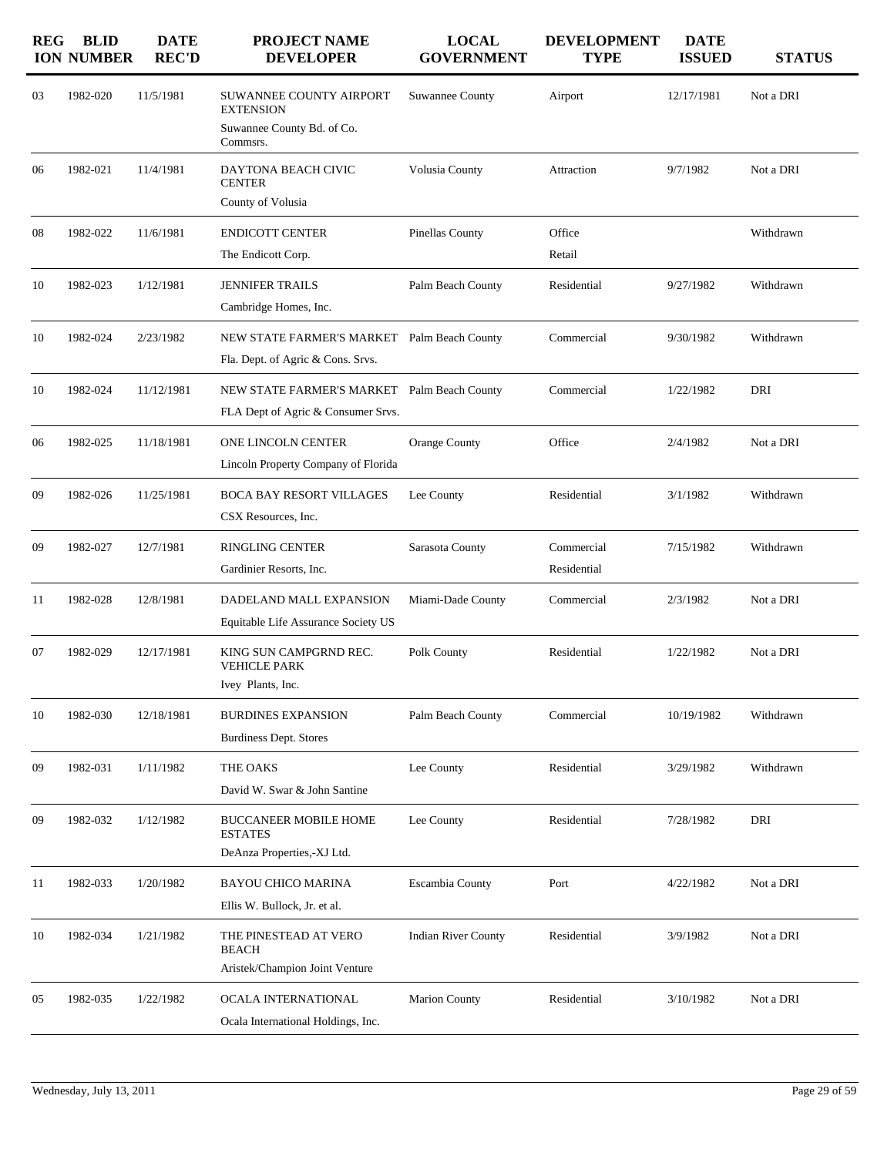| <b>REG</b> | <b>BLID</b><br><b>ION NUMBER</b> | <b>DATE</b><br><b>REC'D</b> | PROJECT NAME<br><b>DEVELOPER</b>                                                             | <b>LOCAL</b><br><b>GOVERNMENT</b> | <b>DEVELOPMENT</b><br><b>TYPE</b> | <b>DATE</b><br><b>ISSUED</b> | <b>STATUS</b> |
|------------|----------------------------------|-----------------------------|----------------------------------------------------------------------------------------------|-----------------------------------|-----------------------------------|------------------------------|---------------|
| 03         | 1982-020                         | 11/5/1981                   | <b>SUWANNEE COUNTY AIRPORT</b><br><b>EXTENSION</b><br>Suwannee County Bd. of Co.<br>Commsrs. | <b>Suwannee County</b>            | Airport                           | 12/17/1981                   | Not a DRI     |
| 06         | 1982-021                         | 11/4/1981                   | DAYTONA BEACH CIVIC<br><b>CENTER</b><br>County of Volusia                                    | Volusia County                    | Attraction                        | 9/7/1982                     | Not a DRI     |
| 08         | 1982-022                         | 11/6/1981                   | <b>ENDICOTT CENTER</b><br>The Endicott Corp.                                                 | <b>Pinellas County</b>            | Office<br>Retail                  |                              | Withdrawn     |
| 10         | 1982-023                         | 1/12/1981                   | <b>JENNIFER TRAILS</b><br>Cambridge Homes, Inc.                                              | Palm Beach County                 | Residential                       | 9/27/1982                    | Withdrawn     |
| 10         | 1982-024                         | 2/23/1982                   | NEW STATE FARMER'S MARKET Palm Beach County<br>Fla. Dept. of Agric & Cons. Srvs.             |                                   | Commercial                        | 9/30/1982                    | Withdrawn     |
| 10         | 1982-024                         | 11/12/1981                  | NEW STATE FARMER'S MARKET Palm Beach County<br>FLA Dept of Agric & Consumer Srvs.            |                                   | Commercial                        | 1/22/1982                    | DRI           |
| 06         | 1982-025                         | 11/18/1981                  | ONE LINCOLN CENTER<br>Lincoln Property Company of Florida                                    | <b>Orange County</b>              | Office                            | 2/4/1982                     | Not a DRI     |
| 09         | 1982-026                         | 11/25/1981                  | <b>BOCA BAY RESORT VILLAGES</b><br>CSX Resources, Inc.                                       | Lee County                        | Residential                       | 3/1/1982                     | Withdrawn     |
| 09         | 1982-027                         | 12/7/1981                   | <b>RINGLING CENTER</b><br>Gardinier Resorts, Inc.                                            | Sarasota County                   | Commercial<br>Residential         | 7/15/1982                    | Withdrawn     |
| 11         | 1982-028                         | 12/8/1981                   | DADELAND MALL EXPANSION<br>Equitable Life Assurance Society US                               | Miami-Dade County                 | Commercial                        | 2/3/1982                     | Not a DRI     |
| 07         | 1982-029                         | 12/17/1981                  | KING SUN CAMPGRND REC.<br><b>VEHICLE PARK</b><br>Ivey Plants, Inc.                           | Polk County                       | Residential                       | 1/22/1982                    | Not a DRI     |
| 10         | 1982-030                         | 12/18/1981                  | <b>BURDINES EXPANSION</b><br><b>Burdiness Dept. Stores</b>                                   | Palm Beach County                 | Commercial                        | 10/19/1982                   | Withdrawn     |
| 09         | 1982-031                         | 1/11/1982                   | THE OAKS<br>David W. Swar & John Santine                                                     | Lee County                        | Residential                       | 3/29/1982                    | Withdrawn     |
| 09         | 1982-032                         | 1/12/1982                   | <b>BUCCANEER MOBILE HOME</b><br><b>ESTATES</b><br>DeAnza Properties,-XJ Ltd.                 | Lee County                        | Residential                       | 7/28/1982                    | DRI           |
| 11         | 1982-033                         | 1/20/1982                   | BAYOU CHICO MARINA<br>Ellis W. Bullock, Jr. et al.                                           | Escambia County                   | Port                              | 4/22/1982                    | Not a DRI     |
| 10         | 1982-034                         | 1/21/1982                   | THE PINESTEAD AT VERO<br><b>BEACH</b><br>Aristek/Champion Joint Venture                      | <b>Indian River County</b>        | Residential                       | 3/9/1982                     | Not a DRI     |
| 05         | 1982-035                         | 1/22/1982                   | OCALA INTERNATIONAL<br>Ocala International Holdings, Inc.                                    | <b>Marion County</b>              | Residential                       | 3/10/1982                    | Not a DRI     |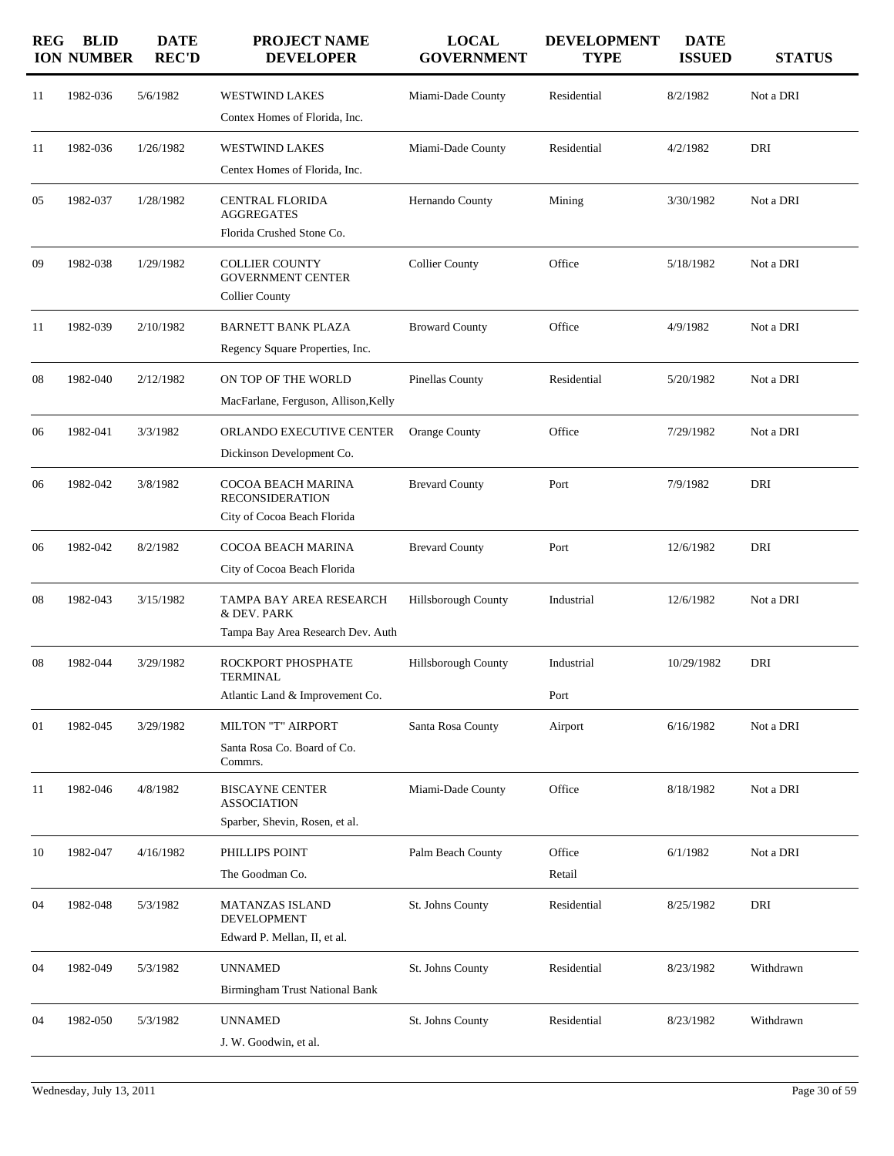| <b>REG</b> | <b>BLID</b><br><b>ION NUMBER</b> | <b>DATE</b><br><b>REC'D</b> | PROJECT NAME<br><b>DEVELOPER</b>                                               | <b>LOCAL</b><br><b>GOVERNMENT</b> | <b>DEVELOPMENT</b><br><b>TYPE</b> | <b>DATE</b><br><b>ISSUED</b> | <b>STATUS</b> |
|------------|----------------------------------|-----------------------------|--------------------------------------------------------------------------------|-----------------------------------|-----------------------------------|------------------------------|---------------|
| 11         | 1982-036                         | 5/6/1982                    | <b>WESTWIND LAKES</b><br>Contex Homes of Florida, Inc.                         | Miami-Dade County                 | Residential                       | 8/2/1982                     | Not a DRI     |
| 11         | 1982-036                         | 1/26/1982                   | <b>WESTWIND LAKES</b><br>Centex Homes of Florida, Inc.                         | Miami-Dade County                 | Residential                       | 4/2/1982                     | DRI           |
| 05         | 1982-037                         | 1/28/1982                   | <b>CENTRAL FLORIDA</b><br><b>AGGREGATES</b><br>Florida Crushed Stone Co.       | Hernando County                   | Mining                            | 3/30/1982                    | Not a DRI     |
| 09         | 1982-038                         | 1/29/1982                   | <b>COLLIER COUNTY</b><br><b>GOVERNMENT CENTER</b><br><b>Collier County</b>     | <b>Collier County</b>             | Office                            | 5/18/1982                    | Not a DRI     |
| 11         | 1982-039                         | 2/10/1982                   | <b>BARNETT BANK PLAZA</b><br>Regency Square Properties, Inc.                   | <b>Broward County</b>             | Office                            | 4/9/1982                     | Not a DRI     |
| 08         | 1982-040                         | 2/12/1982                   | ON TOP OF THE WORLD<br>MacFarlane, Ferguson, Allison, Kelly                    | <b>Pinellas County</b>            | Residential                       | 5/20/1982                    | Not a DRI     |
| 06         | 1982-041                         | 3/3/1982                    | ORLANDO EXECUTIVE CENTER<br>Dickinson Development Co.                          | <b>Orange County</b>              | Office                            | 7/29/1982                    | Not a DRI     |
| 06         | 1982-042                         | 3/8/1982                    | COCOA BEACH MARINA<br><b>RECONSIDERATION</b><br>City of Cocoa Beach Florida    | <b>Brevard County</b>             | Port                              | 7/9/1982                     | DRI           |
| 06         | 1982-042                         | 8/2/1982                    | COCOA BEACH MARINA<br>City of Cocoa Beach Florida                              | <b>Brevard County</b>             | Port                              | 12/6/1982                    | DRI           |
| 08         | 1982-043                         | 3/15/1982                   | TAMPA BAY AREA RESEARCH<br>& DEV. PARK                                         | Hillsborough County               | Industrial                        | 12/6/1982                    | Not a DRI     |
| 08         | 1982-044                         | 3/29/1982                   | Tampa Bay Area Research Dev. Auth<br>ROCKPORT PHOSPHATE<br><b>TERMINAL</b>     | <b>Hillsborough County</b>        | Industrial                        | 10/29/1982                   | DRI           |
|            |                                  |                             | Atlantic Land & Improvement Co.                                                |                                   | Port                              |                              |               |
| 01         | 1982-045                         | 3/29/1982                   | <b>MILTON "T" AIRPORT</b><br>Santa Rosa Co. Board of Co.<br>Commrs.            | Santa Rosa County                 | Airport                           | 6/16/1982                    | Not a DRI     |
| 11         | 1982-046                         | 4/8/1982                    | <b>BISCAYNE CENTER</b><br><b>ASSOCIATION</b><br>Sparber, Shevin, Rosen, et al. | Miami-Dade County                 | Office                            | 8/18/1982                    | Not a DRI     |
| 10         | 1982-047                         | 4/16/1982                   | PHILLIPS POINT<br>The Goodman Co.                                              | Palm Beach County                 | Office<br>Retail                  | 6/1/1982                     | Not a DRI     |
| 04         | 1982-048                         | 5/3/1982                    | MATANZAS ISLAND<br><b>DEVELOPMENT</b><br>Edward P. Mellan, II, et al.          | St. Johns County                  | Residential                       | 8/25/1982                    | DRI           |
| 04         | 1982-049                         | 5/3/1982                    | <b>UNNAMED</b><br>Birmingham Trust National Bank                               | St. Johns County                  | Residential                       | 8/23/1982                    | Withdrawn     |
| 04         | 1982-050                         | 5/3/1982                    | <b>UNNAMED</b><br>J. W. Goodwin, et al.                                        | St. Johns County                  | Residential                       | 8/23/1982                    | Withdrawn     |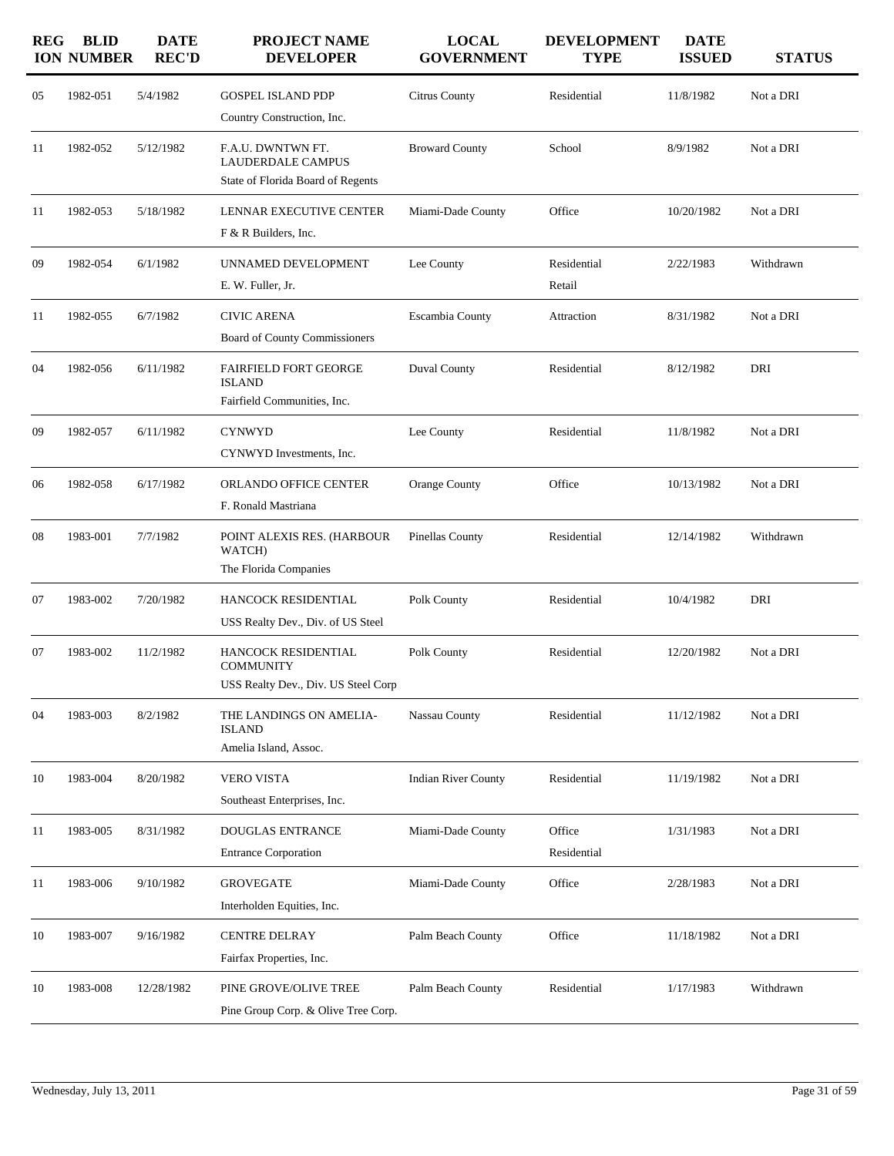| <b>REG</b> | <b>BLID</b><br><b>ION NUMBER</b> | <b>DATE</b><br><b>REC'D</b> | <b>PROJECT NAME</b><br><b>DEVELOPER</b>                                            | <b>LOCAL</b><br><b>GOVERNMENT</b> | <b>DEVELOPMENT</b><br><b>TYPE</b> | <b>DATE</b><br><b>ISSUED</b> | <b>STATUS</b> |
|------------|----------------------------------|-----------------------------|------------------------------------------------------------------------------------|-----------------------------------|-----------------------------------|------------------------------|---------------|
| 05         | 1982-051                         | 5/4/1982                    | <b>GOSPEL ISLAND PDP</b><br>Country Construction, Inc.                             | Citrus County                     | Residential                       | 11/8/1982                    | Not a DRI     |
| 11         | 1982-052                         | 5/12/1982                   | F.A.U. DWNTWN FT.<br><b>LAUDERDALE CAMPUS</b><br>State of Florida Board of Regents | <b>Broward County</b>             | School                            | 8/9/1982                     | Not a DRI     |
| 11         | 1982-053                         | 5/18/1982                   | LENNAR EXECUTIVE CENTER<br>F & R Builders, Inc.                                    | Miami-Dade County                 | Office                            | 10/20/1982                   | Not a DRI     |
| 09         | 1982-054                         | 6/1/1982                    | UNNAMED DEVELOPMENT<br>E. W. Fuller, Jr.                                           | Lee County                        | Residential<br>Retail             | 2/22/1983                    | Withdrawn     |
| 11         | 1982-055                         | 6/7/1982                    | <b>CIVIC ARENA</b><br>Board of County Commissioners                                | Escambia County                   | Attraction                        | 8/31/1982                    | Not a DRI     |
| 04         | 1982-056                         | 6/11/1982                   | <b>FAIRFIELD FORT GEORGE</b><br><b>ISLAND</b><br>Fairfield Communities, Inc.       | Duval County                      | Residential                       | 8/12/1982                    | DRI           |
| 09         | 1982-057                         | 6/11/1982                   | <b>CYNWYD</b><br>CYNWYD Investments, Inc.                                          | Lee County                        | Residential                       | 11/8/1982                    | Not a DRI     |
| 06         | 1982-058                         | 6/17/1982                   | ORLANDO OFFICE CENTER<br>F. Ronald Mastriana                                       | Orange County                     | Office                            | 10/13/1982                   | Not a DRI     |
| 08         | 1983-001                         | 7/7/1982                    | POINT ALEXIS RES. (HARBOUR<br>WATCH)<br>The Florida Companies                      | <b>Pinellas County</b>            | Residential                       | 12/14/1982                   | Withdrawn     |
| 07         | 1983-002                         | 7/20/1982                   | HANCOCK RESIDENTIAL<br>USS Realty Dev., Div. of US Steel                           | Polk County                       | Residential                       | 10/4/1982                    | DRI           |
| 07         | 1983-002                         | 11/2/1982                   | HANCOCK RESIDENTIAL<br><b>COMMUNITY</b><br>USS Realty Dev., Div. US Steel Corp     | Polk County                       | Residential                       | 12/20/1982                   | Not a DRI     |
| 04         | 1983-003                         | 8/2/1982                    | THE LANDINGS ON AMELIA-<br><b>ISLAND</b><br>Amelia Island, Assoc.                  | Nassau County                     | Residential                       | 11/12/1982                   | Not a DRI     |
| 10         | 1983-004                         | 8/20/1982                   | VERO VISTA<br>Southeast Enterprises, Inc.                                          | <b>Indian River County</b>        | Residential                       | 11/19/1982                   | Not a DRI     |
| 11         | 1983-005                         | 8/31/1982                   | <b>DOUGLAS ENTRANCE</b><br><b>Entrance Corporation</b>                             | Miami-Dade County                 | Office<br>Residential             | 1/31/1983                    | Not a DRI     |
| 11         | 1983-006                         | 9/10/1982                   | <b>GROVEGATE</b><br>Interholden Equities, Inc.                                     | Miami-Dade County                 | Office                            | 2/28/1983                    | Not a DRI     |
| 10         | 1983-007                         | 9/16/1982                   | <b>CENTRE DELRAY</b><br>Fairfax Properties, Inc.                                   | Palm Beach County                 | Office                            | 11/18/1982                   | Not a DRI     |
| 10         | 1983-008                         | 12/28/1982                  | PINE GROVE/OLIVE TREE<br>Pine Group Corp. & Olive Tree Corp.                       | Palm Beach County                 | Residential                       | 1/17/1983                    | Withdrawn     |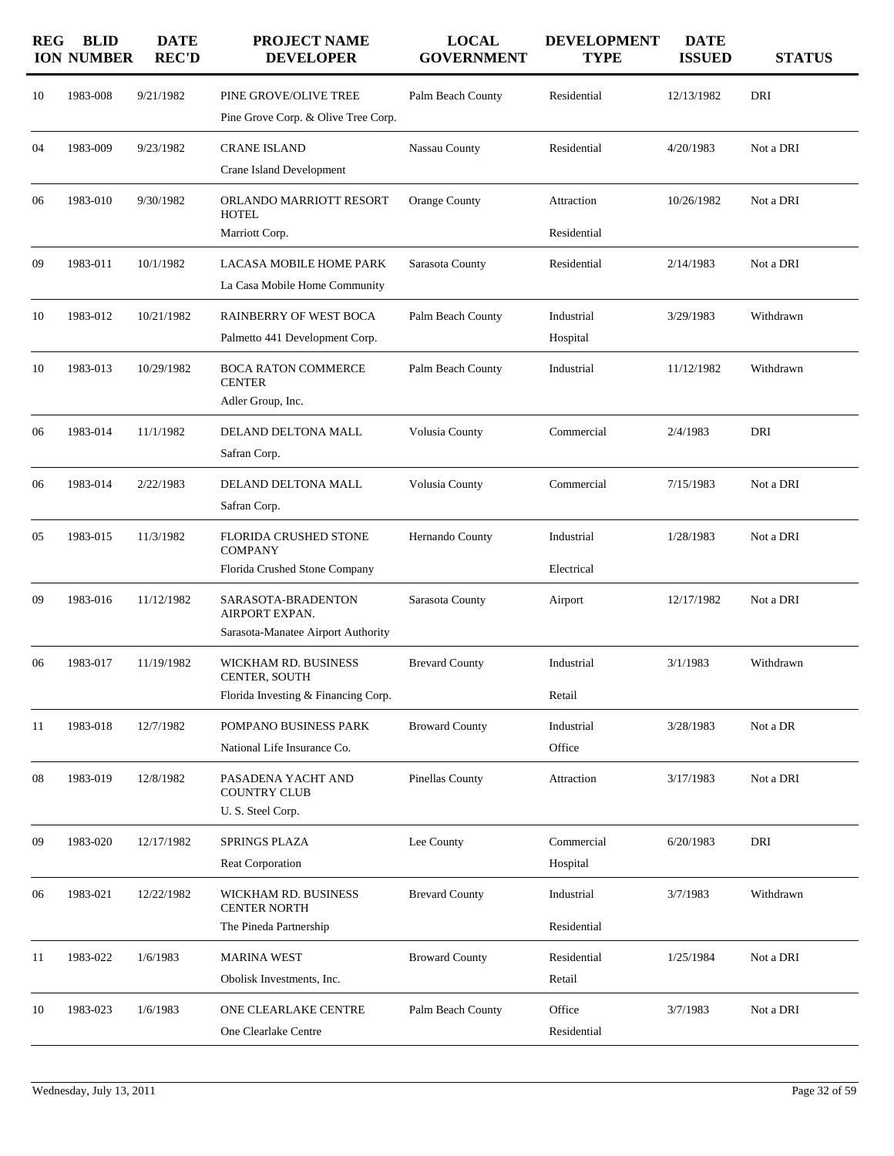| <b>REG</b> | <b>BLID</b><br><b>ION NUMBER</b> | <b>DATE</b><br><b>REC'D</b> | <b>PROJECT NAME</b><br><b>DEVELOPER</b>                                      | <b>LOCAL</b><br><b>GOVERNMENT</b> | <b>DEVELOPMENT</b><br><b>TYPE</b> | <b>DATE</b><br><b>ISSUED</b> | <b>STATUS</b> |
|------------|----------------------------------|-----------------------------|------------------------------------------------------------------------------|-----------------------------------|-----------------------------------|------------------------------|---------------|
| 10         | 1983-008                         | 9/21/1982                   | PINE GROVE/OLIVE TREE<br>Pine Grove Corp. & Olive Tree Corp.                 | Palm Beach County                 | Residential                       | 12/13/1982                   | DRI           |
| 04         | 1983-009                         | 9/23/1982                   | <b>CRANE ISLAND</b><br>Crane Island Development                              | Nassau County                     | Residential                       | 4/20/1983                    | Not a DRI     |
| 06         | 1983-010                         | 9/30/1982                   | ORLANDO MARRIOTT RESORT<br><b>HOTEL</b><br>Marriott Corp.                    | <b>Orange County</b>              | Attraction<br>Residential         | 10/26/1982                   | Not a DRI     |
| 09         | 1983-011                         | 10/1/1982                   | LACASA MOBILE HOME PARK<br>La Casa Mobile Home Community                     | Sarasota County                   | Residential                       | 2/14/1983                    | Not a DRI     |
| 10         | 1983-012                         | 10/21/1982                  | RAINBERRY OF WEST BOCA<br>Palmetto 441 Development Corp.                     | Palm Beach County                 | Industrial<br>Hospital            | 3/29/1983                    | Withdrawn     |
| 10         | 1983-013                         | 10/29/1982                  | <b>BOCA RATON COMMERCE</b><br><b>CENTER</b><br>Adler Group, Inc.             | Palm Beach County                 | Industrial                        | 11/12/1982                   | Withdrawn     |
| 06         | 1983-014                         | 11/1/1982                   | DELAND DELTONA MALL<br>Safran Corp.                                          | Volusia County                    | Commercial                        | 2/4/1983                     | DRI           |
| 06         | 1983-014                         | 2/22/1983                   | DELAND DELTONA MALL<br>Safran Corp.                                          | Volusia County                    | Commercial                        | 7/15/1983                    | Not a DRI     |
| 05         | 1983-015                         | 11/3/1982                   | FLORIDA CRUSHED STONE<br><b>COMPANY</b><br>Florida Crushed Stone Company     | Hernando County                   | Industrial<br>Electrical          | 1/28/1983                    | Not a DRI     |
| 09         | 1983-016                         | 11/12/1982                  | SARASOTA-BRADENTON<br>AIRPORT EXPAN.<br>Sarasota-Manatee Airport Authority   | Sarasota County                   | Airport                           | 12/17/1982                   | Not a DRI     |
| 06         | 1983-017                         | 11/19/1982                  | WICKHAM RD. BUSINESS<br>CENTER, SOUTH<br>Florida Investing & Financing Corp. | <b>Brevard County</b>             | Industrial<br>Retail              | 3/1/1983                     | Withdrawn     |
| 11         | 1983-018                         | 12/7/1982                   | POMPANO BUSINESS PARK<br>National Life Insurance Co.                         | <b>Broward County</b>             | Industrial<br>Office              | 3/28/1983                    | Not a DR      |
| 08         | 1983-019                         | 12/8/1982                   | PASADENA YACHT AND<br><b>COUNTRY CLUB</b><br>U.S. Steel Corp.                | Pinellas County                   | Attraction                        | 3/17/1983                    | Not a DRI     |
| 09         | 1983-020                         | 12/17/1982                  | SPRINGS PLAZA<br><b>Reat Corporation</b>                                     | Lee County                        | Commercial<br>Hospital            | 6/20/1983                    | DRI           |
| 06         | 1983-021                         | 12/22/1982                  | WICKHAM RD. BUSINESS<br><b>CENTER NORTH</b><br>The Pineda Partnership        | <b>Brevard County</b>             | Industrial<br>Residential         | 3/7/1983                     | Withdrawn     |
| 11         | 1983-022                         | 1/6/1983                    | <b>MARINA WEST</b><br>Obolisk Investments, Inc.                              | <b>Broward County</b>             | Residential<br>Retail             | 1/25/1984                    | Not a DRI     |
| 10         | 1983-023                         | 1/6/1983                    | ONE CLEARLAKE CENTRE<br>One Clearlake Centre                                 | Palm Beach County                 | Office<br>Residential             | 3/7/1983                     | Not a DRI     |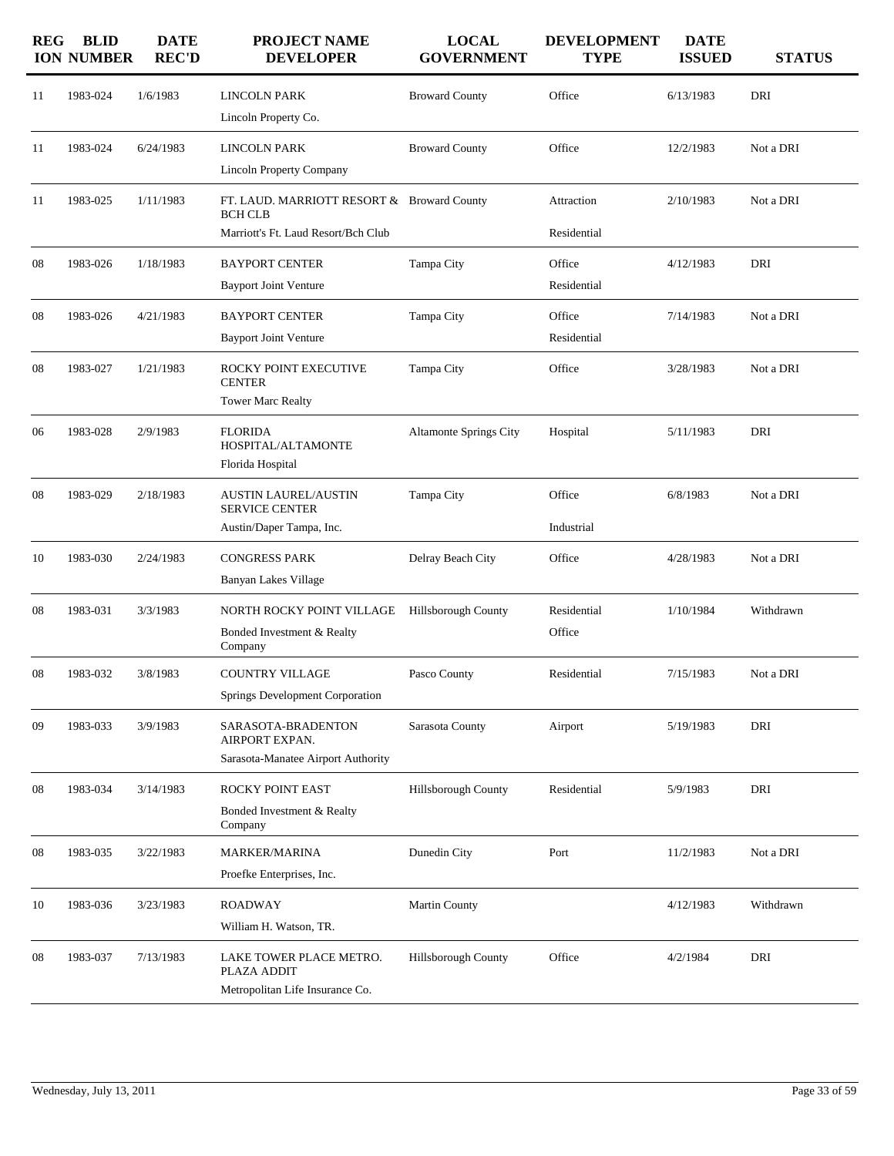| <b>REG</b> | <b>BLID</b><br><b>ION NUMBER</b> | <b>DATE</b><br><b>REC'D</b> | PROJECT NAME<br><b>DEVELOPER</b>                                                                    | <b>LOCAL</b><br><b>GOVERNMENT</b> | <b>DEVELOPMENT</b><br><b>TYPE</b> | <b>DATE</b><br><b>ISSUED</b> | <b>STATUS</b> |
|------------|----------------------------------|-----------------------------|-----------------------------------------------------------------------------------------------------|-----------------------------------|-----------------------------------|------------------------------|---------------|
| 11         | 1983-024                         | 1/6/1983                    | <b>LINCOLN PARK</b><br>Lincoln Property Co.                                                         | <b>Broward County</b>             | Office                            | 6/13/1983                    | DRI           |
| 11         | 1983-024                         | 6/24/1983                   | <b>LINCOLN PARK</b><br><b>Lincoln Property Company</b>                                              | <b>Broward County</b>             | Office                            | 12/2/1983                    | Not a DRI     |
| 11         | 1983-025                         | 1/11/1983                   | FT. LAUD. MARRIOTT RESORT & Broward County<br><b>BCH CLB</b><br>Marriott's Ft. Laud Resort/Bch Club |                                   | Attraction<br>Residential         | 2/10/1983                    | Not a DRI     |
| 08         | 1983-026                         | 1/18/1983                   | <b>BAYPORT CENTER</b><br><b>Bayport Joint Venture</b>                                               | Tampa City                        | Office<br>Residential             | 4/12/1983                    | DRI           |
| 08         | 1983-026                         | 4/21/1983                   | <b>BAYPORT CENTER</b><br><b>Bayport Joint Venture</b>                                               | Tampa City                        | Office<br>Residential             | 7/14/1983                    | Not a DRI     |
| 08         | 1983-027                         | 1/21/1983                   | ROCKY POINT EXECUTIVE<br><b>CENTER</b><br><b>Tower Marc Realty</b>                                  | Tampa City                        | Office                            | 3/28/1983                    | Not a DRI     |
| 06         | 1983-028                         | 2/9/1983                    | <b>FLORIDA</b><br>HOSPITAL/ALTAMONTE<br>Florida Hospital                                            | Altamonte Springs City            | Hospital                          | 5/11/1983                    | DRI           |
| 08         | 1983-029                         | 2/18/1983                   | <b>AUSTIN LAUREL/AUSTIN</b><br><b>SERVICE CENTER</b><br>Austin/Daper Tampa, Inc.                    | Tampa City                        | Office<br>Industrial              | 6/8/1983                     | Not a DRI     |
| 10         | 1983-030                         | 2/24/1983                   | <b>CONGRESS PARK</b><br><b>Banyan Lakes Village</b>                                                 | Delray Beach City                 | Office                            | 4/28/1983                    | Not a DRI     |
| 08         | 1983-031                         | 3/3/1983                    | NORTH ROCKY POINT VILLAGE<br>Bonded Investment & Realty<br>Company                                  | <b>Hillsborough County</b>        | Residential<br>Office             | 1/10/1984                    | Withdrawn     |
| 08         | 1983-032                         | 3/8/1983                    | <b>COUNTRY VILLAGE</b><br>Springs Development Corporation                                           | Pasco County                      | Residential                       | 7/15/1983                    | Not a DRI     |
| 09         | 1983-033                         | 3/9/1983                    | SARASOTA-BRADENTON<br>AIRPORT EXPAN.<br>Sarasota-Manatee Airport Authority                          | Sarasota County                   | Airport                           | 5/19/1983                    | DRI           |
| 08         | 1983-034                         | 3/14/1983                   | ROCKY POINT EAST<br>Bonded Investment & Realty<br>Company                                           | <b>Hillsborough County</b>        | Residential                       | 5/9/1983                     | DRI           |
| 08         | 1983-035                         | 3/22/1983                   | <b>MARKER/MARINA</b><br>Proefke Enterprises, Inc.                                                   | Dunedin City                      | Port                              | 11/2/1983                    | Not a DRI     |
| 10         | 1983-036                         | 3/23/1983                   | <b>ROADWAY</b><br>William H. Watson, TR.                                                            | <b>Martin County</b>              |                                   | 4/12/1983                    | Withdrawn     |
| 08         | 1983-037                         | 7/13/1983                   | LAKE TOWER PLACE METRO.<br>PLAZA ADDIT<br>Metropolitan Life Insurance Co.                           | Hillsborough County               | Office                            | 4/2/1984                     | DRI           |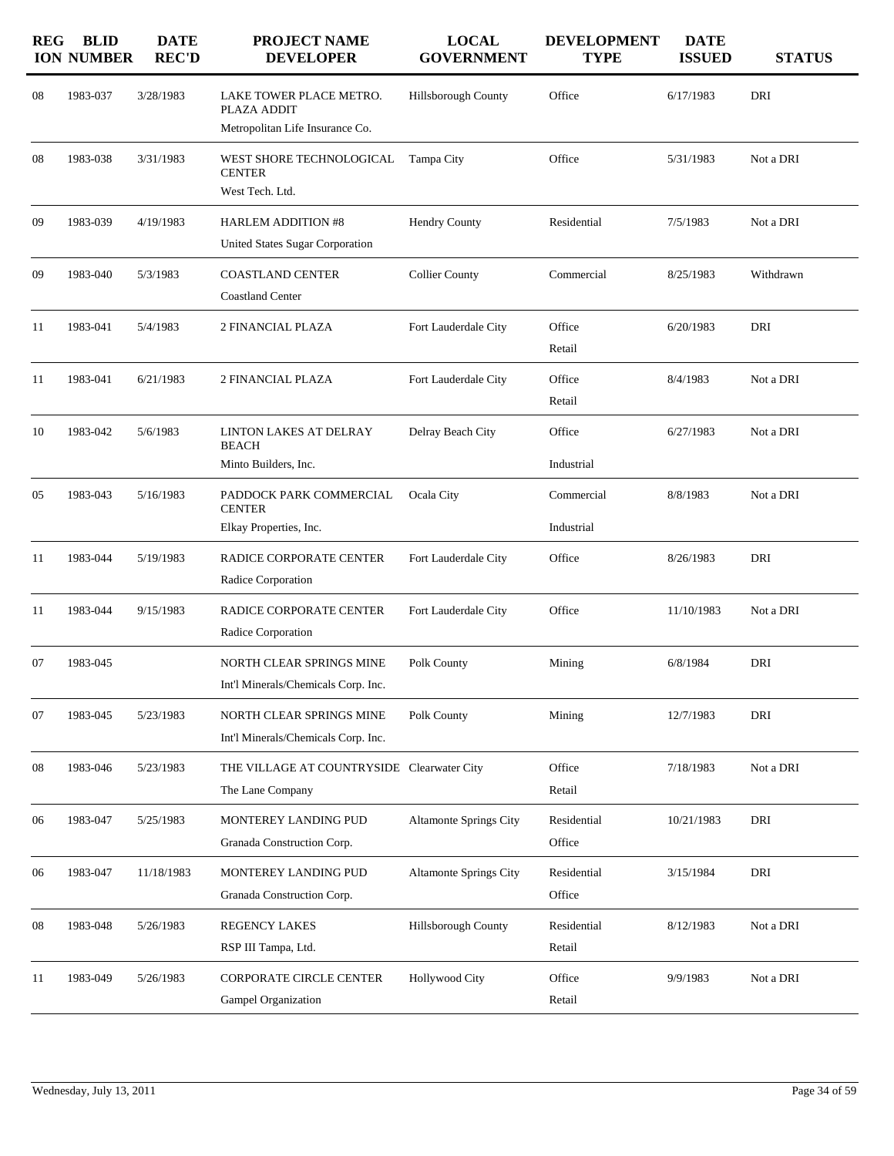| <b>REG</b> | <b>BLID</b><br><b>ION NUMBER</b> | <b>DATE</b><br><b>REC'D</b> | <b>PROJECT NAME</b><br><b>DEVELOPER</b>    | <b>LOCAL</b><br><b>GOVERNMENT</b> | <b>DEVELOPMENT</b><br><b>TYPE</b> | <b>DATE</b><br><b>ISSUED</b> | <b>STATUS</b> |
|------------|----------------------------------|-----------------------------|--------------------------------------------|-----------------------------------|-----------------------------------|------------------------------|---------------|
| 08         | 1983-037                         | 3/28/1983                   | LAKE TOWER PLACE METRO.<br>PLAZA ADDIT     | Hillsborough County               | Office                            | 6/17/1983                    | DRI           |
|            |                                  |                             | Metropolitan Life Insurance Co.            |                                   |                                   |                              |               |
| 08         | 1983-038                         | 3/31/1983                   | WEST SHORE TECHNOLOGICAL<br><b>CENTER</b>  | Tampa City                        | Office                            | 5/31/1983                    | Not a DRI     |
|            |                                  |                             | West Tech. Ltd.                            |                                   |                                   |                              |               |
| 09         | 1983-039                         | 4/19/1983                   | <b>HARLEM ADDITION #8</b>                  | <b>Hendry County</b>              | Residential                       | 7/5/1983                     | Not a DRI     |
|            |                                  |                             | <b>United States Sugar Corporation</b>     |                                   |                                   |                              |               |
| 09         | 1983-040                         | 5/3/1983                    | <b>COASTLAND CENTER</b>                    | <b>Collier County</b>             | Commercial                        | 8/25/1983                    | Withdrawn     |
|            |                                  |                             | <b>Coastland Center</b>                    |                                   |                                   |                              |               |
| 11         | 1983-041                         | 5/4/1983                    | 2 FINANCIAL PLAZA                          | Fort Lauderdale City              | Office                            | 6/20/1983                    | DRI           |
|            |                                  |                             |                                            |                                   | Retail                            |                              |               |
| 11         | 1983-041                         | 6/21/1983                   | 2 FINANCIAL PLAZA                          | Fort Lauderdale City              | Office                            | 8/4/1983                     | Not a DRI     |
|            |                                  |                             |                                            |                                   | Retail                            |                              |               |
| 10         | 1983-042                         | 5/6/1983                    | LINTON LAKES AT DELRAY                     | Delray Beach City                 | Office                            | 6/27/1983                    | Not a DRI     |
|            |                                  |                             | <b>BEACH</b><br>Minto Builders, Inc.       |                                   | Industrial                        |                              |               |
|            |                                  |                             |                                            |                                   |                                   |                              |               |
| 05         | 1983-043                         | 5/16/1983                   | PADDOCK PARK COMMERCIAL<br><b>CENTER</b>   | Ocala City                        | Commercial                        | 8/8/1983                     | Not a DRI     |
|            |                                  |                             | Elkay Properties, Inc.                     |                                   | Industrial                        |                              |               |
| 11         | 1983-044                         | 5/19/1983                   | RADICE CORPORATE CENTER                    | Fort Lauderdale City              | Office                            | 8/26/1983                    | DRI           |
|            |                                  |                             | Radice Corporation                         |                                   |                                   |                              |               |
| 11         | 1983-044                         | 9/15/1983                   | RADICE CORPORATE CENTER                    | Fort Lauderdale City              | Office                            | 11/10/1983                   | Not a DRI     |
|            |                                  |                             | Radice Corporation                         |                                   |                                   |                              |               |
| 07         | 1983-045                         |                             | NORTH CLEAR SPRINGS MINE                   | Polk County                       | Mining                            | 6/8/1984                     | DRI           |
|            |                                  |                             | Int'l Minerals/Chemicals Corp. Inc.        |                                   |                                   |                              |               |
| 07         | 1983-045                         | 5/23/1983                   | NORTH CLEAR SPRINGS MINE                   | Polk County                       | Mining                            | 12/7/1983                    | DRI           |
|            |                                  |                             | Int'l Minerals/Chemicals Corp. Inc.        |                                   |                                   |                              |               |
| 08         | 1983-046                         | 5/23/1983                   | THE VILLAGE AT COUNTRYSIDE Clearwater City |                                   | Office                            | 7/18/1983                    | Not a DRI     |
|            |                                  |                             | The Lane Company                           |                                   | Retail                            |                              |               |
| 06         | 1983-047                         | 5/25/1983                   | MONTEREY LANDING PUD                       | <b>Altamonte Springs City</b>     | Residential                       | 10/21/1983                   | DRI           |
|            |                                  |                             | Granada Construction Corp.                 |                                   | Office                            |                              |               |
| 06         | 1983-047                         | 11/18/1983                  | MONTEREY LANDING PUD                       | <b>Altamonte Springs City</b>     | Residential                       | 3/15/1984                    | DRI           |
|            |                                  |                             | Granada Construction Corp.                 |                                   | Office                            |                              |               |
| 08         | 1983-048                         | 5/26/1983                   | REGENCY LAKES                              | Hillsborough County               | Residential                       | 8/12/1983                    | Not a DRI     |
|            |                                  |                             | RSP III Tampa, Ltd.                        |                                   | Retail                            |                              |               |
| 11         | 1983-049                         | 5/26/1983                   | <b>CORPORATE CIRCLE CENTER</b>             | <b>Hollywood City</b>             | Office                            | 9/9/1983                     | Not a DRI     |
|            |                                  |                             | Gampel Organization                        |                                   | Retail                            |                              |               |
|            |                                  |                             |                                            |                                   |                                   |                              |               |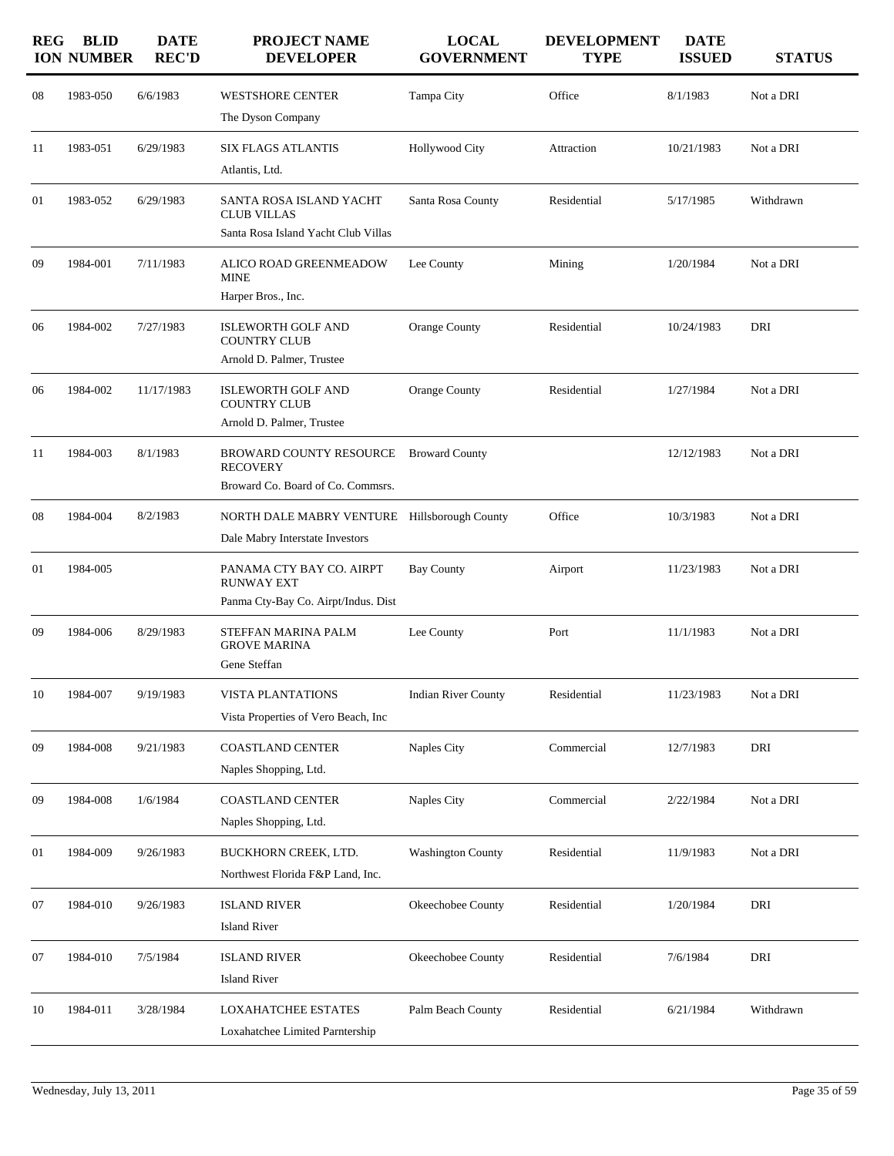| <b>REG</b> | <b>BLID</b><br><b>ION NUMBER</b> | <b>DATE</b><br><b>REC'D</b> | <b>PROJECT NAME</b><br><b>DEVELOPER</b>                                              | <b>LOCAL</b><br><b>GOVERNMENT</b> | <b>DEVELOPMENT</b><br><b>TYPE</b> | <b>DATE</b><br><b>ISSUED</b> | <b>STATUS</b> |
|------------|----------------------------------|-----------------------------|--------------------------------------------------------------------------------------|-----------------------------------|-----------------------------------|------------------------------|---------------|
| 08         | 1983-050                         | 6/6/1983                    | <b>WESTSHORE CENTER</b><br>The Dyson Company                                         | Tampa City                        | Office                            | 8/1/1983                     | Not a DRI     |
| 11         | 1983-051                         | 6/29/1983                   | <b>SIX FLAGS ATLANTIS</b><br>Atlantis, Ltd.                                          | <b>Hollywood City</b>             | Attraction                        | 10/21/1983                   | Not a DRI     |
| 01         | 1983-052                         | 6/29/1983                   | SANTA ROSA ISLAND YACHT<br><b>CLUB VILLAS</b><br>Santa Rosa Island Yacht Club Villas | Santa Rosa County                 | Residential                       | 5/17/1985                    | Withdrawn     |
| 09         | 1984-001                         | 7/11/1983                   | ALICO ROAD GREENMEADOW<br><b>MINE</b><br>Harper Bros., Inc.                          | Lee County                        | Mining                            | 1/20/1984                    | Not a DRI     |
| 06         | 1984-002                         | 7/27/1983                   | <b>ISLEWORTH GOLF AND</b><br><b>COUNTRY CLUB</b><br>Arnold D. Palmer, Trustee        | Orange County                     | Residential                       | 10/24/1983                   | DRI           |
| 06         | 1984-002                         | 11/17/1983                  | <b>ISLEWORTH GOLF AND</b><br><b>COUNTRY CLUB</b><br>Arnold D. Palmer, Trustee        | <b>Orange County</b>              | Residential                       | 1/27/1984                    | Not a DRI     |
| 11         | 1984-003                         | 8/1/1983                    | BROWARD COUNTY RESOURCE<br><b>RECOVERY</b><br>Broward Co. Board of Co. Commsrs.      | <b>Broward County</b>             |                                   | 12/12/1983                   | Not a DRI     |
| 08         | 1984-004                         | 8/2/1983                    | NORTH DALE MABRY VENTURE Hillsborough County<br>Dale Mabry Interstate Investors      |                                   | Office                            | 10/3/1983                    | Not a DRI     |
| 01         | 1984-005                         |                             | PANAMA CTY BAY CO. AIRPT<br><b>RUNWAY EXT</b><br>Panma Cty-Bay Co. Airpt/Indus. Dist | <b>Bay County</b>                 | Airport                           | 11/23/1983                   | Not a DRI     |
| 09         | 1984-006                         | 8/29/1983                   | STEFFAN MARINA PALM<br><b>GROVE MARINA</b><br>Gene Steffan                           | Lee County                        | Port                              | 11/1/1983                    | Not a DRI     |
| 10         | 1984-007                         | 9/19/1983                   | <b>VISTA PLANTATIONS</b><br>Vista Properties of Vero Beach, Inc.                     | <b>Indian River County</b>        | Residential                       | 11/23/1983                   | Not a DRI     |
| 09         | 1984-008                         | 9/21/1983                   | <b>COASTLAND CENTER</b><br>Naples Shopping, Ltd.                                     | Naples City                       | Commercial                        | 12/7/1983                    | DRI           |
| 09         | 1984-008                         | 1/6/1984                    | <b>COASTLAND CENTER</b><br>Naples Shopping, Ltd.                                     | Naples City                       | Commercial                        | 2/22/1984                    | Not a DRI     |
| 01         | 1984-009                         | 9/26/1983                   | <b>BUCKHORN CREEK, LTD.</b><br>Northwest Florida F&P Land, Inc.                      | <b>Washington County</b>          | Residential                       | 11/9/1983                    | Not a DRI     |
| 07         | 1984-010                         | 9/26/1983                   | <b>ISLAND RIVER</b><br><b>Island River</b>                                           | Okeechobee County                 | Residential                       | 1/20/1984                    | DRI           |
| 07         | 1984-010                         | 7/5/1984                    | <b>ISLAND RIVER</b><br><b>Island River</b>                                           | Okeechobee County                 | Residential                       | 7/6/1984                     | DRI           |
| 10         | 1984-011                         | 3/28/1984                   | LOXAHATCHEE ESTATES<br>Loxahatchee Limited Parntership                               | Palm Beach County                 | Residential                       | 6/21/1984                    | Withdrawn     |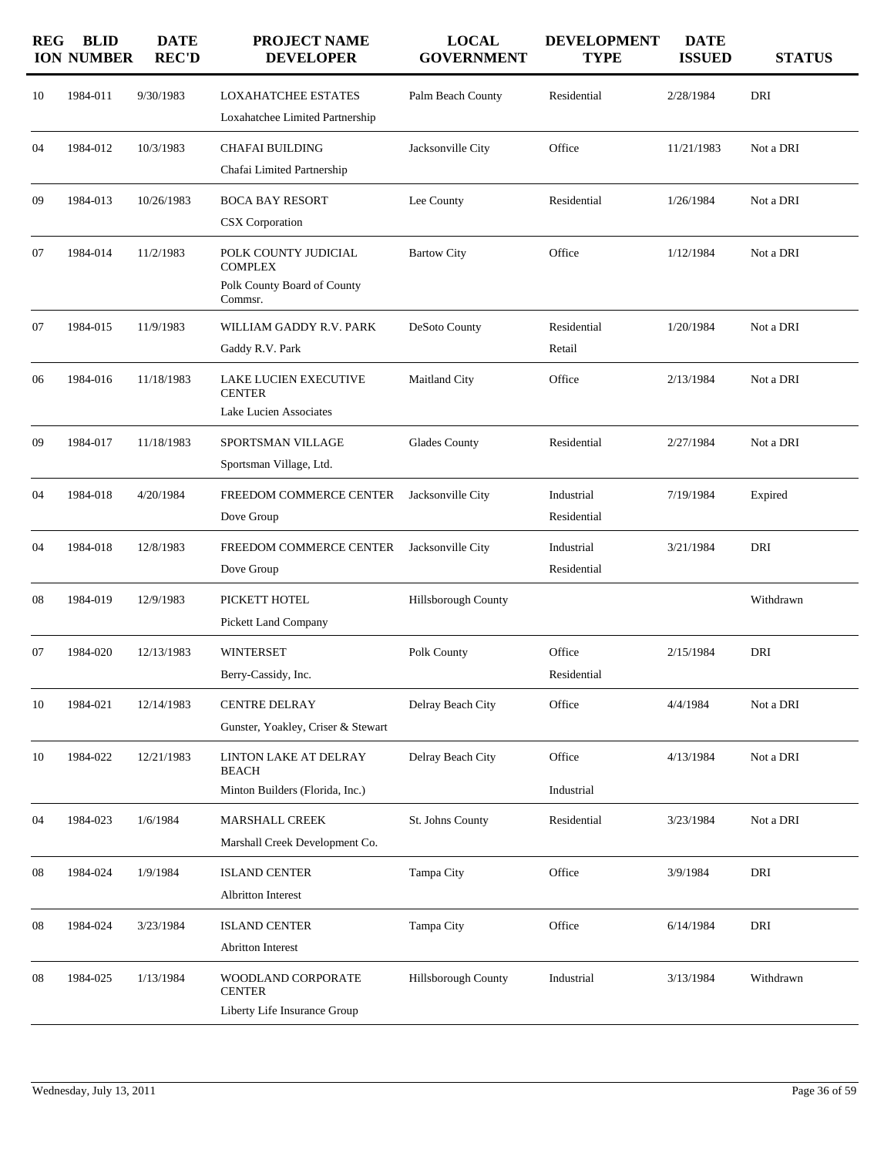| <b>REG</b> | <b>BLID</b><br><b>ION NUMBER</b> | <b>DATE</b><br><b>REC'D</b> | <b>PROJECT NAME</b><br><b>DEVELOPER</b>                                          | <b>LOCAL</b><br><b>GOVERNMENT</b> | <b>DEVELOPMENT</b><br><b>TYPE</b> | <b>DATE</b><br><b>ISSUED</b> | <b>STATUS</b> |
|------------|----------------------------------|-----------------------------|----------------------------------------------------------------------------------|-----------------------------------|-----------------------------------|------------------------------|---------------|
| 10         | 1984-011                         | 9/30/1983                   | <b>LOXAHATCHEE ESTATES</b><br>Loxahatchee Limited Partnership                    | Palm Beach County                 | Residential                       | 2/28/1984                    | DRI           |
| 04         | 1984-012                         | 10/3/1983                   | <b>CHAFAI BUILDING</b><br>Chafai Limited Partnership                             | Jacksonville City                 | Office                            | 11/21/1983                   | Not a DRI     |
| 09         | 1984-013                         | 10/26/1983                  | <b>BOCA BAY RESORT</b><br>CSX Corporation                                        | Lee County                        | Residential                       | 1/26/1984                    | Not a DRI     |
| 07         | 1984-014                         | 11/2/1983                   | POLK COUNTY JUDICIAL<br><b>COMPLEX</b><br>Polk County Board of County<br>Commsr. | <b>Bartow City</b>                | Office                            | 1/12/1984                    | Not a DRI     |
| 07         | 1984-015                         | 11/9/1983                   | WILLIAM GADDY R.V. PARK<br>Gaddy R.V. Park                                       | DeSoto County                     | Residential<br>Retail             | 1/20/1984                    | Not a DRI     |
| 06         | 1984-016                         | 11/18/1983                  | LAKE LUCIEN EXECUTIVE<br><b>CENTER</b><br>Lake Lucien Associates                 | Maitland City                     | Office                            | 2/13/1984                    | Not a DRI     |
| 09         | 1984-017                         | 11/18/1983                  | SPORTSMAN VILLAGE<br>Sportsman Village, Ltd.                                     | Glades County                     | Residential                       | 2/27/1984                    | Not a DRI     |
| 04         | 1984-018                         | 4/20/1984                   | FREEDOM COMMERCE CENTER<br>Dove Group                                            | Jacksonville City                 | Industrial<br>Residential         | 7/19/1984                    | Expired       |
| 04         | 1984-018                         | 12/8/1983                   | FREEDOM COMMERCE CENTER<br>Dove Group                                            | Jacksonville City                 | Industrial<br>Residential         | 3/21/1984                    | DRI           |
| 08         | 1984-019                         | 12/9/1983                   | PICKETT HOTEL<br><b>Pickett Land Company</b>                                     | Hillsborough County               |                                   |                              | Withdrawn     |
| 07         | 1984-020                         | 12/13/1983                  | <b>WINTERSET</b><br>Berry-Cassidy, Inc.                                          | Polk County                       | Office<br>Residential             | 2/15/1984                    | DRI           |
| 10         | 1984-021                         | 12/14/1983                  | <b>CENTRE DELRAY</b><br>Gunster, Yoakley, Criser & Stewart                       | Delray Beach City                 | Office                            | 4/4/1984                     | Not a DRI     |
| 10         | 1984-022                         | 12/21/1983                  | LINTON LAKE AT DELRAY<br><b>BEACH</b><br>Minton Builders (Florida, Inc.)         | Delray Beach City                 | Office<br>Industrial              | 4/13/1984                    | Not a DRI     |
| 04         | 1984-023                         | 1/6/1984                    | <b>MARSHALL CREEK</b><br>Marshall Creek Development Co.                          | St. Johns County                  | Residential                       | 3/23/1984                    | Not a DRI     |
| 08         | 1984-024                         | 1/9/1984                    | <b>ISLAND CENTER</b><br><b>Albritton Interest</b>                                | Tampa City                        | Office                            | 3/9/1984                     | DRI           |
| 08         | 1984-024                         | 3/23/1984                   | <b>ISLAND CENTER</b><br><b>Abritton Interest</b>                                 | Tampa City                        | Office                            | 6/14/1984                    | DRI           |
| 08         | 1984-025                         | 1/13/1984                   | WOODLAND CORPORATE<br><b>CENTER</b><br>Liberty Life Insurance Group              | Hillsborough County               | Industrial                        | 3/13/1984                    | Withdrawn     |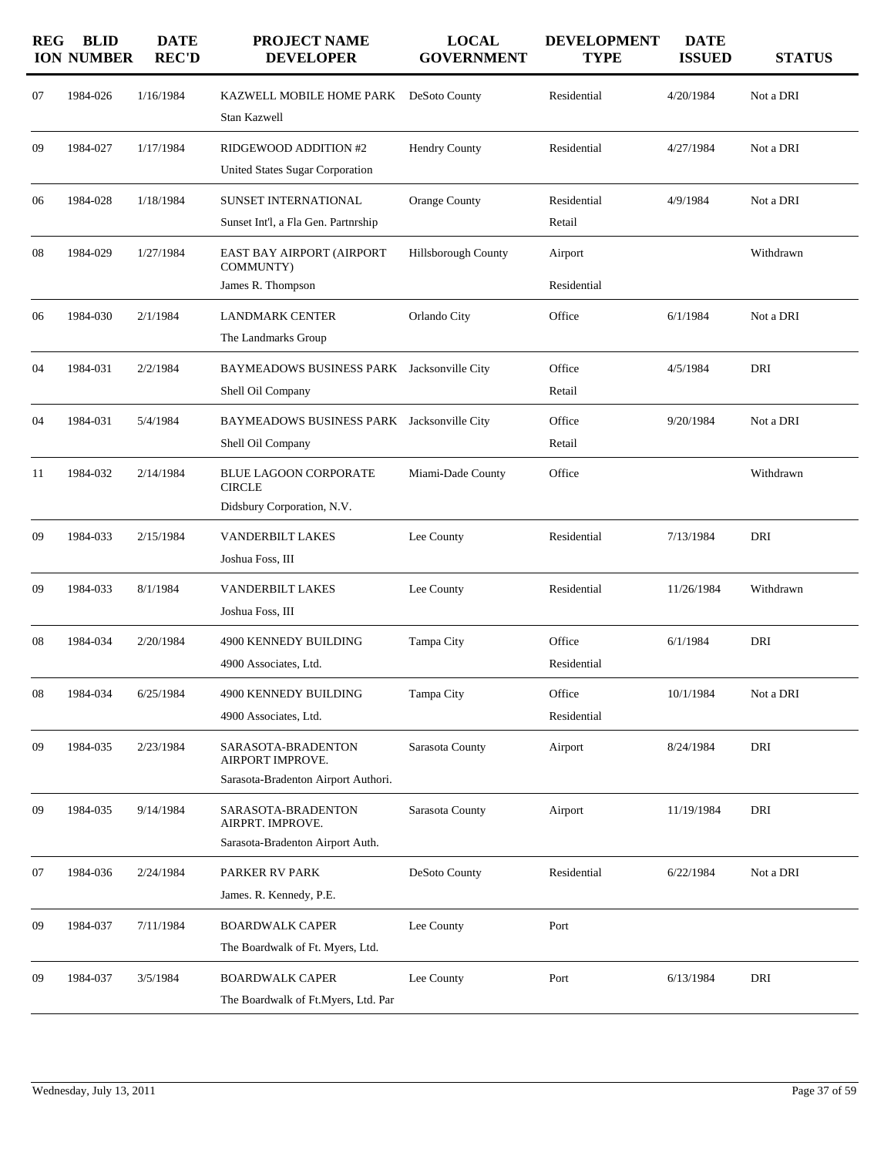| <b>REG</b> | <b>BLID</b><br><b>ION NUMBER</b> | <b>DATE</b><br><b>REC'D</b> | <b>PROJECT NAME</b><br><b>DEVELOPER</b>                                       | <b>LOCAL</b><br><b>GOVERNMENT</b> | <b>DEVELOPMENT</b><br><b>TYPE</b> | <b>DATE</b><br><b>ISSUED</b> | <b>STATUS</b> |
|------------|----------------------------------|-----------------------------|-------------------------------------------------------------------------------|-----------------------------------|-----------------------------------|------------------------------|---------------|
| 07         | 1984-026                         | 1/16/1984                   | KAZWELL MOBILE HOME PARK<br>Stan Kazwell                                      | DeSoto County                     | Residential                       | 4/20/1984                    | Not a DRI     |
| 09         | 1984-027                         | 1/17/1984                   | RIDGEWOOD ADDITION #2<br><b>United States Sugar Corporation</b>               | <b>Hendry County</b>              | Residential                       | 4/27/1984                    | Not a DRI     |
| 06         | 1984-028                         | 1/18/1984                   | SUNSET INTERNATIONAL<br>Sunset Int'l, a Fla Gen. Partnrship                   | <b>Orange County</b>              | Residential<br>Retail             | 4/9/1984                     | Not a DRI     |
| 08         | 1984-029                         | 1/27/1984                   | EAST BAY AIRPORT (AIRPORT<br>COMMUNTY)<br>James R. Thompson                   | Hillsborough County               | Airport<br>Residential            |                              | Withdrawn     |
| 06         | 1984-030                         | 2/1/1984                    | <b>LANDMARK CENTER</b><br>The Landmarks Group                                 | Orlando City                      | Office                            | 6/1/1984                     | Not a DRI     |
| 04         | 1984-031                         | 2/2/1984                    | BAYMEADOWS BUSINESS PARK Jacksonville City<br>Shell Oil Company               |                                   | Office<br>Retail                  | 4/5/1984                     | DRI           |
| 04         | 1984-031                         | 5/4/1984                    | BAYMEADOWS BUSINESS PARK Jacksonville City<br>Shell Oil Company               |                                   | Office<br>Retail                  | 9/20/1984                    | Not a DRI     |
| 11         | 1984-032                         | 2/14/1984                   | <b>BLUE LAGOON CORPORATE</b><br><b>CIRCLE</b><br>Didsbury Corporation, N.V.   | Miami-Dade County                 | Office                            |                              | Withdrawn     |
| 09         | 1984-033                         | 2/15/1984                   | <b>VANDERBILT LAKES</b><br>Joshua Foss, III                                   | Lee County                        | Residential                       | 7/13/1984                    | DRI           |
| 09         | 1984-033                         | 8/1/1984                    | <b>VANDERBILT LAKES</b><br>Joshua Foss, III                                   | Lee County                        | Residential                       | 11/26/1984                   | Withdrawn     |
| 08         | 1984-034                         | 2/20/1984                   | 4900 KENNEDY BUILDING<br>4900 Associates, Ltd.                                | Tampa City                        | Office<br>Residential             | 6/1/1984                     | DRI           |
| 08         | 1984-034                         | 6/25/1984                   | 4900 KENNEDY BUILDING<br>4900 Associates, Ltd.                                | Tampa City                        | Office<br>Residential             | 10/1/1984                    | Not a DRI     |
| 09         | 1984-035                         | 2/23/1984                   | SARASOTA-BRADENTON<br>AIRPORT IMPROVE.<br>Sarasota-Bradenton Airport Authori. | Sarasota County                   | Airport                           | 8/24/1984                    | DRI           |
| 09         | 1984-035                         | 9/14/1984                   | SARASOTA-BRADENTON<br>AIRPRT. IMPROVE.<br>Sarasota-Bradenton Airport Auth.    | Sarasota County                   | Airport                           | 11/19/1984                   | DRI           |
| 07         | 1984-036                         | 2/24/1984                   | PARKER RV PARK<br>James. R. Kennedy, P.E.                                     | DeSoto County                     | Residential                       | 6/22/1984                    | Not a DRI     |
| 09         | 1984-037                         | 7/11/1984                   | <b>BOARDWALK CAPER</b><br>The Boardwalk of Ft. Myers, Ltd.                    | Lee County                        | Port                              |                              |               |
| 09         | 1984-037                         | 3/5/1984                    | <b>BOARDWALK CAPER</b><br>The Boardwalk of Ft.Myers, Ltd. Par                 | Lee County                        | Port                              | 6/13/1984                    | DRI           |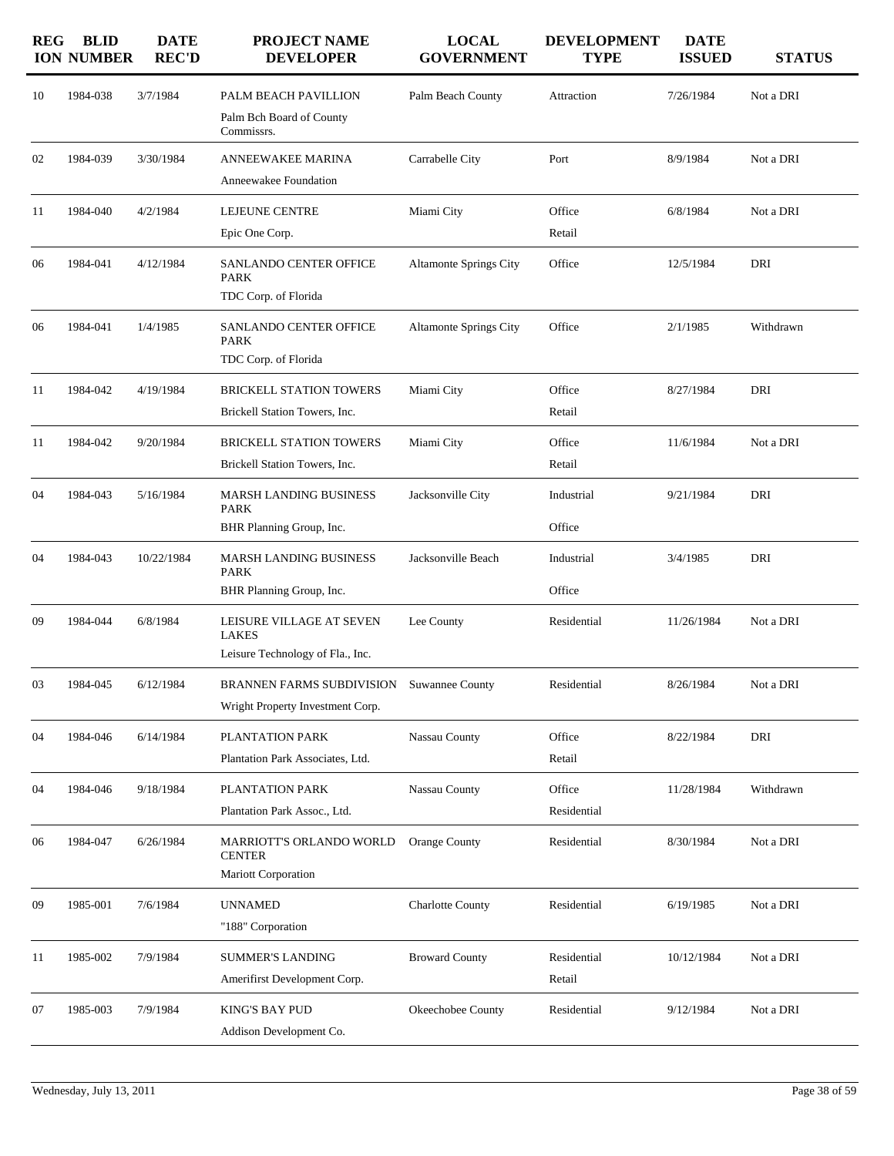| <b>REG</b> | <b>BLID</b><br><b>ION NUMBER</b> | <b>DATE</b><br><b>REC'D</b> | PROJECT NAME<br><b>DEVELOPER</b>                                             | <b>LOCAL</b><br><b>GOVERNMENT</b> | <b>DEVELOPMENT</b><br><b>TYPE</b> | <b>DATE</b><br><b>ISSUED</b> | <b>STATUS</b> |
|------------|----------------------------------|-----------------------------|------------------------------------------------------------------------------|-----------------------------------|-----------------------------------|------------------------------|---------------|
| 10         | 1984-038                         | 3/7/1984                    | PALM BEACH PAVILLION<br>Palm Bch Board of County                             | Palm Beach County                 | Attraction                        | 7/26/1984                    | Not a DRI     |
| 02         | 1984-039                         | 3/30/1984                   | Commissrs.<br><b>ANNEEWAKEE MARINA</b>                                       | Carrabelle City                   | Port                              | 8/9/1984                     | Not a DRI     |
|            |                                  |                             | Anneewakee Foundation                                                        |                                   |                                   |                              |               |
| 11         | 1984-040                         | 4/2/1984                    | LEJEUNE CENTRE<br>Epic One Corp.                                             | Miami City                        | Office<br>Retail                  | 6/8/1984                     | Not a DRI     |
| 06         | 1984-041                         | 4/12/1984                   | <b>SANLANDO CENTER OFFICE</b><br><b>PARK</b><br>TDC Corp. of Florida         | <b>Altamonte Springs City</b>     | Office                            | 12/5/1984                    | DRI           |
| 06         | 1984-041                         | 1/4/1985                    | <b>SANLANDO CENTER OFFICE</b><br><b>PARK</b><br>TDC Corp. of Florida         | <b>Altamonte Springs City</b>     | Office                            | 2/1/1985                     | Withdrawn     |
| 11         | 1984-042                         | 4/19/1984                   | <b>BRICKELL STATION TOWERS</b><br>Brickell Station Towers, Inc.              | Miami City                        | Office<br>Retail                  | 8/27/1984                    | DRI           |
| 11         | 1984-042                         | 9/20/1984                   | <b>BRICKELL STATION TOWERS</b><br>Brickell Station Towers, Inc.              | Miami City                        | Office<br>Retail                  | 11/6/1984                    | Not a DRI     |
| 04         | 1984-043                         | 5/16/1984                   | <b>MARSH LANDING BUSINESS</b><br><b>PARK</b><br>BHR Planning Group, Inc.     | Jacksonville City                 | Industrial<br>Office              | 9/21/1984                    | DRI           |
| 04         | 1984-043                         | 10/22/1984                  | <b>MARSH LANDING BUSINESS</b><br><b>PARK</b><br>BHR Planning Group, Inc.     | Jacksonville Beach                | Industrial<br>Office              | 3/4/1985                     | DRI           |
| 09         | 1984-044                         | 6/8/1984                    | LEISURE VILLAGE AT SEVEN<br><b>LAKES</b><br>Leisure Technology of Fla., Inc. | Lee County                        | Residential                       | 11/26/1984                   | Not a DRI     |
| 03         | 1984-045                         | 6/12/1984                   | BRANNEN FARMS SUBDIVISION<br>Wright Property Investment Corp.                | <b>Suwannee County</b>            | Residential                       | 8/26/1984                    | Not a DRI     |
| 04         | 1984-046                         | 6/14/1984                   | PLANTATION PARK<br>Plantation Park Associates, Ltd.                          | Nassau County                     | Office<br>Retail                  | 8/22/1984                    | DRI           |
| 04         | 1984-046                         | 9/18/1984                   | PLANTATION PARK<br>Plantation Park Assoc., Ltd.                              | Nassau County                     | Office<br>Residential             | 11/28/1984                   | Withdrawn     |
| 06         | 1984-047                         | 6/26/1984                   | MARRIOTT'S ORLANDO WORLD<br><b>CENTER</b><br>Mariott Corporation             | Orange County                     | Residential                       | 8/30/1984                    | Not a DRI     |
| 09         | 1985-001                         | 7/6/1984                    | <b>UNNAMED</b><br>"188" Corporation                                          | <b>Charlotte County</b>           | Residential                       | 6/19/1985                    | Not a DRI     |
| 11         | 1985-002                         | 7/9/1984                    | <b>SUMMER'S LANDING</b><br>Amerifirst Development Corp.                      | <b>Broward County</b>             | Residential<br>Retail             | 10/12/1984                   | Not a DRI     |
| 07         | 1985-003                         | 7/9/1984                    | <b>KING'S BAY PUD</b><br>Addison Development Co.                             | Okeechobee County                 | Residential                       | 9/12/1984                    | Not a DRI     |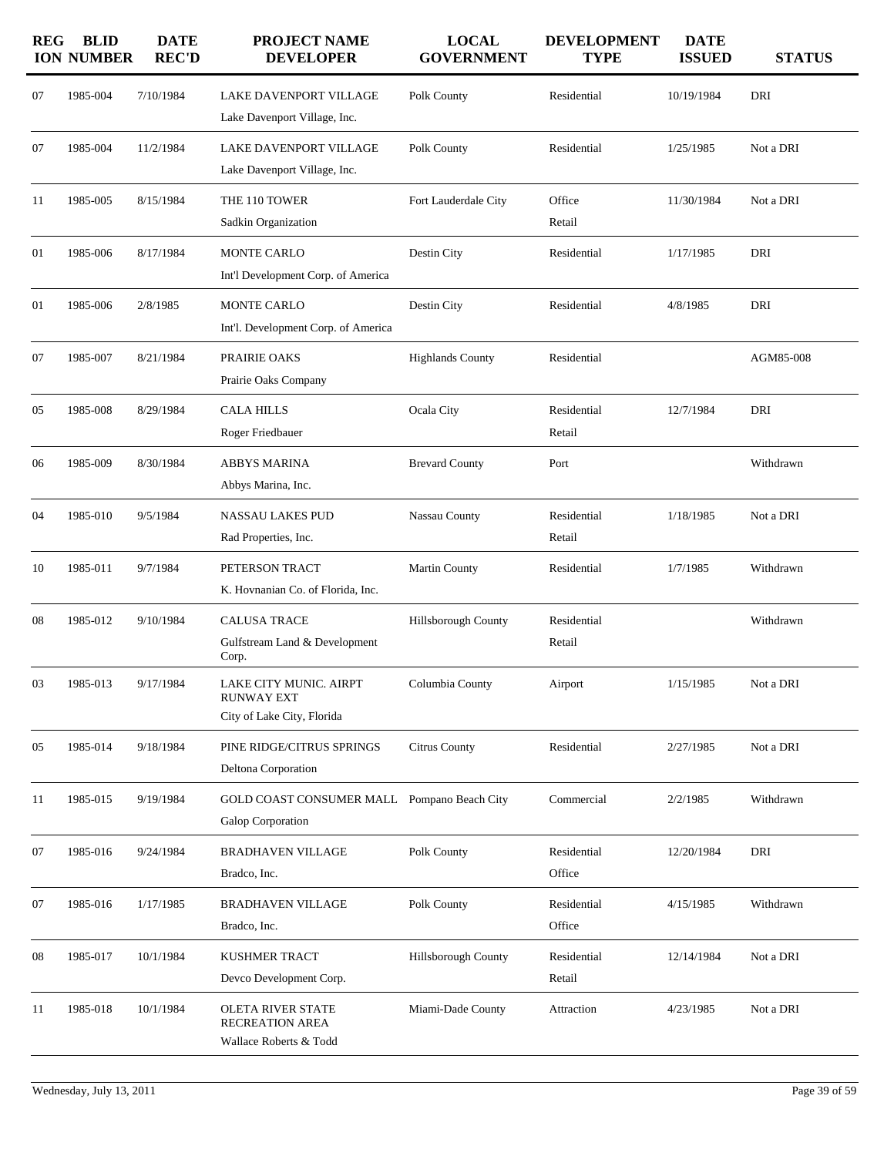| <b>REG</b> | <b>BLID</b><br><b>ION NUMBER</b> | <b>DATE</b><br><b>REC'D</b> | <b>PROJECT NAME</b><br><b>DEVELOPER</b>                                   | <b>LOCAL</b><br><b>GOVERNMENT</b> | <b>DEVELOPMENT</b><br><b>TYPE</b> | <b>DATE</b><br><b>ISSUED</b> | <b>STATUS</b> |
|------------|----------------------------------|-----------------------------|---------------------------------------------------------------------------|-----------------------------------|-----------------------------------|------------------------------|---------------|
| 07         | 1985-004                         | 7/10/1984                   | LAKE DAVENPORT VILLAGE<br>Lake Davenport Village, Inc.                    | Polk County                       | Residential                       | 10/19/1984                   | DRI           |
| 07         | 1985-004                         | 11/2/1984                   | LAKE DAVENPORT VILLAGE<br>Lake Davenport Village, Inc.                    | Polk County                       | Residential                       | 1/25/1985                    | Not a DRI     |
| 11         | 1985-005                         | 8/15/1984                   | THE 110 TOWER<br>Sadkin Organization                                      | Fort Lauderdale City              | Office<br>Retail                  | 11/30/1984                   | Not a DRI     |
| 01         | 1985-006                         | 8/17/1984                   | <b>MONTE CARLO</b><br>Int'l Development Corp. of America                  | Destin City                       | Residential                       | 1/17/1985                    | DRI           |
| 01         | 1985-006                         | 2/8/1985                    | MONTE CARLO<br>Int'l. Development Corp. of America                        | Destin City                       | Residential                       | 4/8/1985                     | DRI           |
| 07         | 1985-007                         | 8/21/1984                   | PRAIRIE OAKS<br>Prairie Oaks Company                                      | <b>Highlands County</b>           | Residential                       |                              | AGM85-008     |
| 05         | 1985-008                         | 8/29/1984                   | <b>CALA HILLS</b><br>Roger Friedbauer                                     | Ocala City                        | Residential<br>Retail             | 12/7/1984                    | DRI           |
| 06         | 1985-009                         | 8/30/1984                   | <b>ABBYS MARINA</b><br>Abbys Marina, Inc.                                 | <b>Brevard County</b>             | Port                              |                              | Withdrawn     |
| 04         | 1985-010                         | 9/5/1984                    | NASSAU LAKES PUD<br>Rad Properties, Inc.                                  | Nassau County                     | Residential<br>Retail             | 1/18/1985                    | Not a DRI     |
| 10         | 1985-011                         | 9/7/1984                    | PETERSON TRACT<br>K. Hovnanian Co. of Florida, Inc.                       | Martin County                     | Residential                       | 1/7/1985                     | Withdrawn     |
| 08         | 1985-012                         | 9/10/1984                   | <b>CALUSA TRACE</b><br>Gulfstream Land & Development<br>Corp.             | Hillsborough County               | Residential<br>Retail             |                              | Withdrawn     |
| 03         | 1985-013                         | 9/17/1984                   | LAKE CITY MUNIC. AIRPT<br><b>RUNWAY EXT</b><br>City of Lake City, Florida | Columbia County                   | Airport                           | 1/15/1985                    | Not a DRI     |
| 05         | 1985-014                         | 9/18/1984                   | PINE RIDGE/CITRUS SPRINGS<br><b>Deltona Corporation</b>                   | Citrus County                     | Residential                       | 2/27/1985                    | Not a DRI     |
| 11         | 1985-015                         | 9/19/1984                   | GOLD COAST CONSUMER MALL Pompano Beach City<br>Galop Corporation          |                                   | Commercial                        | 2/2/1985                     | Withdrawn     |
| 07         | 1985-016                         | 9/24/1984                   | <b>BRADHAVEN VILLAGE</b><br>Bradco, Inc.                                  | Polk County                       | Residential<br>Office             | 12/20/1984                   | DRI           |
| 07         | 1985-016                         | 1/17/1985                   | <b>BRADHAVEN VILLAGE</b><br>Bradco, Inc.                                  | Polk County                       | Residential<br>Office             | 4/15/1985                    | Withdrawn     |
| 08         | 1985-017                         | 10/1/1984                   | <b>KUSHMER TRACT</b><br>Devco Development Corp.                           | <b>Hillsborough County</b>        | Residential<br>Retail             | 12/14/1984                   | Not a DRI     |
| 11         | 1985-018                         | 10/1/1984                   | OLETA RIVER STATE<br>RECREATION AREA<br>Wallace Roberts & Todd            | Miami-Dade County                 | Attraction                        | 4/23/1985                    | Not a DRI     |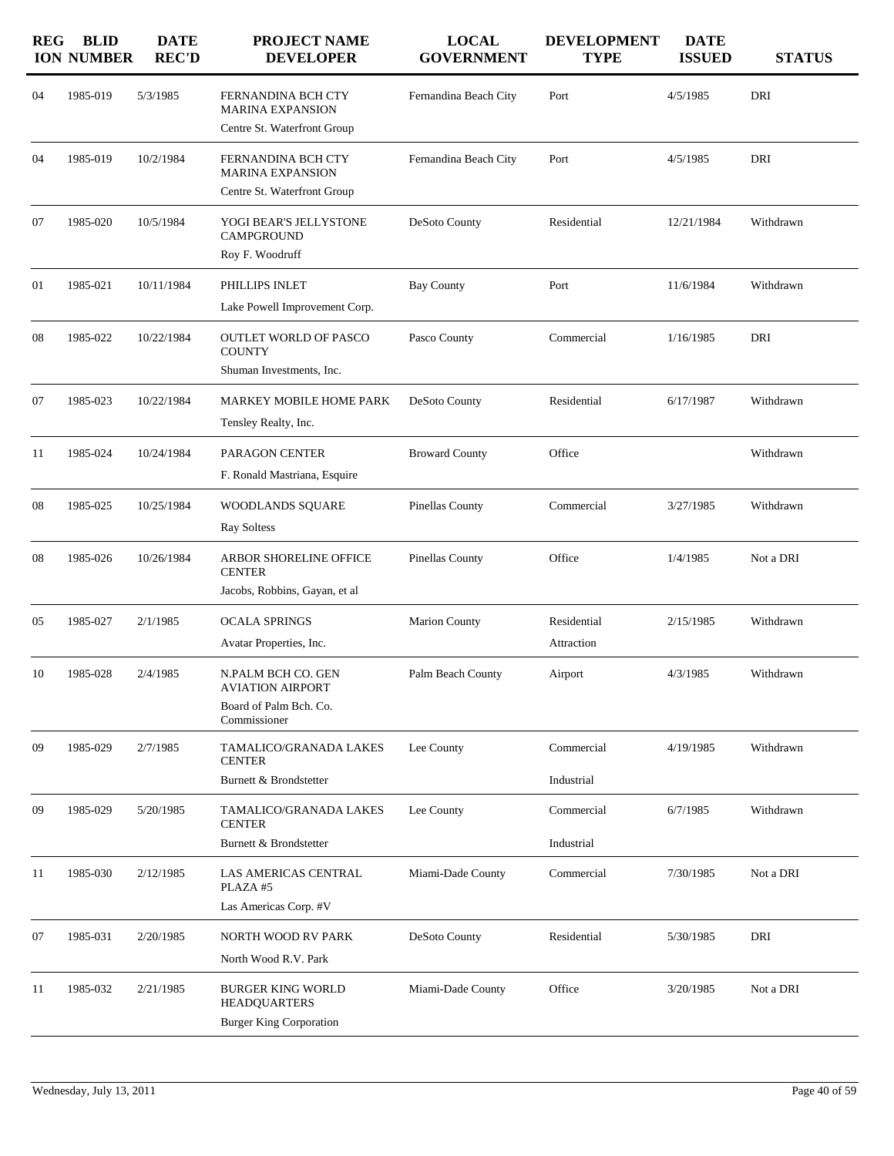| <b>REG</b> | <b>BLID</b><br><b>ION NUMBER</b> | <b>DATE</b><br><b>REC'D</b> | PROJECT NAME<br><b>DEVELOPER</b>                                                  | <b>LOCAL</b><br><b>GOVERNMENT</b> | <b>DEVELOPMENT</b><br><b>TYPE</b> | <b>DATE</b><br><b>ISSUED</b> | <b>STATUS</b> |
|------------|----------------------------------|-----------------------------|-----------------------------------------------------------------------------------|-----------------------------------|-----------------------------------|------------------------------|---------------|
| 04         | 1985-019                         | 5/3/1985                    | FERNANDINA BCH CTY<br><b>MARINA EXPANSION</b>                                     | Fernandina Beach City             | Port                              | 4/5/1985                     | DRI           |
|            |                                  |                             | Centre St. Waterfront Group                                                       |                                   |                                   |                              |               |
| 04         | 1985-019                         | 10/2/1984                   | FERNANDINA BCH CTY<br><b>MARINA EXPANSION</b>                                     | Fernandina Beach City             | Port                              | 4/5/1985                     | DRI           |
|            |                                  |                             | Centre St. Waterfront Group                                                       |                                   |                                   |                              |               |
| 07         | 1985-020                         | 10/5/1984                   | YOGI BEAR'S JELLYSTONE<br><b>CAMPGROUND</b>                                       | DeSoto County                     | Residential                       | 12/21/1984                   | Withdrawn     |
|            |                                  |                             | Roy F. Woodruff                                                                   |                                   |                                   |                              |               |
| 01         | 1985-021                         | 10/11/1984                  | PHILLIPS INLET                                                                    | <b>Bay County</b>                 | Port                              | 11/6/1984                    | Withdrawn     |
|            |                                  |                             | Lake Powell Improvement Corp.                                                     |                                   |                                   |                              |               |
| 08         | 1985-022                         | 10/22/1984                  | OUTLET WORLD OF PASCO<br><b>COUNTY</b>                                            | Pasco County                      | Commercial                        | 1/16/1985                    | DRI           |
|            |                                  |                             | Shuman Investments, Inc.                                                          |                                   |                                   |                              |               |
| 07         | 1985-023                         | 10/22/1984                  | MARKEY MOBILE HOME PARK                                                           | DeSoto County                     | Residential                       | 6/17/1987                    | Withdrawn     |
|            |                                  |                             | Tensley Realty, Inc.                                                              |                                   |                                   |                              |               |
| 11         | 1985-024                         | 10/24/1984                  | PARAGON CENTER                                                                    | <b>Broward County</b>             | Office                            |                              | Withdrawn     |
|            |                                  |                             | F. Ronald Mastriana, Esquire                                                      |                                   |                                   |                              |               |
| 08         | 1985-025                         | 10/25/1984                  | WOODLANDS SQUARE                                                                  | Pinellas County                   | Commercial                        | 3/27/1985                    | Withdrawn     |
|            |                                  |                             | <b>Ray Soltess</b>                                                                |                                   |                                   |                              |               |
| 08         | 1985-026                         | 10/26/1984                  | ARBOR SHORELINE OFFICE<br><b>CENTER</b>                                           | <b>Pinellas County</b>            | Office                            | 1/4/1985                     | Not a DRI     |
|            |                                  |                             | Jacobs, Robbins, Gayan, et al                                                     |                                   |                                   |                              |               |
| 05         | 1985-027                         | 2/1/1985                    | <b>OCALA SPRINGS</b>                                                              | <b>Marion County</b>              | Residential                       | 2/15/1985                    | Withdrawn     |
|            |                                  |                             | Avatar Properties, Inc.                                                           |                                   | Attraction                        |                              |               |
| 10         | 1985-028                         | 2/4/1985                    | N.PALM BCH CO. GEN<br>AVIATION AIRPORT                                            | Palm Beach County                 | Airport                           | 4/3/1985                     | Withdrawn     |
|            |                                  |                             | Board of Palm Bch. Co.<br>Commissioner                                            |                                   |                                   |                              |               |
| 09         | 1985-029                         | 2/7/1985                    | TAMALICO/GRANADA LAKES<br><b>CENTER</b>                                           | Lee County                        | Commercial                        | 4/19/1985                    | Withdrawn     |
|            |                                  |                             | Burnett & Brondstetter                                                            |                                   | Industrial                        |                              |               |
| 09         | 1985-029                         | 5/20/1985                   | TAMALICO/GRANADA LAKES<br><b>CENTER</b>                                           | Lee County                        | Commercial                        | 6/7/1985                     | Withdrawn     |
|            |                                  |                             | Burnett & Brondstetter                                                            |                                   | Industrial                        |                              |               |
| 11         | 1985-030                         | 2/12/1985                   | <b>LAS AMERICAS CENTRAL</b><br>PLAZA #5                                           | Miami-Dade County                 | Commercial                        | 7/30/1985                    | Not a DRI     |
|            |                                  |                             | Las Americas Corp. #V                                                             |                                   |                                   |                              |               |
| 07         | 1985-031                         | 2/20/1985                   | NORTH WOOD RV PARK                                                                | DeSoto County                     | Residential                       | 5/30/1985                    | DRI           |
|            |                                  |                             | North Wood R.V. Park                                                              |                                   |                                   |                              |               |
| 11         | 1985-032                         | 2/21/1985                   | <b>BURGER KING WORLD</b><br><b>HEADQUARTERS</b><br><b>Burger King Corporation</b> | Miami-Dade County                 | Office                            | 3/20/1985                    | Not a DRI     |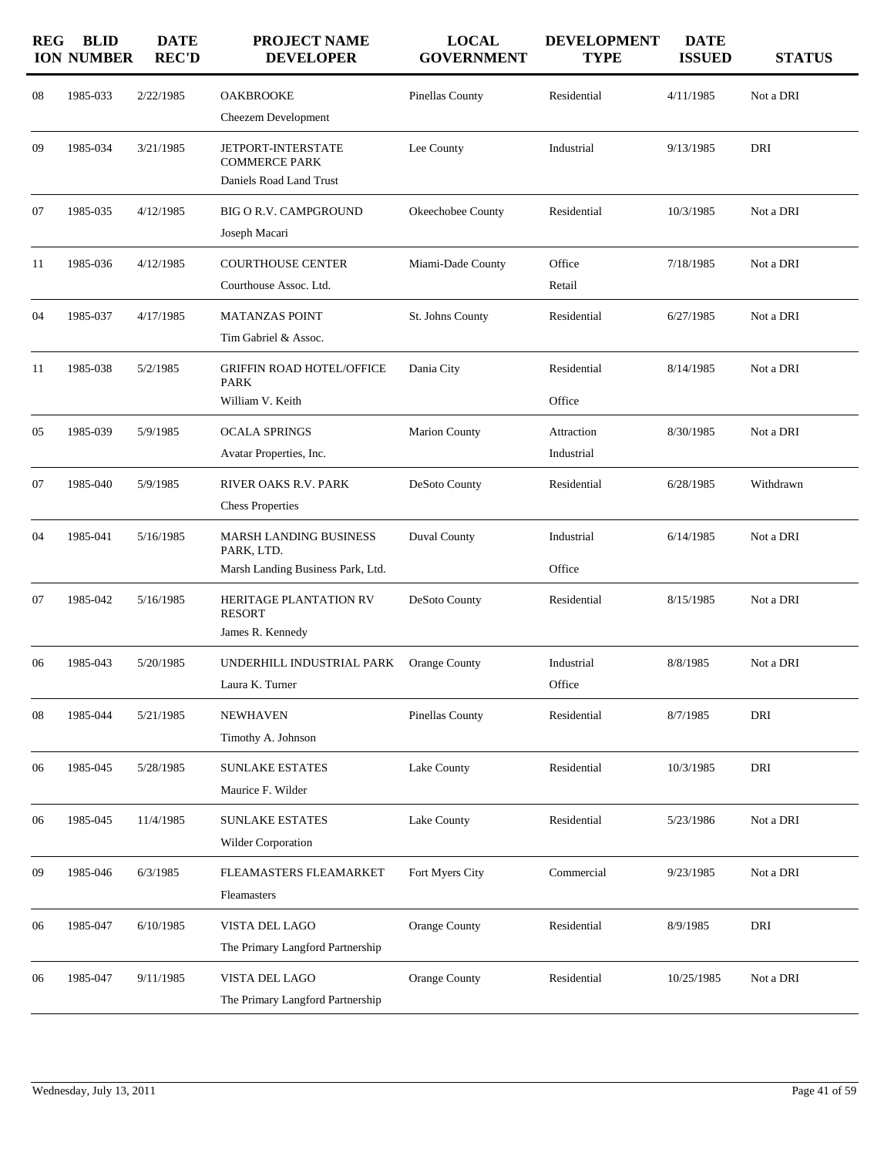| <b>REG</b> | <b>BLID</b><br><b>ION NUMBER</b> | <b>DATE</b><br><b>REC'D</b> | <b>PROJECT NAME</b><br><b>DEVELOPER</b>                                          | <b>LOCAL</b><br><b>GOVERNMENT</b> | <b>DEVELOPMENT</b><br><b>TYPE</b> | <b>DATE</b><br><b>ISSUED</b> | <b>STATUS</b> |
|------------|----------------------------------|-----------------------------|----------------------------------------------------------------------------------|-----------------------------------|-----------------------------------|------------------------------|---------------|
| 08         | 1985-033                         | 2/22/1985                   | <b>OAKBROOKE</b><br>Cheezem Development                                          | Pinellas County                   | Residential                       | 4/11/1985                    | Not a DRI     |
| 09         | 1985-034                         | 3/21/1985                   | <b>JETPORT-INTERSTATE</b><br><b>COMMERCE PARK</b><br>Daniels Road Land Trust     | Lee County                        | Industrial                        | 9/13/1985                    | DRI           |
| 07         | 1985-035                         | 4/12/1985                   | <b>BIG O R.V. CAMPGROUND</b><br>Joseph Macari                                    | Okeechobee County                 | Residential                       | 10/3/1985                    | Not a DRI     |
| 11         | 1985-036                         | 4/12/1985                   | <b>COURTHOUSE CENTER</b><br>Courthouse Assoc. Ltd.                               | Miami-Dade County                 | Office<br>Retail                  | 7/18/1985                    | Not a DRI     |
| 04         | 1985-037                         | 4/17/1985                   | <b>MATANZAS POINT</b><br>Tim Gabriel & Assoc.                                    | St. Johns County                  | Residential                       | 6/27/1985                    | Not a DRI     |
| 11         | 1985-038                         | 5/2/1985                    | <b>GRIFFIN ROAD HOTEL/OFFICE</b><br><b>PARK</b><br>William V. Keith              | Dania City                        | Residential<br>Office             | 8/14/1985                    | Not a DRI     |
| 05         | 1985-039                         | 5/9/1985                    | <b>OCALA SPRINGS</b><br>Avatar Properties, Inc.                                  | <b>Marion County</b>              | Attraction<br>Industrial          | 8/30/1985                    | Not a DRI     |
| 07         | 1985-040                         | 5/9/1985                    | RIVER OAKS R.V. PARK<br><b>Chess Properties</b>                                  | DeSoto County                     | Residential                       | 6/28/1985                    | Withdrawn     |
| 04         | 1985-041                         | 5/16/1985                   | <b>MARSH LANDING BUSINESS</b><br>PARK, LTD.<br>Marsh Landing Business Park, Ltd. | Duval County                      | Industrial<br>Office              | 6/14/1985                    | Not a DRI     |
| 07         | 1985-042                         | 5/16/1985                   | HERITAGE PLANTATION RV<br><b>RESORT</b><br>James R. Kennedy                      | DeSoto County                     | Residential                       | 8/15/1985                    | Not a DRI     |
| 06         | 1985-043                         | 5/20/1985                   | UNDERHILL INDUSTRIAL PARK<br>Laura K. Turner                                     | Orange County                     | Industrial<br>Office              | 8/8/1985                     | Not a DRI     |
| 08         | 1985-044                         | 5/21/1985                   | <b>NEWHAVEN</b><br>Timothy A. Johnson                                            | Pinellas County                   | Residential                       | 8/7/1985                     | DRI           |
| 06         | 1985-045                         | 5/28/1985                   | <b>SUNLAKE ESTATES</b><br>Maurice F. Wilder                                      | Lake County                       | Residential                       | 10/3/1985                    | DRI           |
| 06         | 1985-045                         | 11/4/1985                   | <b>SUNLAKE ESTATES</b><br>Wilder Corporation                                     | Lake County                       | Residential                       | 5/23/1986                    | Not a DRI     |
| 09         | 1985-046                         | 6/3/1985                    | FLEAMASTERS FLEAMARKET<br>Fleamasters                                            | Fort Myers City                   | Commercial                        | 9/23/1985                    | Not a DRI     |
| 06         | 1985-047                         | 6/10/1985                   | VISTA DEL LAGO<br>The Primary Langford Partnership                               | Orange County                     | Residential                       | 8/9/1985                     | DRI           |
| 06         | 1985-047                         | 9/11/1985                   | VISTA DEL LAGO<br>The Primary Langford Partnership                               | Orange County                     | Residential                       | 10/25/1985                   | Not a DRI     |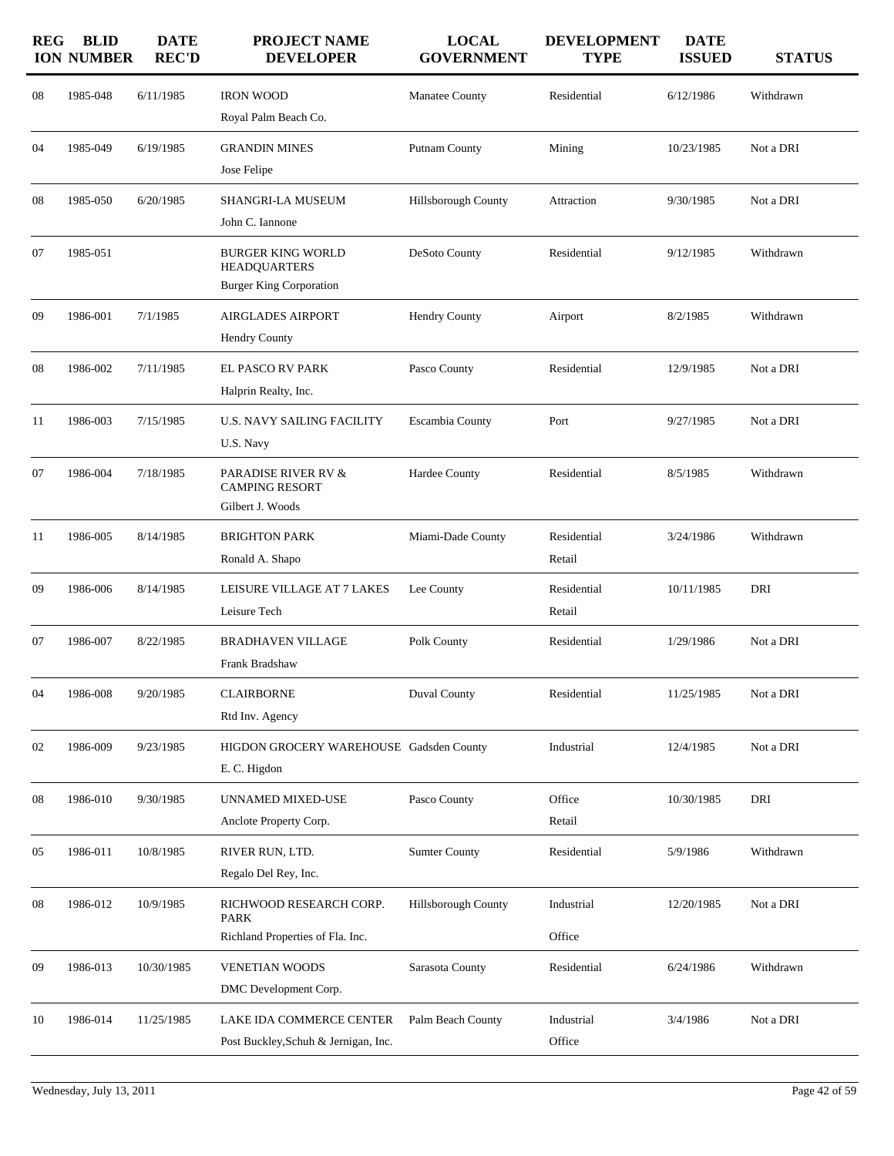| <b>REG</b> | <b>BLID</b><br><b>ION NUMBER</b> | <b>DATE</b><br><b>REC'D</b> | <b>PROJECT NAME</b><br><b>DEVELOPER</b>                                    | <b>LOCAL</b><br><b>GOVERNMENT</b> | <b>DEVELOPMENT</b><br><b>TYPE</b> | <b>DATE</b><br><b>ISSUED</b> | <b>STATUS</b> |
|------------|----------------------------------|-----------------------------|----------------------------------------------------------------------------|-----------------------------------|-----------------------------------|------------------------------|---------------|
| 08         | 1985-048                         | 6/11/1985                   | <b>IRON WOOD</b><br>Royal Palm Beach Co.                                   | Manatee County                    | Residential                       | 6/12/1986                    | Withdrawn     |
| 04         | 1985-049                         | 6/19/1985                   | <b>GRANDIN MINES</b><br>Jose Felipe                                        | Putnam County                     | Mining                            | 10/23/1985                   | Not a DRI     |
| 08         | 1985-050                         | 6/20/1985                   | SHANGRI-LA MUSEUM<br>John C. Iannone                                       | Hillsborough County               | Attraction                        | 9/30/1985                    | Not a DRI     |
| 07         | 1985-051                         |                             | BURGER KING WORLD<br><b>HEADQUARTERS</b><br><b>Burger King Corporation</b> | DeSoto County                     | Residential                       | 9/12/1985                    | Withdrawn     |
| 09         | 1986-001                         | 7/1/1985                    | <b>AIRGLADES AIRPORT</b><br>Hendry County                                  | <b>Hendry County</b>              | Airport                           | 8/2/1985                     | Withdrawn     |
| 08         | 1986-002                         | 7/11/1985                   | EL PASCO RV PARK<br>Halprin Realty, Inc.                                   | Pasco County                      | Residential                       | 12/9/1985                    | Not a DRI     |
| 11         | 1986-003                         | 7/15/1985                   | <b>U.S. NAVY SAILING FACILITY</b><br>U.S. Navy                             | Escambia County                   | Port                              | 9/27/1985                    | Not a DRI     |
| 07         | 1986-004                         | 7/18/1985                   | PARADISE RIVER RV &<br><b>CAMPING RESORT</b><br>Gilbert J. Woods           | Hardee County                     | Residential                       | 8/5/1985                     | Withdrawn     |
| 11         | 1986-005                         | 8/14/1985                   | <b>BRIGHTON PARK</b><br>Ronald A. Shapo                                    | Miami-Dade County                 | Residential<br>Retail             | 3/24/1986                    | Withdrawn     |
| 09         | 1986-006                         | 8/14/1985                   | LEISURE VILLAGE AT 7 LAKES<br>Leisure Tech                                 | Lee County                        | Residential<br>Retail             | 10/11/1985                   | DRI           |
| 07         | 1986-007                         | 8/22/1985                   | BRADHAVEN VILLAGE<br>Frank Bradshaw                                        | Polk County                       | Residential                       | 1/29/1986                    | Not a DRI     |
| 04         | 1986-008                         | 9/20/1985                   | <b>CLAIRBORNE</b><br>Rtd Inv. Agency                                       | Duval County                      | Residential                       | 11/25/1985                   | Not a DRI     |
| 02         | 1986-009                         | 9/23/1985                   | HIGDON GROCERY WAREHOUSE Gadsden County<br>E.C. Higdon                     |                                   | Industrial                        | 12/4/1985                    | Not a DRI     |
| 08         | 1986-010                         | 9/30/1985                   | UNNAMED MIXED-USE<br>Anclote Property Corp.                                | Pasco County                      | Office<br>Retail                  | 10/30/1985                   | DRI           |
| 05         | 1986-011                         | 10/8/1985                   | RIVER RUN, LTD.<br>Regalo Del Rey, Inc.                                    | <b>Sumter County</b>              | Residential                       | 5/9/1986                     | Withdrawn     |
| 08         | 1986-012                         | 10/9/1985                   | RICHWOOD RESEARCH CORP.<br><b>PARK</b><br>Richland Properties of Fla. Inc. | Hillsborough County               | Industrial<br>Office              | 12/20/1985                   | Not a DRI     |
| 09         | 1986-013                         | 10/30/1985                  | <b>VENETIAN WOODS</b><br>DMC Development Corp.                             | Sarasota County                   | Residential                       | 6/24/1986                    | Withdrawn     |
| 10         | 1986-014                         | 11/25/1985                  | LAKE IDA COMMERCE CENTER<br>Post Buckley, Schuh & Jernigan, Inc.           | Palm Beach County                 | Industrial<br>Office              | 3/4/1986                     | Not a DRI     |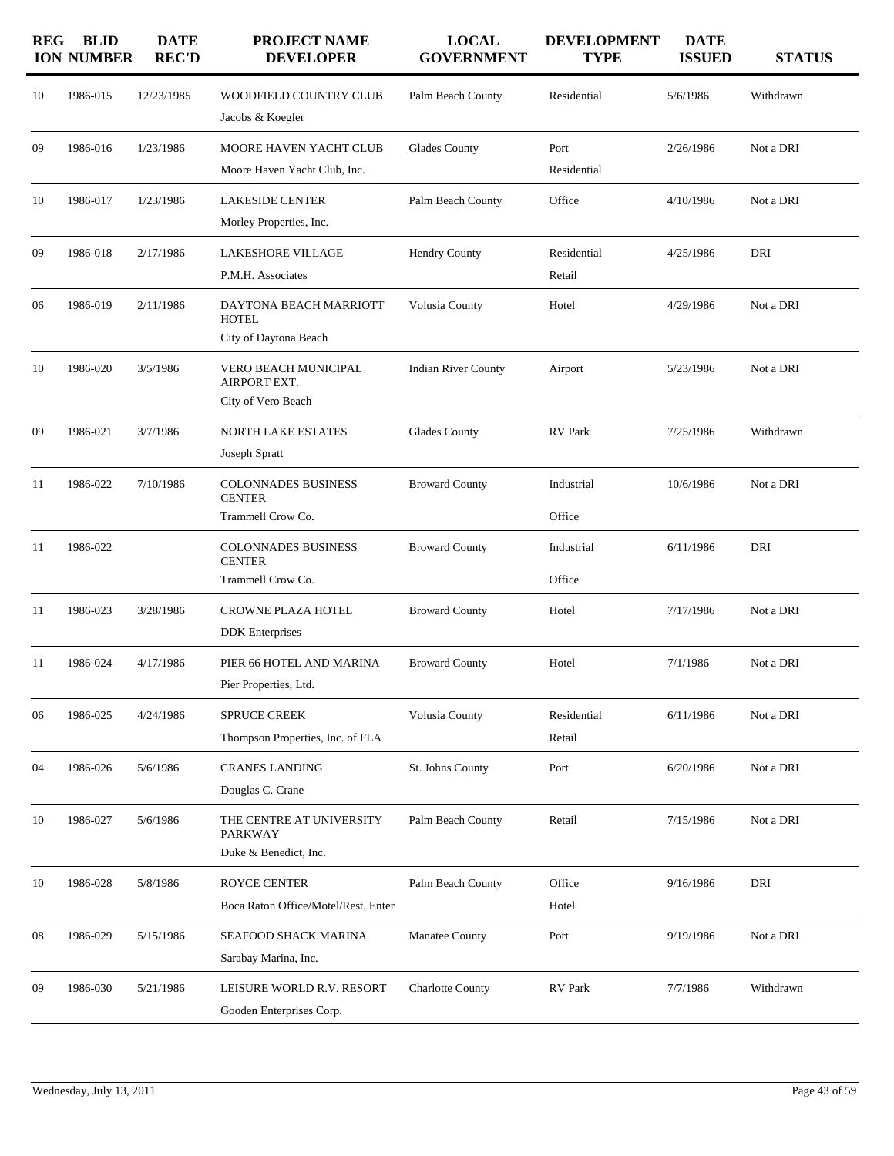| <b>REG</b> | <b>BLID</b><br><b>ION NUMBER</b> | <b>DATE</b><br><b>REC'D</b> | <b>PROJECT NAME</b><br><b>DEVELOPER</b>                             | <b>LOCAL</b><br><b>GOVERNMENT</b> | <b>DEVELOPMENT</b><br><b>TYPE</b> | <b>DATE</b><br><b>ISSUED</b> | <b>STATUS</b> |
|------------|----------------------------------|-----------------------------|---------------------------------------------------------------------|-----------------------------------|-----------------------------------|------------------------------|---------------|
| 10         | 1986-015                         | 12/23/1985                  | WOODFIELD COUNTRY CLUB<br>Jacobs & Koegler                          | Palm Beach County                 | Residential                       | 5/6/1986                     | Withdrawn     |
| 09         | 1986-016                         | 1/23/1986                   | MOORE HAVEN YACHT CLUB<br>Moore Haven Yacht Club, Inc.              | <b>Glades County</b>              | Port<br>Residential               | 2/26/1986                    | Not a DRI     |
| 10         | 1986-017                         | 1/23/1986                   | <b>LAKESIDE CENTER</b><br>Morley Properties, Inc.                   | Palm Beach County                 | Office                            | 4/10/1986                    | Not a DRI     |
| 09         | 1986-018                         | 2/17/1986                   | <b>LAKESHORE VILLAGE</b><br>P.M.H. Associates                       | <b>Hendry County</b>              | Residential<br>Retail             | 4/25/1986                    | DRI           |
| 06         | 1986-019                         | 2/11/1986                   | DAYTONA BEACH MARRIOTT<br><b>HOTEL</b><br>City of Daytona Beach     | Volusia County                    | Hotel                             | 4/29/1986                    | Not a DRI     |
| 10         | 1986-020                         | 3/5/1986                    | <b>VERO BEACH MUNICIPAL</b><br>AIRPORT EXT.<br>City of Vero Beach   | <b>Indian River County</b>        | Airport                           | 5/23/1986                    | Not a DRI     |
| 09         | 1986-021                         | 3/7/1986                    | NORTH LAKE ESTATES<br>Joseph Spratt                                 | <b>Glades County</b>              | RV Park                           | 7/25/1986                    | Withdrawn     |
| 11         | 1986-022                         | 7/10/1986                   | <b>COLONNADES BUSINESS</b><br><b>CENTER</b><br>Trammell Crow Co.    | <b>Broward County</b>             | Industrial<br>Office              | 10/6/1986                    | Not a DRI     |
| 11         | 1986-022                         |                             | <b>COLONNADES BUSINESS</b><br><b>CENTER</b><br>Trammell Crow Co.    | <b>Broward County</b>             | Industrial<br>Office              | 6/11/1986                    | DRI           |
| 11         | 1986-023                         | 3/28/1986                   | CROWNE PLAZA HOTEL<br><b>DDK</b> Enterprises                        | <b>Broward County</b>             | Hotel                             | 7/17/1986                    | Not a DRI     |
| 11         | 1986-024                         | 4/17/1986                   | PIER 66 HOTEL AND MARINA<br>Pier Properties, Ltd.                   | <b>Broward County</b>             | Hotel                             | 7/1/1986                     | Not a DRI     |
| 06         | 1986-025                         | 4/24/1986                   | <b>SPRUCE CREEK</b><br>Thompson Properties, Inc. of FLA             | Volusia County                    | Residential<br>Retail             | 6/11/1986                    | Not a DRI     |
| 04         | 1986-026                         | 5/6/1986                    | <b>CRANES LANDING</b><br>Douglas C. Crane                           | St. Johns County                  | Port                              | 6/20/1986                    | Not a DRI     |
| 10         | 1986-027                         | 5/6/1986                    | THE CENTRE AT UNIVERSITY<br><b>PARKWAY</b><br>Duke & Benedict, Inc. | Palm Beach County                 | Retail                            | 7/15/1986                    | Not a DRI     |
| 10         | 1986-028                         | 5/8/1986                    | <b>ROYCE CENTER</b><br>Boca Raton Office/Motel/Rest. Enter          | Palm Beach County                 | Office<br>Hotel                   | 9/16/1986                    | DRI           |
| 08         | 1986-029                         | 5/15/1986                   | SEAFOOD SHACK MARINA<br>Sarabay Marina, Inc.                        | Manatee County                    | Port                              | 9/19/1986                    | Not a DRI     |
| 09         | 1986-030                         | 5/21/1986                   | LEISURE WORLD R.V. RESORT<br>Gooden Enterprises Corp.               | <b>Charlotte County</b>           | RV Park                           | 7/7/1986                     | Withdrawn     |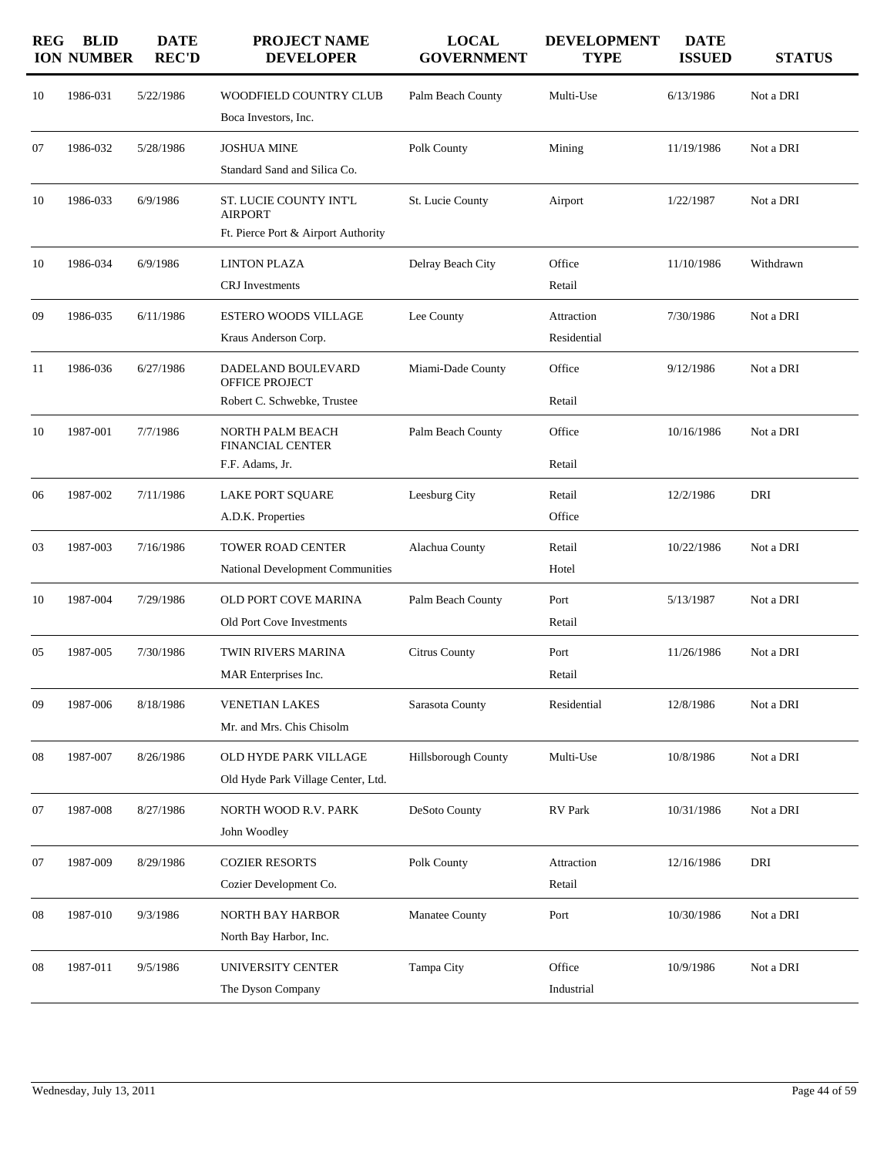| <b>REG</b> | <b>BLID</b><br><b>ION NUMBER</b> | <b>DATE</b><br><b>REC'D</b> | PROJECT NAME<br><b>DEVELOPER</b>                                                | <b>LOCAL</b><br><b>GOVERNMENT</b> | <b>DEVELOPMENT</b><br><b>TYPE</b> | <b>DATE</b><br><b>ISSUED</b> | <b>STATUS</b> |
|------------|----------------------------------|-----------------------------|---------------------------------------------------------------------------------|-----------------------------------|-----------------------------------|------------------------------|---------------|
| 10         | 1986-031                         | 5/22/1986                   | WOODFIELD COUNTRY CLUB<br>Boca Investors, Inc.                                  | Palm Beach County                 | Multi-Use                         | 6/13/1986                    | Not a DRI     |
| 07         | 1986-032                         | 5/28/1986                   | <b>JOSHUA MINE</b><br>Standard Sand and Silica Co.                              | Polk County                       | Mining                            | 11/19/1986                   | Not a DRI     |
| 10         | 1986-033                         | 6/9/1986                    | ST. LUCIE COUNTY INT'L<br><b>AIRPORT</b><br>Ft. Pierce Port & Airport Authority | St. Lucie County                  | Airport                           | 1/22/1987                    | Not a DRI     |
| 10         | 1986-034                         | 6/9/1986                    | <b>LINTON PLAZA</b><br><b>CRJ</b> Investments                                   | Delray Beach City                 | Office<br>Retail                  | 11/10/1986                   | Withdrawn     |
| 09         | 1986-035                         | 6/11/1986                   | <b>ESTERO WOODS VILLAGE</b><br>Kraus Anderson Corp.                             | Lee County                        | Attraction<br>Residential         | 7/30/1986                    | Not a DRI     |
| 11         | 1986-036                         | 6/27/1986                   | DADELAND BOULEVARD<br>OFFICE PROJECT<br>Robert C. Schwebke, Trustee             | Miami-Dade County                 | Office<br>Retail                  | 9/12/1986                    | Not a DRI     |
| 10         | 1987-001                         | 7/7/1986                    | NORTH PALM BEACH<br>FINANCIAL CENTER<br>F.F. Adams, Jr.                         | Palm Beach County                 | Office<br>Retail                  | 10/16/1986                   | Not a DRI     |
| 06         | 1987-002                         | 7/11/1986                   | <b>LAKE PORT SQUARE</b><br>A.D.K. Properties                                    | Leesburg City                     | Retail<br>Office                  | 12/2/1986                    | DRI           |
| 03         | 1987-003                         | 7/16/1986                   | <b>TOWER ROAD CENTER</b><br>National Development Communities                    | Alachua County                    | Retail<br>Hotel                   | 10/22/1986                   | Not a DRI     |
| 10         | 1987-004                         | 7/29/1986                   | OLD PORT COVE MARINA<br>Old Port Cove Investments                               | Palm Beach County                 | Port<br>Retail                    | 5/13/1987                    | Not a DRI     |
| 05         | 1987-005                         | 7/30/1986                   | TWIN RIVERS MARINA<br>MAR Enterprises Inc.                                      | <b>Citrus County</b>              | Port<br>Retail                    | 11/26/1986                   | Not a DRI     |
| 09         | 1987-006                         | 8/18/1986                   | <b>VENETIAN LAKES</b><br>Mr. and Mrs. Chis Chisolm                              | Sarasota County                   | Residential                       | 12/8/1986                    | Not a DRI     |
| 08         | 1987-007                         | 8/26/1986                   | OLD HYDE PARK VILLAGE<br>Old Hyde Park Village Center, Ltd.                     | Hillsborough County               | Multi-Use                         | 10/8/1986                    | Not a DRI     |
| 07         | 1987-008                         | 8/27/1986                   | NORTH WOOD R.V. PARK<br>John Woodley                                            | DeSoto County                     | RV Park                           | 10/31/1986                   | Not a DRI     |
| 07         | 1987-009                         | 8/29/1986                   | <b>COZIER RESORTS</b><br>Cozier Development Co.                                 | Polk County                       | Attraction<br>Retail              | 12/16/1986                   | DRI           |
| 08         | 1987-010                         | 9/3/1986                    | NORTH BAY HARBOR<br>North Bay Harbor, Inc.                                      | Manatee County                    | Port                              | 10/30/1986                   | Not a DRI     |
| 08         | 1987-011                         | 9/5/1986                    | UNIVERSITY CENTER<br>The Dyson Company                                          | Tampa City                        | Office<br>Industrial              | 10/9/1986                    | Not a DRI     |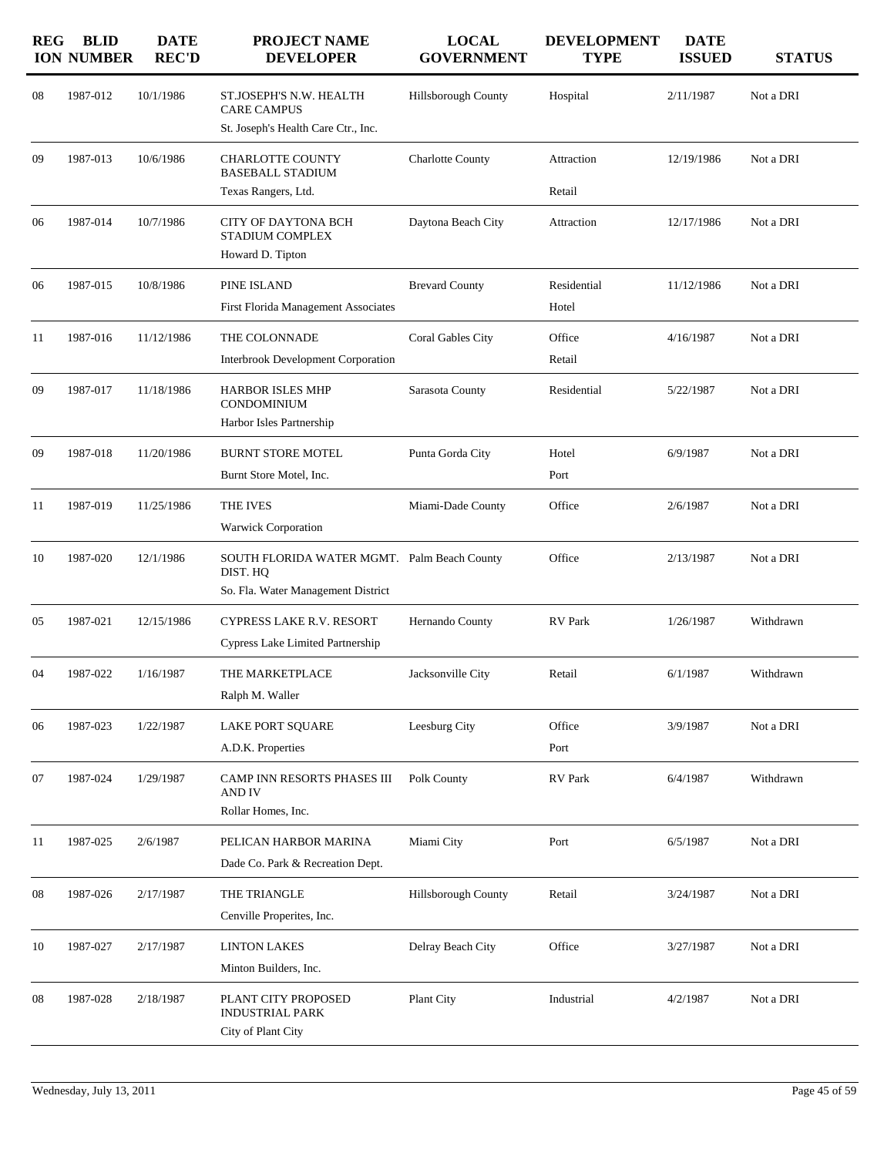| <b>REG</b> | <b>BLID</b><br><b>ION NUMBER</b> | <b>DATE</b><br><b>REC'D</b> | <b>PROJECT NAME</b><br><b>DEVELOPER</b>                                                       | <b>LOCAL</b><br><b>GOVERNMENT</b> | <b>DEVELOPMENT</b><br><b>TYPE</b> | <b>DATE</b><br><b>ISSUED</b> | <b>STATUS</b> |
|------------|----------------------------------|-----------------------------|-----------------------------------------------------------------------------------------------|-----------------------------------|-----------------------------------|------------------------------|---------------|
| 08         | 1987-012                         | 10/1/1986                   | ST.JOSEPH'S N.W. HEALTH<br><b>CARE CAMPUS</b>                                                 | Hillsborough County               | Hospital                          | 2/11/1987                    | Not a DRI     |
|            |                                  |                             | St. Joseph's Health Care Ctr., Inc.                                                           |                                   |                                   |                              |               |
| 09         | 1987-013                         | 10/6/1986                   | CHARLOTTE COUNTY<br><b>BASEBALL STADIUM</b>                                                   | <b>Charlotte County</b>           | Attraction                        | 12/19/1986                   | Not a DRI     |
|            |                                  |                             | Texas Rangers, Ltd.                                                                           |                                   | Retail                            |                              |               |
| 06         | 1987-014                         | 10/7/1986                   | CITY OF DAYTONA BCH<br>STADIUM COMPLEX<br>Howard D. Tipton                                    | Daytona Beach City                | Attraction                        | 12/17/1986                   | Not a DRI     |
| 06         | 1987-015                         | 10/8/1986                   | PINE ISLAND                                                                                   | <b>Brevard County</b>             | Residential                       | 11/12/1986                   | Not a DRI     |
|            |                                  |                             | First Florida Management Associates                                                           |                                   | Hotel                             |                              |               |
| 11         | 1987-016                         | 11/12/1986                  | THE COLONNADE                                                                                 | Coral Gables City                 | Office                            | 4/16/1987                    | Not a DRI     |
|            |                                  |                             | Interbrook Development Corporation                                                            |                                   | Retail                            |                              |               |
| 09         | 1987-017                         | 11/18/1986                  | HARBOR ISLES MHP<br>CONDOMINIUM<br>Harbor Isles Partnership                                   | Sarasota County                   | Residential                       | 5/22/1987                    | Not a DRI     |
| 09         | 1987-018                         | 11/20/1986                  | <b>BURNT STORE MOTEL</b>                                                                      | Punta Gorda City                  | Hotel                             | 6/9/1987                     | Not a DRI     |
|            |                                  |                             | Burnt Store Motel, Inc.                                                                       |                                   | Port                              |                              |               |
| 11         | 1987-019                         | 11/25/1986                  | THE IVES<br><b>Warwick Corporation</b>                                                        | Miami-Dade County                 | Office                            | 2/6/1987                     | Not a DRI     |
| 10         | 1987-020                         | 12/1/1986                   | SOUTH FLORIDA WATER MGMT. Palm Beach County<br>DIST. HQ<br>So. Fla. Water Management District |                                   | Office                            | 2/13/1987                    | Not a DRI     |
| 05         | 1987-021                         | 12/15/1986                  | <b>CYPRESS LAKE R.V. RESORT</b><br>Cypress Lake Limited Partnership                           | Hernando County                   | <b>RV</b> Park                    | 1/26/1987                    | Withdrawn     |
| 04         | 1987-022                         | 1/16/1987                   | THE MARKETPLACE<br>Ralph M. Waller                                                            | Jacksonville City                 | Retail                            | 6/1/1987                     | Withdrawn     |
| 06         | 1987-023                         | 1/22/1987                   | <b>LAKE PORT SQUARE</b><br>A.D.K. Properties                                                  | Leesburg City                     | Office<br>Port                    | 3/9/1987                     | Not a DRI     |
| 07         | 1987-024                         | 1/29/1987                   | CAMP INN RESORTS PHASES III<br>AND IV                                                         | Polk County                       | RV Park                           | 6/4/1987                     | Withdrawn     |
|            |                                  |                             | Rollar Homes, Inc.                                                                            |                                   |                                   |                              |               |
| 11         | 1987-025                         | 2/6/1987                    | PELICAN HARBOR MARINA<br>Dade Co. Park & Recreation Dept.                                     | Miami City                        | Port                              | 6/5/1987                     | Not a DRI     |
| 08         | 1987-026                         | 2/17/1987                   | THE TRIANGLE<br>Cenville Properites, Inc.                                                     | Hillsborough County               | Retail                            | 3/24/1987                    | Not a DRI     |
| 10         | 1987-027                         | 2/17/1987                   | <b>LINTON LAKES</b><br>Minton Builders, Inc.                                                  | Delray Beach City                 | Office                            | 3/27/1987                    | Not a DRI     |
| 08         | 1987-028                         | 2/18/1987                   | PLANT CITY PROPOSED<br>INDUSTRIAL PARK<br>City of Plant City                                  | Plant City                        | Industrial                        | 4/2/1987                     | Not a DRI     |
|            |                                  |                             |                                                                                               |                                   |                                   |                              |               |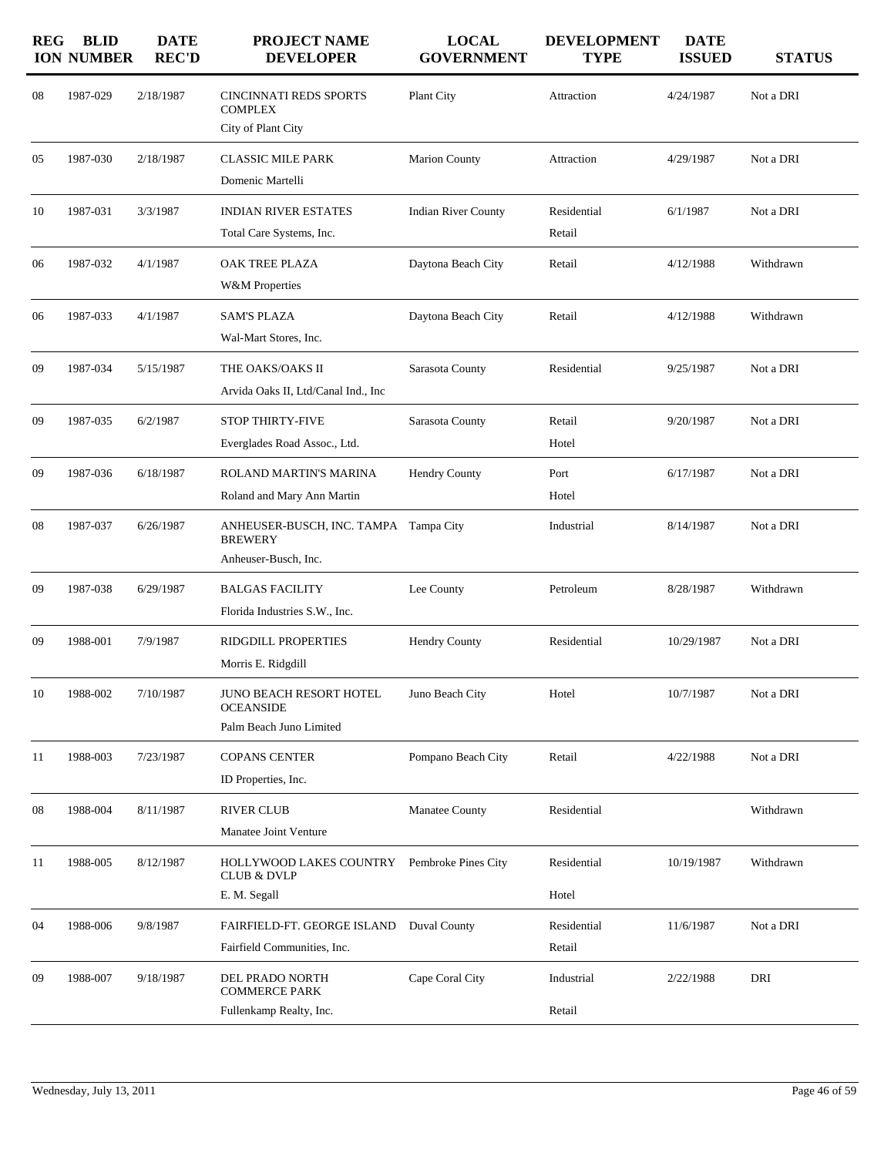| <b>REG</b> | <b>BLID</b><br><b>ION NUMBER</b> | <b>DATE</b><br><b>REC'D</b> | <b>PROJECT NAME</b><br><b>DEVELOPER</b>                                         | <b>LOCAL</b><br><b>GOVERNMENT</b> | <b>DEVELOPMENT</b><br><b>TYPE</b> | <b>DATE</b><br><b>ISSUED</b> | <b>STATUS</b> |
|------------|----------------------------------|-----------------------------|---------------------------------------------------------------------------------|-----------------------------------|-----------------------------------|------------------------------|---------------|
| 08         | 1987-029                         | 2/18/1987                   | <b>CINCINNATI REDS SPORTS</b><br><b>COMPLEX</b><br>City of Plant City           | Plant City                        | Attraction                        | 4/24/1987                    | Not a DRI     |
| 05         | 1987-030                         | 2/18/1987                   | <b>CLASSIC MILE PARK</b><br>Domenic Martelli                                    | <b>Marion County</b>              | Attraction                        | 4/29/1987                    | Not a DRI     |
| 10         | 1987-031                         | 3/3/1987                    | <b>INDIAN RIVER ESTATES</b><br>Total Care Systems, Inc.                         | <b>Indian River County</b>        | Residential<br>Retail             | 6/1/1987                     | Not a DRI     |
| 06         | 1987-032                         | 4/1/1987                    | OAK TREE PLAZA<br><b>W&amp;M</b> Properties                                     | Daytona Beach City                | Retail                            | 4/12/1988                    | Withdrawn     |
| 06         | 1987-033                         | 4/1/1987                    | <b>SAM'S PLAZA</b><br>Wal-Mart Stores, Inc.                                     | Daytona Beach City                | Retail                            | 4/12/1988                    | Withdrawn     |
| 09         | 1987-034                         | 5/15/1987                   | THE OAKS/OAKS II<br>Arvida Oaks II, Ltd/Canal Ind., Inc                         | Sarasota County                   | Residential                       | 9/25/1987                    | Not a DRI     |
| 09         | 1987-035                         | 6/2/1987                    | <b>STOP THIRTY-FIVE</b><br>Everglades Road Assoc., Ltd.                         | Sarasota County                   | Retail<br>Hotel                   | 9/20/1987                    | Not a DRI     |
| 09         | 1987-036                         | 6/18/1987                   | ROLAND MARTIN'S MARINA<br>Roland and Mary Ann Martin                            | <b>Hendry County</b>              | Port<br>Hotel                     | 6/17/1987                    | Not a DRI     |
| 08         | 1987-037                         | 6/26/1987                   | ANHEUSER-BUSCH, INC. TAMPA Tampa City<br><b>BREWERY</b><br>Anheuser-Busch, Inc. |                                   | Industrial                        | 8/14/1987                    | Not a DRI     |
| 09         | 1987-038                         | 6/29/1987                   | <b>BALGAS FACILITY</b><br>Florida Industries S.W., Inc.                         | Lee County                        | Petroleum                         | 8/28/1987                    | Withdrawn     |
| 09         | 1988-001                         | 7/9/1987                    | RIDGDILL PROPERTIES<br>Morris E. Ridgdill                                       | <b>Hendry County</b>              | Residential                       | 10/29/1987                   | Not a DRI     |
| 10         | 1988-002                         | 7/10/1987                   | JUNO BEACH RESORT HOTEL<br><b>OCEANSIDE</b><br>Palm Beach Juno Limited          | Juno Beach City                   | Hotel                             | 10/7/1987                    | Not a DRI     |
| 11         | 1988-003                         | 7/23/1987                   | <b>COPANS CENTER</b><br>ID Properties, Inc.                                     | Pompano Beach City                | Retail                            | 4/22/1988                    | Not a DRI     |
| 08         | 1988-004                         | 8/11/1987                   | <b>RIVER CLUB</b><br>Manatee Joint Venture                                      | Manatee County                    | Residential                       |                              | Withdrawn     |
| 11         | 1988-005                         | 8/12/1987                   | HOLLYWOOD LAKES COUNTRY<br><b>CLUB &amp; DVLP</b><br>E. M. Segall               | Pembroke Pines City               | Residential<br>Hotel              | 10/19/1987                   | Withdrawn     |
| 04         | 1988-006                         | 9/8/1987                    | FAIRFIELD-FT. GEORGE ISLAND<br>Fairfield Communities, Inc.                      | Duval County                      | Residential<br>Retail             | 11/6/1987                    | Not a DRI     |
| 09         | 1988-007                         | 9/18/1987                   | DEL PRADO NORTH<br><b>COMMERCE PARK</b><br>Fullenkamp Realty, Inc.              | Cape Coral City                   | Industrial<br>Retail              | 2/22/1988                    | DRI           |
|            |                                  |                             |                                                                                 |                                   |                                   |                              |               |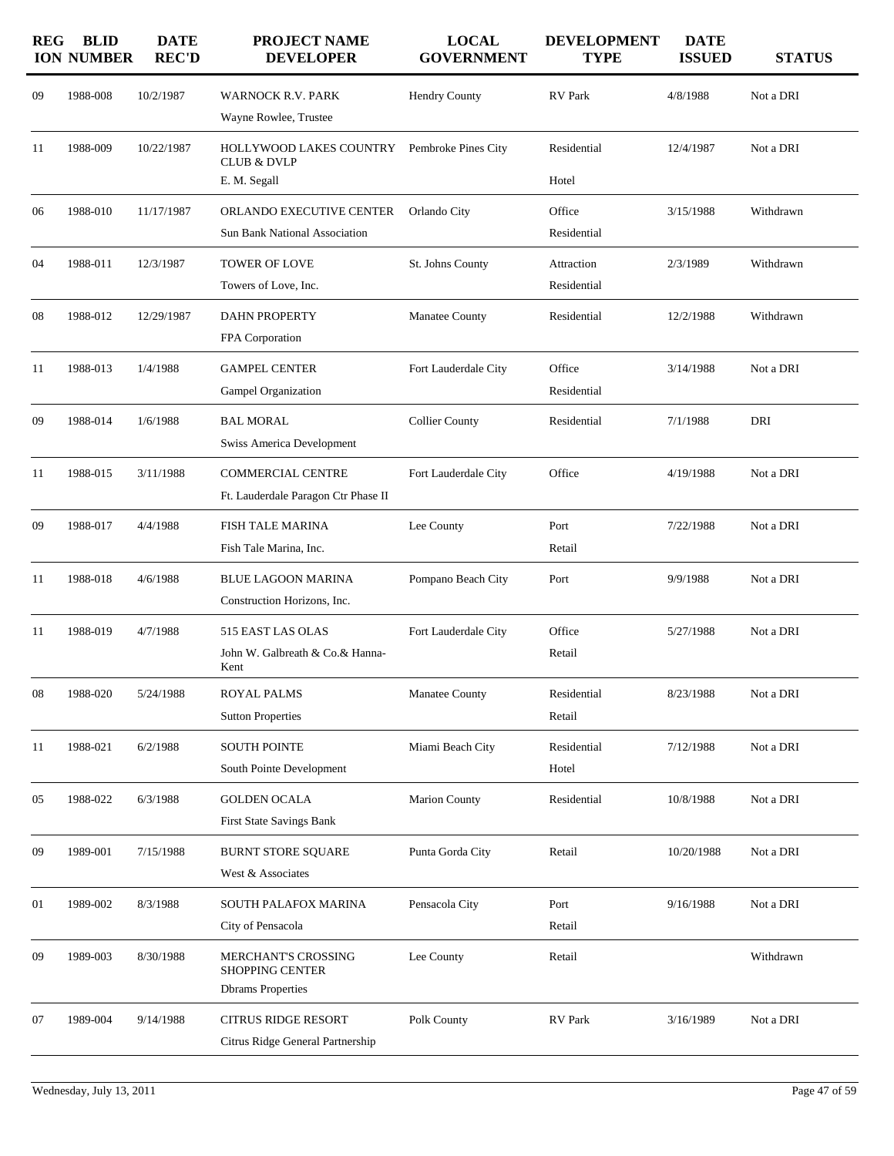| <b>REG</b> | <b>BLID</b><br><b>ION NUMBER</b> | <b>DATE</b><br><b>REC'D</b> | <b>PROJECT NAME</b><br><b>DEVELOPER</b>                                          | <b>LOCAL</b><br><b>GOVERNMENT</b> | <b>DEVELOPMENT</b><br><b>TYPE</b> | <b>DATE</b><br><b>ISSUED</b> | <b>STATUS</b> |
|------------|----------------------------------|-----------------------------|----------------------------------------------------------------------------------|-----------------------------------|-----------------------------------|------------------------------|---------------|
| 09         | 1988-008                         | 10/2/1987                   | <b>WARNOCK R.V. PARK</b><br>Wayne Rowlee, Trustee                                | <b>Hendry County</b>              | RV Park                           | 4/8/1988                     | Not a DRI     |
| 11         | 1988-009                         | 10/22/1987                  | HOLLYWOOD LAKES COUNTRY<br><b>CLUB &amp; DVLP</b><br>E. M. Segall                | Pembroke Pines City               | Residential<br>Hotel              | 12/4/1987                    | Not a DRI     |
| 06         | 1988-010                         | 11/17/1987                  | ORLANDO EXECUTIVE CENTER<br><b>Sun Bank National Association</b>                 | Orlando City                      | Office<br>Residential             | 3/15/1988                    | Withdrawn     |
| 04         | 1988-011                         | 12/3/1987                   | <b>TOWER OF LOVE</b><br>Towers of Love, Inc.                                     | St. Johns County                  | Attraction<br>Residential         | 2/3/1989                     | Withdrawn     |
| 08         | 1988-012                         | 12/29/1987                  | <b>DAHN PROPERTY</b><br>FPA Corporation                                          | <b>Manatee County</b>             | Residential                       | 12/2/1988                    | Withdrawn     |
| 11         | 1988-013                         | 1/4/1988                    | <b>GAMPEL CENTER</b><br>Gampel Organization                                      | Fort Lauderdale City              | Office<br>Residential             | 3/14/1988                    | Not a DRI     |
| 09         | 1988-014                         | 1/6/1988                    | <b>BAL MORAL</b><br>Swiss America Development                                    | <b>Collier County</b>             | Residential                       | 7/1/1988                     | DRI           |
| 11         | 1988-015                         | 3/11/1988                   | <b>COMMERCIAL CENTRE</b><br>Ft. Lauderdale Paragon Ctr Phase II                  | Fort Lauderdale City              | Office                            | 4/19/1988                    | Not a DRI     |
| 09         | 1988-017                         | 4/4/1988                    | <b>FISH TALE MARINA</b><br>Fish Tale Marina, Inc.                                | Lee County                        | Port<br>Retail                    | 7/22/1988                    | Not a DRI     |
| 11         | 1988-018                         | 4/6/1988                    | <b>BLUE LAGOON MARINA</b><br>Construction Horizons, Inc.                         | Pompano Beach City                | Port                              | 9/9/1988                     | Not a DRI     |
| 11         | 1988-019                         | 4/7/1988                    | 515 EAST LAS OLAS<br>John W. Galbreath & Co.& Hanna-<br>Kent                     | Fort Lauderdale City              | Office<br>Retail                  | 5/27/1988                    | Not a DRI     |
| 08         | 1988-020                         | 5/24/1988                   | <b>ROYAL PALMS</b><br><b>Sutton Properties</b>                                   | Manatee County                    | Residential<br>Retail             | 8/23/1988                    | Not a DRI     |
| 11         | 1988-021                         | 6/2/1988                    | <b>SOUTH POINTE</b><br>South Pointe Development                                  | Miami Beach City                  | Residential<br>Hotel              | 7/12/1988                    | Not a DRI     |
| 05         | 1988-022                         | 6/3/1988                    | <b>GOLDEN OCALA</b><br><b>First State Savings Bank</b>                           | <b>Marion County</b>              | Residential                       | 10/8/1988                    | Not a DRI     |
| 09         | 1989-001                         | 7/15/1988                   | <b>BURNT STORE SQUARE</b><br>West & Associates                                   | Punta Gorda City                  | Retail                            | 10/20/1988                   | Not a DRI     |
| 01         | 1989-002                         | 8/3/1988                    | SOUTH PALAFOX MARINA<br>City of Pensacola                                        | Pensacola City                    | Port<br>Retail                    | 9/16/1988                    | Not a DRI     |
| 09         | 1989-003                         | 8/30/1988                   | <b>MERCHANT'S CROSSING</b><br><b>SHOPPING CENTER</b><br><b>Dbrams</b> Properties | Lee County                        | Retail                            |                              | Withdrawn     |
| 07         | 1989-004                         | 9/14/1988                   | <b>CITRUS RIDGE RESORT</b><br>Citrus Ridge General Partnership                   | Polk County                       | RV Park                           | 3/16/1989                    | Not a DRI     |
|            |                                  |                             |                                                                                  |                                   |                                   |                              |               |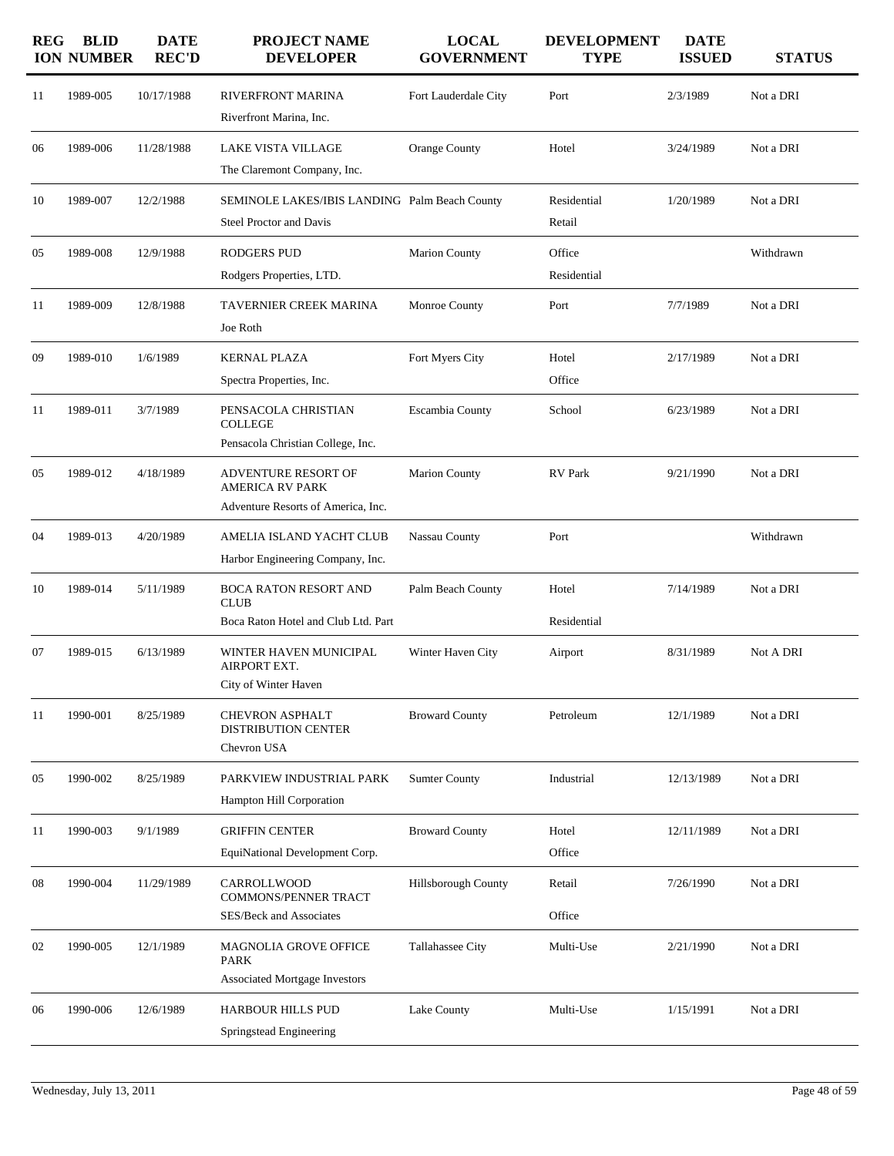| <b>REG</b> | <b>BLID</b><br><b>ION NUMBER</b> | <b>DATE</b><br><b>REC'D</b> | <b>PROJECT NAME</b><br><b>DEVELOPER</b>                                                    | <b>LOCAL</b><br><b>GOVERNMENT</b> | <b>DEVELOPMENT</b><br><b>TYPE</b> | <b>DATE</b><br><b>ISSUED</b> | <b>STATUS</b> |
|------------|----------------------------------|-----------------------------|--------------------------------------------------------------------------------------------|-----------------------------------|-----------------------------------|------------------------------|---------------|
| 11         | 1989-005                         | 10/17/1988                  | RIVERFRONT MARINA<br>Riverfront Marina, Inc.                                               | Fort Lauderdale City              | Port                              | 2/3/1989                     | Not a DRI     |
| 06         | 1989-006                         | 11/28/1988                  | LAKE VISTA VILLAGE<br>The Claremont Company, Inc.                                          | Orange County                     | Hotel                             | 3/24/1989                    | Not a DRI     |
| 10         | 1989-007                         | 12/2/1988                   | SEMINOLE LAKES/IBIS LANDING Palm Beach County<br><b>Steel Proctor and Davis</b>            |                                   | Residential<br>Retail             | 1/20/1989                    | Not a DRI     |
| 05         | 1989-008                         | 12/9/1988                   | <b>RODGERS PUD</b><br>Rodgers Properties, LTD.                                             | <b>Marion County</b>              | Office<br>Residential             |                              | Withdrawn     |
| 11         | 1989-009                         | 12/8/1988                   | TAVERNIER CREEK MARINA<br>Joe Roth                                                         | Monroe County                     | Port                              | 7/7/1989                     | Not a DRI     |
| 09         | 1989-010                         | 1/6/1989                    | <b>KERNAL PLAZA</b><br>Spectra Properties, Inc.                                            | Fort Myers City                   | Hotel<br>Office                   | 2/17/1989                    | Not a DRI     |
| 11         | 1989-011                         | 3/7/1989                    | PENSACOLA CHRISTIAN<br><b>COLLEGE</b><br>Pensacola Christian College, Inc.                 | <b>Escambia County</b>            | School                            | 6/23/1989                    | Not a DRI     |
| 05         | 1989-012                         | 4/18/1989                   | <b>ADVENTURE RESORT OF</b><br><b>AMERICA RV PARK</b><br>Adventure Resorts of America, Inc. | <b>Marion County</b>              | <b>RV</b> Park                    | 9/21/1990                    | Not a DRI     |
| 04         | 1989-013                         | 4/20/1989                   | AMELIA ISLAND YACHT CLUB<br>Harbor Engineering Company, Inc.                               | Nassau County                     | Port                              |                              | Withdrawn     |
| 10         | 1989-014                         | 5/11/1989                   | <b>BOCA RATON RESORT AND</b><br><b>CLUB</b><br>Boca Raton Hotel and Club Ltd. Part         | Palm Beach County                 | Hotel<br>Residential              | 7/14/1989                    | Not a DRI     |
| 07         | 1989-015                         | 6/13/1989                   | WINTER HAVEN MUNICIPAL<br>AIRPORT EXT.<br>City of Winter Haven                             | Winter Haven City                 | Airport                           | 8/31/1989                    | Not A DRI     |
| 11         | 1990-001                         | 8/25/1989                   | <b>CHEVRON ASPHALT</b><br><b>DISTRIBUTION CENTER</b><br>Chevron USA                        | <b>Broward County</b>             | Petroleum                         | 12/1/1989                    | Not a DRI     |
| 05         | 1990-002                         | 8/25/1989                   | PARKVIEW INDUSTRIAL PARK<br>Hampton Hill Corporation                                       | <b>Sumter County</b>              | Industrial                        | 12/13/1989                   | Not a DRI     |
| 11         | 1990-003                         | 9/1/1989                    | <b>GRIFFIN CENTER</b><br>EquiNational Development Corp.                                    | <b>Broward County</b>             | Hotel<br>Office                   | 12/11/1989                   | Not a DRI     |
| 08         | 1990-004                         | 11/29/1989                  | CARROLLWOOD<br>COMMONS/PENNER TRACT<br>SES/Beck and Associates                             | <b>Hillsborough County</b>        | Retail<br>Office                  | 7/26/1990                    | Not a DRI     |
| 02         | 1990-005                         | 12/1/1989                   | MAGNOLIA GROVE OFFICE<br><b>PARK</b><br><b>Associated Mortgage Investors</b>               | Tallahassee City                  | Multi-Use                         | 2/21/1990                    | Not a DRI     |
| 06         | 1990-006                         | 12/6/1989                   | HARBOUR HILLS PUD<br>Springstead Engineering                                               | Lake County                       | Multi-Use                         | 1/15/1991                    | Not a DRI     |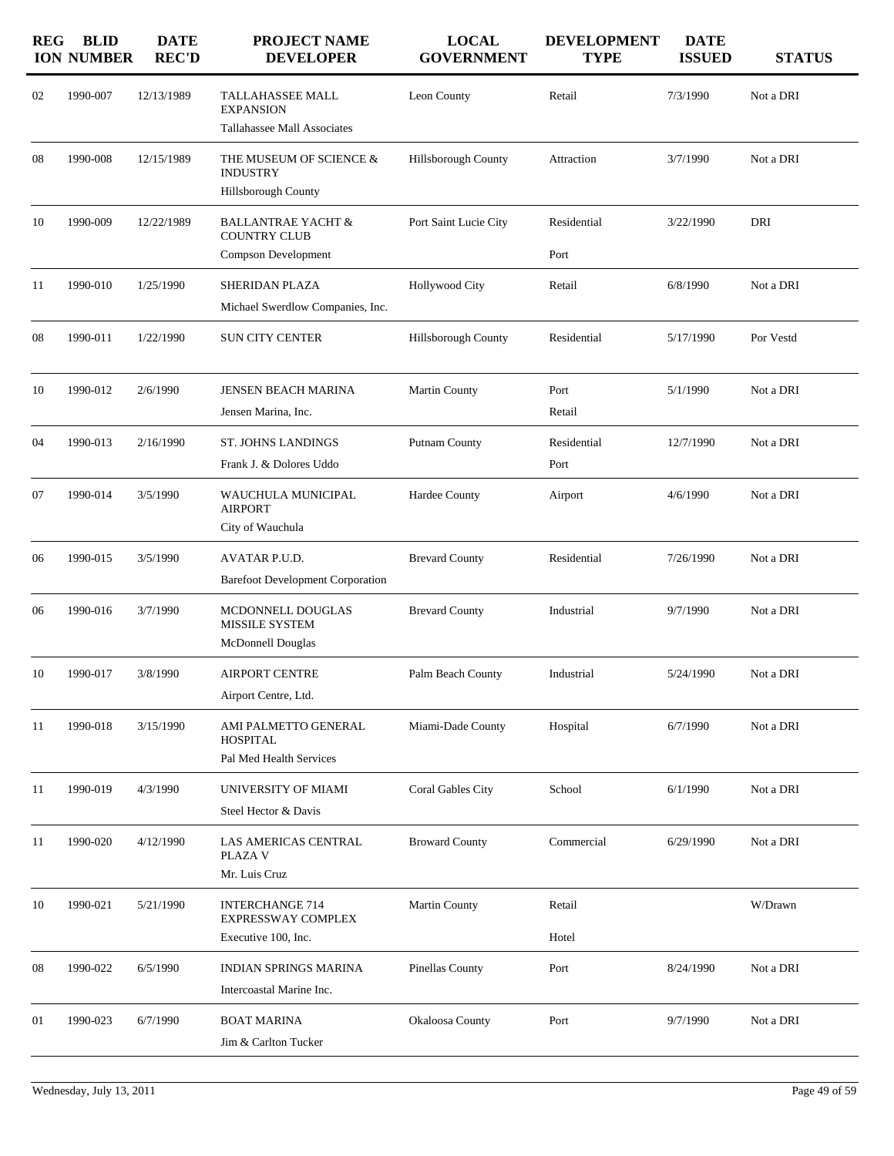| <b>REG</b> | <b>BLID</b><br><b>ION NUMBER</b> | <b>DATE</b><br><b>REC'D</b> | PROJECT NAME<br><b>DEVELOPER</b>                                            | <b>LOCAL</b><br><b>GOVERNMENT</b> | <b>DEVELOPMENT</b><br><b>TYPE</b> | <b>DATE</b><br><b>ISSUED</b> | <b>STATUS</b> |
|------------|----------------------------------|-----------------------------|-----------------------------------------------------------------------------|-----------------------------------|-----------------------------------|------------------------------|---------------|
| 02         | 1990-007                         | 12/13/1989                  | <b>TALLAHASSEE MALL</b><br><b>EXPANSION</b><br>Tallahassee Mall Associates  | Leon County                       | Retail                            | 7/3/1990                     | Not a DRI     |
| 08         | 1990-008                         | 12/15/1989                  | THE MUSEUM OF SCIENCE &<br><b>INDUSTRY</b><br><b>Hillsborough County</b>    | Hillsborough County               | Attraction                        | 3/7/1990                     | Not a DRI     |
| 10         | 1990-009                         | 12/22/1989                  | <b>BALLANTRAE YACHT &amp;</b><br><b>COUNTRY CLUB</b><br>Compson Development | Port Saint Lucie City             | Residential<br>Port               | 3/22/1990                    | DRI           |
| 11         | 1990-010                         | 1/25/1990                   | SHERIDAN PLAZA<br>Michael Swerdlow Companies, Inc.                          | <b>Hollywood City</b>             | Retail                            | 6/8/1990                     | Not a DRI     |
| 08         | 1990-011                         | 1/22/1990                   | <b>SUN CITY CENTER</b>                                                      | <b>Hillsborough County</b>        | Residential                       | 5/17/1990                    | Por Vestd     |
| 10         | 1990-012                         | 2/6/1990                    | JENSEN BEACH MARINA<br>Jensen Marina, Inc.                                  | Martin County                     | Port<br>Retail                    | 5/1/1990                     | Not a DRI     |
| 04         | 1990-013                         | 2/16/1990                   | <b>ST. JOHNS LANDINGS</b><br>Frank J. & Dolores Uddo                        | Putnam County                     | Residential<br>Port               | 12/7/1990                    | Not a DRI     |
| 07         | 1990-014                         | 3/5/1990                    | WAUCHULA MUNICIPAL<br><b>AIRPORT</b><br>City of Wauchula                    | Hardee County                     | Airport                           | 4/6/1990                     | Not a DRI     |
| 06         | 1990-015                         | 3/5/1990                    | AVATAR P.U.D.<br><b>Barefoot Development Corporation</b>                    | <b>Brevard County</b>             | Residential                       | 7/26/1990                    | Not a DRI     |
| 06         | 1990-016                         | 3/7/1990                    | MCDONNELL DOUGLAS<br>MISSILE SYSTEM<br>McDonnell Douglas                    | <b>Brevard County</b>             | Industrial                        | 9/7/1990                     | Not a DRI     |
| 10         | 1990-017                         | 3/8/1990                    | <b>AIRPORT CENTRE</b><br>Airport Centre, Ltd.                               | Palm Beach County                 | Industrial                        | 5/24/1990                    | Not a DRI     |
| 11         | 1990-018                         | 3/15/1990                   | AMI PALMETTO GENERAL<br><b>HOSPITAL</b><br>Pal Med Health Services          | Miami-Dade County                 | Hospital                          | 6/7/1990                     | Not a DRI     |
| 11         | 1990-019                         | 4/3/1990                    | UNIVERSITY OF MIAMI<br>Steel Hector & Davis                                 | Coral Gables City                 | School                            | 6/1/1990                     | Not a DRI     |
| 11         | 1990-020                         | 4/12/1990                   | LAS AMERICAS CENTRAL<br>PLAZA V<br>Mr. Luis Cruz                            | <b>Broward County</b>             | Commercial                        | 6/29/1990                    | Not a DRI     |
| 10         | 1990-021                         | 5/21/1990                   | <b>INTERCHANGE 714</b><br><b>EXPRESSWAY COMPLEX</b><br>Executive 100, Inc.  | <b>Martin County</b>              | Retail<br>Hotel                   |                              | W/Drawn       |
| 08         | 1990-022                         | 6/5/1990                    | <b>INDIAN SPRINGS MARINA</b><br>Intercoastal Marine Inc.                    | Pinellas County                   | Port                              | 8/24/1990                    | Not a DRI     |
| 01         | 1990-023                         | 6/7/1990                    | <b>BOAT MARINA</b><br>Jim & Carlton Tucker                                  | Okaloosa County                   | Port                              | 9/7/1990                     | Not a DRI     |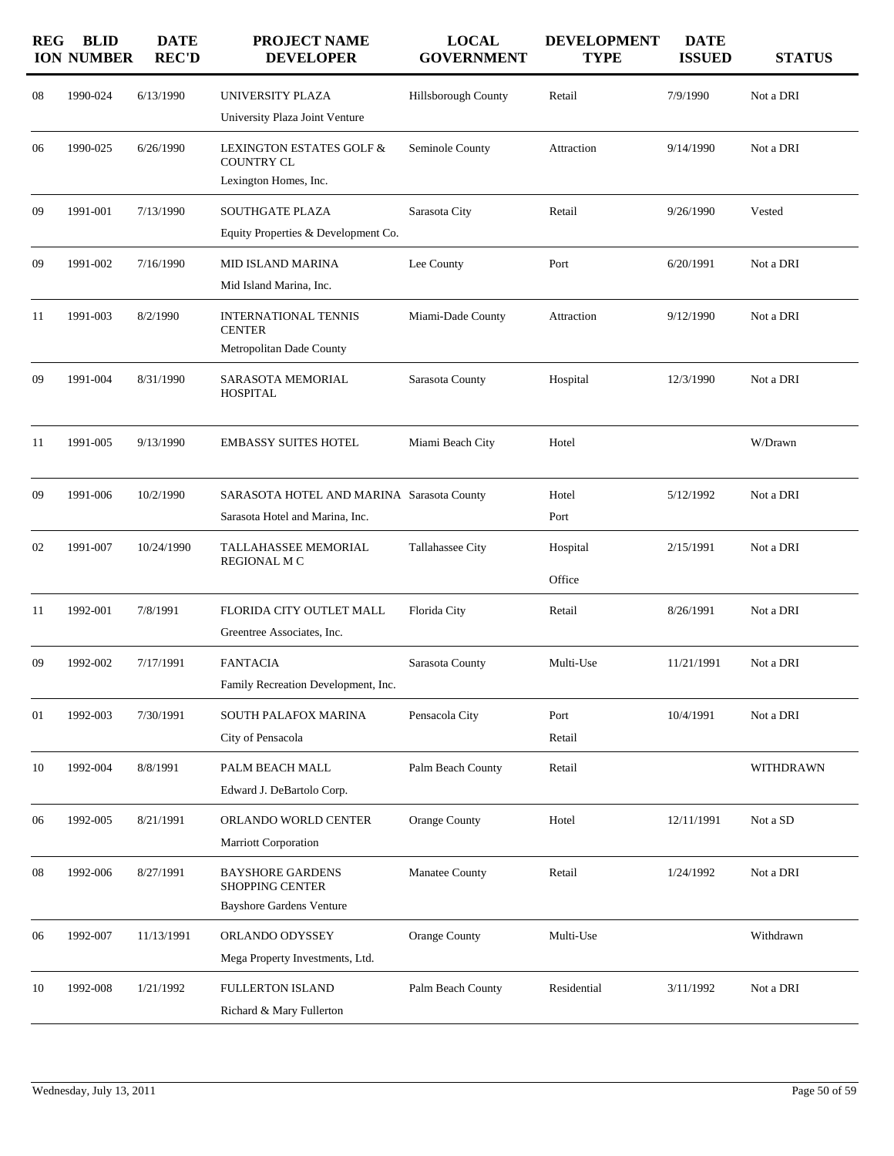| <b>REG</b> | <b>BLID</b><br><b>ION NUMBER</b> | <b>DATE</b><br><b>REC'D</b> | <b>PROJECT NAME</b><br><b>DEVELOPER</b>                                              | <b>LOCAL</b><br><b>GOVERNMENT</b> | <b>DEVELOPMENT</b><br><b>TYPE</b> | <b>DATE</b><br><b>ISSUED</b> | <b>STATUS</b> |
|------------|----------------------------------|-----------------------------|--------------------------------------------------------------------------------------|-----------------------------------|-----------------------------------|------------------------------|---------------|
| 08         | 1990-024                         | 6/13/1990                   | UNIVERSITY PLAZA<br>University Plaza Joint Venture                                   | Hillsborough County               | Retail                            | 7/9/1990                     | Not a DRI     |
| 06         | 1990-025                         | 6/26/1990                   | LEXINGTON ESTATES GOLF &<br><b>COUNTRY CL</b><br>Lexington Homes, Inc.               | Seminole County                   | Attraction                        | 9/14/1990                    | Not a DRI     |
| 09         | 1991-001                         | 7/13/1990                   | <b>SOUTHGATE PLAZA</b><br>Equity Properties & Development Co.                        | Sarasota City                     | Retail                            | 9/26/1990                    | Vested        |
| 09         | 1991-002                         | 7/16/1990                   | <b>MID ISLAND MARINA</b><br>Mid Island Marina, Inc.                                  | Lee County                        | Port                              | 6/20/1991                    | Not a DRI     |
| 11         | 1991-003                         | 8/2/1990                    | <b>INTERNATIONAL TENNIS</b><br><b>CENTER</b><br>Metropolitan Dade County             | Miami-Dade County                 | Attraction                        | 9/12/1990                    | Not a DRI     |
| 09         | 1991-004                         | 8/31/1990                   | SARASOTA MEMORIAL<br><b>HOSPITAL</b>                                                 | Sarasota County                   | Hospital                          | 12/3/1990                    | Not a DRI     |
| 11         | 1991-005                         | 9/13/1990                   | <b>EMBASSY SUITES HOTEL</b>                                                          | Miami Beach City                  | Hotel                             |                              | W/Drawn       |
| 09         | 1991-006                         | 10/2/1990                   | SARASOTA HOTEL AND MARINA Sarasota County<br>Sarasota Hotel and Marina, Inc.         |                                   | Hotel<br>Port                     | 5/12/1992                    | Not a DRI     |
| 02         | 1991-007                         | 10/24/1990                  | TALLAHASSEE MEMORIAL<br><b>REGIONAL M C</b>                                          | Tallahassee City                  | Hospital<br>Office                | 2/15/1991                    | Not a DRI     |
| 11         | 1992-001                         | 7/8/1991                    | FLORIDA CITY OUTLET MALL<br>Greentree Associates, Inc.                               | Florida City                      | Retail                            | 8/26/1991                    | Not a DRI     |
| 09         | 1992-002                         | 7/17/1991                   | <b>FANTACIA</b><br>Family Recreation Development, Inc.                               | Sarasota County                   | Multi-Use                         | 11/21/1991                   | Not a DRI     |
| 01         | 1992-003                         | 7/30/1991                   | SOUTH PALAFOX MARINA<br>City of Pensacola                                            | Pensacola City                    | Port<br>Retail                    | 10/4/1991                    | Not a DRI     |
| 10         | 1992-004                         | 8/8/1991                    | PALM BEACH MALL<br>Edward J. DeBartolo Corp.                                         | Palm Beach County                 | Retail                            |                              | WITHDRAWN     |
| 06         | 1992-005                         | 8/21/1991                   | ORLANDO WORLD CENTER<br>Marriott Corporation                                         | Orange County                     | Hotel                             | 12/11/1991                   | Not a SD      |
| 08         | 1992-006                         | 8/27/1991                   | <b>BAYSHORE GARDENS</b><br><b>SHOPPING CENTER</b><br><b>Bayshore Gardens Venture</b> | Manatee County                    | Retail                            | 1/24/1992                    | Not a DRI     |
| 06         | 1992-007                         | 11/13/1991                  | ORLANDO ODYSSEY<br>Mega Property Investments, Ltd.                                   | <b>Orange County</b>              | Multi-Use                         |                              | Withdrawn     |
| 10         | 1992-008                         | 1/21/1992                   | <b>FULLERTON ISLAND</b><br>Richard & Mary Fullerton                                  | Palm Beach County                 | Residential                       | 3/11/1992                    | Not a DRI     |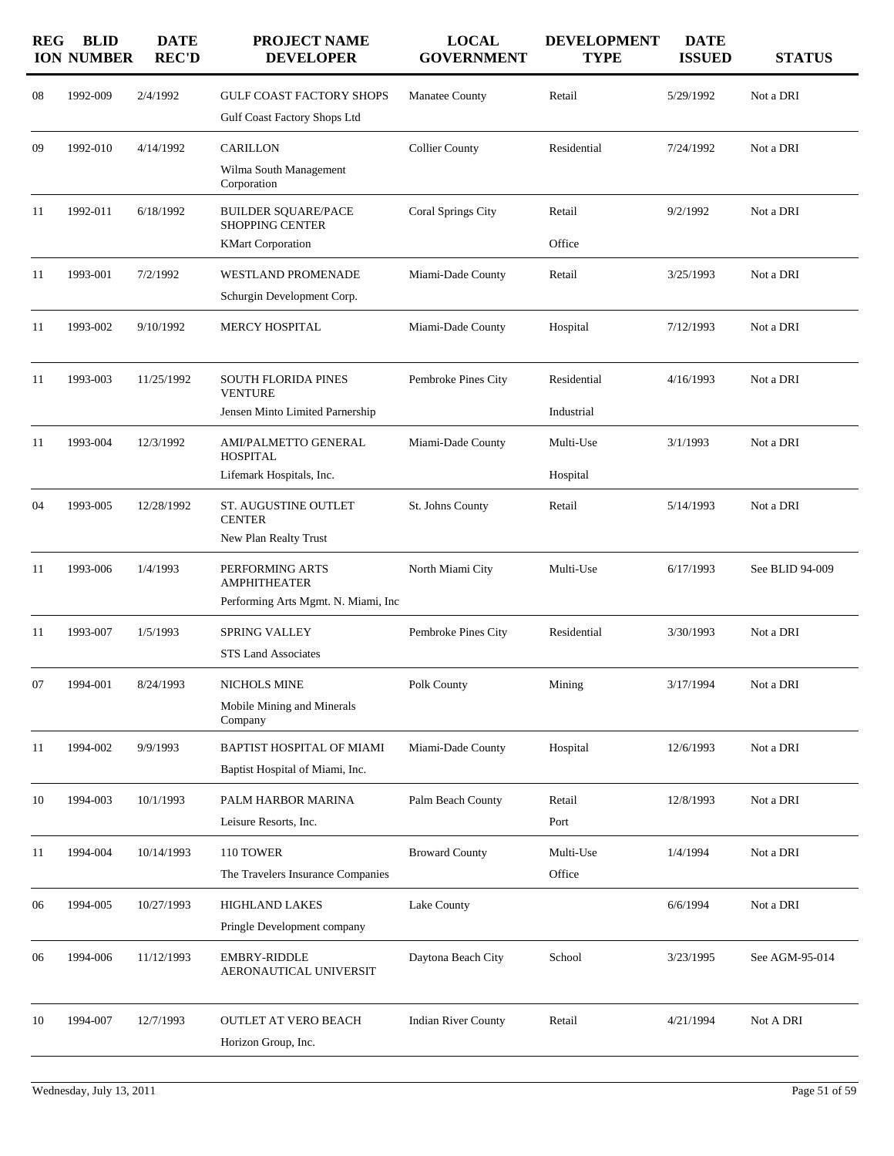| <b>REG</b> | <b>BLID</b><br><b>ION NUMBER</b> | <b>DATE</b><br><b>REC'D</b> | <b>PROJECT NAME</b><br><b>DEVELOPER</b>              | <b>LOCAL</b><br><b>GOVERNMENT</b> | <b>DEVELOPMENT</b><br><b>TYPE</b> | <b>DATE</b><br><b>ISSUED</b> | <b>STATUS</b>   |
|------------|----------------------------------|-----------------------------|------------------------------------------------------|-----------------------------------|-----------------------------------|------------------------------|-----------------|
| 08         | 1992-009                         | 2/4/1992                    | <b>GULF COAST FACTORY SHOPS</b>                      | Manatee County                    | Retail                            | 5/29/1992                    | Not a DRI       |
|            |                                  |                             | Gulf Coast Factory Shops Ltd                         |                                   |                                   |                              |                 |
| 09         | 1992-010                         | 4/14/1992                   | <b>CARILLON</b>                                      | <b>Collier County</b>             | Residential                       | 7/24/1992                    | Not a DRI       |
|            |                                  |                             | Wilma South Management<br>Corporation                |                                   |                                   |                              |                 |
| 11         | 1992-011                         | 6/18/1992                   | <b>BUILDER SQUARE/PACE</b><br><b>SHOPPING CENTER</b> | Coral Springs City                | Retail                            | 9/2/1992                     | Not a DRI       |
|            |                                  |                             | <b>KMart Corporation</b>                             |                                   | Office                            |                              |                 |
| 11         | 1993-001                         | 7/2/1992                    | WESTLAND PROMENADE                                   | Miami-Dade County                 | Retail                            | 3/25/1993                    | Not a DRI       |
|            |                                  |                             | Schurgin Development Corp.                           |                                   |                                   |                              |                 |
| 11         | 1993-002                         | 9/10/1992                   | MERCY HOSPITAL                                       | Miami-Dade County                 | Hospital                          | 7/12/1993                    | Not a DRI       |
| 11         | 1993-003                         | 11/25/1992                  | <b>SOUTH FLORIDA PINES</b>                           | Pembroke Pines City               | Residential                       | 4/16/1993                    | Not a DRI       |
|            |                                  |                             | <b>VENTURE</b><br>Jensen Minto Limited Parnership    |                                   | Industrial                        |                              |                 |
| 11         | 1993-004                         | 12/3/1992                   | AMI/PALMETTO GENERAL                                 | Miami-Dade County                 | Multi-Use                         | 3/1/1993                     | Not a DRI       |
|            |                                  |                             | <b>HOSPITAL</b>                                      |                                   |                                   |                              |                 |
|            |                                  |                             | Lifemark Hospitals, Inc.                             |                                   | Hospital                          |                              |                 |
| 04         | 1993-005                         | 12/28/1992                  | ST. AUGUSTINE OUTLET<br><b>CENTER</b>                | St. Johns County                  | Retail                            | 5/14/1993                    | Not a DRI       |
|            |                                  |                             | New Plan Realty Trust                                |                                   |                                   |                              |                 |
| 11         | 1993-006                         | 1/4/1993                    | PERFORMING ARTS<br><b>AMPHITHEATER</b>               | North Miami City                  | Multi-Use                         | 6/17/1993                    | See BLID 94-009 |
|            |                                  |                             | Performing Arts Mgmt. N. Miami, Inc.                 |                                   |                                   |                              |                 |
| 11         | 1993-007                         | 1/5/1993                    | <b>SPRING VALLEY</b>                                 | Pembroke Pines City               | Residential                       | 3/30/1993                    | Not a DRI       |
|            |                                  |                             | <b>STS Land Associates</b>                           |                                   |                                   |                              |                 |
| 07         | 1994-001                         | 8/24/1993                   | NICHOLS MINE                                         | Polk County                       | Mining                            | 3/17/1994                    | Not a DRI       |
|            |                                  |                             | Mobile Mining and Minerals<br>Company                |                                   |                                   |                              |                 |
| 11         | 1994-002                         | 9/9/1993                    | BAPTIST HOSPITAL OF MIAMI                            | Miami-Dade County                 | Hospital                          | 12/6/1993                    | Not a DRI       |
|            |                                  |                             | Baptist Hospital of Miami, Inc.                      |                                   |                                   |                              |                 |
| 10         | 1994-003                         | 10/1/1993                   | PALM HARBOR MARINA                                   | Palm Beach County                 | Retail                            | 12/8/1993                    | Not a DRI       |
|            |                                  |                             | Leisure Resorts, Inc.                                |                                   | Port                              |                              |                 |
| 11         | 1994-004                         | 10/14/1993                  | 110 TOWER                                            | <b>Broward County</b>             | Multi-Use                         | 1/4/1994                     | Not a DRI       |
|            |                                  |                             | The Travelers Insurance Companies                    |                                   | Office                            |                              |                 |
| 06         | 1994-005                         | 10/27/1993                  | HIGHLAND LAKES                                       | Lake County                       |                                   | 6/6/1994                     | Not a DRI       |
|            |                                  |                             | Pringle Development company                          |                                   |                                   |                              |                 |
| 06         | 1994-006                         | 11/12/1993                  | EMBRY-RIDDLE<br>AERONAUTICAL UNIVERSIT               | Daytona Beach City                | School                            | 3/23/1995                    | See AGM-95-014  |
| 10         | 1994-007                         | 12/7/1993                   | <b>OUTLET AT VERO BEACH</b>                          | <b>Indian River County</b>        | Retail                            | 4/21/1994                    | Not A DRI       |
|            |                                  |                             | Horizon Group, Inc.                                  |                                   |                                   |                              |                 |
|            |                                  |                             |                                                      |                                   |                                   |                              |                 |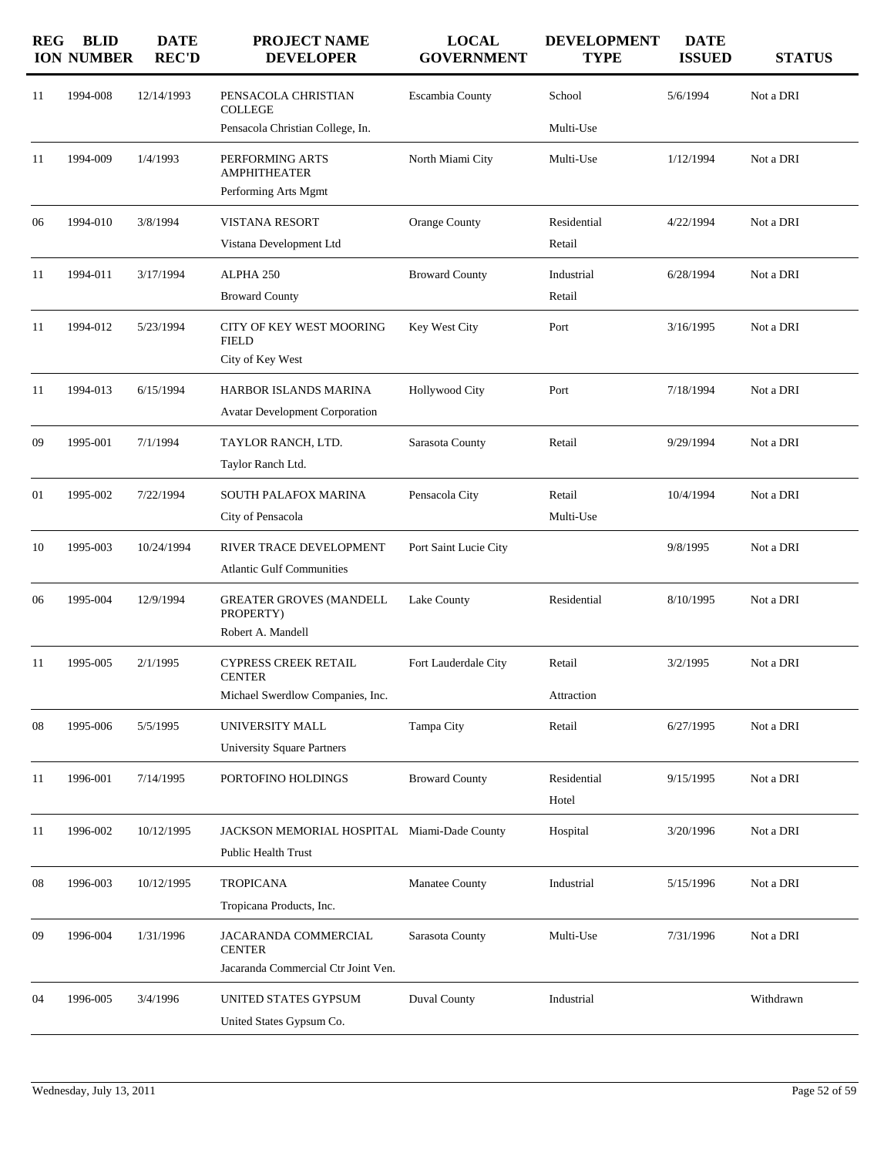| <b>REG</b> | <b>BLID</b><br><b>ION NUMBER</b> | <b>DATE</b><br><b>REC'D</b> | PROJECT NAME<br><b>DEVELOPER</b>            | <b>LOCAL</b><br><b>GOVERNMENT</b> | <b>DEVELOPMENT</b><br><b>TYPE</b> | <b>DATE</b><br><b>ISSUED</b> | <b>STATUS</b> |
|------------|----------------------------------|-----------------------------|---------------------------------------------|-----------------------------------|-----------------------------------|------------------------------|---------------|
| 11         | 1994-008                         | 12/14/1993                  | PENSACOLA CHRISTIAN<br><b>COLLEGE</b>       | Escambia County                   | School                            | 5/6/1994                     | Not a DRI     |
|            |                                  |                             | Pensacola Christian College, In.            |                                   | Multi-Use                         |                              |               |
| 11         | 1994-009                         | 1/4/1993                    | PERFORMING ARTS<br><b>AMPHITHEATER</b>      | North Miami City                  | Multi-Use                         | 1/12/1994                    | Not a DRI     |
|            |                                  |                             | Performing Arts Mgmt                        |                                   |                                   |                              |               |
| 06         | 1994-010                         | 3/8/1994                    | <b>VISTANA RESORT</b>                       | Orange County                     | Residential                       | 4/22/1994                    | Not a DRI     |
|            |                                  |                             | Vistana Development Ltd                     |                                   | Retail                            |                              |               |
| 11         | 1994-011                         | 3/17/1994                   | ALPHA 250                                   | <b>Broward County</b>             | Industrial                        | 6/28/1994                    | Not a DRI     |
|            |                                  |                             | <b>Broward County</b>                       |                                   | Retail                            |                              |               |
| 11         | 1994-012                         | 5/23/1994                   | CITY OF KEY WEST MOORING<br><b>FIELD</b>    | Key West City                     | Port                              | 3/16/1995                    | Not a DRI     |
|            |                                  |                             | City of Key West                            |                                   |                                   |                              |               |
| 11         | 1994-013                         | 6/15/1994                   | HARBOR ISLANDS MARINA                       | <b>Hollywood City</b>             | Port                              | 7/18/1994                    | Not a DRI     |
|            |                                  |                             | <b>Avatar Development Corporation</b>       |                                   |                                   |                              |               |
| 09         | 1995-001                         | 7/1/1994                    | TAYLOR RANCH, LTD.                          | Sarasota County                   | Retail                            | 9/29/1994                    | Not a DRI     |
|            |                                  |                             | Taylor Ranch Ltd.                           |                                   |                                   |                              |               |
| 01         | 1995-002                         | 7/22/1994                   | <b>SOUTH PALAFOX MARINA</b>                 | Pensacola City                    | Retail                            | 10/4/1994                    | Not a DRI     |
|            |                                  |                             | City of Pensacola                           |                                   | Multi-Use                         |                              |               |
| 10         | 1995-003                         | 10/24/1994                  | RIVER TRACE DEVELOPMENT                     | Port Saint Lucie City             |                                   | 9/8/1995                     | Not a DRI     |
|            |                                  |                             | <b>Atlantic Gulf Communities</b>            |                                   |                                   |                              |               |
| 06         | 1995-004                         | 12/9/1994                   | <b>GREATER GROVES (MANDELL</b><br>PROPERTY) | Lake County                       | Residential                       | 8/10/1995                    | Not a DRI     |
|            |                                  |                             | Robert A. Mandell                           |                                   |                                   |                              |               |
| 11         | 1995-005                         | 2/1/1995                    | CYPRESS CREEK RETAIL<br><b>CENTER</b>       | Fort Lauderdale City              | Retail                            | 3/2/1995                     | Not a DRI     |
|            |                                  |                             | Michael Swerdlow Companies, Inc.            |                                   | Attraction                        |                              |               |
| 08         | 1995-006                         | 5/5/1995                    | UNIVERSITY MALL                             | Tampa City                        | Retail                            | 6/27/1995                    | Not a DRI     |
|            |                                  |                             | <b>University Square Partners</b>           |                                   |                                   |                              |               |
| 11         | 1996-001                         | 7/14/1995                   | PORTOFINO HOLDINGS                          | <b>Broward County</b>             | Residential<br>Hotel              | 9/15/1995                    | Not a DRI     |
| 11         | 1996-002                         | 10/12/1995                  | JACKSON MEMORIAL HOSPITAL Miami-Dade County |                                   | Hospital                          | 3/20/1996                    | Not a DRI     |
|            |                                  |                             | Public Health Trust                         |                                   |                                   |                              |               |
| 08         | 1996-003                         | 10/12/1995                  | <b>TROPICANA</b>                            | Manatee County                    | Industrial                        | 5/15/1996                    | Not a DRI     |
|            |                                  |                             | Tropicana Products, Inc.                    |                                   |                                   |                              |               |
| 09         | 1996-004                         | 1/31/1996                   | JACARANDA COMMERCIAL<br><b>CENTER</b>       | Sarasota County                   | Multi-Use                         | 7/31/1996                    | Not a DRI     |
|            |                                  |                             | Jacaranda Commercial Ctr Joint Ven.         |                                   |                                   |                              |               |
| 04         | 1996-005                         | 3/4/1996                    | UNITED STATES GYPSUM                        | <b>Duval County</b>               | Industrial                        |                              | Withdrawn     |
|            |                                  |                             | United States Gypsum Co.                    |                                   |                                   |                              |               |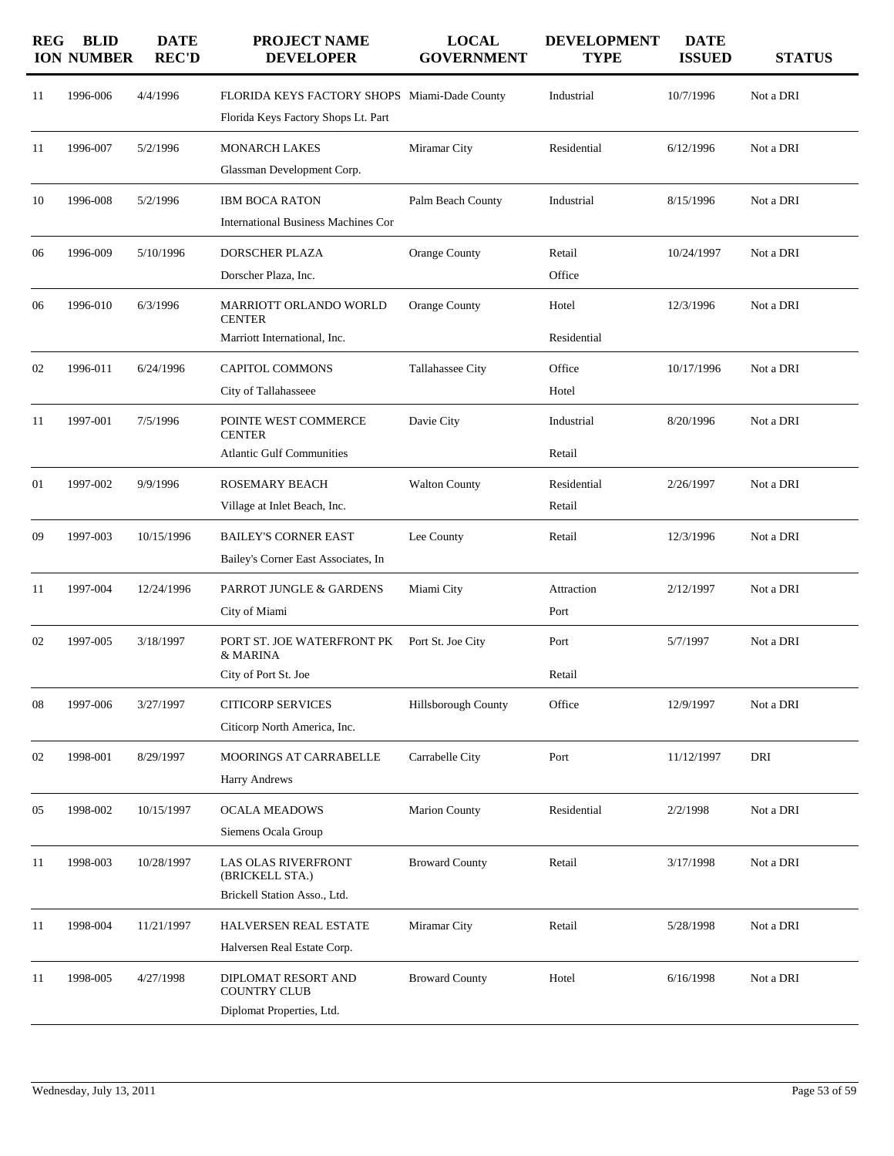| <b>REG</b> | <b>BLID</b><br><b>ION NUMBER</b> | <b>DATE</b><br><b>REC'D</b> | <b>PROJECT NAME</b><br><b>DEVELOPER</b>                                             | <b>LOCAL</b><br><b>GOVERNMENT</b> | <b>DEVELOPMENT</b><br><b>TYPE</b> | <b>DATE</b><br><b>ISSUED</b> | <b>STATUS</b> |
|------------|----------------------------------|-----------------------------|-------------------------------------------------------------------------------------|-----------------------------------|-----------------------------------|------------------------------|---------------|
| 11         | 1996-006                         | 4/4/1996                    | FLORIDA KEYS FACTORY SHOPS Miami-Dade County<br>Florida Keys Factory Shops Lt. Part |                                   | Industrial                        | 10/7/1996                    | Not a DRI     |
| 11         | 1996-007                         | 5/2/1996                    | <b>MONARCH LAKES</b><br>Glassman Development Corp.                                  | Miramar City                      | Residential                       | 6/12/1996                    | Not a DRI     |
| 10         | 1996-008                         | 5/2/1996                    | <b>IBM BOCA RATON</b><br><b>International Business Machines Cor</b>                 | Palm Beach County                 | Industrial                        | 8/15/1996                    | Not a DRI     |
| 06         | 1996-009                         | 5/10/1996                   | DORSCHER PLAZA<br>Dorscher Plaza, Inc.                                              | Orange County                     | Retail<br>Office                  | 10/24/1997                   | Not a DRI     |
| 06         | 1996-010                         | 6/3/1996                    | MARRIOTT ORLANDO WORLD<br><b>CENTER</b><br>Marriott International, Inc.             | Orange County                     | Hotel<br>Residential              | 12/3/1996                    | Not a DRI     |
| 02         | 1996-011                         | 6/24/1996                   | <b>CAPITOL COMMONS</b><br>City of Tallahasseee                                      | Tallahassee City                  | Office<br>Hotel                   | 10/17/1996                   | Not a DRI     |
| 11         | 1997-001                         | 7/5/1996                    | POINTE WEST COMMERCE<br><b>CENTER</b><br><b>Atlantic Gulf Communities</b>           | Davie City                        | Industrial<br>Retail              | 8/20/1996                    | Not a DRI     |
| 01         | 1997-002                         | 9/9/1996                    | <b>ROSEMARY BEACH</b><br>Village at Inlet Beach, Inc.                               | <b>Walton County</b>              | Residential<br>Retail             | 2/26/1997                    | Not a DRI     |
| 09         | 1997-003                         | 10/15/1996                  | <b>BAILEY'S CORNER EAST</b><br>Bailey's Corner East Associates, In                  | Lee County                        | Retail                            | 12/3/1996                    | Not a DRI     |
| 11         | 1997-004                         | 12/24/1996                  | PARROT JUNGLE & GARDENS<br>City of Miami                                            | Miami City                        | Attraction<br>Port                | 2/12/1997                    | Not a DRI     |
| 02         | 1997-005                         | 3/18/1997                   | PORT ST. JOE WATERFRONT PK<br>& MARINA<br>City of Port St. Joe                      | Port St. Joe City                 | Port<br>Retail                    | 5/7/1997                     | Not a DRI     |
| 08         | 1997-006                         | 3/27/1997                   | <b>CITICORP SERVICES</b><br>Citicorp North America, Inc.                            | Hillsborough County               | Office                            | 12/9/1997                    | Not a DRI     |
| 02         | 1998-001                         | 8/29/1997                   | MOORINGS AT CARRABELLE<br>Harry Andrews                                             | Carrabelle City                   | Port                              | 11/12/1997                   | DRI           |
| 05         | 1998-002                         | 10/15/1997                  | <b>OCALA MEADOWS</b><br>Siemens Ocala Group                                         | <b>Marion County</b>              | Residential                       | 2/2/1998                     | Not a DRI     |
| 11         | 1998-003                         | 10/28/1997                  | <b>LAS OLAS RIVERFRONT</b><br>(BRICKELL STA.)<br>Brickell Station Asso., Ltd.       | <b>Broward County</b>             | Retail                            | 3/17/1998                    | Not a DRI     |
| 11         | 1998-004                         | 11/21/1997                  | HALVERSEN REAL ESTATE<br>Halversen Real Estate Corp.                                | Miramar City                      | Retail                            | 5/28/1998                    | Not a DRI     |
| 11         | 1998-005                         | 4/27/1998                   | DIPLOMAT RESORT AND<br><b>COUNTRY CLUB</b><br>Diplomat Properties, Ltd.             | <b>Broward County</b>             | Hotel                             | 6/16/1998                    | Not a DRI     |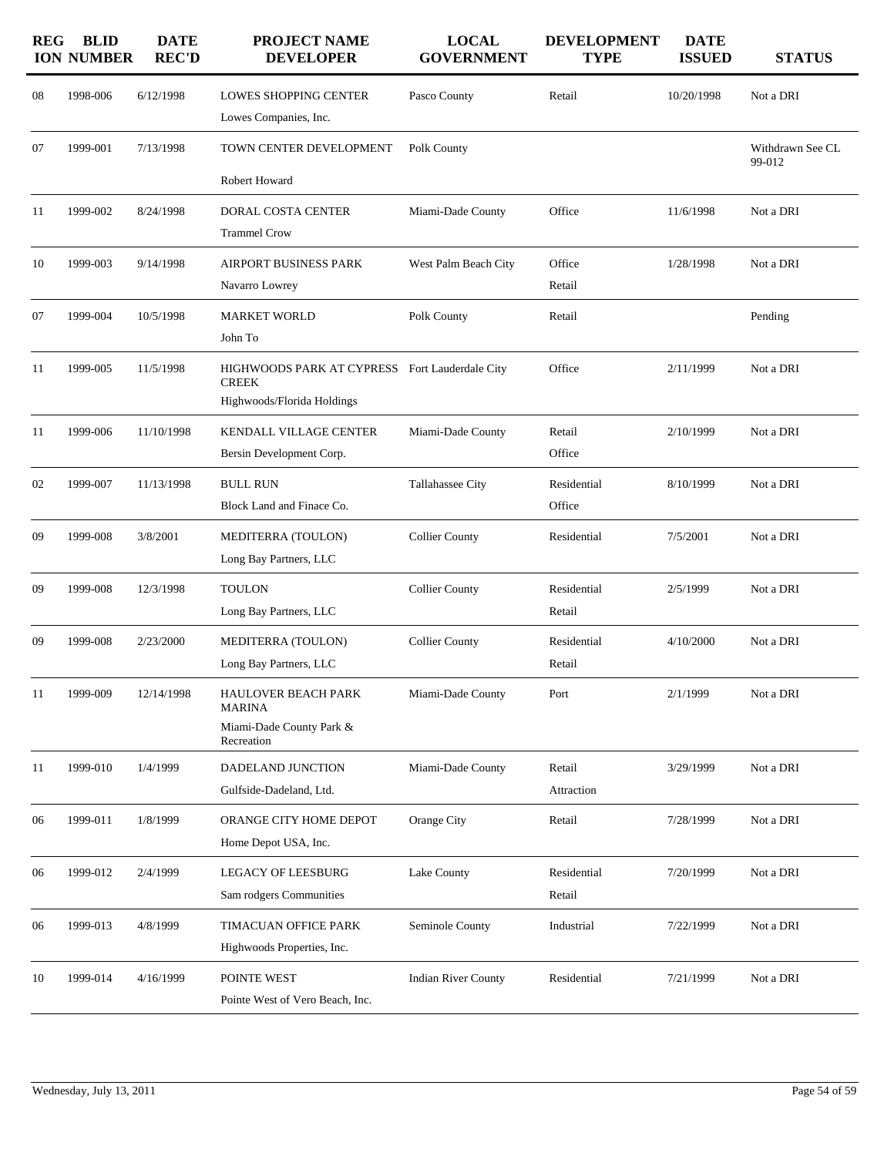| <b>REG</b> | <b>BLID</b><br><b>ION NUMBER</b> | <b>DATE</b><br><b>REC'D</b> | <b>PROJECT NAME</b><br><b>DEVELOPER</b>                                                      | <b>LOCAL</b><br><b>GOVERNMENT</b> | <b>DEVELOPMENT</b><br><b>TYPE</b> | <b>DATE</b><br><b>ISSUED</b> | <b>STATUS</b>              |
|------------|----------------------------------|-----------------------------|----------------------------------------------------------------------------------------------|-----------------------------------|-----------------------------------|------------------------------|----------------------------|
| 08         | 1998-006                         | 6/12/1998                   | <b>LOWES SHOPPING CENTER</b><br>Lowes Companies, Inc.                                        | Pasco County                      | Retail                            | 10/20/1998                   | Not a DRI                  |
| 07         | 1999-001                         | 7/13/1998                   | TOWN CENTER DEVELOPMENT<br>Robert Howard                                                     | Polk County                       |                                   |                              | Withdrawn See CL<br>99-012 |
| 11         | 1999-002                         | 8/24/1998                   | <b>DORAL COSTA CENTER</b><br><b>Trammel Crow</b>                                             | Miami-Dade County                 | Office                            | 11/6/1998                    | Not a DRI                  |
| 10         | 1999-003                         | 9/14/1998                   | <b>AIRPORT BUSINESS PARK</b><br>Navarro Lowrey                                               | West Palm Beach City              | Office<br>Retail                  | 1/28/1998                    | Not a DRI                  |
| 07         | 1999-004                         | 10/5/1998                   | <b>MARKET WORLD</b><br>John To                                                               | Polk County                       | Retail                            |                              | Pending                    |
| 11         | 1999-005                         | 11/5/1998                   | HIGHWOODS PARK AT CYPRESS Fort Lauderdale City<br><b>CREEK</b><br>Highwoods/Florida Holdings |                                   | Office                            | 2/11/1999                    | Not a DRI                  |
| 11         | 1999-006                         | 11/10/1998                  | KENDALL VILLAGE CENTER<br>Bersin Development Corp.                                           | Miami-Dade County                 | Retail<br>Office                  | 2/10/1999                    | Not a DRI                  |
| 02         | 1999-007                         | 11/13/1998                  | <b>BULL RUN</b><br>Block Land and Finace Co.                                                 | Tallahassee City                  | Residential<br>Office             | 8/10/1999                    | Not a DRI                  |
| 09         | 1999-008                         | 3/8/2001                    | MEDITERRA (TOULON)<br>Long Bay Partners, LLC                                                 | <b>Collier County</b>             | Residential                       | 7/5/2001                     | Not a DRI                  |
| 09         | 1999-008                         | 12/3/1998                   | <b>TOULON</b><br>Long Bay Partners, LLC                                                      | <b>Collier County</b>             | Residential<br>Retail             | 2/5/1999                     | Not a DRI                  |
| 09         | 1999-008                         | 2/23/2000                   | MEDITERRA (TOULON)<br>Long Bay Partners, LLC                                                 | <b>Collier County</b>             | Residential<br>Retail             | 4/10/2000                    | Not a DRI                  |
| 11         | 1999-009                         | 12/14/1998                  | <b>HAULOVER BEACH PARK</b><br>MARINA<br>Miami-Dade County Park &<br>Recreation               | Miami-Dade County                 | Port                              | 2/1/1999                     | Not a DRI                  |
| 11         | 1999-010                         | 1/4/1999                    | DADELAND JUNCTION<br>Gulfside-Dadeland, Ltd.                                                 | Miami-Dade County                 | Retail<br>Attraction              | 3/29/1999                    | Not a DRI                  |
| 06         | 1999-011                         | 1/8/1999                    | ORANGE CITY HOME DEPOT<br>Home Depot USA, Inc.                                               | Orange City                       | Retail                            | 7/28/1999                    | Not a DRI                  |
| 06         | 1999-012                         | 2/4/1999                    | <b>LEGACY OF LEESBURG</b><br>Sam rodgers Communities                                         | Lake County                       | Residential<br>Retail             | 7/20/1999                    | Not a DRI                  |
| 06         | 1999-013                         | 4/8/1999                    | TIMACUAN OFFICE PARK<br>Highwoods Properties, Inc.                                           | Seminole County                   | Industrial                        | 7/22/1999                    | Not a DRI                  |
| 10         | 1999-014                         | 4/16/1999                   | POINTE WEST<br>Pointe West of Vero Beach, Inc.                                               | <b>Indian River County</b>        | Residential                       | 7/21/1999                    | Not a DRI                  |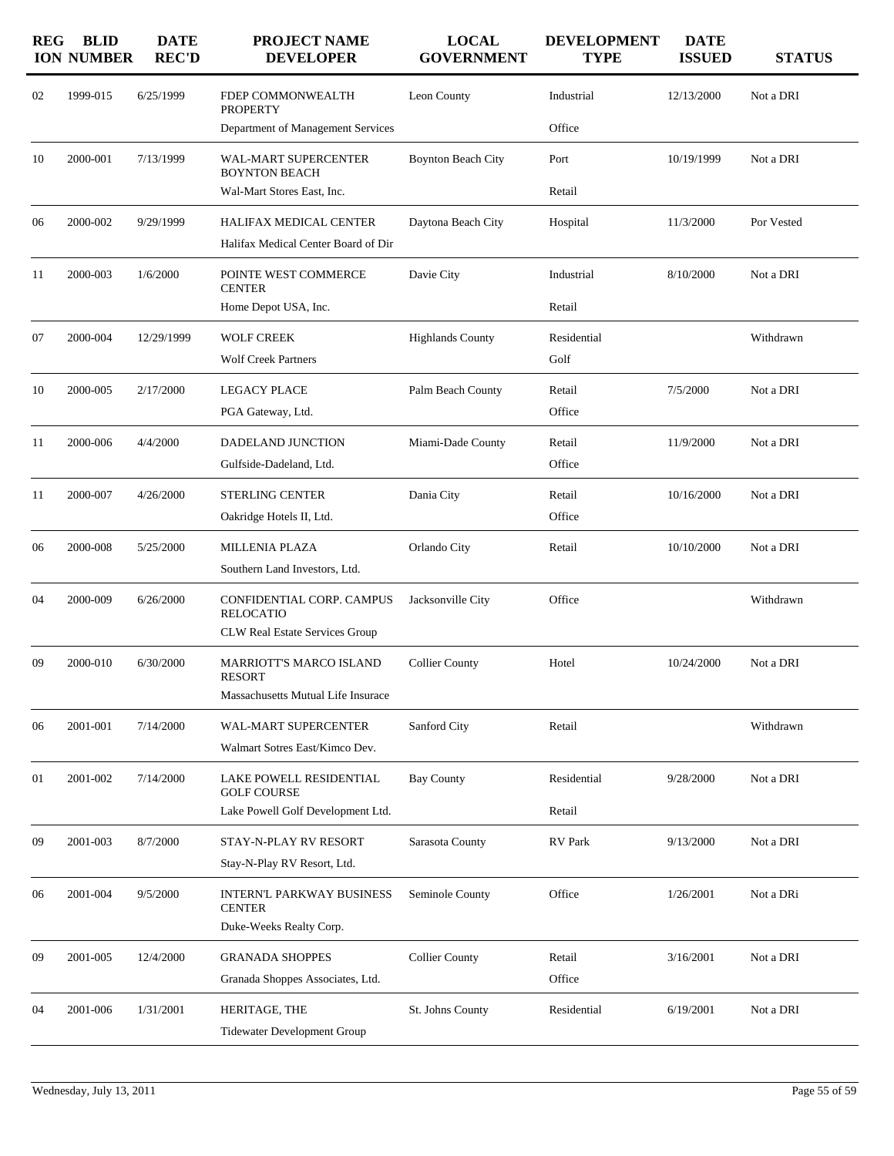| 1999-015<br>6/25/1999<br>Industrial<br>Not a DRI<br>02<br>FDEP COMMONWEALTH<br>Leon County<br>12/13/2000<br><b>PROPERTY</b><br>Office<br>Department of Management Services<br>2000-001<br>7/13/1999<br>WAL-MART SUPERCENTER<br>10/19/1999<br>Not a DRI<br>10<br><b>Boynton Beach City</b><br>Port<br><b>BOYNTON BEACH</b><br>Wal-Mart Stores East, Inc.<br>Retail<br>2000-002<br>9/29/1999<br>HALIFAX MEDICAL CENTER<br>Daytona Beach City<br>Hospital<br>11/3/2000<br>Por Vested<br>06<br>Halifax Medical Center Board of Dir<br>Industrial<br>8/10/2000<br>2000-003<br>1/6/2000<br>POINTE WEST COMMERCE<br>Davie City<br>Not a DRI<br>11<br><b>CENTER</b><br>Home Depot USA, Inc.<br>Retail<br>2000-004<br><b>WOLF CREEK</b><br>Withdrawn<br>07<br>12/29/1999<br><b>Highlands County</b><br>Residential<br><b>Wolf Creek Partners</b><br>Golf<br>2000-005<br>Not a DRI<br>10<br>2/17/2000<br>LEGACY PLACE<br>Palm Beach County<br>Retail<br>7/5/2000<br>Office<br>PGA Gateway, Ltd.<br>2000-006<br>Not a DRI<br>11<br>4/4/2000<br><b>DADELAND JUNCTION</b><br>Miami-Dade County<br>Retail<br>11/9/2000<br>Office<br>Gulfside-Dadeland, Ltd.<br>2000-007<br>Not a DRI<br>11<br>4/26/2000<br><b>STERLING CENTER</b><br>Dania City<br>Retail<br>10/16/2000<br>Office<br>Oakridge Hotels II, Ltd.<br>2000-008<br>Not a DRI<br>06<br>5/25/2000<br><b>MILLENIA PLAZA</b><br>Orlando City<br>Retail<br>10/10/2000<br>Southern Land Investors, Ltd.<br>2000-009<br>6/26/2000<br>CONFIDENTIAL CORP. CAMPUS<br>Office<br>Withdrawn<br>04<br>Jacksonville City<br><b>RELOCATIO</b><br><b>CLW Real Estate Services Group</b><br><b>MARRIOTT'S MARCO ISLAND</b><br><b>Collier County</b><br>09<br>2000-010<br>6/30/2000<br>Hotel<br>10/24/2000<br>Not a DRI<br><b>RESORT</b><br>Massachusetts Mutual Life Insurace<br>2001-001<br>7/14/2000<br>Sanford City<br>Retail<br>Withdrawn<br>WAL-MART SUPERCENTER<br>06<br>Walmart Sotres East/Kimco Dev.<br>2001-002<br>7/14/2000<br><b>Bay County</b><br>Residential<br>Not a DRI<br>01<br>LAKE POWELL RESIDENTIAL<br>9/28/2000<br><b>GOLF COURSE</b><br>Lake Powell Golf Development Ltd.<br>Retail<br>2001-003<br>8/7/2000<br>STAY-N-PLAY RV RESORT<br>Sarasota County<br>RV Park<br>9/13/2000<br>Not a DRI<br>09<br>Stay-N-Play RV Resort, Ltd.<br>Office<br>2001-004<br>9/5/2000<br><b>INTERN'L PARKWAY BUSINESS</b><br>Seminole County<br>1/26/2001<br>Not a DRi<br>06<br><b>CENTER</b><br>Duke-Weeks Realty Corp.<br>2001-005<br><b>GRANADA SHOPPES</b><br><b>Collier County</b><br>12/4/2000<br>Retail<br>3/16/2001<br>Not a DRI<br>09<br>Office<br>Granada Shoppes Associates, Ltd.<br>2001-006<br>1/31/2001<br>HERITAGE, THE<br>Residential<br>St. Johns County<br>6/19/2001<br>Not a DRI<br>04<br><b>Tidewater Development Group</b> | <b>REG</b> | <b>BLID</b><br><b>ION NUMBER</b> | <b>DATE</b><br><b>REC'D</b> | <b>PROJECT NAME</b><br><b>DEVELOPER</b> | <b>LOCAL</b><br><b>GOVERNMENT</b> | <b>DEVELOPMENT</b><br><b>TYPE</b> | <b>DATE</b><br><b>ISSUED</b> | <b>STATUS</b> |
|--------------------------------------------------------------------------------------------------------------------------------------------------------------------------------------------------------------------------------------------------------------------------------------------------------------------------------------------------------------------------------------------------------------------------------------------------------------------------------------------------------------------------------------------------------------------------------------------------------------------------------------------------------------------------------------------------------------------------------------------------------------------------------------------------------------------------------------------------------------------------------------------------------------------------------------------------------------------------------------------------------------------------------------------------------------------------------------------------------------------------------------------------------------------------------------------------------------------------------------------------------------------------------------------------------------------------------------------------------------------------------------------------------------------------------------------------------------------------------------------------------------------------------------------------------------------------------------------------------------------------------------------------------------------------------------------------------------------------------------------------------------------------------------------------------------------------------------------------------------------------------------------------------------------------------------------------------------------------------------------------------------------------------------------------------------------------------------------------------------------------------------------------------------------------------------------------------------------------------------------------------------------------------------------------------------------------------------------------------------------------------------------------------------------------------------------------------------------------------------------------------------------------------------------------------------------------------------------------------------------------------------------------------------------------------------------------------------------------------------------------------------------------------|------------|----------------------------------|-----------------------------|-----------------------------------------|-----------------------------------|-----------------------------------|------------------------------|---------------|
|                                                                                                                                                                                                                                                                                                                                                                                                                                                                                                                                                                                                                                                                                                                                                                                                                                                                                                                                                                                                                                                                                                                                                                                                                                                                                                                                                                                                                                                                                                                                                                                                                                                                                                                                                                                                                                                                                                                                                                                                                                                                                                                                                                                                                                                                                                                                                                                                                                                                                                                                                                                                                                                                                                                                                                                |            |                                  |                             |                                         |                                   |                                   |                              |               |
|                                                                                                                                                                                                                                                                                                                                                                                                                                                                                                                                                                                                                                                                                                                                                                                                                                                                                                                                                                                                                                                                                                                                                                                                                                                                                                                                                                                                                                                                                                                                                                                                                                                                                                                                                                                                                                                                                                                                                                                                                                                                                                                                                                                                                                                                                                                                                                                                                                                                                                                                                                                                                                                                                                                                                                                |            |                                  |                             |                                         |                                   |                                   |                              |               |
|                                                                                                                                                                                                                                                                                                                                                                                                                                                                                                                                                                                                                                                                                                                                                                                                                                                                                                                                                                                                                                                                                                                                                                                                                                                                                                                                                                                                                                                                                                                                                                                                                                                                                                                                                                                                                                                                                                                                                                                                                                                                                                                                                                                                                                                                                                                                                                                                                                                                                                                                                                                                                                                                                                                                                                                |            |                                  |                             |                                         |                                   |                                   |                              |               |
|                                                                                                                                                                                                                                                                                                                                                                                                                                                                                                                                                                                                                                                                                                                                                                                                                                                                                                                                                                                                                                                                                                                                                                                                                                                                                                                                                                                                                                                                                                                                                                                                                                                                                                                                                                                                                                                                                                                                                                                                                                                                                                                                                                                                                                                                                                                                                                                                                                                                                                                                                                                                                                                                                                                                                                                |            |                                  |                             |                                         |                                   |                                   |                              |               |
|                                                                                                                                                                                                                                                                                                                                                                                                                                                                                                                                                                                                                                                                                                                                                                                                                                                                                                                                                                                                                                                                                                                                                                                                                                                                                                                                                                                                                                                                                                                                                                                                                                                                                                                                                                                                                                                                                                                                                                                                                                                                                                                                                                                                                                                                                                                                                                                                                                                                                                                                                                                                                                                                                                                                                                                |            |                                  |                             |                                         |                                   |                                   |                              |               |
|                                                                                                                                                                                                                                                                                                                                                                                                                                                                                                                                                                                                                                                                                                                                                                                                                                                                                                                                                                                                                                                                                                                                                                                                                                                                                                                                                                                                                                                                                                                                                                                                                                                                                                                                                                                                                                                                                                                                                                                                                                                                                                                                                                                                                                                                                                                                                                                                                                                                                                                                                                                                                                                                                                                                                                                |            |                                  |                             |                                         |                                   |                                   |                              |               |
|                                                                                                                                                                                                                                                                                                                                                                                                                                                                                                                                                                                                                                                                                                                                                                                                                                                                                                                                                                                                                                                                                                                                                                                                                                                                                                                                                                                                                                                                                                                                                                                                                                                                                                                                                                                                                                                                                                                                                                                                                                                                                                                                                                                                                                                                                                                                                                                                                                                                                                                                                                                                                                                                                                                                                                                |            |                                  |                             |                                         |                                   |                                   |                              |               |
|                                                                                                                                                                                                                                                                                                                                                                                                                                                                                                                                                                                                                                                                                                                                                                                                                                                                                                                                                                                                                                                                                                                                                                                                                                                                                                                                                                                                                                                                                                                                                                                                                                                                                                                                                                                                                                                                                                                                                                                                                                                                                                                                                                                                                                                                                                                                                                                                                                                                                                                                                                                                                                                                                                                                                                                |            |                                  |                             |                                         |                                   |                                   |                              |               |
|                                                                                                                                                                                                                                                                                                                                                                                                                                                                                                                                                                                                                                                                                                                                                                                                                                                                                                                                                                                                                                                                                                                                                                                                                                                                                                                                                                                                                                                                                                                                                                                                                                                                                                                                                                                                                                                                                                                                                                                                                                                                                                                                                                                                                                                                                                                                                                                                                                                                                                                                                                                                                                                                                                                                                                                |            |                                  |                             |                                         |                                   |                                   |                              |               |
|                                                                                                                                                                                                                                                                                                                                                                                                                                                                                                                                                                                                                                                                                                                                                                                                                                                                                                                                                                                                                                                                                                                                                                                                                                                                                                                                                                                                                                                                                                                                                                                                                                                                                                                                                                                                                                                                                                                                                                                                                                                                                                                                                                                                                                                                                                                                                                                                                                                                                                                                                                                                                                                                                                                                                                                |            |                                  |                             |                                         |                                   |                                   |                              |               |
|                                                                                                                                                                                                                                                                                                                                                                                                                                                                                                                                                                                                                                                                                                                                                                                                                                                                                                                                                                                                                                                                                                                                                                                                                                                                                                                                                                                                                                                                                                                                                                                                                                                                                                                                                                                                                                                                                                                                                                                                                                                                                                                                                                                                                                                                                                                                                                                                                                                                                                                                                                                                                                                                                                                                                                                |            |                                  |                             |                                         |                                   |                                   |                              |               |
|                                                                                                                                                                                                                                                                                                                                                                                                                                                                                                                                                                                                                                                                                                                                                                                                                                                                                                                                                                                                                                                                                                                                                                                                                                                                                                                                                                                                                                                                                                                                                                                                                                                                                                                                                                                                                                                                                                                                                                                                                                                                                                                                                                                                                                                                                                                                                                                                                                                                                                                                                                                                                                                                                                                                                                                |            |                                  |                             |                                         |                                   |                                   |                              |               |
|                                                                                                                                                                                                                                                                                                                                                                                                                                                                                                                                                                                                                                                                                                                                                                                                                                                                                                                                                                                                                                                                                                                                                                                                                                                                                                                                                                                                                                                                                                                                                                                                                                                                                                                                                                                                                                                                                                                                                                                                                                                                                                                                                                                                                                                                                                                                                                                                                                                                                                                                                                                                                                                                                                                                                                                |            |                                  |                             |                                         |                                   |                                   |                              |               |
|                                                                                                                                                                                                                                                                                                                                                                                                                                                                                                                                                                                                                                                                                                                                                                                                                                                                                                                                                                                                                                                                                                                                                                                                                                                                                                                                                                                                                                                                                                                                                                                                                                                                                                                                                                                                                                                                                                                                                                                                                                                                                                                                                                                                                                                                                                                                                                                                                                                                                                                                                                                                                                                                                                                                                                                |            |                                  |                             |                                         |                                   |                                   |                              |               |
|                                                                                                                                                                                                                                                                                                                                                                                                                                                                                                                                                                                                                                                                                                                                                                                                                                                                                                                                                                                                                                                                                                                                                                                                                                                                                                                                                                                                                                                                                                                                                                                                                                                                                                                                                                                                                                                                                                                                                                                                                                                                                                                                                                                                                                                                                                                                                                                                                                                                                                                                                                                                                                                                                                                                                                                |            |                                  |                             |                                         |                                   |                                   |                              |               |
|                                                                                                                                                                                                                                                                                                                                                                                                                                                                                                                                                                                                                                                                                                                                                                                                                                                                                                                                                                                                                                                                                                                                                                                                                                                                                                                                                                                                                                                                                                                                                                                                                                                                                                                                                                                                                                                                                                                                                                                                                                                                                                                                                                                                                                                                                                                                                                                                                                                                                                                                                                                                                                                                                                                                                                                |            |                                  |                             |                                         |                                   |                                   |                              |               |
|                                                                                                                                                                                                                                                                                                                                                                                                                                                                                                                                                                                                                                                                                                                                                                                                                                                                                                                                                                                                                                                                                                                                                                                                                                                                                                                                                                                                                                                                                                                                                                                                                                                                                                                                                                                                                                                                                                                                                                                                                                                                                                                                                                                                                                                                                                                                                                                                                                                                                                                                                                                                                                                                                                                                                                                |            |                                  |                             |                                         |                                   |                                   |                              |               |
|                                                                                                                                                                                                                                                                                                                                                                                                                                                                                                                                                                                                                                                                                                                                                                                                                                                                                                                                                                                                                                                                                                                                                                                                                                                                                                                                                                                                                                                                                                                                                                                                                                                                                                                                                                                                                                                                                                                                                                                                                                                                                                                                                                                                                                                                                                                                                                                                                                                                                                                                                                                                                                                                                                                                                                                |            |                                  |                             |                                         |                                   |                                   |                              |               |
|                                                                                                                                                                                                                                                                                                                                                                                                                                                                                                                                                                                                                                                                                                                                                                                                                                                                                                                                                                                                                                                                                                                                                                                                                                                                                                                                                                                                                                                                                                                                                                                                                                                                                                                                                                                                                                                                                                                                                                                                                                                                                                                                                                                                                                                                                                                                                                                                                                                                                                                                                                                                                                                                                                                                                                                |            |                                  |                             |                                         |                                   |                                   |                              |               |
|                                                                                                                                                                                                                                                                                                                                                                                                                                                                                                                                                                                                                                                                                                                                                                                                                                                                                                                                                                                                                                                                                                                                                                                                                                                                                                                                                                                                                                                                                                                                                                                                                                                                                                                                                                                                                                                                                                                                                                                                                                                                                                                                                                                                                                                                                                                                                                                                                                                                                                                                                                                                                                                                                                                                                                                |            |                                  |                             |                                         |                                   |                                   |                              |               |
|                                                                                                                                                                                                                                                                                                                                                                                                                                                                                                                                                                                                                                                                                                                                                                                                                                                                                                                                                                                                                                                                                                                                                                                                                                                                                                                                                                                                                                                                                                                                                                                                                                                                                                                                                                                                                                                                                                                                                                                                                                                                                                                                                                                                                                                                                                                                                                                                                                                                                                                                                                                                                                                                                                                                                                                |            |                                  |                             |                                         |                                   |                                   |                              |               |
|                                                                                                                                                                                                                                                                                                                                                                                                                                                                                                                                                                                                                                                                                                                                                                                                                                                                                                                                                                                                                                                                                                                                                                                                                                                                                                                                                                                                                                                                                                                                                                                                                                                                                                                                                                                                                                                                                                                                                                                                                                                                                                                                                                                                                                                                                                                                                                                                                                                                                                                                                                                                                                                                                                                                                                                |            |                                  |                             |                                         |                                   |                                   |                              |               |
|                                                                                                                                                                                                                                                                                                                                                                                                                                                                                                                                                                                                                                                                                                                                                                                                                                                                                                                                                                                                                                                                                                                                                                                                                                                                                                                                                                                                                                                                                                                                                                                                                                                                                                                                                                                                                                                                                                                                                                                                                                                                                                                                                                                                                                                                                                                                                                                                                                                                                                                                                                                                                                                                                                                                                                                |            |                                  |                             |                                         |                                   |                                   |                              |               |
|                                                                                                                                                                                                                                                                                                                                                                                                                                                                                                                                                                                                                                                                                                                                                                                                                                                                                                                                                                                                                                                                                                                                                                                                                                                                                                                                                                                                                                                                                                                                                                                                                                                                                                                                                                                                                                                                                                                                                                                                                                                                                                                                                                                                                                                                                                                                                                                                                                                                                                                                                                                                                                                                                                                                                                                |            |                                  |                             |                                         |                                   |                                   |                              |               |
|                                                                                                                                                                                                                                                                                                                                                                                                                                                                                                                                                                                                                                                                                                                                                                                                                                                                                                                                                                                                                                                                                                                                                                                                                                                                                                                                                                                                                                                                                                                                                                                                                                                                                                                                                                                                                                                                                                                                                                                                                                                                                                                                                                                                                                                                                                                                                                                                                                                                                                                                                                                                                                                                                                                                                                                |            |                                  |                             |                                         |                                   |                                   |                              |               |
|                                                                                                                                                                                                                                                                                                                                                                                                                                                                                                                                                                                                                                                                                                                                                                                                                                                                                                                                                                                                                                                                                                                                                                                                                                                                                                                                                                                                                                                                                                                                                                                                                                                                                                                                                                                                                                                                                                                                                                                                                                                                                                                                                                                                                                                                                                                                                                                                                                                                                                                                                                                                                                                                                                                                                                                |            |                                  |                             |                                         |                                   |                                   |                              |               |
|                                                                                                                                                                                                                                                                                                                                                                                                                                                                                                                                                                                                                                                                                                                                                                                                                                                                                                                                                                                                                                                                                                                                                                                                                                                                                                                                                                                                                                                                                                                                                                                                                                                                                                                                                                                                                                                                                                                                                                                                                                                                                                                                                                                                                                                                                                                                                                                                                                                                                                                                                                                                                                                                                                                                                                                |            |                                  |                             |                                         |                                   |                                   |                              |               |
|                                                                                                                                                                                                                                                                                                                                                                                                                                                                                                                                                                                                                                                                                                                                                                                                                                                                                                                                                                                                                                                                                                                                                                                                                                                                                                                                                                                                                                                                                                                                                                                                                                                                                                                                                                                                                                                                                                                                                                                                                                                                                                                                                                                                                                                                                                                                                                                                                                                                                                                                                                                                                                                                                                                                                                                |            |                                  |                             |                                         |                                   |                                   |                              |               |
|                                                                                                                                                                                                                                                                                                                                                                                                                                                                                                                                                                                                                                                                                                                                                                                                                                                                                                                                                                                                                                                                                                                                                                                                                                                                                                                                                                                                                                                                                                                                                                                                                                                                                                                                                                                                                                                                                                                                                                                                                                                                                                                                                                                                                                                                                                                                                                                                                                                                                                                                                                                                                                                                                                                                                                                |            |                                  |                             |                                         |                                   |                                   |                              |               |
|                                                                                                                                                                                                                                                                                                                                                                                                                                                                                                                                                                                                                                                                                                                                                                                                                                                                                                                                                                                                                                                                                                                                                                                                                                                                                                                                                                                                                                                                                                                                                                                                                                                                                                                                                                                                                                                                                                                                                                                                                                                                                                                                                                                                                                                                                                                                                                                                                                                                                                                                                                                                                                                                                                                                                                                |            |                                  |                             |                                         |                                   |                                   |                              |               |
|                                                                                                                                                                                                                                                                                                                                                                                                                                                                                                                                                                                                                                                                                                                                                                                                                                                                                                                                                                                                                                                                                                                                                                                                                                                                                                                                                                                                                                                                                                                                                                                                                                                                                                                                                                                                                                                                                                                                                                                                                                                                                                                                                                                                                                                                                                                                                                                                                                                                                                                                                                                                                                                                                                                                                                                |            |                                  |                             |                                         |                                   |                                   |                              |               |
|                                                                                                                                                                                                                                                                                                                                                                                                                                                                                                                                                                                                                                                                                                                                                                                                                                                                                                                                                                                                                                                                                                                                                                                                                                                                                                                                                                                                                                                                                                                                                                                                                                                                                                                                                                                                                                                                                                                                                                                                                                                                                                                                                                                                                                                                                                                                                                                                                                                                                                                                                                                                                                                                                                                                                                                |            |                                  |                             |                                         |                                   |                                   |                              |               |
|                                                                                                                                                                                                                                                                                                                                                                                                                                                                                                                                                                                                                                                                                                                                                                                                                                                                                                                                                                                                                                                                                                                                                                                                                                                                                                                                                                                                                                                                                                                                                                                                                                                                                                                                                                                                                                                                                                                                                                                                                                                                                                                                                                                                                                                                                                                                                                                                                                                                                                                                                                                                                                                                                                                                                                                |            |                                  |                             |                                         |                                   |                                   |                              |               |
|                                                                                                                                                                                                                                                                                                                                                                                                                                                                                                                                                                                                                                                                                                                                                                                                                                                                                                                                                                                                                                                                                                                                                                                                                                                                                                                                                                                                                                                                                                                                                                                                                                                                                                                                                                                                                                                                                                                                                                                                                                                                                                                                                                                                                                                                                                                                                                                                                                                                                                                                                                                                                                                                                                                                                                                |            |                                  |                             |                                         |                                   |                                   |                              |               |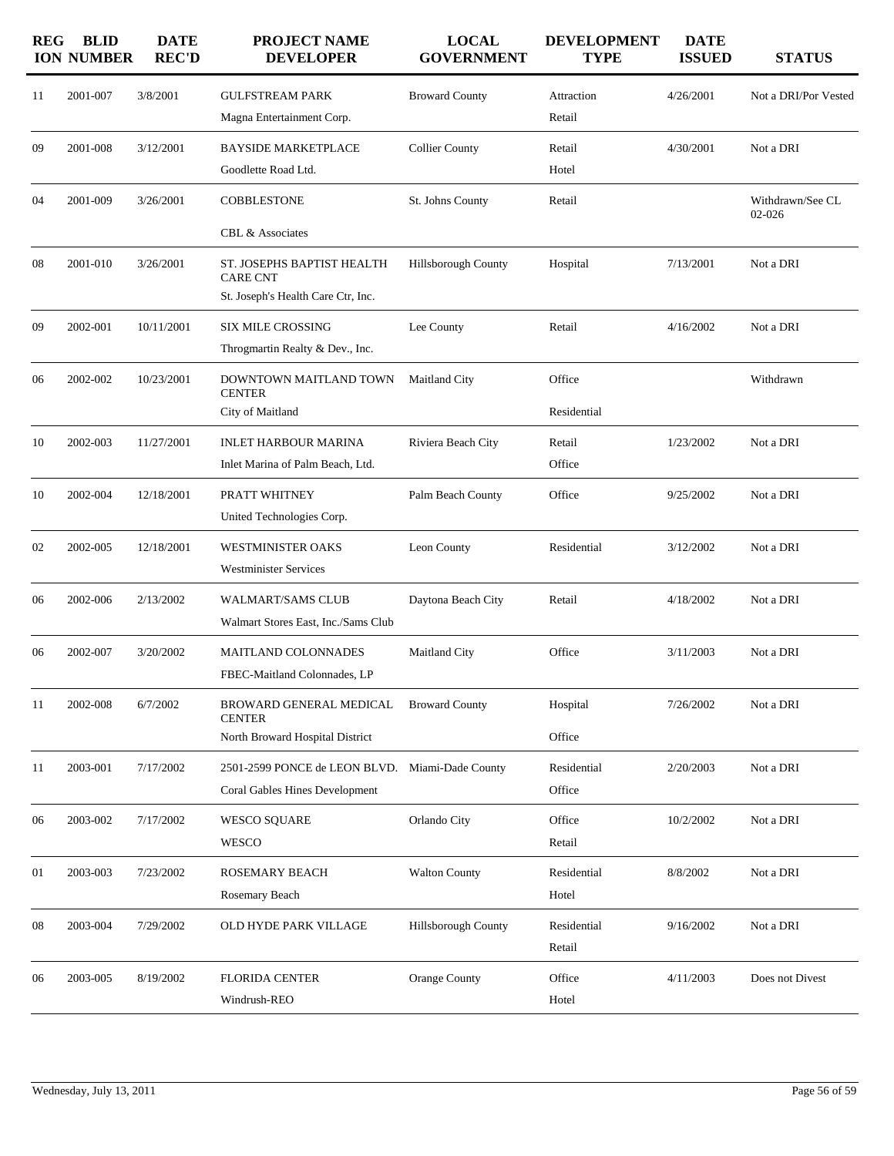| <b>REG</b> | <b>BLID</b><br><b>ION NUMBER</b> | <b>DATE</b><br><b>REC'D</b> | PROJECT NAME<br><b>DEVELOPER</b>                                                         | <b>LOCAL</b><br><b>GOVERNMENT</b> | <b>DEVELOPMENT</b><br><b>TYPE</b> | <b>DATE</b><br><b>ISSUED</b> | <b>STATUS</b>              |
|------------|----------------------------------|-----------------------------|------------------------------------------------------------------------------------------|-----------------------------------|-----------------------------------|------------------------------|----------------------------|
| 11         | 2001-007                         | 3/8/2001                    | <b>GULFSTREAM PARK</b><br>Magna Entertainment Corp.                                      | <b>Broward County</b>             | Attraction<br>Retail              | 4/26/2001                    | Not a DRI/Por Vested       |
| 09         | 2001-008                         | 3/12/2001                   | <b>BAYSIDE MARKETPLACE</b><br>Goodlette Road Ltd.                                        | <b>Collier County</b>             | Retail<br>Hotel                   | 4/30/2001                    | Not a DRI                  |
| 04         | 2001-009                         | 3/26/2001                   | <b>COBBLESTONE</b><br><b>CBL &amp; Associates</b>                                        | St. Johns County                  | Retail                            |                              | Withdrawn/See CL<br>02-026 |
| 08         | 2001-010                         | 3/26/2001                   | ST. JOSEPHS BAPTIST HEALTH<br><b>CARE CNT</b><br>St. Joseph's Health Care Ctr, Inc.      | Hillsborough County               | Hospital                          | 7/13/2001                    | Not a DRI                  |
| 09         | 2002-001                         | 10/11/2001                  | <b>SIX MILE CROSSING</b><br>Throgmartin Realty & Dev., Inc.                              | Lee County                        | Retail                            | 4/16/2002                    | Not a DRI                  |
| 06         | 2002-002                         | 10/23/2001                  | DOWNTOWN MAITLAND TOWN<br><b>CENTER</b><br>City of Maitland                              | <b>Maitland City</b>              | Office<br>Residential             |                              | Withdrawn                  |
| 10         | 2002-003                         | 11/27/2001                  | <b>INLET HARBOUR MARINA</b><br>Inlet Marina of Palm Beach, Ltd.                          | Riviera Beach City                | Retail<br>Office                  | 1/23/2002                    | Not a DRI                  |
| 10         | 2002-004                         | 12/18/2001                  | PRATT WHITNEY<br>United Technologies Corp.                                               | Palm Beach County                 | Office                            | 9/25/2002                    | Not a DRI                  |
| 02         | 2002-005                         | 12/18/2001                  | <b>WESTMINISTER OAKS</b><br><b>Westminister Services</b>                                 | Leon County                       | Residential                       | 3/12/2002                    | Not a DRI                  |
| 06         | 2002-006                         | 2/13/2002                   | <b>WALMART/SAMS CLUB</b><br>Walmart Stores East, Inc./Sams Club                          | Daytona Beach City                | Retail                            | 4/18/2002                    | Not a DRI                  |
| 06         | 2002-007                         | 3/20/2002                   | <b>MAITLAND COLONNADES</b><br>FBEC-Maitland Colonnades, LP                               | Maitland City                     | Office                            | 3/11/2003                    | Not a DRI                  |
| 11         | 2002-008                         | 6/7/2002                    | BROWARD GENERAL MEDICAL<br><b>CENTER</b><br>North Broward Hospital District              | <b>Broward County</b>             | Hospital<br>Office                | 7/26/2002                    | Not a DRI                  |
| 11         | 2003-001                         | 7/17/2002                   | 2501-2599 PONCE de LEON BLVD. Miami-Dade County<br><b>Coral Gables Hines Development</b> |                                   | Residential<br>Office             | 2/20/2003                    | Not a DRI                  |
| 06         | 2003-002                         | 7/17/2002                   | <b>WESCO SQUARE</b><br>WESCO                                                             | Orlando City                      | Office<br>Retail                  | 10/2/2002                    | Not a DRI                  |
| 01         | 2003-003                         | 7/23/2002                   | <b>ROSEMARY BEACH</b><br>Rosemary Beach                                                  | <b>Walton County</b>              | Residential<br>Hotel              | 8/8/2002                     | Not a DRI                  |
| 08         | 2003-004                         | 7/29/2002                   | OLD HYDE PARK VILLAGE                                                                    | <b>Hillsborough County</b>        | Residential<br>Retail             | 9/16/2002                    | Not a DRI                  |
| 06         | 2003-005                         | 8/19/2002                   | <b>FLORIDA CENTER</b><br>Windrush-REO                                                    | Orange County                     | Office<br>Hotel                   | 4/11/2003                    | Does not Divest            |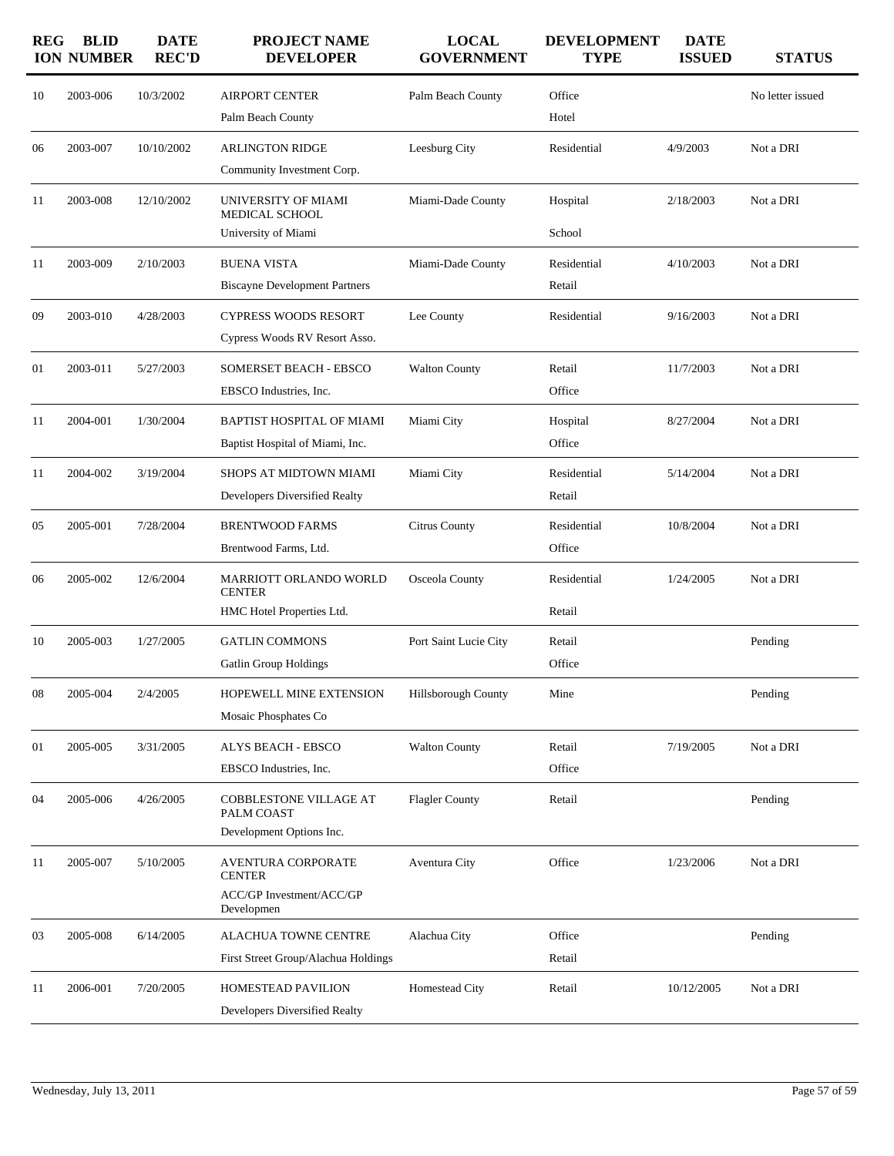| <b>REG</b> | <b>BLID</b><br><b>ION NUMBER</b> | <b>DATE</b><br><b>REC'D</b> | <b>PROJECT NAME</b><br><b>DEVELOPER</b>                              | <b>LOCAL</b><br><b>GOVERNMENT</b> | <b>DEVELOPMENT</b><br><b>TYPE</b> | <b>DATE</b><br><b>ISSUED</b> | <b>STATUS</b>    |
|------------|----------------------------------|-----------------------------|----------------------------------------------------------------------|-----------------------------------|-----------------------------------|------------------------------|------------------|
| 10         | 2003-006                         | 10/3/2002                   | <b>AIRPORT CENTER</b><br>Palm Beach County                           | Palm Beach County                 | Office<br>Hotel                   |                              | No letter issued |
| 06         | 2003-007                         | 10/10/2002                  | <b>ARLINGTON RIDGE</b><br>Community Investment Corp.                 | Leesburg City                     | Residential                       | 4/9/2003                     | Not a DRI        |
| 11         | 2003-008                         | 12/10/2002                  | UNIVERSITY OF MIAMI<br>MEDICAL SCHOOL                                | Miami-Dade County                 | Hospital                          | 2/18/2003                    | Not a DRI        |
|            |                                  |                             | University of Miami                                                  |                                   | School                            |                              |                  |
| 11         | 2003-009                         | 2/10/2003                   | <b>BUENA VISTA</b><br><b>Biscayne Development Partners</b>           | Miami-Dade County                 | Residential<br>Retail             | 4/10/2003                    | Not a DRI        |
| 09         | 2003-010                         | 4/28/2003                   | <b>CYPRESS WOODS RESORT</b><br>Cypress Woods RV Resort Asso.         | Lee County                        | Residential                       | 9/16/2003                    | Not a DRI        |
| 01         | 2003-011                         | 5/27/2003                   | SOMERSET BEACH - EBSCO<br>EBSCO Industries, Inc.                     | <b>Walton County</b>              | Retail<br>Office                  | 11/7/2003                    | Not a DRI        |
| 11         | 2004-001                         | 1/30/2004                   | BAPTIST HOSPITAL OF MIAMI<br>Baptist Hospital of Miami, Inc.         | Miami City                        | Hospital<br>Office                | 8/27/2004                    | Not a DRI        |
| 11         | 2004-002                         | 3/19/2004                   | SHOPS AT MIDTOWN MIAMI<br>Developers Diversified Realty              | Miami City                        | Residential<br>Retail             | 5/14/2004                    | Not a DRI        |
| 05         | 2005-001                         | 7/28/2004                   | <b>BRENTWOOD FARMS</b><br>Brentwood Farms, Ltd.                      | <b>Citrus County</b>              | Residential<br>Office             | 10/8/2004                    | Not a DRI        |
| 06         | 2005-002                         | 12/6/2004                   | MARRIOTT ORLANDO WORLD<br><b>CENTER</b><br>HMC Hotel Properties Ltd. | Osceola County                    | Residential<br>Retail             | 1/24/2005                    | Not a DRI        |
| 10         | 2005-003                         | 1/27/2005                   | <b>GATLIN COMMONS</b><br><b>Gatlin Group Holdings</b>                | Port Saint Lucie City             | Retail<br>Office                  |                              | Pending          |
| 08         | 2005-004                         | 2/4/2005                    | HOPEWELL MINE EXTENSION<br>Mosaic Phosphates Co                      | Hillsborough County               | Mine                              |                              | Pending          |
| 01         | 2005-005                         | 3/31/2005                   | ALYS BEACH - EBSCO<br>EBSCO Industries, Inc.                         | <b>Walton County</b>              | Retail<br>Office                  | 7/19/2005                    | Not a DRI        |
| 04         | 2005-006                         | 4/26/2005                   | COBBLESTONE VILLAGE AT<br>PALM COAST                                 | <b>Flagler County</b>             | Retail                            |                              | Pending          |
| 11         | 2005-007                         | 5/10/2005                   | Development Options Inc.<br><b>AVENTURA CORPORATE</b>                | Aventura City                     | Office                            | 1/23/2006                    | Not a DRI        |
|            |                                  |                             | <b>CENTER</b><br><b>ACC/GP Investment/ACC/GP</b><br>Developmen       |                                   |                                   |                              |                  |
| 03         | 2005-008                         | 6/14/2005                   | <b>ALACHUA TOWNE CENTRE</b>                                          | Alachua City                      | Office                            |                              | Pending          |
|            |                                  |                             | First Street Group/Alachua Holdings                                  |                                   | Retail                            |                              |                  |
| 11         | 2006-001                         | 7/20/2005                   | HOMESTEAD PAVILION<br>Developers Diversified Realty                  | Homestead City                    | Retail                            | 10/12/2005                   | Not a DRI        |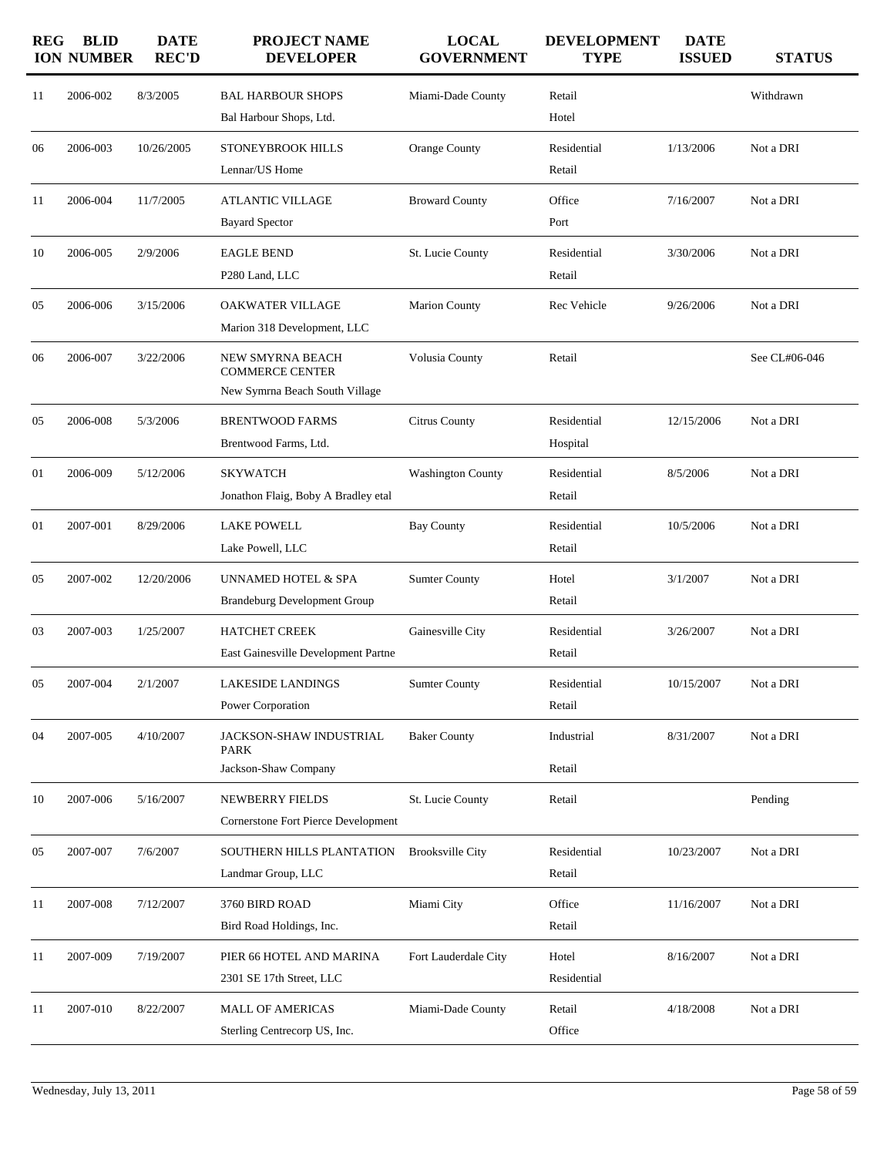| <b>REG</b> | <b>BLID</b><br><b>ION NUMBER</b> | <b>DATE</b><br><b>REC'D</b> | <b>PROJECT NAME</b><br><b>DEVELOPER</b>                                        | <b>LOCAL</b><br><b>GOVERNMENT</b> | <b>DEVELOPMENT</b><br><b>TYPE</b> | <b>DATE</b><br><b>ISSUED</b> | <b>STATUS</b> |
|------------|----------------------------------|-----------------------------|--------------------------------------------------------------------------------|-----------------------------------|-----------------------------------|------------------------------|---------------|
| 11         | 2006-002                         | 8/3/2005                    | <b>BAL HARBOUR SHOPS</b><br>Bal Harbour Shops, Ltd.                            | Miami-Dade County                 | Retail<br>Hotel                   |                              | Withdrawn     |
| 06         | 2006-003                         | 10/26/2005                  | <b>STONEYBROOK HILLS</b><br>Lennar/US Home                                     | Orange County                     | Residential<br>Retail             | 1/13/2006                    | Not a DRI     |
| 11         | 2006-004                         | 11/7/2005                   | <b>ATLANTIC VILLAGE</b><br><b>Bayard Spector</b>                               | <b>Broward County</b>             | Office<br>Port                    | 7/16/2007                    | Not a DRI     |
| 10         | 2006-005                         | 2/9/2006                    | <b>EAGLE BEND</b><br>P280 Land, LLC                                            | St. Lucie County                  | Residential<br>Retail             | 3/30/2006                    | Not a DRI     |
| 05         | 2006-006                         | 3/15/2006                   | OAKWATER VILLAGE<br>Marion 318 Development, LLC                                | <b>Marion County</b>              | Rec Vehicle                       | 9/26/2006                    | Not a DRI     |
| 06         | 2006-007                         | 3/22/2006                   | NEW SMYRNA BEACH<br><b>COMMERCE CENTER</b><br>New Symrna Beach South Village   | Volusia County                    | Retail                            |                              | See CL#06-046 |
| 05         | 2006-008                         | 5/3/2006                    | <b>BRENTWOOD FARMS</b><br>Brentwood Farms, Ltd.                                | <b>Citrus County</b>              | Residential<br>Hospital           | 12/15/2006                   | Not a DRI     |
| 01         | 2006-009                         | 5/12/2006                   | <b>SKYWATCH</b><br>Jonathon Flaig, Boby A Bradley etal                         | <b>Washington County</b>          | Residential<br>Retail             | 8/5/2006                     | Not a DRI     |
| 01         | 2007-001                         | 8/29/2006                   | <b>LAKE POWELL</b><br>Lake Powell, LLC                                         | <b>Bay County</b>                 | Residential<br>Retail             | 10/5/2006                    | Not a DRI     |
| 05         | 2007-002                         | 12/20/2006                  | UNNAMED HOTEL & SPA<br><b>Brandeburg Development Group</b>                     | <b>Sumter County</b>              | Hotel<br>Retail                   | 3/1/2007                     | Not a DRI     |
| 03         | 2007-003                         | 1/25/2007                   | <b>HATCHET CREEK</b><br>East Gainesville Development Partne                    | Gainesville City                  | Residential<br>Retail             | 3/26/2007                    | Not a DRI     |
| 05         | 2007-004                         | 2/1/2007                    | LAKESIDE LANDINGS<br>Power Corporation                                         | <b>Sumter County</b>              | Residential<br>Retail             | 10/15/2007                   | Not a DRI     |
| 04         | 2007-005                         | 4/10/2007                   | JACKSON-SHAW INDUSTRIAL<br><b>PARK</b>                                         | <b>Baker County</b>               | Industrial<br>Retail              | 8/31/2007                    | Not a DRI     |
| 10         | 2007-006                         | 5/16/2007                   | Jackson-Shaw Company<br>NEWBERRY FIELDS<br>Cornerstone Fort Pierce Development | St. Lucie County                  | Retail                            |                              | Pending       |
| 05         | 2007-007                         | 7/6/2007                    | SOUTHERN HILLS PLANTATION<br>Landmar Group, LLC                                | <b>Brooksville City</b>           | Residential<br>Retail             | 10/23/2007                   | Not a DRI     |
| 11         | 2007-008                         | 7/12/2007                   | 3760 BIRD ROAD<br>Bird Road Holdings, Inc.                                     | Miami City                        | Office<br>Retail                  | 11/16/2007                   | Not a DRI     |
| 11         | 2007-009                         | 7/19/2007                   | PIER 66 HOTEL AND MARINA<br>2301 SE 17th Street, LLC                           | Fort Lauderdale City              | Hotel<br>Residential              | 8/16/2007                    | Not a DRI     |
| 11         | 2007-010                         | 8/22/2007                   | <b>MALL OF AMERICAS</b><br>Sterling Centrecorp US, Inc.                        | Miami-Dade County                 | Retail<br>Office                  | 4/18/2008                    | Not a DRI     |